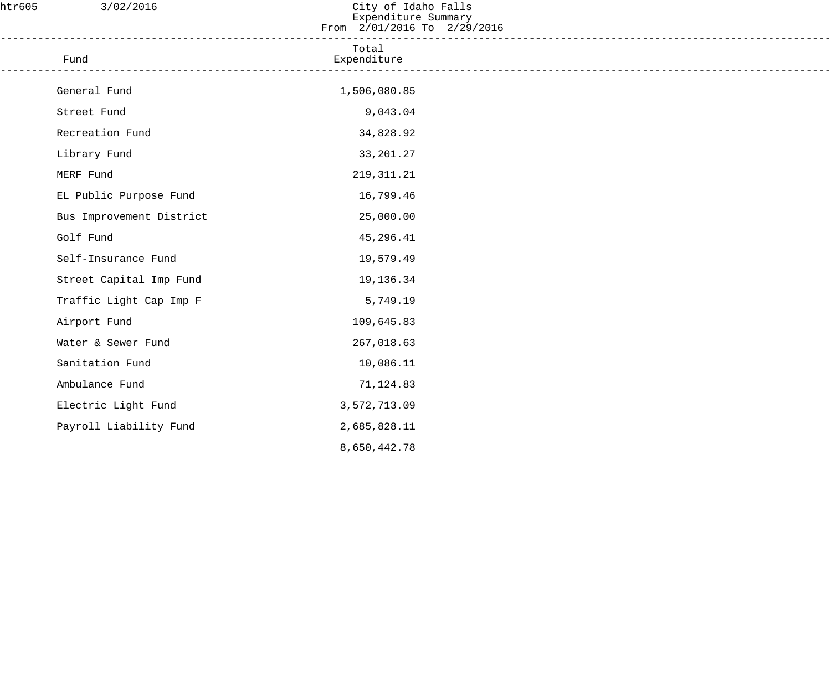| htr605 | 3/02/2016                | City of Idaho Falls<br>Expenditure Summary<br>From 2/01/2016 To 2/29/2016 |  |
|--------|--------------------------|---------------------------------------------------------------------------|--|
|        | Fund                     | Total<br>Expenditure                                                      |  |
|        | General Fund             | 1,506,080.85                                                              |  |
|        | Street Fund              | 9,043.04                                                                  |  |
|        | Recreation Fund          | 34,828.92                                                                 |  |
|        | Library Fund             | 33, 201. 27                                                               |  |
|        | MERF Fund                | 219, 311. 21                                                              |  |
|        | EL Public Purpose Fund   | 16,799.46                                                                 |  |
|        | Bus Improvement District | 25,000.00                                                                 |  |
|        | Golf Fund                | 45,296.41                                                                 |  |
|        | Self-Insurance Fund      | 19,579.49                                                                 |  |
|        | Street Capital Imp Fund  | 19,136.34                                                                 |  |
|        | Traffic Light Cap Imp F  | 5,749.19                                                                  |  |
|        | Airport Fund             | 109,645.83                                                                |  |
|        | Water & Sewer Fund       | 267,018.63                                                                |  |
|        | Sanitation Fund          | 10,086.11                                                                 |  |
|        | Ambulance Fund           | 71,124.83                                                                 |  |
|        | Electric Light Fund      | 3,572,713.09                                                              |  |
|        | Payroll Liability Fund   | 2,685,828.11                                                              |  |
|        |                          | 8,650,442.78                                                              |  |
|        |                          |                                                                           |  |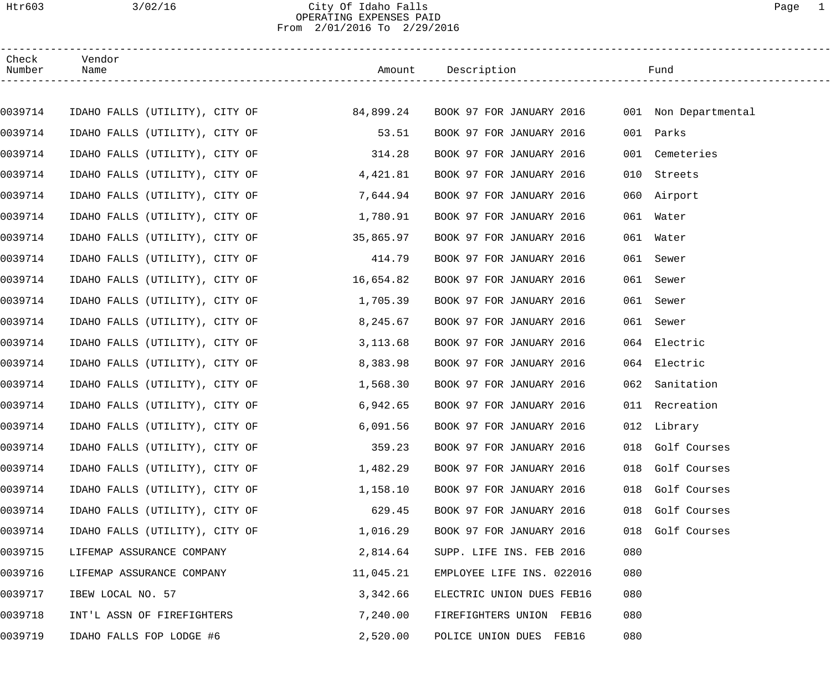# Htr603 3/02/16 City Of Idaho Falls Page 1 OPERATING EXPENSES PAID From 2/01/2016 To 2/29/2016

| Check<br>Number | Vendor<br>Name                                                                          |           |                           |     |                  |  |
|-----------------|-----------------------------------------------------------------------------------------|-----------|---------------------------|-----|------------------|--|
|                 |                                                                                         |           |                           |     |                  |  |
| 0039714         | IDAHO FALLS (UTILITY), CITY OF 694,899.24 BOOK 97 FOR JANUARY 2016 001 Non Departmental |           |                           |     |                  |  |
| 0039714         | IDAHO FALLS (UTILITY), CITY OF                                                          | 53.51     | BOOK 97 FOR JANUARY 2016  |     | 001 Parks        |  |
| 0039714         | IDAHO FALLS (UTILITY), CITY OF                                                          | 314.28    | BOOK 97 FOR JANUARY 2016  |     | 001 Cemeteries   |  |
| 0039714         | IDAHO FALLS (UTILITY), CITY OF                                                          | 4,421.81  | BOOK 97 FOR JANUARY 2016  |     | 010 Streets      |  |
| 0039714         | IDAHO FALLS (UTILITY), CITY OF                                                          | 7,644.94  | BOOK 97 FOR JANUARY 2016  |     | 060 Airport      |  |
| 0039714         | IDAHO FALLS (UTILITY), CITY OF                                                          | 1,780.91  | BOOK 97 FOR JANUARY 2016  |     | 061 Water        |  |
| 0039714         | IDAHO FALLS (UTILITY), CITY OF                                                          | 35,865.97 | BOOK 97 FOR JANUARY 2016  |     | 061 Water        |  |
| 0039714         | IDAHO FALLS (UTILITY), CITY OF                                                          | 414.79    | BOOK 97 FOR JANUARY 2016  |     | 061 Sewer        |  |
| 0039714         | IDAHO FALLS (UTILITY), CITY OF 16,654.82                                                |           | BOOK 97 FOR JANUARY 2016  |     | 061 Sewer        |  |
| 0039714         | IDAHO FALLS (UTILITY), CITY OF                                                          | 1,705.39  | BOOK 97 FOR JANUARY 2016  |     | 061 Sewer        |  |
| 0039714         | IDAHO FALLS (UTILITY), CITY OF                                                          | 8,245.67  | BOOK 97 FOR JANUARY 2016  |     | 061 Sewer        |  |
| 0039714         | IDAHO FALLS (UTILITY), CITY OF                                                          | 3,113.68  | BOOK 97 FOR JANUARY 2016  |     | 064 Electric     |  |
| 0039714         | IDAHO FALLS (UTILITY), CITY OF                                                          | 8,383.98  | BOOK 97 FOR JANUARY 2016  |     | 064 Electric     |  |
| 0039714         | IDAHO FALLS (UTILITY), CITY OF                                                          | 1,568.30  | BOOK 97 FOR JANUARY 2016  |     | 062 Sanitation   |  |
| 0039714         | IDAHO FALLS (UTILITY), CITY OF                                                          | 6,942.65  | BOOK 97 FOR JANUARY 2016  |     | 011 Recreation   |  |
| 0039714         | IDAHO FALLS (UTILITY), CITY OF                                                          | 6,091.56  | BOOK 97 FOR JANUARY 2016  |     | 012 Library      |  |
| 0039714         | IDAHO FALLS (UTILITY), CITY OF                                                          | 359.23    | BOOK 97 FOR JANUARY 2016  |     | 018 Golf Courses |  |
| 0039714         | IDAHO FALLS (UTILITY), CITY OF                                                          | 1,482.29  | BOOK 97 FOR JANUARY 2016  |     | 018 Golf Courses |  |
| 0039714         | IDAHO FALLS (UTILITY), CITY OF                                                          | 1,158.10  | BOOK 97 FOR JANUARY 2016  | 018 | Golf Courses     |  |
| 0039714         | IDAHO FALLS (UTILITY), CITY OF                                                          | 629.45    | BOOK 97 FOR JANUARY 2016  | 018 | Golf Courses     |  |
| 0039714         | IDAHO FALLS (UTILITY), CITY OF                                                          | 1,016.29  | BOOK 97 FOR JANUARY 2016  | 018 | Golf Courses     |  |
| 0039715         | LIFEMAP ASSURANCE COMPANY                                                               | 2,814.64  | SUPP. LIFE INS. FEB 2016  | 080 |                  |  |
| 0039716         | LIFEMAP ASSURANCE COMPANY                                                               | 11,045.21 | EMPLOYEE LIFE INS. 022016 | 080 |                  |  |
| 0039717         | IBEW LOCAL NO. 57                                                                       | 3,342.66  | ELECTRIC UNION DUES FEB16 | 080 |                  |  |
| 0039718         | INT'L ASSN OF FIREFIGHTERS                                                              | 7,240.00  | FIREFIGHTERS UNION FEB16  | 080 |                  |  |
| 0039719         | IDAHO FALLS FOP LODGE #6                                                                | 2,520.00  | POLICE UNION DUES FEB16   | 080 |                  |  |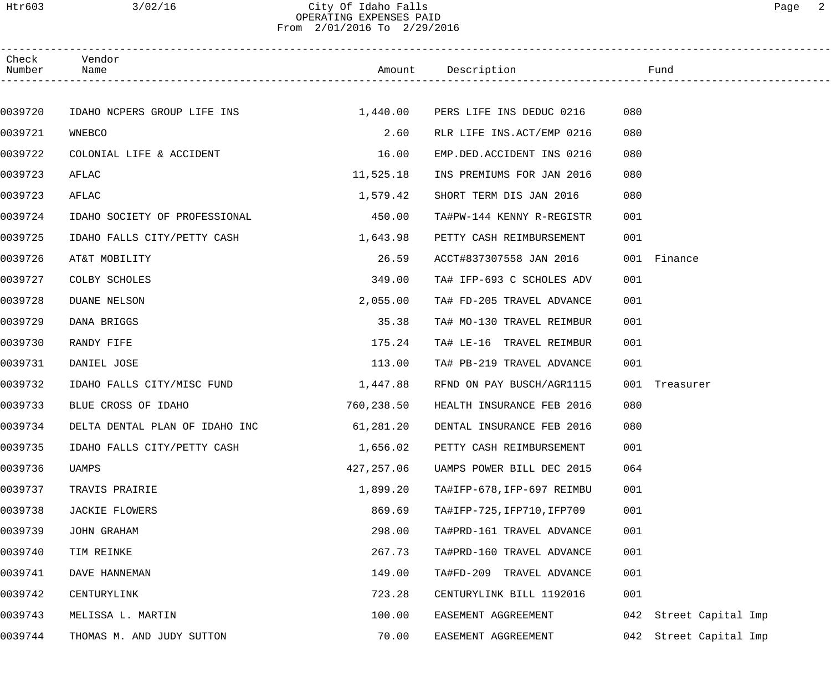# Htr603 3/02/16 City Of Idaho Falls Page 2 OPERATING EXPENSES PAID From 2/01/2016 To 2/29/2016

| Check<br>Number | Vendor<br>Name                       |            | Amount Description         | Fund                      |
|-----------------|--------------------------------------|------------|----------------------------|---------------------------|
|                 |                                      |            |                            |                           |
| 0039720         | IDAHO NCPERS GROUP LIFE INS 1,440.00 |            | PERS LIFE INS DEDUC 0216   | 080                       |
| 0039721         | WNEBCO                               | 2.60       | RLR LIFE INS.ACT/EMP 0216  | 080                       |
| 0039722         | COLONIAL LIFE & ACCIDENT             | 16.00      | EMP.DED.ACCIDENT INS 0216  | 080                       |
| 0039723         | AFLAC                                | 11,525.18  | INS PREMIUMS FOR JAN 2016  | 080                       |
| 0039723         | AFLAC                                | 1,579.42   | SHORT TERM DIS JAN 2016    | 080                       |
| 0039724         | IDAHO SOCIETY OF PROFESSIONAL        | 450.00     | TA#PW-144 KENNY R-REGISTR  | 001                       |
| 0039725         | IDAHO FALLS CITY/PETTY CASH          | 1,643.98   | PETTY CASH REIMBURSEMENT   | 001                       |
| 0039726         | AT&T MOBILITY                        | 26.59      | ACCT#837307558 JAN 2016    | 001 Finance               |
| 0039727         | COLBY SCHOLES                        | 349.00     | TA# IFP-693 C SCHOLES ADV  | 001                       |
| 0039728         | <b>DUANE NELSON</b>                  | 2,055.00   | TA# FD-205 TRAVEL ADVANCE  | 001                       |
| 0039729         | DANA BRIGGS                          | 35.38      | TA# MO-130 TRAVEL REIMBUR  | 001                       |
| 0039730         | RANDY FIFE                           | 175.24     | TA# LE-16 TRAVEL REIMBUR   | 001                       |
| 0039731         | DANIEL JOSE                          | 113.00     | TA# PB-219 TRAVEL ADVANCE  | 001                       |
| 0039732         | IDAHO FALLS CITY/MISC FUND           | 1,447.88   | RFND ON PAY BUSCH/AGR1115  | 001<br>Treasurer          |
| 0039733         | BLUE CROSS OF IDAHO                  | 760,238.50 | HEALTH INSURANCE FEB 2016  | 080                       |
| 0039734         | DELTA DENTAL PLAN OF IDAHO INC       | 61,281.20  | DENTAL INSURANCE FEB 2016  | 080                       |
| 0039735         | IDAHO FALLS CITY/PETTY CASH          | 1,656.02   | PETTY CASH REIMBURSEMENT   | 001                       |
| 0039736         | UAMPS                                | 427,257.06 | UAMPS POWER BILL DEC 2015  | 064                       |
| 0039737         | TRAVIS PRAIRIE                       | 1,899.20   | TA#IFP-678, IFP-697 REIMBU | 001                       |
| 0039738         | JACKIE FLOWERS                       | 869.69     | TA#IFP-725, IFP710, IFP709 | 001                       |
| 0039739         | JOHN GRAHAM                          | 298.00     | TA#PRD-161 TRAVEL ADVANCE  | 001                       |
| 0039740         | TIM REINKE                           | 267.73     | TA#PRD-160 TRAVEL ADVANCE  | 001                       |
| 0039741         | DAVE HANNEMAN                        | 149.00     | TA#FD-209 TRAVEL ADVANCE   | 001                       |
| 0039742         | CENTURYLINK                          | 723.28     | CENTURYLINK BILL 1192016   | 001                       |
| 0039743         | MELISSA L. MARTIN                    | 100.00     | EASEMENT AGGREEMENT        | Street Capital Imp<br>042 |
| 0039744         | THOMAS M. AND JUDY SUTTON            | 70.00      | EASEMENT AGGREEMENT        | Street Capital Imp<br>042 |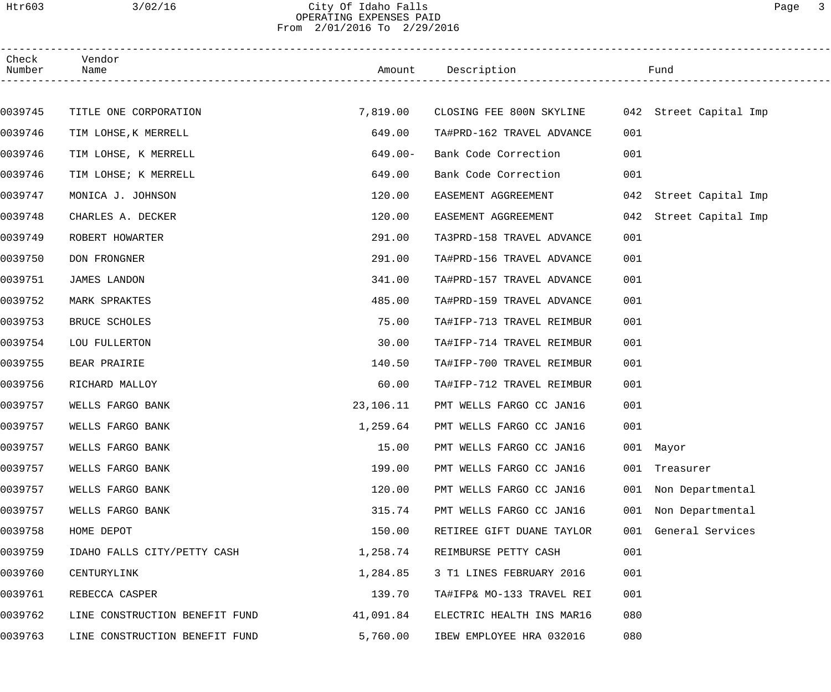# Htr603 3/02/16 City Of Idaho Falls Page 3 OPERATING EXPENSES PAID From 2/01/2016 To 2/29/2016

| Check<br>Number | Vendor<br>Name                 | Amount     | Description                                     | Fund                      |
|-----------------|--------------------------------|------------|-------------------------------------------------|---------------------------|
|                 |                                |            |                                                 |                           |
| 0039745         | TITLE ONE CORPORATION          | 7,819.00   | CLOSING FEE 800N SKYLINE 042 Street Capital Imp |                           |
| 0039746         | TIM LOHSE, K MERRELL           | 649.00     | TA#PRD-162 TRAVEL ADVANCE                       | 001                       |
| 0039746         | TIM LOHSE, K MERRELL           | $649.00 -$ | Bank Code Correction                            | 001                       |
| 0039746         | TIM LOHSE; K MERRELL           | 649.00     | Bank Code Correction                            | 001                       |
| 0039747         | MONICA J. JOHNSON              | 120.00     | EASEMENT AGGREEMENT                             | 042 Street Capital Imp    |
| 0039748         | CHARLES A. DECKER              | 120.00     | EASEMENT AGGREEMENT                             | Street Capital Imp<br>042 |
| 0039749         | ROBERT HOWARTER                | 291.00     | TA3PRD-158 TRAVEL ADVANCE                       | 001                       |
| 0039750         | DON FRONGNER                   | 291.00     | TA#PRD-156 TRAVEL ADVANCE                       | 001                       |
| 0039751         | <b>JAMES LANDON</b>            | 341.00     | TA#PRD-157 TRAVEL ADVANCE                       | 001                       |
| 0039752         | MARK SPRAKTES                  | 485.00     | TA#PRD-159 TRAVEL ADVANCE                       | 001                       |
| 0039753         | BRUCE SCHOLES                  | 75.00      | TA#IFP-713 TRAVEL REIMBUR                       | 001                       |
| 0039754         | LOU FULLERTON                  | 30.00      | TA#IFP-714 TRAVEL REIMBUR                       | 001                       |
| 0039755         | BEAR PRAIRIE                   | 140.50     | TA#IFP-700 TRAVEL REIMBUR                       | 001                       |
| 0039756         | RICHARD MALLOY                 | 60.00      | TA#IFP-712 TRAVEL REIMBUR                       | 001                       |
| 0039757         | WELLS FARGO BANK               | 23,106.11  | PMT WELLS FARGO CC JAN16                        | 001                       |
| 0039757         | WELLS FARGO BANK               | 1,259.64   | PMT WELLS FARGO CC JAN16                        | 001                       |
| 0039757         | WELLS FARGO BANK               | 15.00      | PMT WELLS FARGO CC JAN16                        | 001 Mayor                 |
| 0039757         | WELLS FARGO BANK               | 199.00     | PMT WELLS FARGO CC JAN16                        | 001<br>Treasurer          |
| 0039757         | WELLS FARGO BANK               | 120.00     | PMT WELLS FARGO CC JAN16                        | 001<br>Non Departmental   |
| 0039757         | WELLS FARGO BANK               | 315.74     | PMT WELLS FARGO CC JAN16                        | Non Departmental<br>001   |
| 0039758         | HOME DEPOT                     | 150.00     | RETIREE GIFT DUANE TAYLOR                       | General Services<br>001   |
| 0039759         | IDAHO FALLS CITY/PETTY CASH    | 1,258.74   | REIMBURSE PETTY CASH                            | 001                       |
| 0039760         | CENTURYLINK                    | 1,284.85   | 3 T1 LINES FEBRUARY 2016                        | 001                       |
| 0039761         | REBECCA CASPER                 | 139.70     | TA#IFP& MO-133 TRAVEL REI                       | 001                       |
| 0039762         | LINE CONSTRUCTION BENEFIT FUND | 41,091.84  | ELECTRIC HEALTH INS MAR16                       | 080                       |
| 0039763         | LINE CONSTRUCTION BENEFIT FUND | 5,760.00   | IBEW EMPLOYEE HRA 032016                        | 080                       |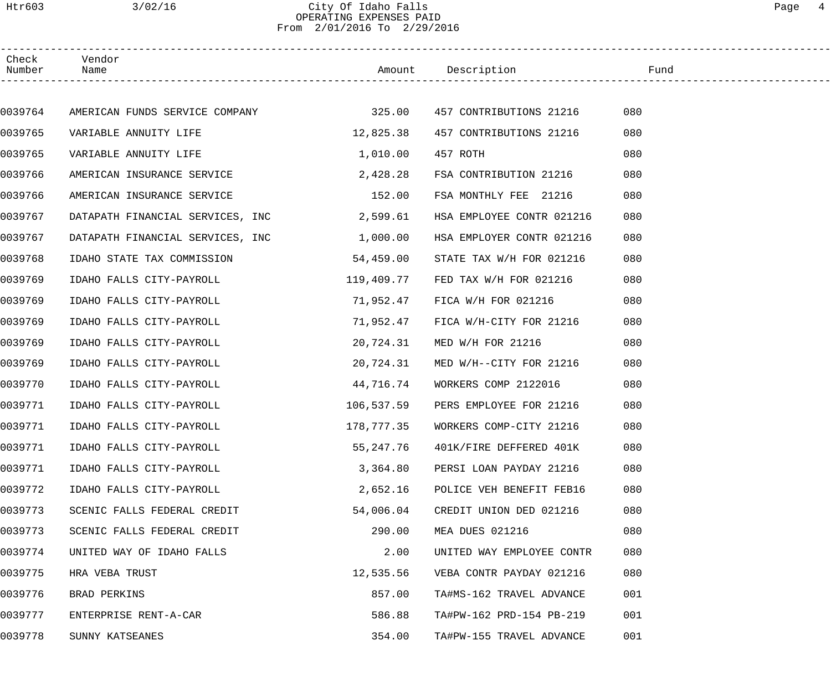## Htr603 3/02/16 City Of Idaho Falls Page 4 OPERATING EXPENSES PAID From 2/01/2016 To 2/29/2016

| Check<br>Number | Vendor<br>Name                               |            |                           |     |
|-----------------|----------------------------------------------|------------|---------------------------|-----|
|                 |                                              |            |                           |     |
| 0039764         | AMERICAN FUNDS SERVICE COMPANY 677 1997 1998 |            | 457 CONTRIBUTIONS 21216   | 080 |
| 0039765         | VARIABLE ANNUITY LIFE                        | 12,825.38  | 457 CONTRIBUTIONS 21216   | 080 |
| 0039765         | VARIABLE ANNUITY LIFE                        | 1,010.00   | 457 ROTH                  | 080 |
| 0039766         | AMERICAN INSURANCE SERVICE                   | 2,428.28   | FSA CONTRIBUTION 21216    | 080 |
| 0039766         | AMERICAN INSURANCE SERVICE                   | 152.00     | FSA MONTHLY FEE 21216     | 080 |
| 0039767         | DATAPATH FINANCIAL SERVICES, INC 2,599.61    |            | HSA EMPLOYEE CONTR 021216 | 080 |
| 0039767         | DATAPATH FINANCIAL SERVICES, INC 1,000.00    |            | HSA EMPLOYER CONTR 021216 | 080 |
| 0039768         | IDAHO STATE TAX COMMISSION 54,459.00         |            | STATE TAX W/H FOR 021216  | 080 |
| 0039769         | IDAHO FALLS CITY-PAYROLL                     | 119,409.77 | FED TAX W/H FOR 021216    | 080 |
| 0039769         | IDAHO FALLS CITY-PAYROLL                     | 71,952.47  | FICA W/H FOR 021216       | 080 |
| 0039769         | IDAHO FALLS CITY-PAYROLL                     | 71,952.47  | FICA W/H-CITY FOR 21216   | 080 |
| 0039769         | IDAHO FALLS CITY-PAYROLL                     | 20,724.31  | MED W/H FOR 21216         | 080 |
| 0039769         | IDAHO FALLS CITY-PAYROLL                     | 20,724.31  | MED W/H--CITY FOR 21216   | 080 |
| 0039770         | IDAHO FALLS CITY-PAYROLL                     | 44,716.74  | WORKERS COMP 2122016      | 080 |
| 0039771         | IDAHO FALLS CITY-PAYROLL                     | 106,537.59 | PERS EMPLOYEE FOR 21216   | 080 |
| 0039771         | IDAHO FALLS CITY-PAYROLL                     | 178,777.35 | WORKERS COMP-CITY 21216   | 080 |
| 0039771         | IDAHO FALLS CITY-PAYROLL                     | 55,247.76  | 401K/FIRE DEFFERED 401K   | 080 |
| 0039771         | IDAHO FALLS CITY-PAYROLL                     | 3,364.80   | PERSI LOAN PAYDAY 21216   | 080 |
| 0039772         | IDAHO FALLS CITY-PAYROLL                     | 2,652.16   | POLICE VEH BENEFIT FEB16  | 080 |
| 0039773         | SCENIC FALLS FEDERAL CREDIT                  | 54,006.04  | CREDIT UNION DED 021216   | 080 |
| 0039773         | SCENIC FALLS FEDERAL CREDIT                  | 290.00     | MEA DUES 021216           | 080 |
| 0039774         | UNITED WAY OF IDAHO FALLS                    | 2.00       | UNITED WAY EMPLOYEE CONTR | 080 |
| 0039775         | HRA VEBA TRUST                               | 12,535.56  | VEBA CONTR PAYDAY 021216  | 080 |
| 0039776         | BRAD PERKINS                                 | 857.00     | TA#MS-162 TRAVEL ADVANCE  | 001 |
| 0039777         | ENTERPRISE RENT-A-CAR                        | 586.88     | TA#PW-162 PRD-154 PB-219  | 001 |
| 0039778         | SUNNY KATSEANES                              | 354.00     | TA#PW-155 TRAVEL ADVANCE  | 001 |
|                 |                                              |            |                           |     |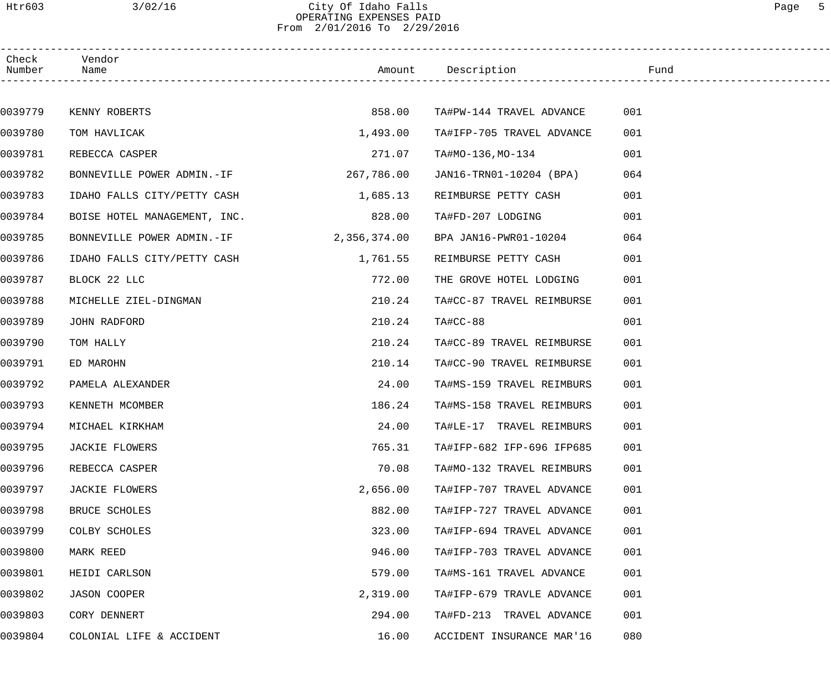# Htr603 3/02/16 City Of Idaho Falls Page 5 OPERATING EXPENSES PAID From 2/01/2016 To 2/29/2016

| Check<br>Number | Vendor<br>Name                          |            | Example of the Mundown of the Mundown of the Mundown of the Mundown of the Mundown of the Mundown of the Mundown of the Mundown of the Mundown of the Mundown of the Mundown of the Mundown of the Mundown of the Mundown of t |     |  |
|-----------------|-----------------------------------------|------------|--------------------------------------------------------------------------------------------------------------------------------------------------------------------------------------------------------------------------------|-----|--|
|                 |                                         |            |                                                                                                                                                                                                                                |     |  |
| 0039779         | KENNY ROBERTS                           | 858.00     | TA#PW-144 TRAVEL ADVANCE                                                                                                                                                                                                       | 001 |  |
| 0039780         | TOM HAVLICAK                            | 1,493.00   | TA#IFP-705 TRAVEL ADVANCE                                                                                                                                                                                                      | 001 |  |
| 0039781         | REBECCA CASPER                          | 271.07     | TA#MO-136,MO-134                                                                                                                                                                                                               | 001 |  |
| 0039782         | BONNEVILLE POWER ADMIN.-IF              | 267,786.00 | JAN16-TRN01-10204 (BPA)                                                                                                                                                                                                        | 064 |  |
| 0039783         | IDAHO FALLS CITY/PETTY CASH             | 1,685.13   | REIMBURSE PETTY CASH                                                                                                                                                                                                           | 001 |  |
| 0039784         | BOISE HOTEL MANAGEMENT, INC.            | 828.00     | TA#FD-207 LODGING                                                                                                                                                                                                              | 001 |  |
| 0039785         | BONNEVILLE POWER ADMIN.-IF 2,356,374.00 |            | BPA JAN16-PWR01-10204                                                                                                                                                                                                          | 064 |  |
| 0039786         | IDAHO FALLS CITY/PETTY CASH             | 1,761.55   | REIMBURSE PETTY CASH                                                                                                                                                                                                           | 001 |  |
| 0039787         | BLOCK 22 LLC                            | 772.00     | THE GROVE HOTEL LODGING                                                                                                                                                                                                        | 001 |  |
| 0039788         | MICHELLE ZIEL-DINGMAN                   | 210.24     | TA#CC-87 TRAVEL REIMBURSE                                                                                                                                                                                                      | 001 |  |
| 0039789         | JOHN RADFORD                            | 210.24     | $TA#CC-88$                                                                                                                                                                                                                     | 001 |  |
| 0039790         | TOM HALLY                               | 210.24     | TA#CC-89 TRAVEL REIMBURSE                                                                                                                                                                                                      | 001 |  |
| 0039791         | ED MAROHN                               | 210.14     | TA#CC-90 TRAVEL REIMBURSE                                                                                                                                                                                                      | 001 |  |
| 0039792         | PAMELA ALEXANDER                        | 24.00      | TA#MS-159 TRAVEL REIMBURS                                                                                                                                                                                                      | 001 |  |
| 0039793         | KENNETH MCOMBER                         | 186.24     | TA#MS-158 TRAVEL REIMBURS                                                                                                                                                                                                      | 001 |  |
| 0039794         | MICHAEL KIRKHAM                         | 24.00      | TA#LE-17 TRAVEL REIMBURS                                                                                                                                                                                                       | 001 |  |
| 0039795         | <b>JACKIE FLOWERS</b>                   | 765.31     | TA#IFP-682 IFP-696 IFP685                                                                                                                                                                                                      | 001 |  |
| 0039796         | REBECCA CASPER                          | 70.08      | TA#MO-132 TRAVEL REIMBURS                                                                                                                                                                                                      | 001 |  |
| 0039797         | JACKIE FLOWERS                          | 2,656.00   | TA#IFP-707 TRAVEL ADVANCE                                                                                                                                                                                                      | 001 |  |
| 0039798         | BRUCE SCHOLES                           | 882.00     | TA#IFP-727 TRAVEL ADVANCE                                                                                                                                                                                                      | 001 |  |
| 0039799         | COLBY SCHOLES                           | 323.00     | TA#IFP-694 TRAVEL ADVANCE                                                                                                                                                                                                      | 001 |  |
| 0039800         | MARK REED                               | 946.00     | TA#IFP-703 TRAVEL ADVANCE                                                                                                                                                                                                      | 001 |  |
| 0039801         | HEIDI CARLSON                           | 579.00     | TA#MS-161 TRAVEL ADVANCE                                                                                                                                                                                                       | 001 |  |
| 0039802         | JASON COOPER                            | 2,319.00   | TA#IFP-679 TRAVLE ADVANCE                                                                                                                                                                                                      | 001 |  |
| 0039803         | CORY DENNERT                            | 294.00     | TA#FD-213 TRAVEL ADVANCE                                                                                                                                                                                                       | 001 |  |
| 0039804         | COLONIAL LIFE & ACCIDENT                | 16.00      | ACCIDENT INSURANCE MAR'16                                                                                                                                                                                                      | 080 |  |
|                 |                                         |            |                                                                                                                                                                                                                                |     |  |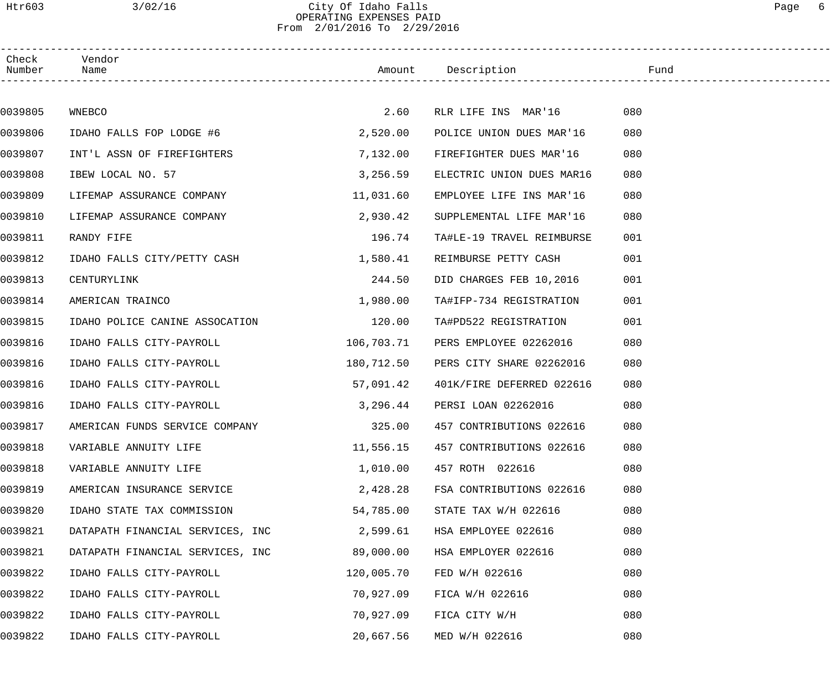# Htr603 3/02/16 City Of Idaho Falls Page 6 OPERATING EXPENSES PAID From 2/01/2016 To 2/29/2016

| Check<br>Number | Vendor<br>Name                   |            | Amount Description        | Fund |  |
|-----------------|----------------------------------|------------|---------------------------|------|--|
|                 |                                  |            |                           |      |  |
| 0039805         | WNEBCO                           | 2.60       | RLR LIFE INS MAR'16       | 080  |  |
| 0039806         | IDAHO FALLS FOP LODGE #6         | 2,520.00   | POLICE UNION DUES MAR'16  | 080  |  |
| 0039807         | INT'L ASSN OF FIREFIGHTERS       | 7,132.00   | FIREFIGHTER DUES MAR'16   | 080  |  |
| 0039808         | IBEW LOCAL NO. 57                | 3,256.59   | ELECTRIC UNION DUES MAR16 | 080  |  |
| 0039809         | LIFEMAP ASSURANCE COMPANY        | 11,031.60  | EMPLOYEE LIFE INS MAR'16  | 080  |  |
| 0039810         | LIFEMAP ASSURANCE COMPANY        | 2,930.42   | SUPPLEMENTAL LIFE MAR'16  | 080  |  |
| 0039811         | RANDY FIFE                       | 196.74     | TA#LE-19 TRAVEL REIMBURSE | 001  |  |
| 0039812         | IDAHO FALLS CITY/PETTY CASH      | 1,580.41   | REIMBURSE PETTY CASH      | 001  |  |
| 0039813         | CENTURYLINK                      | 244.50     | DID CHARGES FEB 10,2016   | 001  |  |
| 0039814         | AMERICAN TRAINCO                 | 1,980.00   | TA#IFP-734 REGISTRATION   | 001  |  |
| 0039815         | IDAHO POLICE CANINE ASSOCATION   | 120.00     | TA#PD522 REGISTRATION     | 001  |  |
| 0039816         | IDAHO FALLS CITY-PAYROLL         | 106,703.71 | PERS EMPLOYEE 02262016    | 080  |  |
| 0039816         | IDAHO FALLS CITY-PAYROLL         | 180,712.50 | PERS CITY SHARE 02262016  | 080  |  |
| 0039816         | IDAHO FALLS CITY-PAYROLL         | 57,091.42  | 401K/FIRE DEFERRED 022616 | 080  |  |
| 0039816         | IDAHO FALLS CITY-PAYROLL         | 3,296.44   | PERSI LOAN 02262016       | 080  |  |
| 0039817         | AMERICAN FUNDS SERVICE COMPANY   | 325.00     | 457 CONTRIBUTIONS 022616  | 080  |  |
| 0039818         | VARIABLE ANNUITY LIFE            | 11,556.15  | 457 CONTRIBUTIONS 022616  | 080  |  |
| 0039818         | VARIABLE ANNUITY LIFE            | 1,010.00   | 457 ROTH 022616           | 080  |  |
| 0039819         | AMERICAN INSURANCE SERVICE       | 2,428.28   | FSA CONTRIBUTIONS 022616  | 080  |  |
| 0039820         | IDAHO STATE TAX COMMISSION       | 54,785.00  | STATE TAX W/H 022616      | 080  |  |
| 0039821         | DATAPATH FINANCIAL SERVICES, INC | 2,599.61   | HSA EMPLOYEE 022616       | 080  |  |
| 0039821         | DATAPATH FINANCIAL SERVICES, INC | 89,000.00  | HSA EMPLOYER 022616       | 080  |  |
| 0039822         | IDAHO FALLS CITY-PAYROLL         | 120,005.70 | FED W/H 022616            | 080  |  |
| 0039822         | IDAHO FALLS CITY-PAYROLL         | 70,927.09  | FICA W/H 022616           | 080  |  |
| 0039822         | IDAHO FALLS CITY-PAYROLL         | 70,927.09  | FICA CITY W/H             | 080  |  |
| 0039822         | IDAHO FALLS CITY-PAYROLL         | 20,667.56  | MED W/H 022616            | 080  |  |
|                 |                                  |            |                           |      |  |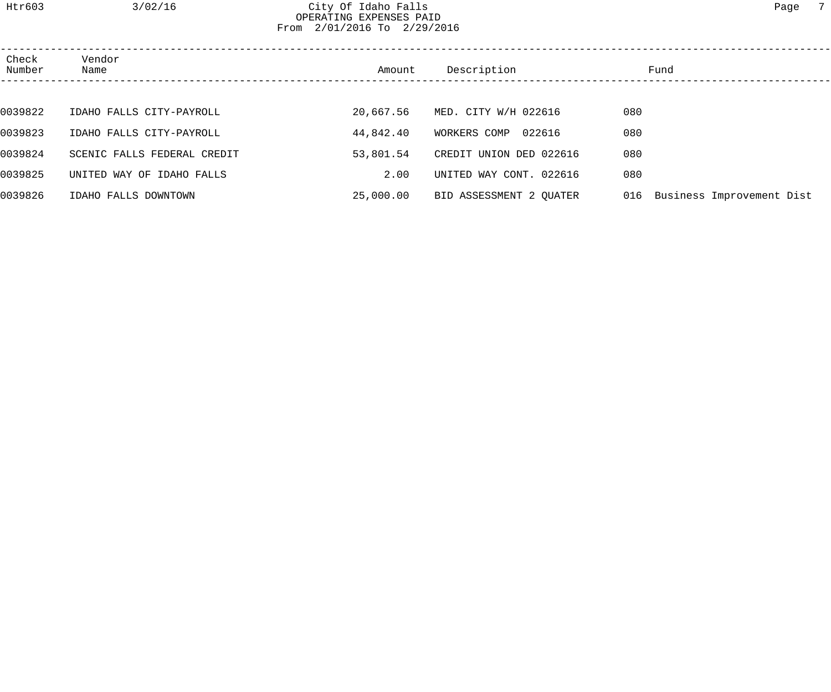# Htr603 3/02/16 City Of Idaho Falls Page 7 OPERATING EXPENSES PAID From 2/01/2016 To 2/29/2016

| Check<br>Number | Vendor<br>Name              | Amount    | Description             | Fund                          |  |
|-----------------|-----------------------------|-----------|-------------------------|-------------------------------|--|
|                 |                             |           |                         |                               |  |
| 0039822         | IDAHO FALLS CITY-PAYROLL    | 20,667.56 | MED. CITY W/H 022616    | 080                           |  |
| 0039823         | IDAHO FALLS CITY-PAYROLL    | 44,842.40 | 022616<br>WORKERS COMP  | 080                           |  |
| 0039824         | SCENIC FALLS FEDERAL CREDIT | 53,801.54 | CREDIT UNION DED 022616 | 080                           |  |
| 0039825         | UNITED WAY OF IDAHO FALLS   | 2.00      | UNITED WAY CONT. 022616 | 080                           |  |
| 0039826         | IDAHO FALLS DOWNTOWN        | 25,000.00 | BID ASSESSMENT 2 OUATER | 016 Business Improvement Dist |  |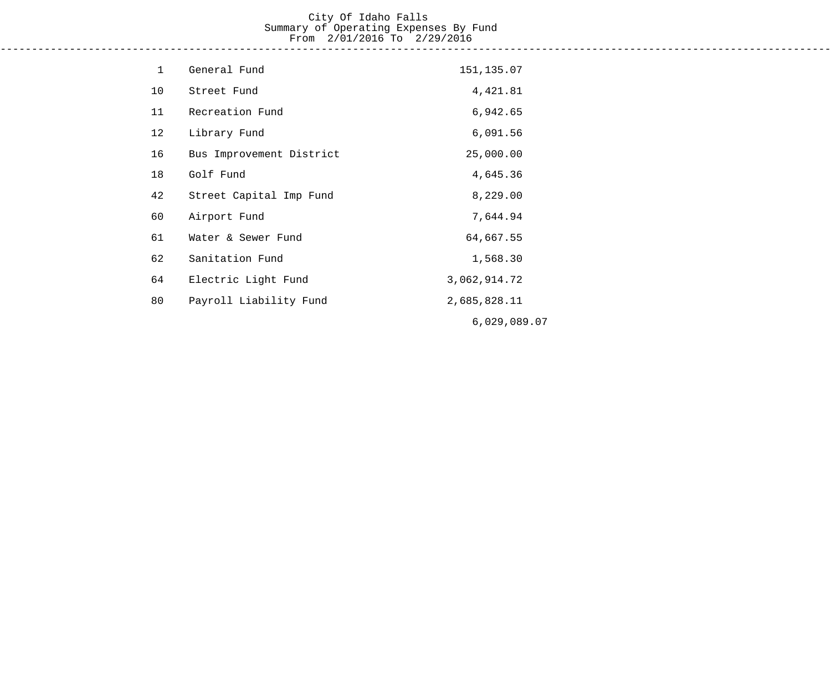# City Of Idaho Falls Summary of Operating Expenses By Fund From 2/01/2016 To 2/29/2016

------------------------------------------------------------------------------------------------------------------------------------

| $\mathbf{1}$ | General Fund             | 151,135.07   |
|--------------|--------------------------|--------------|
| 10           | Street Fund              | 4,421.81     |
| 11           | Recreation Fund          | 6,942.65     |
| 12           | Library Fund             | 6,091.56     |
| 16           | Bus Improvement District | 25,000.00    |
| 18           | Golf Fund                | 4,645.36     |
| 42           | Street Capital Imp Fund  | 8,229.00     |
| 60           | Airport Fund             | 7,644.94     |
| 61           | Water & Sewer Fund       | 64,667.55    |
| 62           | Sanitation Fund          | 1,568.30     |
| 64           | Electric Light Fund      | 3,062,914.72 |
| 80           | Payroll Liability Fund   | 2,685,828.11 |
|              |                          | 6,029,089.07 |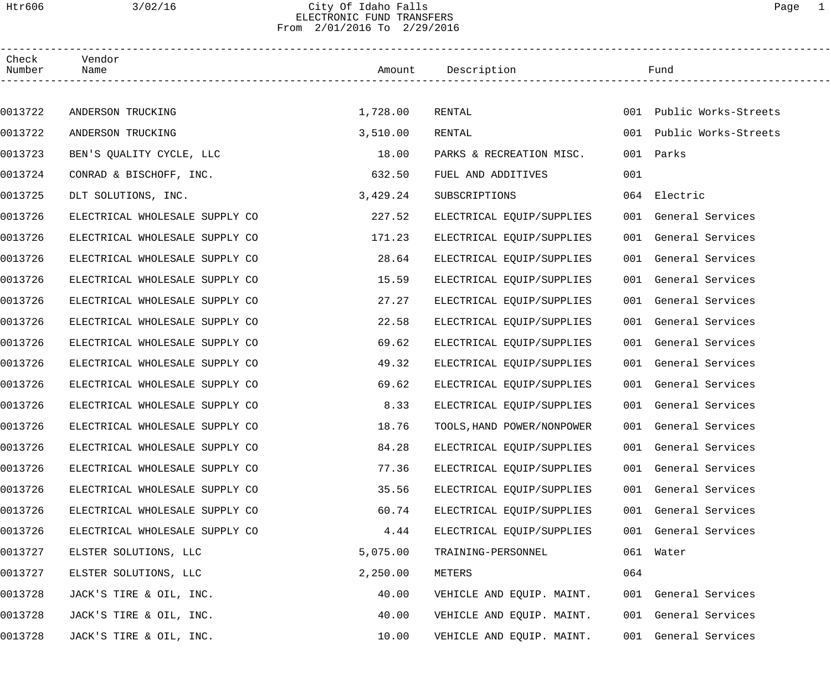## Htr606 3/02/16 City Of Idaho Falls Page 1 ELECTRONIC FUND TRANSFERS From 2/01/2016 To 2/29/2016

| Check<br>Number | Vendor<br>Name                 |          | Amount Description         |     | Fund                     |  |
|-----------------|--------------------------------|----------|----------------------------|-----|--------------------------|--|
|                 |                                |          |                            |     |                          |  |
| 0013722         | ANDERSON TRUCKING              | 1,728.00 | RENTAL                     |     | 001 Public Works-Streets |  |
| 0013722         | ANDERSON TRUCKING              | 3,510.00 | RENTAL                     |     | 001 Public Works-Streets |  |
| 0013723         | BEN'S QUALITY CYCLE, LLC       | 18.00    | PARKS & RECREATION MISC.   | 001 | Parks                    |  |
| 0013724         | CONRAD & BISCHOFF, INC.        | 632.50   | FUEL AND ADDITIVES         | 001 |                          |  |
| 0013725         | DLT SOLUTIONS, INC.            | 3,429.24 | SUBSCRIPTIONS              |     | 064 Electric             |  |
| 0013726         | ELECTRICAL WHOLESALE SUPPLY CO | 227.52   | ELECTRICAL EQUIP/SUPPLIES  |     | 001 General Services     |  |
| 0013726         | ELECTRICAL WHOLESALE SUPPLY CO | 171.23   | ELECTRICAL EQUIP/SUPPLIES  |     | 001 General Services     |  |
| 0013726         | ELECTRICAL WHOLESALE SUPPLY CO | 28.64    | ELECTRICAL EQUIP/SUPPLIES  |     | 001 General Services     |  |
| 0013726         | ELECTRICAL WHOLESALE SUPPLY CO | 15.59    | ELECTRICAL EQUIP/SUPPLIES  |     | 001 General Services     |  |
| 0013726         | ELECTRICAL WHOLESALE SUPPLY CO | 27.27    | ELECTRICAL EQUIP/SUPPLIES  |     | 001 General Services     |  |
| 0013726         | ELECTRICAL WHOLESALE SUPPLY CO | 22.58    | ELECTRICAL EQUIP/SUPPLIES  |     | 001 General Services     |  |
| 0013726         | ELECTRICAL WHOLESALE SUPPLY CO | 69.62    | ELECTRICAL EQUIP/SUPPLIES  |     | 001 General Services     |  |
| 0013726         | ELECTRICAL WHOLESALE SUPPLY CO | 49.32    | ELECTRICAL EQUIP/SUPPLIES  |     | 001 General Services     |  |
| 0013726         | ELECTRICAL WHOLESALE SUPPLY CO | 69.62    | ELECTRICAL EQUIP/SUPPLIES  |     | 001 General Services     |  |
| 0013726         | ELECTRICAL WHOLESALE SUPPLY CO | 8.33     | ELECTRICAL EQUIP/SUPPLIES  |     | 001 General Services     |  |
| 0013726         | ELECTRICAL WHOLESALE SUPPLY CO | 18.76    | TOOLS, HAND POWER/NONPOWER |     | 001 General Services     |  |
| 0013726         | ELECTRICAL WHOLESALE SUPPLY CO | 84.28    | ELECTRICAL EQUIP/SUPPLIES  |     | 001 General Services     |  |
| 0013726         | ELECTRICAL WHOLESALE SUPPLY CO | 77.36    | ELECTRICAL EQUIP/SUPPLIES  |     | 001 General Services     |  |
| 0013726         | ELECTRICAL WHOLESALE SUPPLY CO | 35.56    | ELECTRICAL EQUIP/SUPPLIES  |     | 001 General Services     |  |
| 0013726         | ELECTRICAL WHOLESALE SUPPLY CO | 60.74    | ELECTRICAL EQUIP/SUPPLIES  |     | 001 General Services     |  |
| 0013726         | ELECTRICAL WHOLESALE SUPPLY CO | 4.44     | ELECTRICAL EQUIP/SUPPLIES  |     | 001 General Services     |  |
| 0013727         | ELSTER SOLUTIONS, LLC          | 5,075.00 | TRAINING-PERSONNEL         |     | 061 Water                |  |
| 0013727         | ELSTER SOLUTIONS, LLC          | 2,250.00 | METERS                     | 064 |                          |  |
| 0013728         | JACK'S TIRE & OIL, INC.        | 40.00    | VEHICLE AND EQUIP. MAINT.  |     | 001 General Services     |  |
| 0013728         | JACK'S TIRE & OIL, INC.        | 40.00    | VEHICLE AND EQUIP. MAINT.  |     | 001 General Services     |  |
| 0013728         | JACK'S TIRE & OIL, INC.        | 10.00    | VEHICLE AND EQUIP. MAINT.  |     | 001 General Services     |  |
|                 |                                |          |                            |     |                          |  |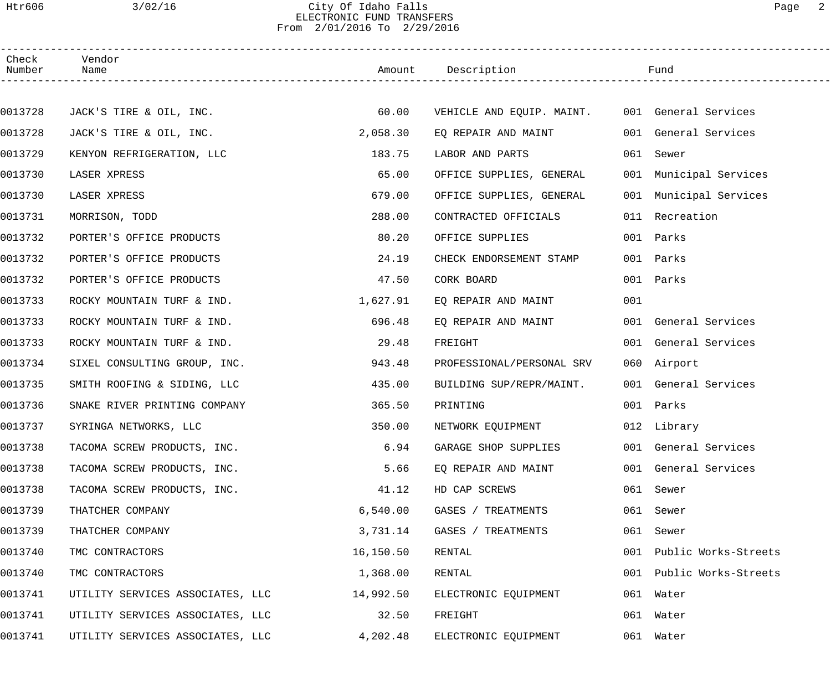# Htr606 3/02/16 City Of Idaho Falls Page 2 ELECTRONIC FUND TRANSFERS From 2/01/2016 To 2/29/2016

| Check<br>Number | Vendor<br>Name                   |           | Amount Description        |     | Fund                     |  |
|-----------------|----------------------------------|-----------|---------------------------|-----|--------------------------|--|
|                 |                                  |           |                           |     |                          |  |
| 0013728         | JACK'S TIRE & OIL, INC.          | 60.00     | VEHICLE AND EQUIP. MAINT. |     | 001 General Services     |  |
| 0013728         | JACK'S TIRE & OIL, INC.          | 2,058.30  | EQ REPAIR AND MAINT       |     | 001 General Services     |  |
| 0013729         | KENYON REFRIGERATION, LLC        | 183.75    | LABOR AND PARTS           |     | 061 Sewer                |  |
| 0013730         | LASER XPRESS                     | 65.00     | OFFICE SUPPLIES, GENERAL  |     | 001 Municipal Services   |  |
| 0013730         | LASER XPRESS                     | 679.00    | OFFICE SUPPLIES, GENERAL  |     | 001 Municipal Services   |  |
| 0013731         | MORRISON, TODD                   | 288.00    | CONTRACTED OFFICIALS      | 011 | Recreation               |  |
| 0013732         | PORTER'S OFFICE PRODUCTS         | 80.20     | OFFICE SUPPLIES           |     | 001 Parks                |  |
| 0013732         | PORTER'S OFFICE PRODUCTS         | 24.19     | CHECK ENDORSEMENT STAMP   |     | 001 Parks                |  |
| 0013732         | PORTER'S OFFICE PRODUCTS         | 47.50     | CORK BOARD                |     | 001 Parks                |  |
| 0013733         | ROCKY MOUNTAIN TURF & IND.       | 1,627.91  | EQ REPAIR AND MAINT       | 001 |                          |  |
| 0013733         | ROCKY MOUNTAIN TURF & IND.       | 696.48    | EQ REPAIR AND MAINT       |     | 001 General Services     |  |
| 0013733         | ROCKY MOUNTAIN TURF & IND.       | 29.48     | FREIGHT                   |     | 001 General Services     |  |
| 0013734         | SIXEL CONSULTING GROUP, INC.     | 943.48    | PROFESSIONAL/PERSONAL SRV |     | 060 Airport              |  |
| 0013735         | SMITH ROOFING & SIDING, LLC      | 435.00    | BUILDING SUP/REPR/MAINT.  |     | 001 General Services     |  |
| 0013736         | SNAKE RIVER PRINTING COMPANY     | 365.50    | PRINTING                  |     | 001 Parks                |  |
| 0013737         | SYRINGA NETWORKS, LLC            | 350.00    | NETWORK EQUIPMENT         |     | 012 Library              |  |
| 0013738         | TACOMA SCREW PRODUCTS, INC.      | 6.94      | GARAGE SHOP SUPPLIES      |     | 001 General Services     |  |
| 0013738         | TACOMA SCREW PRODUCTS, INC.      | 5.66      | EQ REPAIR AND MAINT       |     | 001 General Services     |  |
| 0013738         | TACOMA SCREW PRODUCTS, INC.      | 41.12     | HD CAP SCREWS             |     | 061 Sewer                |  |
| 0013739         | THATCHER COMPANY                 | 6,540.00  | GASES / TREATMENTS        |     | 061 Sewer                |  |
| 0013739         | THATCHER COMPANY                 | 3,731.14  | GASES / TREATMENTS        | 061 | Sewer                    |  |
| 0013740         | TMC CONTRACTORS                  | 16,150.50 | RENTAL                    | 001 | Public Works-Streets     |  |
| 0013740         | TMC CONTRACTORS                  | 1,368.00  | RENTAL                    |     | 001 Public Works-Streets |  |
| 0013741         | UTILITY SERVICES ASSOCIATES, LLC | 14,992.50 | ELECTRONIC EQUIPMENT      |     | 061 Water                |  |
| 0013741         | UTILITY SERVICES ASSOCIATES, LLC | 32.50     | FREIGHT                   |     | 061 Water                |  |
| 0013741         | UTILITY SERVICES ASSOCIATES, LLC | 4,202.48  | ELECTRONIC EQUIPMENT      |     | 061 Water                |  |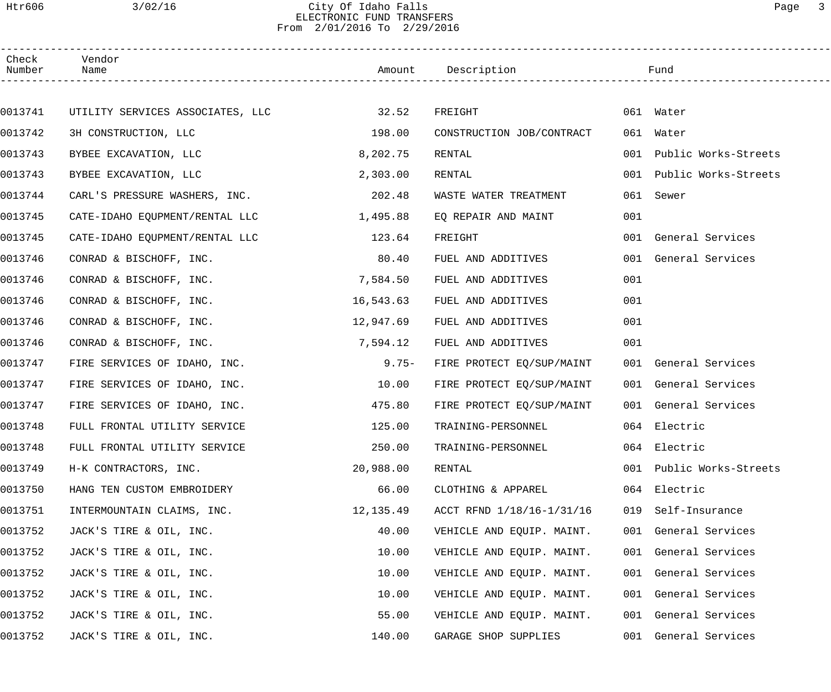# Htr606 3/02/16 City Of Idaho Falls Page 3 ELECTRONIC FUND TRANSFERS From 2/01/2016 To 2/29/2016

| Check<br>Number | Vendor<br>Name                   |           | Amount Description        |     | Fund                     |  |
|-----------------|----------------------------------|-----------|---------------------------|-----|--------------------------|--|
|                 |                                  |           |                           |     |                          |  |
| 0013741         | UTILITY SERVICES ASSOCIATES, LLC | 32.52     | FREIGHT                   |     | 061 Water                |  |
| 0013742         | 3H CONSTRUCTION, LLC             | 198.00    | CONSTRUCTION JOB/CONTRACT |     | 061 Water                |  |
| 0013743         | BYBEE EXCAVATION, LLC            | 8,202.75  | RENTAL                    | 001 | Public Works-Streets     |  |
| 0013743         | BYBEE EXCAVATION, LLC            | 2,303.00  | RENTAL                    | 001 | Public Works-Streets     |  |
| 0013744         | CARL'S PRESSURE WASHERS, INC.    | 202.48    | WASTE WATER TREATMENT     | 061 | Sewer                    |  |
| 0013745         | CATE-IDAHO EQUPMENT/RENTAL LLC   | 1,495.88  | EQ REPAIR AND MAINT       | 001 |                          |  |
| 0013745         | CATE-IDAHO EQUPMENT/RENTAL LLC   | 123.64    | FREIGHT                   |     | 001 General Services     |  |
| 0013746         | CONRAD & BISCHOFF, INC.          | 80.40     | FUEL AND ADDITIVES        |     | 001 General Services     |  |
| 0013746         | CONRAD & BISCHOFF, INC.          | 7,584.50  | FUEL AND ADDITIVES        | 001 |                          |  |
| 0013746         | CONRAD & BISCHOFF, INC.          | 16,543.63 | FUEL AND ADDITIVES        | 001 |                          |  |
| 0013746         | CONRAD & BISCHOFF, INC.          | 12,947.69 | FUEL AND ADDITIVES        | 001 |                          |  |
| 0013746         | CONRAD & BISCHOFF, INC.          | 7,594.12  | FUEL AND ADDITIVES        | 001 |                          |  |
| 0013747         | FIRE SERVICES OF IDAHO, INC.     | $9.75-$   | FIRE PROTECT EQ/SUP/MAINT |     | 001 General Services     |  |
| 0013747         | FIRE SERVICES OF IDAHO, INC.     | 10.00     | FIRE PROTECT EQ/SUP/MAINT |     | 001 General Services     |  |
| 0013747         | FIRE SERVICES OF IDAHO, INC.     | 475.80    | FIRE PROTECT EQ/SUP/MAINT |     | 001 General Services     |  |
| 0013748         | FULL FRONTAL UTILITY SERVICE     | 125.00    | TRAINING-PERSONNEL        |     | 064 Electric             |  |
| 0013748         | FULL FRONTAL UTILITY SERVICE     | 250.00    | TRAINING-PERSONNEL        |     | 064 Electric             |  |
| 0013749         | H-K CONTRACTORS, INC.            | 20,988.00 | RENTAL                    |     | 001 Public Works-Streets |  |
| 0013750         | HANG TEN CUSTOM EMBROIDERY       | 66.00     | CLOTHING & APPAREL        |     | 064 Electric             |  |
| 0013751         | INTERMOUNTAIN CLAIMS, INC.       | 12,135.49 | ACCT RFND 1/18/16-1/31/16 | 019 | Self-Insurance           |  |
| 0013752         | JACK'S TIRE & OIL, INC.          | 40.00     | VEHICLE AND EQUIP. MAINT. |     | 001 General Services     |  |
| 0013752         | JACK'S TIRE & OIL, INC.          | 10.00     | VEHICLE AND EQUIP. MAINT. |     | 001 General Services     |  |
| 0013752         | JACK'S TIRE & OIL, INC.          | 10.00     | VEHICLE AND EQUIP. MAINT. |     | 001 General Services     |  |
| 0013752         | JACK'S TIRE & OIL, INC.          | 10.00     | VEHICLE AND EQUIP. MAINT. |     | 001 General Services     |  |
| 0013752         | JACK'S TIRE & OIL, INC.          | 55.00     | VEHICLE AND EQUIP. MAINT. |     | 001 General Services     |  |
| 0013752         | JACK'S TIRE & OIL, INC.          | 140.00    | GARAGE SHOP SUPPLIES      |     | 001 General Services     |  |
|                 |                                  |           |                           |     |                          |  |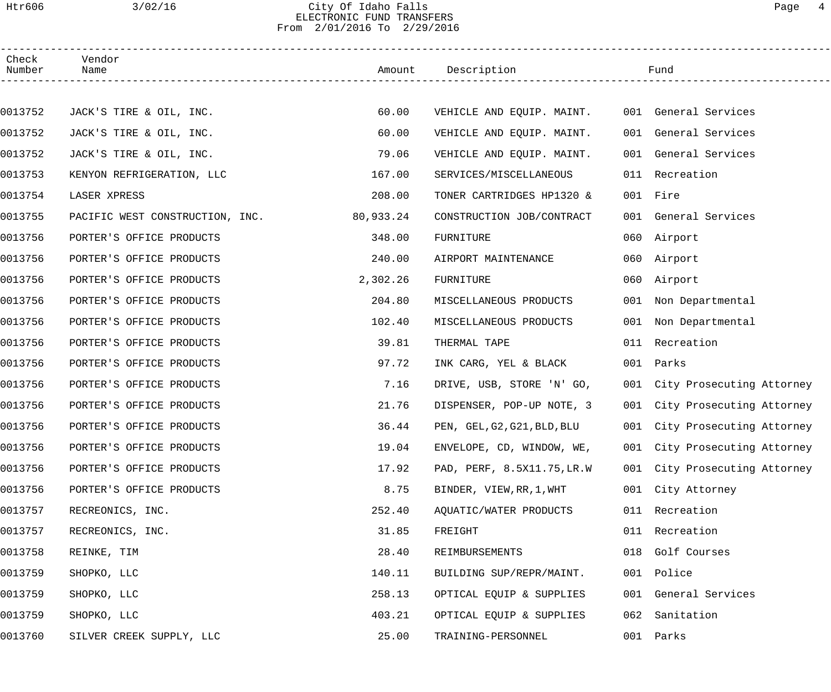# Htr606 3/02/16 City Of Idaho Falls Page 4 ELECTRONIC FUND TRANSFERS From 2/01/2016 To 2/29/2016

| Check<br>Number | Vendor<br>Name                  |           | Amount Description          |     | Fund                          |
|-----------------|---------------------------------|-----------|-----------------------------|-----|-------------------------------|
|                 |                                 |           |                             |     |                               |
| 0013752         | JACK'S TIRE & OIL, INC.         | 60.00     | VEHICLE AND EQUIP. MAINT.   |     | 001 General Services          |
| 0013752         | JACK'S TIRE & OIL, INC.         | 60.00     | VEHICLE AND EQUIP. MAINT.   |     | 001 General Services          |
| 0013752         | JACK'S TIRE & OIL, INC.         | 79.06     | VEHICLE AND EQUIP. MAINT.   |     | 001 General Services          |
| 0013753         | KENYON REFRIGERATION, LLC       | 167.00    | SERVICES/MISCELLANEOUS      |     | 011 Recreation                |
| 0013754         | LASER XPRESS                    | 208.00    | TONER CARTRIDGES HP1320 &   |     | 001 Fire                      |
| 0013755         | PACIFIC WEST CONSTRUCTION, INC. | 80,933.24 | CONSTRUCTION JOB/CONTRACT   |     | 001 General Services          |
| 0013756         | PORTER'S OFFICE PRODUCTS        | 348.00    | FURNITURE                   |     | 060 Airport                   |
| 0013756         | PORTER'S OFFICE PRODUCTS        | 240.00    | AIRPORT MAINTENANCE         |     | 060 Airport                   |
| 0013756         | PORTER'S OFFICE PRODUCTS        | 2,302.26  | FURNITURE                   | 060 | Airport                       |
| 0013756         | PORTER'S OFFICE PRODUCTS        | 204.80    | MISCELLANEOUS PRODUCTS      | 001 | Non Departmental              |
| 0013756         | PORTER'S OFFICE PRODUCTS        | 102.40    | MISCELLANEOUS PRODUCTS      |     | 001 Non Departmental          |
| 0013756         | PORTER'S OFFICE PRODUCTS        | 39.81     | THERMAL TAPE                | 011 | Recreation                    |
| 0013756         | PORTER'S OFFICE PRODUCTS        | 97.72     | INK CARG, YEL & BLACK       |     | 001 Parks                     |
| 0013756         | PORTER'S OFFICE PRODUCTS        | 7.16      | DRIVE, USB, STORE 'N' GO,   |     | 001 City Prosecuting Attorney |
| 0013756         | PORTER'S OFFICE PRODUCTS        | 21.76     | DISPENSER, POP-UP NOTE, 3   |     | 001 City Prosecuting Attorney |
| 0013756         | PORTER'S OFFICE PRODUCTS        | 36.44     | PEN, GEL, G2, G21, BLD, BLU |     | 001 City Prosecuting Attorney |
| 0013756         | PORTER'S OFFICE PRODUCTS        | 19.04     | ENVELOPE, CD, WINDOW, WE,   |     | 001 City Prosecuting Attorney |
| 0013756         | PORTER'S OFFICE PRODUCTS        | 17.92     | PAD, PERF, 8.5X11.75, LR.W  |     | 001 City Prosecuting Attorney |
| 0013756         | PORTER'S OFFICE PRODUCTS        | 8.75      | BINDER, VIEW, RR, 1, WHT    |     | 001 City Attorney             |
| 0013757         | RECREONICS, INC.                | 252.40    | AQUATIC/WATER PRODUCTS      | 011 | Recreation                    |
| 0013757         | RECREONICS, INC.                | 31.85     | FREIGHT                     | 011 | Recreation                    |
| 0013758         | REINKE, TIM                     | 28.40     | REIMBURSEMENTS              | 018 | Golf Courses                  |
| 0013759         | SHOPKO, LLC                     | 140.11    | BUILDING SUP/REPR/MAINT.    | 001 | Police                        |
| 0013759         | SHOPKO, LLC                     | 258.13    | OPTICAL EQUIP & SUPPLIES    | 001 | General Services              |
| 0013759         | SHOPKO, LLC                     | 403.21    | OPTICAL EQUIP & SUPPLIES    | 062 | Sanitation                    |
| 0013760         | SILVER CREEK SUPPLY, LLC        | 25.00     | TRAINING-PERSONNEL          | 001 | Parks                         |
|                 |                                 |           |                             |     |                               |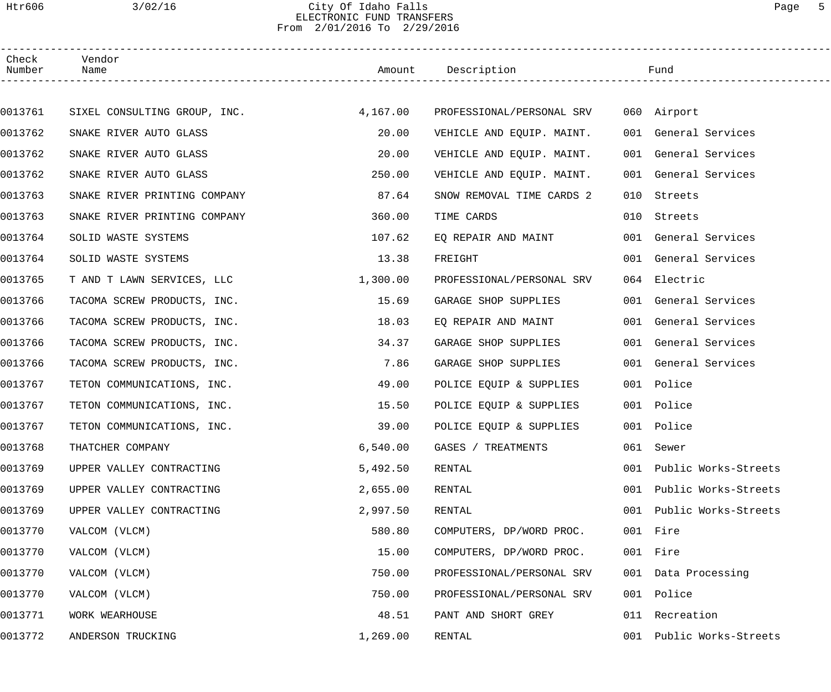# Htr606 3/02/16 City Of Idaho Falls Page 5 ELECTRONIC FUND TRANSFERS From 2/01/2016 To 2/29/2016

| Check<br>Number | Vendor<br>Name               |          | Amount Description        |     | Fund                 |
|-----------------|------------------------------|----------|---------------------------|-----|----------------------|
|                 |                              |          |                           |     |                      |
| 0013761         | SIXEL CONSULTING GROUP, INC. | 4,167.00 | PROFESSIONAL/PERSONAL SRV |     | 060 Airport          |
| 0013762         | SNAKE RIVER AUTO GLASS       | 20.00    | VEHICLE AND EQUIP. MAINT. |     | 001 General Services |
| 0013762         | SNAKE RIVER AUTO GLASS       | 20.00    | VEHICLE AND EQUIP. MAINT. |     | 001 General Services |
| 0013762         | SNAKE RIVER AUTO GLASS       | 250.00   | VEHICLE AND EQUIP. MAINT. |     | 001 General Services |
| 0013763         | SNAKE RIVER PRINTING COMPANY | 87.64    | SNOW REMOVAL TIME CARDS 2 | 010 | Streets              |
| 0013763         | SNAKE RIVER PRINTING COMPANY | 360.00   | TIME CARDS                | 010 | Streets              |
| 0013764         | SOLID WASTE SYSTEMS          | 107.62   | EQ REPAIR AND MAINT       |     | 001 General Services |
| 0013764         | SOLID WASTE SYSTEMS          | 13.38    | FREIGHT                   |     | 001 General Services |
| 0013765         | T AND T LAWN SERVICES, LLC   | 1,300.00 | PROFESSIONAL/PERSONAL SRV |     | 064 Electric         |
| 0013766         | TACOMA SCREW PRODUCTS, INC.  | 15.69    | GARAGE SHOP SUPPLIES      |     | 001 General Services |
| 0013766         | TACOMA SCREW PRODUCTS, INC.  | 18.03    | EQ REPAIR AND MAINT       |     | 001 General Services |
| 0013766         | TACOMA SCREW PRODUCTS, INC.  | 34.37    | GARAGE SHOP SUPPLIES      |     | 001 General Services |
| 0013766         | TACOMA SCREW PRODUCTS, INC.  | 7.86     | GARAGE SHOP SUPPLIES      |     | 001 General Services |
| 0013767         | TETON COMMUNICATIONS, INC.   | 49.00    | POLICE EQUIP & SUPPLIES   |     | 001 Police           |
| 0013767         | TETON COMMUNICATIONS, INC.   | 15.50    | POLICE EQUIP & SUPPLIES   |     | 001 Police           |
| 0013767         | TETON COMMUNICATIONS, INC.   | 39.00    | POLICE EQUIP & SUPPLIES   |     | 001 Police           |
| 0013768         | THATCHER COMPANY             | 6,540.00 | GASES / TREATMENTS        |     | 061 Sewer            |
| 0013769         | UPPER VALLEY CONTRACTING     | 5,492.50 | RENTAL                    | 001 | Public Works-Streets |
| 0013769         | UPPER VALLEY CONTRACTING     | 2,655.00 | RENTAL                    | 001 | Public Works-Streets |
| 0013769         | UPPER VALLEY CONTRACTING     | 2,997.50 | RENTAL                    | 001 | Public Works-Streets |
| 0013770         | VALCOM (VLCM)                | 580.80   | COMPUTERS, DP/WORD PROC.  |     | 001 Fire             |
| 0013770         | VALCOM (VLCM)                | 15.00    | COMPUTERS, DP/WORD PROC.  |     | 001 Fire             |
| 0013770         | VALCOM (VLCM)                | 750.00   | PROFESSIONAL/PERSONAL SRV |     | 001 Data Processing  |
| 0013770         | VALCOM (VLCM)                | 750.00   | PROFESSIONAL/PERSONAL SRV |     | 001 Police           |
| 0013771         | WORK WEARHOUSE               | 48.51    | PANT AND SHORT GREY       | 011 | Recreation           |
| 0013772         | ANDERSON TRUCKING            | 1,269.00 | RENTAL                    | 001 | Public Works-Streets |
|                 |                              |          |                           |     |                      |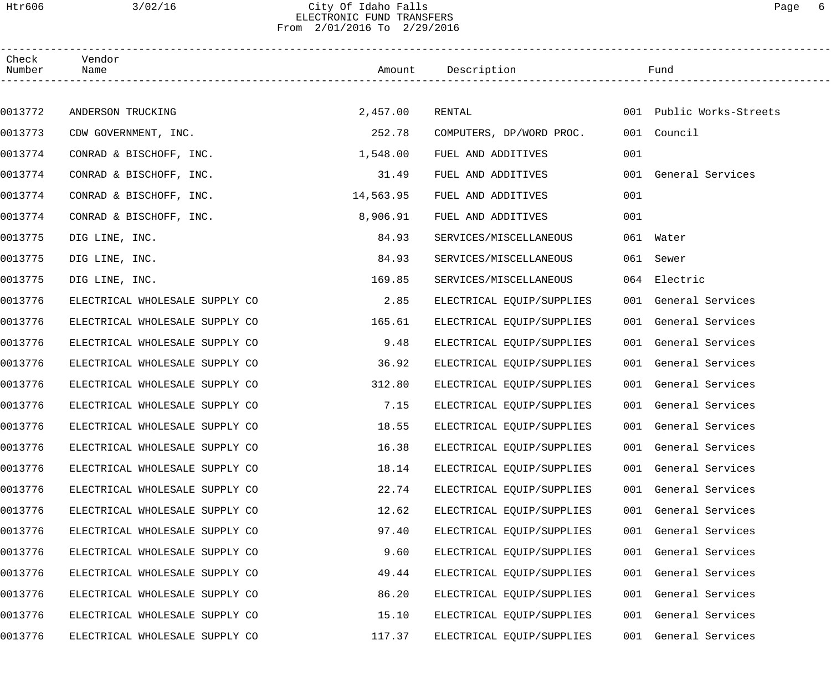# Htr606 3/02/16 City Of Idaho Falls Page 6 ELECTRONIC FUND TRANSFERS From 2/01/2016 To 2/29/2016

| Check<br>Number | Vendor<br>Name                 |           | Amount Description        |     | Fund                     |  |
|-----------------|--------------------------------|-----------|---------------------------|-----|--------------------------|--|
|                 |                                |           |                           |     |                          |  |
| 0013772         | ANDERSON TRUCKING              | 2,457.00  | RENTAL                    |     | 001 Public Works-Streets |  |
| 0013773         | CDW GOVERNMENT, INC.           | 252.78    | COMPUTERS, DP/WORD PROC.  |     | 001 Council              |  |
| 0013774         | CONRAD & BISCHOFF, INC.        | 1,548.00  | FUEL AND ADDITIVES        | 001 |                          |  |
| 0013774         | CONRAD & BISCHOFF, INC.        | 31.49     | FUEL AND ADDITIVES        |     | 001 General Services     |  |
| 0013774         | CONRAD & BISCHOFF, INC.        | 14,563.95 | FUEL AND ADDITIVES        | 001 |                          |  |
| 0013774         | CONRAD & BISCHOFF, INC.        | 8,906.91  | FUEL AND ADDITIVES        | 001 |                          |  |
| 0013775         | DIG LINE, INC.                 | 84.93     | SERVICES/MISCELLANEOUS    |     | 061 Water                |  |
| 0013775         | DIG LINE, INC.                 | 84.93     | SERVICES/MISCELLANEOUS    |     | 061 Sewer                |  |
| 0013775         | DIG LINE, INC.                 | 169.85    | SERVICES/MISCELLANEOUS    |     | 064 Electric             |  |
| 0013776         | ELECTRICAL WHOLESALE SUPPLY CO | 2.85      | ELECTRICAL EQUIP/SUPPLIES |     | 001 General Services     |  |
| 0013776         | ELECTRICAL WHOLESALE SUPPLY CO | 165.61    | ELECTRICAL EQUIP/SUPPLIES |     | 001 General Services     |  |
| 0013776         | ELECTRICAL WHOLESALE SUPPLY CO | 9.48      | ELECTRICAL EQUIP/SUPPLIES |     | 001 General Services     |  |
| 0013776         | ELECTRICAL WHOLESALE SUPPLY CO | 36.92     | ELECTRICAL EQUIP/SUPPLIES |     | 001 General Services     |  |
| 0013776         | ELECTRICAL WHOLESALE SUPPLY CO | 312.80    | ELECTRICAL EQUIP/SUPPLIES |     | 001 General Services     |  |
| 0013776         | ELECTRICAL WHOLESALE SUPPLY CO | 7.15      | ELECTRICAL EQUIP/SUPPLIES |     | 001 General Services     |  |
| 0013776         | ELECTRICAL WHOLESALE SUPPLY CO | 18.55     | ELECTRICAL EQUIP/SUPPLIES |     | 001 General Services     |  |
| 0013776         | ELECTRICAL WHOLESALE SUPPLY CO | 16.38     | ELECTRICAL EQUIP/SUPPLIES |     | 001 General Services     |  |
| 0013776         | ELECTRICAL WHOLESALE SUPPLY CO | 18.14     | ELECTRICAL EQUIP/SUPPLIES |     | 001 General Services     |  |
| 0013776         | ELECTRICAL WHOLESALE SUPPLY CO | 22.74     | ELECTRICAL EQUIP/SUPPLIES |     | 001 General Services     |  |
| 0013776         | ELECTRICAL WHOLESALE SUPPLY CO | 12.62     | ELECTRICAL EQUIP/SUPPLIES |     | 001 General Services     |  |
| 0013776         | ELECTRICAL WHOLESALE SUPPLY CO | 97.40     | ELECTRICAL EQUIP/SUPPLIES |     | 001 General Services     |  |
| 0013776         | ELECTRICAL WHOLESALE SUPPLY CO | 9.60      | ELECTRICAL EQUIP/SUPPLIES |     | 001 General Services     |  |
| 0013776         | ELECTRICAL WHOLESALE SUPPLY CO | 49.44     | ELECTRICAL EQUIP/SUPPLIES |     | 001 General Services     |  |
| 0013776         | ELECTRICAL WHOLESALE SUPPLY CO | 86.20     | ELECTRICAL EQUIP/SUPPLIES |     | 001 General Services     |  |
| 0013776         | ELECTRICAL WHOLESALE SUPPLY CO | 15.10     | ELECTRICAL EQUIP/SUPPLIES |     | 001 General Services     |  |
| 0013776         | ELECTRICAL WHOLESALE SUPPLY CO | 117.37    | ELECTRICAL EQUIP/SUPPLIES |     | 001 General Services     |  |
|                 |                                |           |                           |     |                          |  |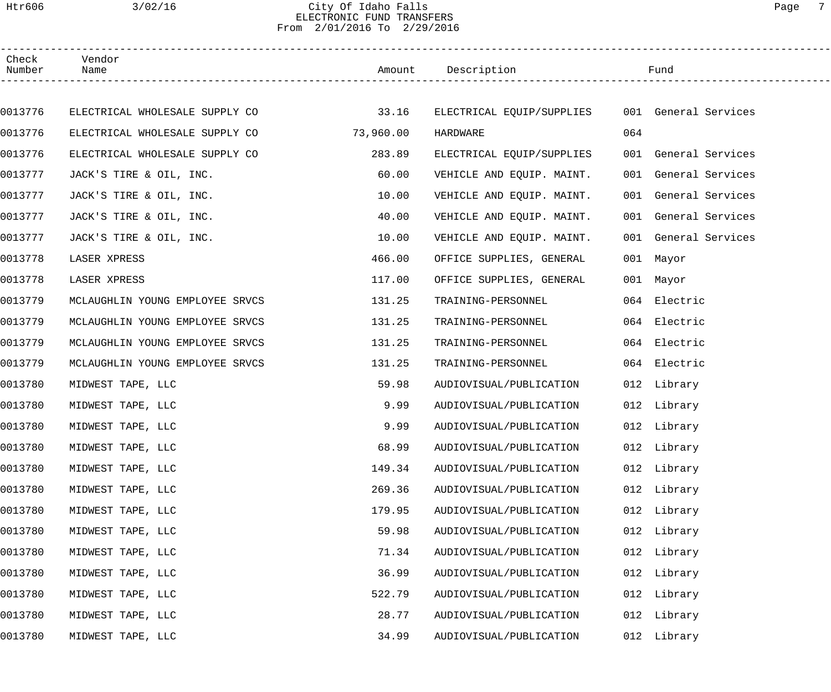# Htr606 3/02/16 City Of Idaho Falls Page 7 ELECTRONIC FUND TRANSFERS From 2/01/2016 To 2/29/2016

| Check<br>Number | Vendor<br>Name                  |           | Amount Description                             |     | Fund                 |
|-----------------|---------------------------------|-----------|------------------------------------------------|-----|----------------------|
|                 |                                 |           |                                                |     |                      |
| 0013776         | ELECTRICAL WHOLESALE SUPPLY CO  | 33.16     | ELECTRICAL EQUIP/SUPPLIES 001 General Services |     |                      |
| 0013776         | ELECTRICAL WHOLESALE SUPPLY CO  | 73,960.00 | HARDWARE                                       | 064 |                      |
| 0013776         | ELECTRICAL WHOLESALE SUPPLY CO  | 283.89    | ELECTRICAL EQUIP/SUPPLIES                      |     | 001 General Services |
| 0013777         | JACK'S TIRE & OIL, INC.         | 60.00     | VEHICLE AND EQUIP. MAINT.                      |     | 001 General Services |
| 0013777         | JACK'S TIRE & OIL, INC.         | 10.00     | VEHICLE AND EQUIP. MAINT.                      |     | 001 General Services |
| 0013777         | JACK'S TIRE & OIL, INC.         | 40.00     | VEHICLE AND EQUIP. MAINT.                      |     | 001 General Services |
| 0013777         | JACK'S TIRE & OIL, INC.         | 10.00     | VEHICLE AND EQUIP. MAINT.                      |     | 001 General Services |
| 0013778         | LASER XPRESS                    | 466.00    | OFFICE SUPPLIES, GENERAL                       |     | 001 Mayor            |
| 0013778         | LASER XPRESS                    | 117.00    | OFFICE SUPPLIES, GENERAL                       |     | 001 Mayor            |
| 0013779         | MCLAUGHLIN YOUNG EMPLOYEE SRVCS | 131.25    | TRAINING-PERSONNEL                             |     | 064 Electric         |
| 0013779         | MCLAUGHLIN YOUNG EMPLOYEE SRVCS | 131.25    | TRAINING-PERSONNEL                             |     | 064 Electric         |
| 0013779         | MCLAUGHLIN YOUNG EMPLOYEE SRVCS | 131.25    | TRAINING-PERSONNEL                             |     | 064 Electric         |
| 0013779         | MCLAUGHLIN YOUNG EMPLOYEE SRVCS | 131.25    | TRAINING-PERSONNEL                             |     | 064 Electric         |
| 0013780         | MIDWEST TAPE, LLC               | 59.98     | AUDIOVISUAL/PUBLICATION                        |     | 012 Library          |
| 0013780         | MIDWEST TAPE, LLC               | 9.99      | AUDIOVISUAL/PUBLICATION                        |     | 012 Library          |
| 0013780         | MIDWEST TAPE, LLC               | 9.99      | AUDIOVISUAL/PUBLICATION                        |     | 012 Library          |
| 0013780         | MIDWEST TAPE, LLC               | 68.99     | AUDIOVISUAL/PUBLICATION                        |     | 012 Library          |
| 0013780         | MIDWEST TAPE, LLC               | 149.34    | AUDIOVISUAL/PUBLICATION                        |     | 012 Library          |
| 0013780         | MIDWEST TAPE, LLC               | 269.36    | AUDIOVISUAL/PUBLICATION                        | 012 | Library              |
| 0013780         | MIDWEST TAPE, LLC               | 179.95    | AUDIOVISUAL/PUBLICATION                        |     | 012 Library          |
| 0013780         | MIDWEST TAPE, LLC               | 59.98     | AUDIOVISUAL/PUBLICATION                        |     | 012 Library          |
| 0013780         | MIDWEST TAPE, LLC               | 71.34     | AUDIOVISUAL/PUBLICATION                        | 012 | Library              |
| 0013780         | MIDWEST TAPE, LLC               | 36.99     | AUDIOVISUAL/PUBLICATION                        |     | 012 Library          |
| 0013780         | MIDWEST TAPE, LLC               | 522.79    | AUDIOVISUAL/PUBLICATION                        |     | 012 Library          |
| 0013780         | MIDWEST TAPE, LLC               | 28.77     | AUDIOVISUAL/PUBLICATION                        | 012 | Library              |
| 0013780         | MIDWEST TAPE, LLC               | 34.99     | AUDIOVISUAL/PUBLICATION                        | 012 | Library              |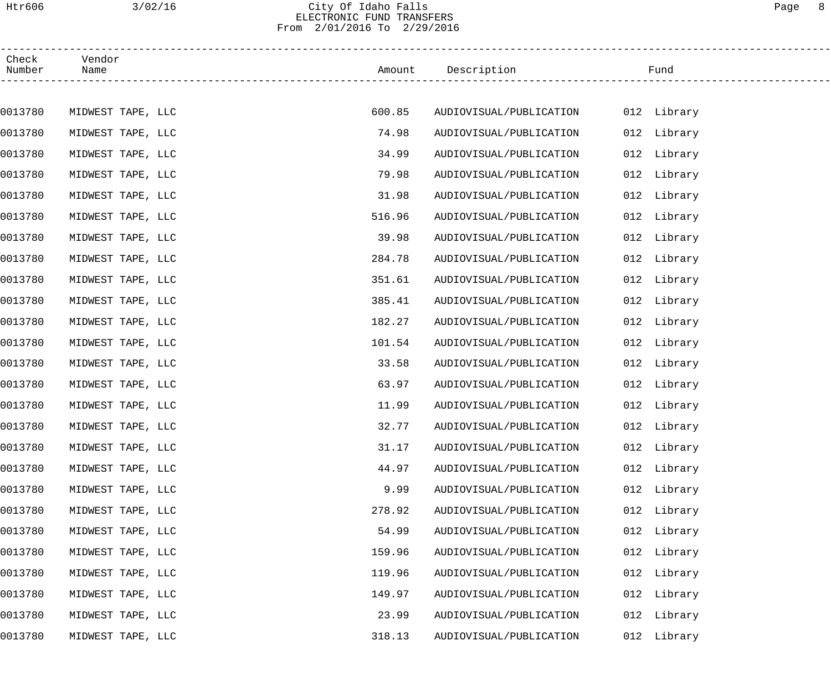# Htr606 3/02/16 City Of Idaho Falls Page 8 ELECTRONIC FUND TRANSFERS From 2/01/2016 To 2/29/2016

| Check<br>Number | Vendor<br>Name    |        | Amount Description             | Fund        |
|-----------------|-------------------|--------|--------------------------------|-------------|
|                 |                   |        |                                |             |
| 0013780         | MIDWEST TAPE, LLC | 600.85 | AUDIOVISUAL/PUBLICATION        | 012 Library |
| 0013780         | MIDWEST TAPE, LLC | 74.98  | AUDIOVISUAL/PUBLICATION        | 012 Library |
| 0013780         | MIDWEST TAPE, LLC | 34.99  | AUDIOVISUAL/PUBLICATION        | 012 Library |
| 0013780         | MIDWEST TAPE, LLC | 79.98  | AUDIOVISUAL/PUBLICATION        | 012 Library |
| 0013780         | MIDWEST TAPE, LLC | 31.98  | AUDIOVISUAL/PUBLICATION        | 012 Library |
| 0013780         | MIDWEST TAPE, LLC | 516.96 | AUDIOVISUAL/PUBLICATION        | 012 Library |
| 0013780         | MIDWEST TAPE, LLC | 39.98  | AUDIOVISUAL/PUBLICATION        | 012 Library |
| 0013780         | MIDWEST TAPE, LLC | 284.78 | AUDIOVISUAL/PUBLICATION        | 012 Library |
| 0013780         | MIDWEST TAPE, LLC | 351.61 | AUDIOVISUAL/PUBLICATION        | 012 Library |
| 0013780         | MIDWEST TAPE, LLC | 385.41 | AUDIOVISUAL/PUBLICATION        | 012 Library |
| 0013780         | MIDWEST TAPE, LLC | 182.27 | AUDIOVISUAL/PUBLICATION        | 012 Library |
| 0013780         | MIDWEST TAPE, LLC | 101.54 | AUDIOVISUAL/PUBLICATION        | 012 Library |
| 0013780         | MIDWEST TAPE, LLC | 33.58  | AUDIOVISUAL/PUBLICATION        | 012 Library |
| 0013780         | MIDWEST TAPE, LLC | 63.97  | AUDIOVISUAL/PUBLICATION        | 012 Library |
| 0013780         | MIDWEST TAPE, LLC | 11.99  | AUDIOVISUAL/PUBLICATION        | 012 Library |
| 0013780         | MIDWEST TAPE, LLC | 32.77  | AUDIOVISUAL/PUBLICATION        | 012 Library |
| 0013780         | MIDWEST TAPE, LLC | 31.17  | AUDIOVISUAL/PUBLICATION        | 012 Library |
| 0013780         | MIDWEST TAPE, LLC | 44.97  | AUDIOVISUAL/PUBLICATION        | 012 Library |
| 0013780         | MIDWEST TAPE, LLC | 9.99   | AUDIOVISUAL/PUBLICATION<br>012 | Library     |
| 0013780         | MIDWEST TAPE, LLC | 278.92 | AUDIOVISUAL/PUBLICATION        | 012 Library |
| 0013780         | MIDWEST TAPE, LLC | 54.99  | AUDIOVISUAL/PUBLICATION        | 012 Library |
| 0013780         | MIDWEST TAPE, LLC | 159.96 | AUDIOVISUAL/PUBLICATION<br>012 | Library     |
| 0013780         | MIDWEST TAPE, LLC | 119.96 | AUDIOVISUAL/PUBLICATION<br>012 | Library     |
| 0013780         | MIDWEST TAPE, LLC | 149.97 | AUDIOVISUAL/PUBLICATION        | 012 Library |
| 0013780         | MIDWEST TAPE, LLC | 23.99  | AUDIOVISUAL/PUBLICATION<br>012 | Library     |
| 0013780         | MIDWEST TAPE, LLC | 318.13 | 012<br>AUDIOVISUAL/PUBLICATION | Library     |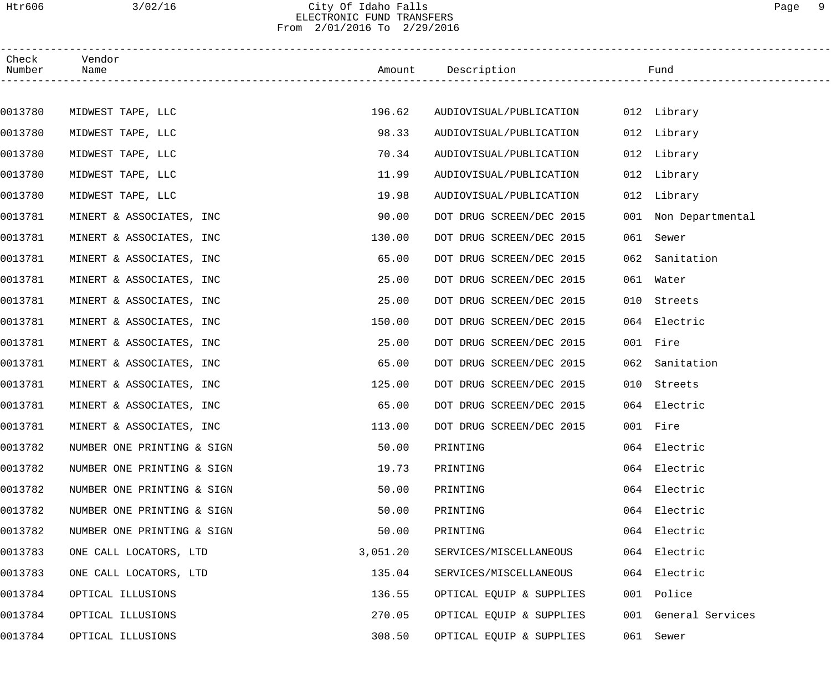## Htr606 3/02/16 City Of Idaho Falls Page 9 ELECTRONIC FUND TRANSFERS From 2/01/2016 To 2/29/2016

| Check<br>Number | Vendor<br>Name             |          | Amount Description       |     | Fund                 |
|-----------------|----------------------------|----------|--------------------------|-----|----------------------|
|                 |                            |          |                          |     |                      |
| 0013780         | MIDWEST TAPE, LLC          | 196.62   | AUDIOVISUAL/PUBLICATION  |     | 012 Library          |
| 0013780         | MIDWEST TAPE, LLC          | 98.33    | AUDIOVISUAL/PUBLICATION  |     | 012 Library          |
| 0013780         | MIDWEST TAPE, LLC          | 70.34    | AUDIOVISUAL/PUBLICATION  |     | 012 Library          |
| 0013780         | MIDWEST TAPE, LLC          | 11.99    | AUDIOVISUAL/PUBLICATION  |     | 012 Library          |
| 0013780         | MIDWEST TAPE, LLC          | 19.98    | AUDIOVISUAL/PUBLICATION  |     | 012 Library          |
| 0013781         | MINERT & ASSOCIATES, INC   | 90.00    | DOT DRUG SCREEN/DEC 2015 |     | 001 Non Departmental |
| 0013781         | MINERT & ASSOCIATES, INC   | 130.00   | DOT DRUG SCREEN/DEC 2015 |     | 061 Sewer            |
| 0013781         | MINERT & ASSOCIATES, INC   | 65.00    | DOT DRUG SCREEN/DEC 2015 | 062 | Sanitation           |
| 0013781         | MINERT & ASSOCIATES, INC   | 25.00    | DOT DRUG SCREEN/DEC 2015 |     | 061 Water            |
| 0013781         | MINERT & ASSOCIATES, INC   | 25.00    | DOT DRUG SCREEN/DEC 2015 | 010 | Streets              |
| 0013781         | MINERT & ASSOCIATES, INC   | 150.00   | DOT DRUG SCREEN/DEC 2015 |     | 064 Electric         |
| 0013781         | MINERT & ASSOCIATES, INC   | 25.00    | DOT DRUG SCREEN/DEC 2015 |     | 001 Fire             |
| 0013781         | MINERT & ASSOCIATES, INC   | 65.00    | DOT DRUG SCREEN/DEC 2015 | 062 | Sanitation           |
| 0013781         | MINERT & ASSOCIATES, INC   | 125.00   | DOT DRUG SCREEN/DEC 2015 |     | 010 Streets          |
| 0013781         | MINERT & ASSOCIATES, INC   | 65.00    | DOT DRUG SCREEN/DEC 2015 |     | 064 Electric         |
| 0013781         | MINERT & ASSOCIATES, INC   | 113.00   | DOT DRUG SCREEN/DEC 2015 |     | 001 Fire             |
| 0013782         | NUMBER ONE PRINTING & SIGN | 50.00    | PRINTING                 |     | 064 Electric         |
| 0013782         | NUMBER ONE PRINTING & SIGN | 19.73    | PRINTING                 |     | 064 Electric         |
| 0013782         | NUMBER ONE PRINTING & SIGN | 50.00    | PRINTING                 |     | 064 Electric         |
| 0013782         | NUMBER ONE PRINTING & SIGN | 50.00    | PRINTING                 |     | 064 Electric         |
| 0013782         | NUMBER ONE PRINTING & SIGN | 50.00    | PRINTING                 |     | 064 Electric         |
| 0013783         | ONE CALL LOCATORS, LTD     | 3,051.20 | SERVICES/MISCELLANEOUS   |     | 064 Electric         |
| 0013783         | ONE CALL LOCATORS, LTD     | 135.04   | SERVICES/MISCELLANEOUS   |     | 064 Electric         |
| 0013784         | OPTICAL ILLUSIONS          | 136.55   | OPTICAL EQUIP & SUPPLIES |     | 001 Police           |
| 0013784         | OPTICAL ILLUSIONS          | 270.05   | OPTICAL EQUIP & SUPPLIES |     | 001 General Services |
| 0013784         | OPTICAL ILLUSIONS          | 308.50   | OPTICAL EQUIP & SUPPLIES |     | 061 Sewer            |
|                 |                            |          |                          |     |                      |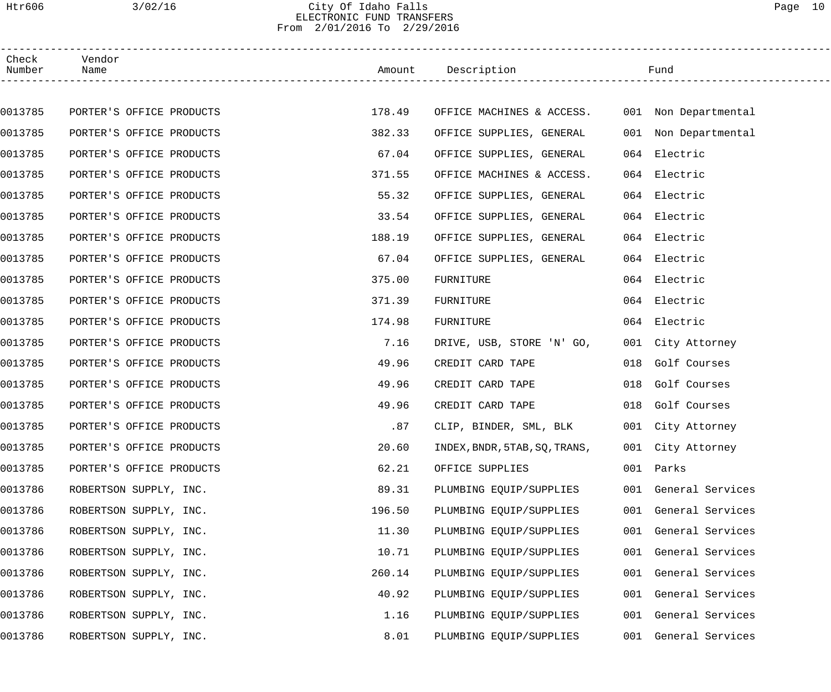# Htr606 3/02/16 City Of Idaho Falls Page 10 ELECTRONIC FUND TRANSFERS From 2/01/2016 To 2/29/2016

| Check<br>Number | Vendor<br>Name           |        | Amount Description                             |     | Fund                 |
|-----------------|--------------------------|--------|------------------------------------------------|-----|----------------------|
|                 |                          |        |                                                |     |                      |
| 0013785         | PORTER'S OFFICE PRODUCTS | 178.49 | OFFICE MACHINES & ACCESS. 001 Non Departmental |     |                      |
| 0013785         | PORTER'S OFFICE PRODUCTS | 382.33 | OFFICE SUPPLIES, GENERAL                       |     | 001 Non Departmental |
| 0013785         | PORTER'S OFFICE PRODUCTS | 67.04  | OFFICE SUPPLIES, GENERAL                       |     | 064 Electric         |
| 0013785         | PORTER'S OFFICE PRODUCTS | 371.55 | OFFICE MACHINES & ACCESS.                      |     | 064 Electric         |
| 0013785         | PORTER'S OFFICE PRODUCTS | 55.32  | OFFICE SUPPLIES, GENERAL                       |     | 064 Electric         |
| 0013785         | PORTER'S OFFICE PRODUCTS | 33.54  | OFFICE SUPPLIES, GENERAL                       |     | 064 Electric         |
| 0013785         | PORTER'S OFFICE PRODUCTS | 188.19 | OFFICE SUPPLIES, GENERAL                       |     | 064 Electric         |
| 0013785         | PORTER'S OFFICE PRODUCTS | 67.04  | OFFICE SUPPLIES, GENERAL                       |     | 064 Electric         |
| 0013785         | PORTER'S OFFICE PRODUCTS | 375.00 | FURNITURE                                      |     | 064 Electric         |
| 0013785         | PORTER'S OFFICE PRODUCTS | 371.39 | FURNITURE                                      |     | 064 Electric         |
| 0013785         | PORTER'S OFFICE PRODUCTS | 174.98 | FURNITURE                                      |     | 064 Electric         |
| 0013785         | PORTER'S OFFICE PRODUCTS | 7.16   | DRIVE, USB, STORE 'N' GO,                      |     | 001 City Attorney    |
| 0013785         | PORTER'S OFFICE PRODUCTS | 49.96  | CREDIT CARD TAPE                               | 018 | Golf Courses         |
| 0013785         | PORTER'S OFFICE PRODUCTS | 49.96  | CREDIT CARD TAPE                               |     | 018 Golf Courses     |
| 0013785         | PORTER'S OFFICE PRODUCTS | 49.96  | CREDIT CARD TAPE                               |     | 018 Golf Courses     |
| 0013785         | PORTER'S OFFICE PRODUCTS | .87    | CLIP, BINDER, SML, BLK                         |     | 001 City Attorney    |
| 0013785         | PORTER'S OFFICE PRODUCTS | 20.60  | INDEX, BNDR, 5TAB, SQ, TRANS,                  |     | 001 City Attorney    |
| 0013785         | PORTER'S OFFICE PRODUCTS | 62.21  | OFFICE SUPPLIES                                | 001 | Parks                |
| 0013786         | ROBERTSON SUPPLY, INC.   | 89.31  | PLUMBING EQUIP/SUPPLIES                        |     | 001 General Services |
| 0013786         | ROBERTSON SUPPLY, INC.   | 196.50 | PLUMBING EQUIP/SUPPLIES                        |     | 001 General Services |
| 0013786         | ROBERTSON SUPPLY, INC.   | 11.30  | PLUMBING EQUIP/SUPPLIES                        |     | 001 General Services |
| 0013786         | ROBERTSON SUPPLY, INC.   | 10.71  | PLUMBING EQUIP/SUPPLIES                        | 001 | General Services     |
| 0013786         | ROBERTSON SUPPLY, INC.   | 260.14 | PLUMBING EQUIP/SUPPLIES                        | 001 | General Services     |
| 0013786         | ROBERTSON SUPPLY, INC.   | 40.92  | PLUMBING EQUIP/SUPPLIES                        |     | 001 General Services |
| 0013786         | ROBERTSON SUPPLY, INC.   | 1.16   | PLUMBING EQUIP/SUPPLIES                        | 001 | General Services     |
| 0013786         | ROBERTSON SUPPLY, INC.   | 8.01   | PLUMBING EQUIP/SUPPLIES                        | 001 | General Services     |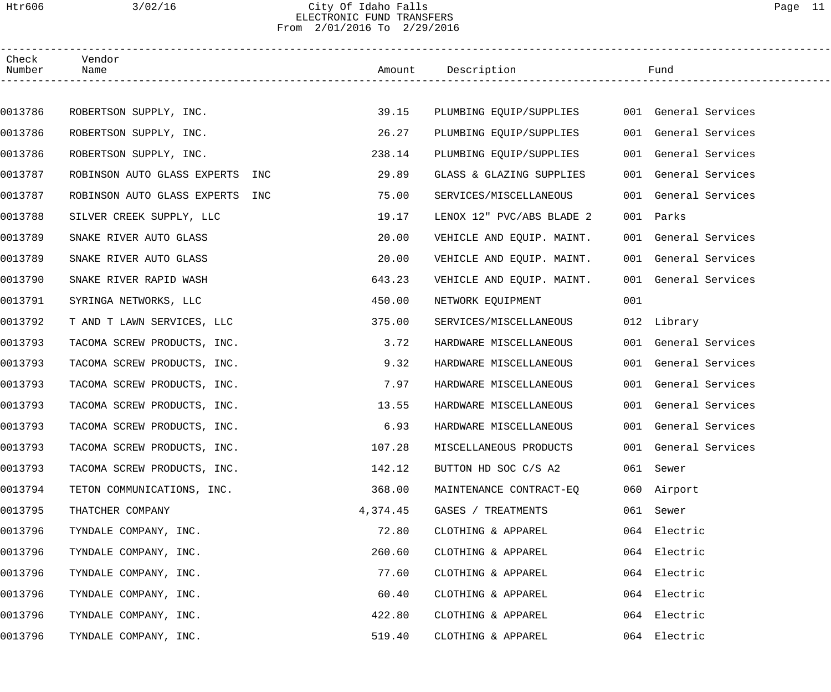## Htr606 3/02/16 City Of Idaho Falls Page 11 ELECTRONIC FUND TRANSFERS From 2/01/2016 To 2/29/2016

| Check<br>Number | Vendor<br>Name                     |          | Amount Description        |     | Fund                 |  |
|-----------------|------------------------------------|----------|---------------------------|-----|----------------------|--|
|                 |                                    |          |                           |     |                      |  |
| 0013786         | ROBERTSON SUPPLY, INC.             | 39.15    | PLUMBING EQUIP/SUPPLIES   |     | 001 General Services |  |
| 0013786         | ROBERTSON SUPPLY, INC.             | 26.27    | PLUMBING EQUIP/SUPPLIES   |     | 001 General Services |  |
| 0013786         | ROBERTSON SUPPLY, INC.             | 238.14   | PLUMBING EQUIP/SUPPLIES   |     | 001 General Services |  |
| 0013787         | ROBINSON AUTO GLASS EXPERTS INC    | 29.89    | GLASS & GLAZING SUPPLIES  |     | 001 General Services |  |
| 0013787         | ROBINSON AUTO GLASS EXPERTS<br>INC | 75.00    | SERVICES/MISCELLANEOUS    |     | 001 General Services |  |
| 0013788         | SILVER CREEK SUPPLY, LLC           | 19.17    | LENOX 12" PVC/ABS BLADE 2 |     | 001 Parks            |  |
| 0013789         | SNAKE RIVER AUTO GLASS             | 20.00    | VEHICLE AND EQUIP. MAINT. |     | 001 General Services |  |
| 0013789         | SNAKE RIVER AUTO GLASS             | 20.00    | VEHICLE AND EQUIP. MAINT. |     | 001 General Services |  |
| 0013790         | SNAKE RIVER RAPID WASH             | 643.23   | VEHICLE AND EQUIP. MAINT. |     | 001 General Services |  |
| 0013791         | SYRINGA NETWORKS, LLC              | 450.00   | NETWORK EQUIPMENT         | 001 |                      |  |
| 0013792         | T AND T LAWN SERVICES, LLC         | 375.00   | SERVICES/MISCELLANEOUS    |     | 012 Library          |  |
| 0013793         | TACOMA SCREW PRODUCTS, INC.        | 3.72     | HARDWARE MISCELLANEOUS    |     | 001 General Services |  |
| 0013793         | TACOMA SCREW PRODUCTS, INC.        | 9.32     | HARDWARE MISCELLANEOUS    |     | 001 General Services |  |
| 0013793         | TACOMA SCREW PRODUCTS, INC.        | 7.97     | HARDWARE MISCELLANEOUS    |     | 001 General Services |  |
| 0013793         | TACOMA SCREW PRODUCTS, INC.        | 13.55    | HARDWARE MISCELLANEOUS    |     | 001 General Services |  |
| 0013793         | TACOMA SCREW PRODUCTS, INC.        | 6.93     | HARDWARE MISCELLANEOUS    |     | 001 General Services |  |
| 0013793         | TACOMA SCREW PRODUCTS, INC.        | 107.28   | MISCELLANEOUS PRODUCTS    |     | 001 General Services |  |
| 0013793         | TACOMA SCREW PRODUCTS, INC.        | 142.12   | BUTTON HD SOC C/S A2      |     | 061 Sewer            |  |
| 0013794         | TETON COMMUNICATIONS, INC.         | 368.00   | MAINTENANCE CONTRACT-EO   |     | 060 Airport          |  |
| 0013795         | THATCHER COMPANY                   | 4,374.45 | GASES / TREATMENTS        |     | 061 Sewer            |  |
| 0013796         | TYNDALE COMPANY, INC.              | 72.80    | CLOTHING & APPAREL        |     | 064 Electric         |  |
| 0013796         | TYNDALE COMPANY, INC.              | 260.60   | CLOTHING & APPAREL        |     | 064 Electric         |  |
| 0013796         | TYNDALE COMPANY, INC.              | 77.60    | CLOTHING & APPAREL        |     | 064 Electric         |  |
| 0013796         | TYNDALE COMPANY, INC.              | 60.40    | CLOTHING & APPAREL        |     | 064 Electric         |  |
| 0013796         | TYNDALE COMPANY, INC.              | 422.80   | CLOTHING & APPAREL        |     | 064 Electric         |  |
| 0013796         | TYNDALE COMPANY, INC.              | 519.40   | CLOTHING & APPAREL        |     | 064 Electric         |  |
|                 |                                    |          |                           |     |                      |  |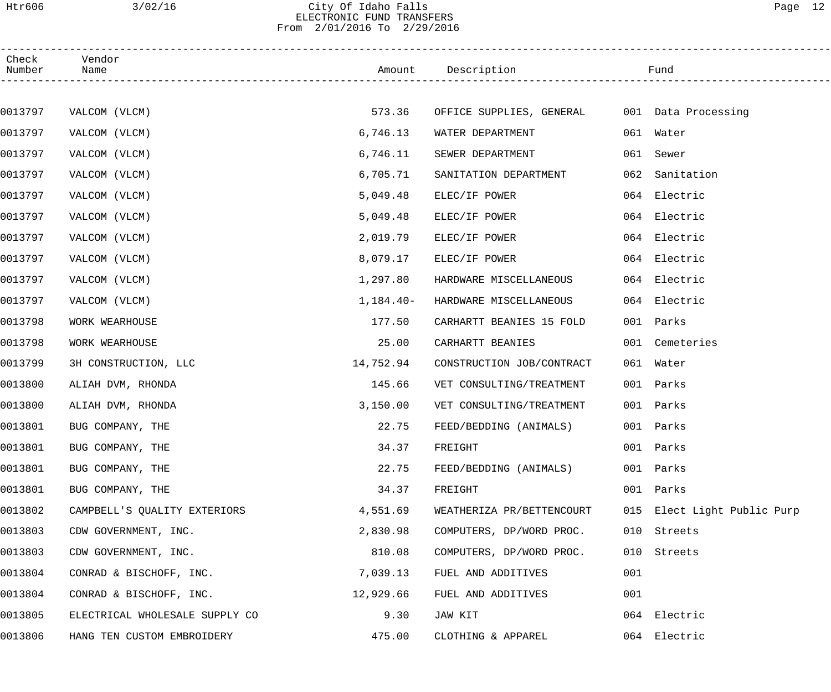# Htr606 3/02/16 City Of Idaho Falls Page 12 ELECTRONIC FUND TRANSFERS From 2/01/2016 To 2/29/2016

| Check<br>Number | Vendor<br>Name                 |             | Amount Description                           |     | Fund                        |  |
|-----------------|--------------------------------|-------------|----------------------------------------------|-----|-----------------------------|--|
|                 |                                |             |                                              |     |                             |  |
| 0013797         | VALCOM (VLCM)                  | 573.36      | OFFICE SUPPLIES, GENERAL 001 Data Processing |     |                             |  |
| 0013797         | VALCOM (VLCM)                  | 6,746.13    | WATER DEPARTMENT                             |     | 061 Water                   |  |
| 0013797         | VALCOM (VLCM)                  | 6,746.11    | SEWER DEPARTMENT                             | 061 | Sewer                       |  |
| 0013797         | VALCOM (VLCM)                  | 6,705.71    | SANITATION DEPARTMENT                        | 062 | Sanitation                  |  |
| 0013797         | VALCOM (VLCM)                  | 5,049.48    | ELEC/IF POWER                                |     | 064 Electric                |  |
| 0013797         | VALCOM (VLCM)                  | 5,049.48    | ELEC/IF POWER                                |     | 064 Electric                |  |
| 0013797         | VALCOM (VLCM)                  | 2,019.79    | ELEC/IF POWER                                |     | 064 Electric                |  |
| 0013797         | VALCOM (VLCM)                  | 8,079.17    | ELEC/IF POWER                                |     | 064 Electric                |  |
| 0013797         | VALCOM (VLCM)                  | 1,297.80    | HARDWARE MISCELLANEOUS                       |     | 064 Electric                |  |
| 0013797         | VALCOM (VLCM)                  | $1,184.40-$ | HARDWARE MISCELLANEOUS                       |     | 064 Electric                |  |
| 0013798         | WORK WEARHOUSE                 | 177.50      | CARHARTT BEANIES 15 FOLD                     |     | 001 Parks                   |  |
| 0013798         | WORK WEARHOUSE                 | 25.00       | CARHARTT BEANIES                             |     | 001 Cemeteries              |  |
| 0013799         | 3H CONSTRUCTION, LLC           | 14,752.94   | CONSTRUCTION JOB/CONTRACT                    |     | 061 Water                   |  |
| 0013800         | ALIAH DVM, RHONDA              | 145.66      | VET CONSULTING/TREATMENT                     |     | 001 Parks                   |  |
| 0013800         | ALIAH DVM, RHONDA              | 3,150.00    | VET CONSULTING/TREATMENT                     |     | 001 Parks                   |  |
| 0013801         | BUG COMPANY, THE               | 22.75       | FEED/BEDDING (ANIMALS)                       |     | 001 Parks                   |  |
| 0013801         | BUG COMPANY, THE               | 34.37       | FREIGHT                                      |     | 001 Parks                   |  |
| 0013801         | BUG COMPANY, THE               | 22.75       | FEED/BEDDING (ANIMALS)                       | 001 | Parks                       |  |
| 0013801         | BUG COMPANY, THE               | 34.37       | FREIGHT                                      |     | 001 Parks                   |  |
| 0013802         | CAMPBELL'S QUALITY EXTERIORS   | 4,551.69    | WEATHERIZA PR/BETTENCOURT                    |     | 015 Elect Light Public Purp |  |
| 0013803         | CDW GOVERNMENT, INC.           | 2,830.98    | COMPUTERS, DP/WORD PROC.                     | 010 | Streets                     |  |
| 0013803         | CDW GOVERNMENT, INC.           | 810.08      | COMPUTERS, DP/WORD PROC.                     | 010 | Streets                     |  |
| 0013804         | CONRAD & BISCHOFF, INC.        | 7,039.13    | FUEL AND ADDITIVES                           | 001 |                             |  |
| 0013804         | CONRAD & BISCHOFF, INC.        | 12,929.66   | FUEL AND ADDITIVES                           | 001 |                             |  |
| 0013805         | ELECTRICAL WHOLESALE SUPPLY CO | 9.30        | JAW KIT                                      |     | 064 Electric                |  |
| 0013806         | HANG TEN CUSTOM EMBROIDERY     | 475.00      | CLOTHING & APPAREL                           |     | 064 Electric                |  |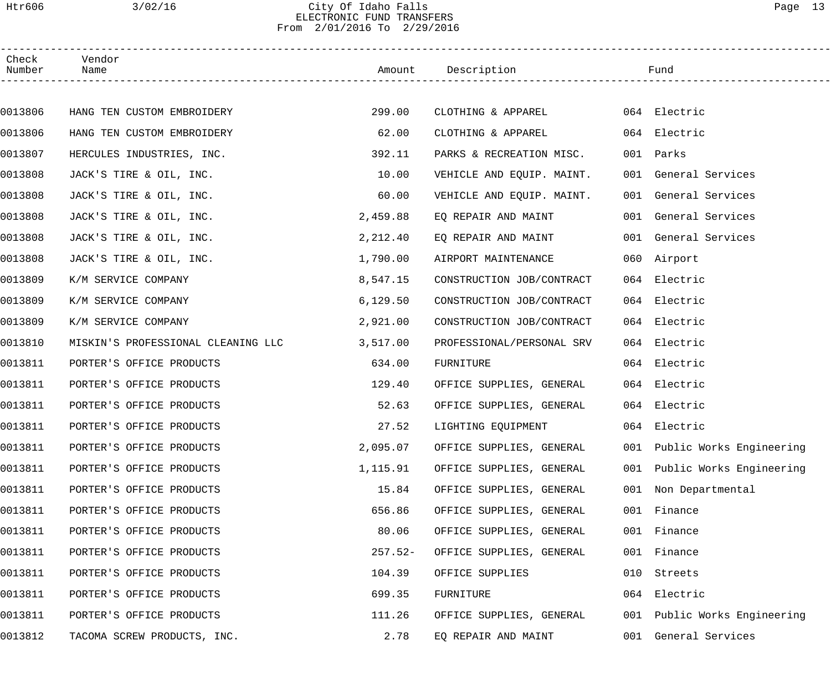# Htr606 3/02/16 City Of Idaho Falls Page 13 ELECTRONIC FUND TRANSFERS From 2/01/2016 To 2/29/2016

| Check<br>Number | Vendor<br>Name                     |           | Amount Description        |     | Fund                         |
|-----------------|------------------------------------|-----------|---------------------------|-----|------------------------------|
|                 |                                    |           |                           |     |                              |
| 0013806         | HANG TEN CUSTOM EMBROIDERY         | 299.00    | CLOTHING & APPAREL        |     | 064 Electric                 |
| 0013806         | HANG TEN CUSTOM EMBROIDERY         | 62.00     | CLOTHING & APPAREL        |     | 064 Electric                 |
| 0013807         | HERCULES INDUSTRIES, INC.          | 392.11    | PARKS & RECREATION MISC.  |     | 001 Parks                    |
| 0013808         | JACK'S TIRE & OIL, INC.            | 10.00     | VEHICLE AND EQUIP. MAINT. |     | 001 General Services         |
| 0013808         | JACK'S TIRE & OIL, INC.            | 60.00     | VEHICLE AND EQUIP. MAINT. |     | 001 General Services         |
| 0013808         | JACK'S TIRE & OIL, INC.            | 2,459.88  | EO REPAIR AND MAINT       |     | 001 General Services         |
| 0013808         | JACK'S TIRE & OIL, INC.            | 2,212.40  | EQ REPAIR AND MAINT       |     | 001 General Services         |
| 0013808         | JACK'S TIRE & OIL, INC.            | 1,790.00  | AIRPORT MAINTENANCE       |     | 060 Airport                  |
| 0013809         | K/M SERVICE COMPANY                | 8,547.15  | CONSTRUCTION JOB/CONTRACT |     | 064 Electric                 |
| 0013809         | K/M SERVICE COMPANY                | 6, 129.50 | CONSTRUCTION JOB/CONTRACT |     | 064 Electric                 |
| 0013809         | K/M SERVICE COMPANY                | 2,921.00  | CONSTRUCTION JOB/CONTRACT |     | 064 Electric                 |
| 0013810         | MISKIN'S PROFESSIONAL CLEANING LLC | 3,517.00  | PROFESSIONAL/PERSONAL SRV |     | 064 Electric                 |
| 0013811         | PORTER'S OFFICE PRODUCTS           | 634.00    | FURNITURE                 |     | 064 Electric                 |
| 0013811         | PORTER'S OFFICE PRODUCTS           | 129.40    | OFFICE SUPPLIES, GENERAL  |     | 064 Electric                 |
| 0013811         | PORTER'S OFFICE PRODUCTS           | 52.63     | OFFICE SUPPLIES, GENERAL  |     | 064 Electric                 |
| 0013811         | PORTER'S OFFICE PRODUCTS           | 27.52     | LIGHTING EQUIPMENT        |     | 064 Electric                 |
| 0013811         | PORTER'S OFFICE PRODUCTS           | 2,095.07  | OFFICE SUPPLIES, GENERAL  |     | 001 Public Works Engineering |
| 0013811         | PORTER'S OFFICE PRODUCTS           | 1,115.91  | OFFICE SUPPLIES, GENERAL  |     | 001 Public Works Engineering |
| 0013811         | PORTER'S OFFICE PRODUCTS           | 15.84     | OFFICE SUPPLIES, GENERAL  |     | 001 Non Departmental         |
| 0013811         | PORTER'S OFFICE PRODUCTS           | 656.86    | OFFICE SUPPLIES, GENERAL  |     | 001 Finance                  |
| 0013811         | PORTER'S OFFICE PRODUCTS           | 80.06     | OFFICE SUPPLIES, GENERAL  |     | 001 Finance                  |
| 0013811         | PORTER'S OFFICE PRODUCTS           | $257.52-$ | OFFICE SUPPLIES, GENERAL  |     | 001 Finance                  |
| 0013811         | PORTER'S OFFICE PRODUCTS           | 104.39    | OFFICE SUPPLIES           | 010 | Streets                      |
| 0013811         | PORTER'S OFFICE PRODUCTS           | 699.35    | FURNITURE                 |     | 064 Electric                 |
| 0013811         | PORTER'S OFFICE PRODUCTS           | 111.26    | OFFICE SUPPLIES, GENERAL  |     | 001 Public Works Engineering |
| 0013812         | TACOMA SCREW PRODUCTS, INC.        | 2.78      | EQ REPAIR AND MAINT       | 001 | General Services             |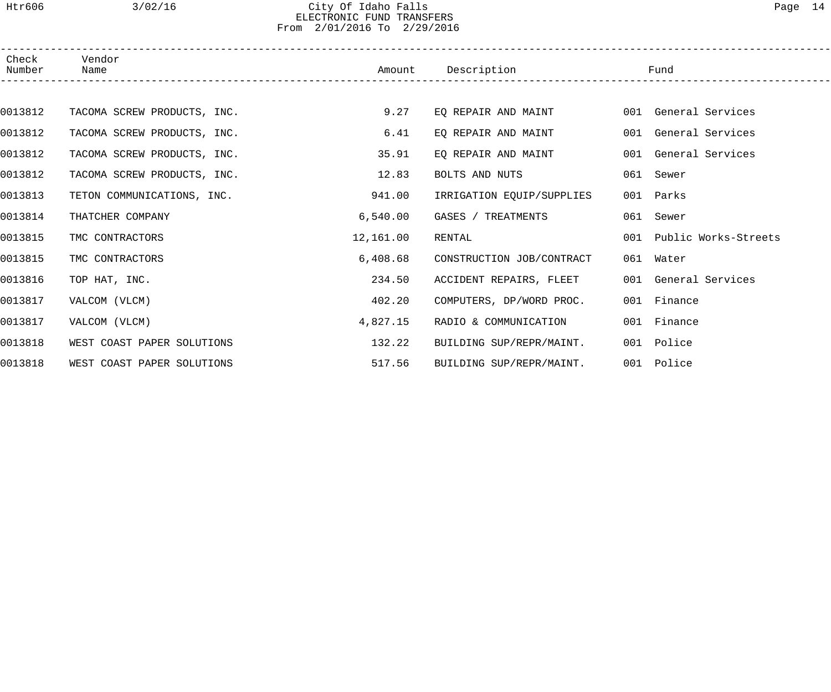## Htr606 3/02/16 City Of Idaho Falls Page 14 ELECTRONIC FUND TRANSFERS From 2/01/2016 To 2/29/2016

| Check<br>Number | Vendor<br>Name              | Amount    | Description               | Fund                     |
|-----------------|-----------------------------|-----------|---------------------------|--------------------------|
|                 |                             |           |                           |                          |
| 0013812         | TACOMA SCREW PRODUCTS, INC. | 9.27      | EO REPAIR AND MAINT       | 001 General Services     |
| 0013812         | TACOMA SCREW PRODUCTS, INC. | 6.41      | EQ REPAIR AND MAINT       | 001 General Services     |
| 0013812         | TACOMA SCREW PRODUCTS, INC. | 35.91     | EO REPAIR AND MAINT       | 001 General Services     |
| 0013812         | TACOMA SCREW PRODUCTS, INC. | 12.83     | BOLTS AND NUTS            | 061 Sewer                |
| 0013813         | TETON COMMUNICATIONS, INC.  | 941.00    | IRRIGATION EQUIP/SUPPLIES | 001 Parks                |
| 0013814         | THATCHER COMPANY            | 6,540.00  | GASES / TREATMENTS        | 061 Sewer                |
| 0013815         | TMC CONTRACTORS             | 12,161.00 | RENTAL                    | 001 Public Works-Streets |
| 0013815         | TMC CONTRACTORS             | 6,408.68  | CONSTRUCTION JOB/CONTRACT | 061 Water                |
| 0013816         | TOP HAT, INC.               | 234.50    | ACCIDENT REPAIRS, FLEET   | 001 General Services     |
| 0013817         | VALCOM (VLCM)               | 402.20    | COMPUTERS, DP/WORD PROC.  | 001 Finance              |
| 0013817         | VALCOM (VLCM)               | 4,827.15  | RADIO & COMMUNICATION     | 001 Finance              |
| 0013818         | WEST COAST PAPER SOLUTIONS  | 132.22    | BUILDING SUP/REPR/MAINT.  | 001 Police               |
| 0013818         | WEST COAST PAPER SOLUTIONS  | 517.56    | BUILDING SUP/REPR/MAINT.  | 001 Police               |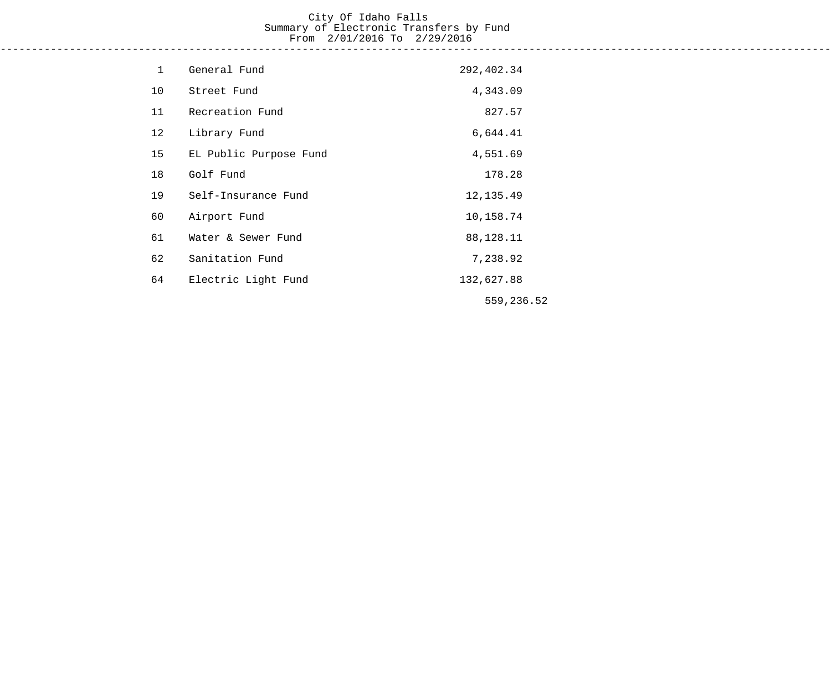# City Of Idaho Falls Summary of Electronic Transfers by Fund From 2/01/2016 To 2/29/2016

------------------------------------------------------------------------------------------------------------------------------------

| 1  | General Fund           | 292,402.34 |  |
|----|------------------------|------------|--|
| 10 | Street Fund            | 4,343.09   |  |
| 11 | Recreation Fund        | 827.57     |  |
| 12 | Library Fund           | 6,644.41   |  |
| 15 | EL Public Purpose Fund | 4,551.69   |  |
| 18 | Golf Fund              | 178.28     |  |
| 19 | Self-Insurance Fund    | 12, 135.49 |  |
| 60 | Airport Fund           | 10,158.74  |  |
| 61 | Water & Sewer Fund     | 88,128.11  |  |
| 62 | Sanitation Fund        | 7,238.92   |  |
| 64 | Electric Light Fund    | 132,627.88 |  |
|    |                        | 559,236.52 |  |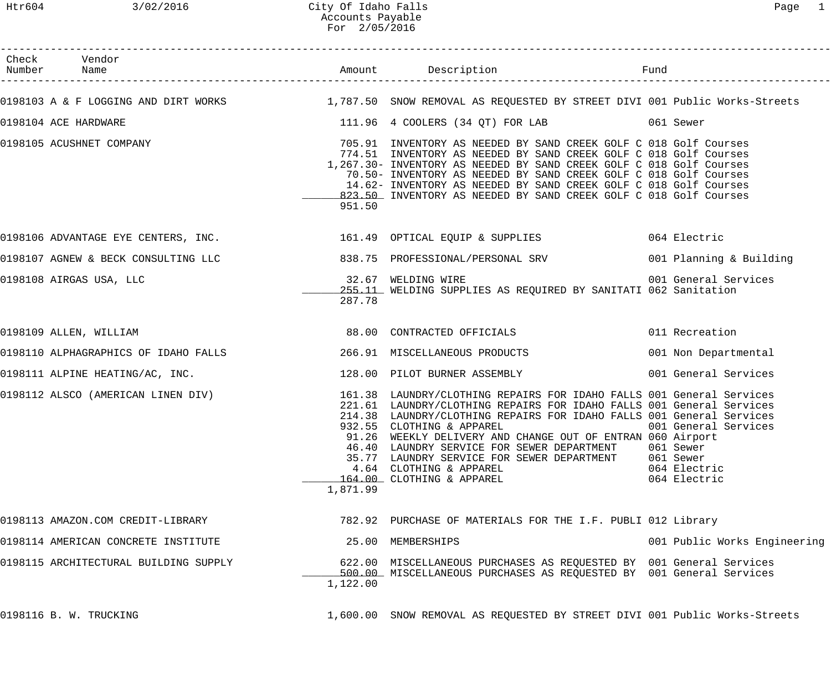# Htr604 3/02/2016 City Of Idaho Falls Page 1 Accounts Payable For 2/05/2016

| Check Vendor<br>Number Name                                        |          |                                                                                                                                                                                                                                                                                                                                                                                                                                                                                                        |                                                                                |
|--------------------------------------------------------------------|----------|--------------------------------------------------------------------------------------------------------------------------------------------------------------------------------------------------------------------------------------------------------------------------------------------------------------------------------------------------------------------------------------------------------------------------------------------------------------------------------------------------------|--------------------------------------------------------------------------------|
|                                                                    |          | 0198103 A & F LOGGING AND DIRT WORKS 1,787.50 SNOW REMOVAL AS REQUESTED BY STREET DIVI 001 Public Works-Streets                                                                                                                                                                                                                                                                                                                                                                                        |                                                                                |
| 0198104 ACE HARDWARE                                               |          | 111.96 4 COOLERS (34 QT) FOR LAB 661 Sewer                                                                                                                                                                                                                                                                                                                                                                                                                                                             |                                                                                |
| 0198105 ACUSHNET COMPANY                                           | 951.50   | 705.91 INVENTORY AS NEEDED BY SAND CREEK GOLF C 018 Golf Courses<br>774.51 INVENTORY AS NEEDED BY SAND CREEK GOLF C 018 Golf Courses<br>1,267.30- INVENTORY AS NEEDED BY SAND CREEK GOLF C 018 Golf Courses<br>70.50- INVENTORY AS NEEDED BY SAND CREEK GOLF C 018 Golf Courses<br>14.62- INVENTORY AS NEEDED BY SAND CREEK GOLF C 018 Golf Courses<br>823.50 INVENTORY AS NEEDED BY SAND CREEK GOLF C 018 Golf Courses                                                                                |                                                                                |
|                                                                    |          | 0198106 ADVANTAGE EYE CENTERS, INC. 161.49 OPTICAL EQUIP & SUPPLIES 064 Electric                                                                                                                                                                                                                                                                                                                                                                                                                       |                                                                                |
|                                                                    |          |                                                                                                                                                                                                                                                                                                                                                                                                                                                                                                        |                                                                                |
| 0198108 AIRGAS USA, LLC                                            | 287.78   | 32.67 WELDING WIRE<br>255.11 WELDING SUPPLIES AS REQUIRED BY SANITATI 062 Sanitation                                                                                                                                                                                                                                                                                                                                                                                                                   | 001 General Services                                                           |
| 0198109 ALLEN, WILLIAM                                             |          | 88.00 CONTRACTED OFFICIALS                                                                                                                                                                                                                                                                                                                                                                                                                                                                             | 011 Recreation                                                                 |
| 0198110 ALPHAGRAPHICS OF IDAHO FALLS 266.91 MISCELLANEOUS PRODUCTS |          |                                                                                                                                                                                                                                                                                                                                                                                                                                                                                                        | 001 Non Departmental                                                           |
| 0198111 ALPINE HEATING/AC, INC.                                    |          | 128.00 PILOT BURNER ASSEMBLY                                                                                                                                                                                                                                                                                                                                                                                                                                                                           | 001 General Services                                                           |
|                                                                    | 1,871.99 | 0198112 ALSCO (AMERICAN LINEN DIV) 161.38 LAUNDRY/CLOTHING REPAIRS FOR IDAHO FALLS 001 General Services<br>221.61 LAUNDRY/CLOTHING REPAIRS FOR IDAHO FALLS 001 General Services<br>214.38 LAUNDRY/CLOTHING REPAIRS FOR IDAHO FALLS 001 General Services<br>932.55 CLOTHING & APPAREL<br>91.26 WEEKLY DELIVERY AND CHANGE OUT OF ENTRAN 060 Airport<br>46.40 LAUNDRY SERVICE FOR SEWER DEPARTMENT<br>35.77 LAUNDRY SERVICE FOR SEWER DEPARTMENT<br>4.64 CLOTHING & APPAREL<br>164.00 CLOTHING & APPAREL | 001 General Services<br>061 Sewer<br>061 Sewer<br>064 Electric<br>064 Electric |
| 0198113 AMAZON.COM CREDIT-LIBRARY                                  |          | 782.92 PURCHASE OF MATERIALS FOR THE I.F. PUBLI 012 Library                                                                                                                                                                                                                                                                                                                                                                                                                                            |                                                                                |
| 0198114 AMERICAN CONCRETE INSTITUTE                                |          | 25.00 MEMBERSHIPS                                                                                                                                                                                                                                                                                                                                                                                                                                                                                      | 001 Public Works Engineering                                                   |
| 0198115 ARCHITECTURAL BUILDING SUPPLY                              | 1,122.00 | 622.00 MISCELLANEOUS PURCHASES AS REQUESTED BY 001 General Services<br>500.00 MISCELLANEOUS PURCHASES AS REQUESTED BY 001 General Services                                                                                                                                                                                                                                                                                                                                                             |                                                                                |
| 0198116 B. W. TRUCKING                                             |          | 1,600.00 SNOW REMOVAL AS REQUESTED BY STREET DIVI 001 Public Works-Streets                                                                                                                                                                                                                                                                                                                                                                                                                             |                                                                                |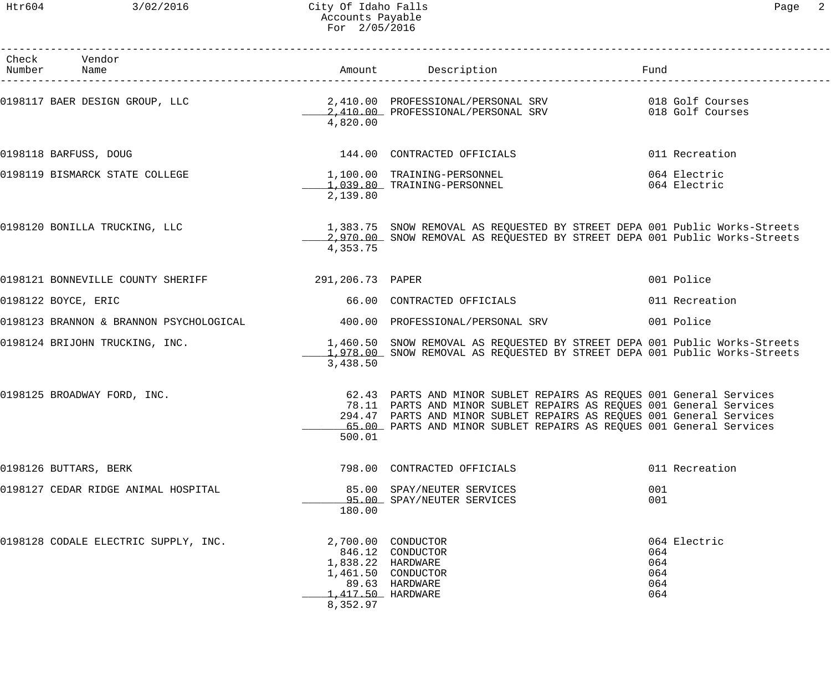## Htr604 3/02/2016 City Of Idaho Falls Page 2 Accounts Payable For 2/05/2016

| Check Vendor<br>Number Name                                    |                                                    | Amount Description                                                                                                                                                                                                                                                                        | Fund                                            |
|----------------------------------------------------------------|----------------------------------------------------|-------------------------------------------------------------------------------------------------------------------------------------------------------------------------------------------------------------------------------------------------------------------------------------------|-------------------------------------------------|
|                                                                | 4,820.00                                           |                                                                                                                                                                                                                                                                                           |                                                 |
| 0198118 BARFUSS, DOUG                                          |                                                    | 144.00 CONTRACTED OFFICIALS                                                                                                                                                                                                                                                               | 011 Recreation                                  |
| 0198119 BISMARCK STATE COLLEGE                                 | 2,139.80                                           | 1,100.00    TRAINING-PERSONNEL<br>1.039.80    TRAINING-PERSONNEL<br>1,039.80 TRAINING-PERSONNEL                                                                                                                                                                                           | 064 Electric<br>064 Electric                    |
| 0198120 BONILLA TRUCKING, LLC                                  | 4,353.75                                           | 1,383.75 SNOW REMOVAL AS REQUESTED BY STREET DEPA 001 Public Works-Streets<br>2,970.00 SNOW REMOVAL AS REQUESTED BY STREET DEPA 001 Public Works-Streets                                                                                                                                  |                                                 |
| 0198121 BONNEVILLE COUNTY SHERIFF <b>1998</b> 291,206.73 PAPER |                                                    |                                                                                                                                                                                                                                                                                           | 001 Police                                      |
| 0198122 BOYCE, ERIC                                            |                                                    | 66.00 CONTRACTED OFFICIALS                                                                                                                                                                                                                                                                | 011 Recreation                                  |
|                                                                |                                                    |                                                                                                                                                                                                                                                                                           | 001 Police                                      |
| 0198124 BRIJOHN TRUCKING, INC.                                 | 3,438.50                                           | 1,460.50 SNOW REMOVAL AS REQUESTED BY STREET DEPA 001 Public Works-Streets<br>1,978.00 SNOW REMOVAL AS REQUESTED BY STREET DEPA 001 Public Works-Streets                                                                                                                                  |                                                 |
| 0198125 BROADWAY FORD, INC.                                    | 500.01                                             | 62.43 PARTS AND MINOR SUBLET REPAIRS AS REQUES 001 General Services<br>78.11 PARTS AND MINOR SUBLET REPAIRS AS REQUES 001 General Services<br>294.47 PARTS AND MINOR SUBLET REPAIRS AS REQUES 001 General Services<br>65.00 PARTS AND MINOR SUBLET REPAIRS AS REQUES 001 General Services |                                                 |
| 0198126 BUTTARS, BERK                                          |                                                    | 798.00 CONTRACTED OFFICIALS                                                                                                                                                                                                                                                               | 011 Recreation                                  |
| 0198127 CEDAR RIDGE ANIMAL HOSPITAL                            | 180.00                                             | 85.00 SPAY/NEUTER SERVICES<br>95.00 SPAY/NEUTER SERVICES                                                                                                                                                                                                                                  | 001<br>001                                      |
| 0198128 CODALE ELECTRIC SUPPLY, INC.                           | 1,838.22 HARDWARE<br>1,417.50 HARDWARE<br>8,352.97 | 2,700.00 CONDUCTOR<br>846.12 CONDUCTOR<br>1,461.50 CONDUCTOR<br>89.63 HARDWARE                                                                                                                                                                                                            | 064 Electric<br>064<br>064<br>064<br>064<br>064 |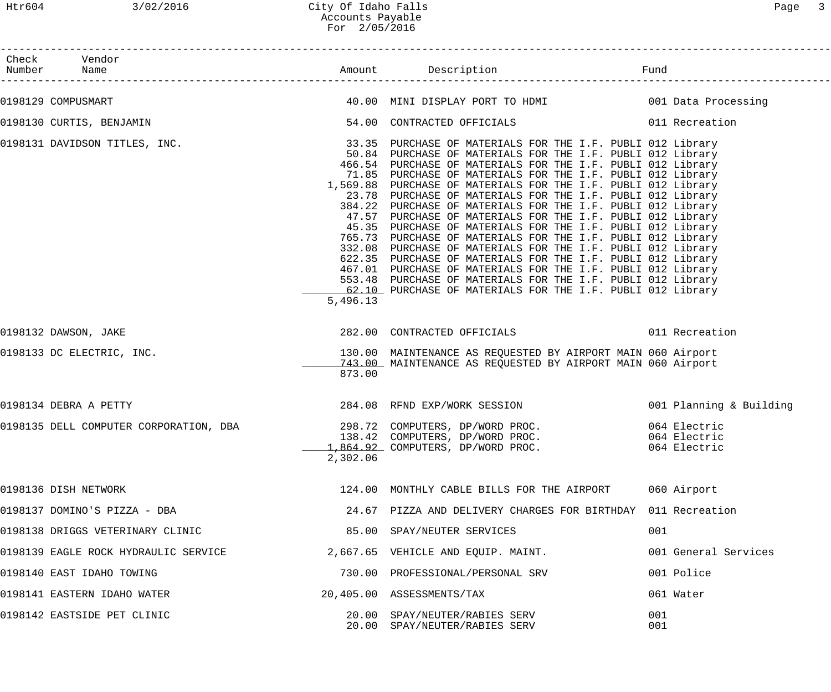| Check Vendor<br>Number Name          |          |                                                                                                                                                                                                                                                                                                                                                                                                                                                                                                                                                                                                                                                                                                                                                                                                                                                                                                                                                                          |                                              |
|--------------------------------------|----------|--------------------------------------------------------------------------------------------------------------------------------------------------------------------------------------------------------------------------------------------------------------------------------------------------------------------------------------------------------------------------------------------------------------------------------------------------------------------------------------------------------------------------------------------------------------------------------------------------------------------------------------------------------------------------------------------------------------------------------------------------------------------------------------------------------------------------------------------------------------------------------------------------------------------------------------------------------------------------|----------------------------------------------|
|                                      |          |                                                                                                                                                                                                                                                                                                                                                                                                                                                                                                                                                                                                                                                                                                                                                                                                                                                                                                                                                                          |                                              |
| 0198129 COMPUSMART                   |          | 40.00 MINI DISPLAY PORT TO HDMI 6001 Data Processing                                                                                                                                                                                                                                                                                                                                                                                                                                                                                                                                                                                                                                                                                                                                                                                                                                                                                                                     |                                              |
| 0198130 CURTIS, BENJAMIN             |          | 54.00 CONTRACTED OFFICIALS 6011 Recreation                                                                                                                                                                                                                                                                                                                                                                                                                                                                                                                                                                                                                                                                                                                                                                                                                                                                                                                               |                                              |
| 0198131 DAVIDSON TITLES, INC.        | 5,496.13 | 33.35 PURCHASE OF MATERIALS FOR THE I.F. PUBLI 012 Library<br>50.84 PURCHASE OF MATERIALS FOR THE I.F. PUBLI 012 Library<br>466.54 PURCHASE OF MATERIALS FOR THE I.F. PUBLI 012 Library<br>71.85 PURCHASE OF MATERIALS FOR THE I.F. PUBLI 012 Library<br>1,569.88 PURCHASE OF MATERIALS FOR THE I.F. PUBLI 012 Library<br>23.78 PURCHASE OF MATERIALS FOR THE I.F. PUBLI 012 Library<br>384.22 PURCHASE OF MATERIALS FOR THE I.F. PUBLI 012 Library<br>47.57 PURCHASE OF MATERIALS FOR THE I.F. PUBLI 012 Library<br>45.35 PURCHASE OF MATERIALS FOR THE I.F. PUBLI 012 Library<br>765.73 PURCHASE OF MATERIALS FOR THE I.F. PUBLI 012 Library<br>332.08 PURCHASE OF MATERIALS FOR THE I.F. PUBLI 012 Library<br>622.35 PURCHASE OF MATERIALS FOR THE I.F. PUBLI 012 Library<br>467.01 PURCHASE OF MATERIALS FOR THE I.F. PUBLI 012 Library<br>553.48 PURCHASE OF MATERIALS FOR THE I.F. PUBLI 012 Library<br>62.10 PURCHASE OF MATERIALS FOR THE I.F. PUBLI 012 Library |                                              |
| 0198132 DAWSON, JAKE                 |          | 282.00 CONTRACTED OFFICIALS                                                                                                                                                                                                                                                                                                                                                                                                                                                                                                                                                                                                                                                                                                                                                                                                                                                                                                                                              | 011 Recreation                               |
| 0198133 DC ELECTRIC, INC.            | 873.00   | 130.00 MAINTENANCE AS REQUESTED BY AIRPORT MAIN 060 Airport<br>743.00 MAINTENANCE AS REQUESTED BY AIRPORT MAIN 060 Airport                                                                                                                                                                                                                                                                                                                                                                                                                                                                                                                                                                                                                                                                                                                                                                                                                                               |                                              |
| 0198134 DEBRA A PETTY                |          | 284.08 RFND EXP/WORK SESSION 001 Planning & Building                                                                                                                                                                                                                                                                                                                                                                                                                                                                                                                                                                                                                                                                                                                                                                                                                                                                                                                     |                                              |
|                                      | 2,302.06 | 138.42 COMPUTERS, DP/WORD PROC.<br>1,864.92 COMPUTERS, DP/WORD PROC.                                                                                                                                                                                                                                                                                                                                                                                                                                                                                                                                                                                                                                                                                                                                                                                                                                                                                                     | 064 Electric<br>064 Electric<br>064 Electric |
| 0198136 DISH NETWORK                 |          | 124.00 MONTHLY CABLE BILLS FOR THE AIRPORT                                                                                                                                                                                                                                                                                                                                                                                                                                                                                                                                                                                                                                                                                                                                                                                                                                                                                                                               | 060 Airport                                  |
| 0198137 DOMINO'S PIZZA - DBA         |          | 24.67 PIZZA AND DELIVERY CHARGES FOR BIRTHDAY 011 Recreation                                                                                                                                                                                                                                                                                                                                                                                                                                                                                                                                                                                                                                                                                                                                                                                                                                                                                                             |                                              |
| 0198138 DRIGGS VETERINARY CLINIC     |          | 85.00 SPAY/NEUTER SERVICES                                                                                                                                                                                                                                                                                                                                                                                                                                                                                                                                                                                                                                                                                                                                                                                                                                                                                                                                               | 001                                          |
| 0198139 EAGLE ROCK HYDRAULIC SERVICE |          | 2,667.65 VEHICLE AND EQUIP. MAINT.                                                                                                                                                                                                                                                                                                                                                                                                                                                                                                                                                                                                                                                                                                                                                                                                                                                                                                                                       | 001 General Services                         |
| 0198140 EAST IDAHO TOWING            |          | 730.00 PROFESSIONAL/PERSONAL SRV                                                                                                                                                                                                                                                                                                                                                                                                                                                                                                                                                                                                                                                                                                                                                                                                                                                                                                                                         | 001 Police                                   |
| 0198141 EASTERN IDAHO WATER          |          | 20,405.00 ASSESSMENTS/TAX                                                                                                                                                                                                                                                                                                                                                                                                                                                                                                                                                                                                                                                                                                                                                                                                                                                                                                                                                | 061 Water                                    |
| 0198142 EASTSIDE PET CLINIC          |          | 20.00 SPAY/NEUTER/RABIES SERV<br>20.00 SPAY/NEUTER/RABIES SERV                                                                                                                                                                                                                                                                                                                                                                                                                                                                                                                                                                                                                                                                                                                                                                                                                                                                                                           | 001<br>001                                   |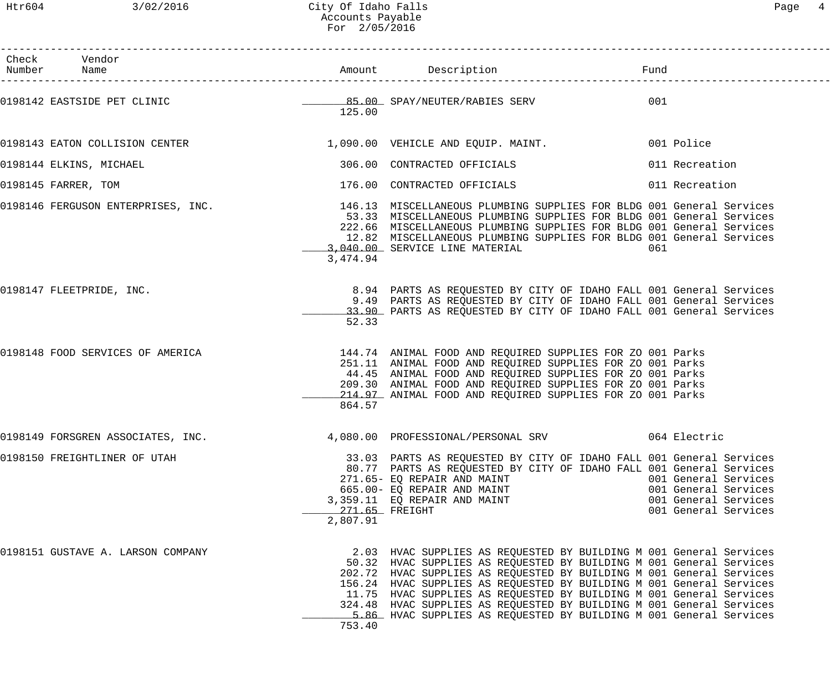Htr604 3/02/2016 City Of Idaho Falls Page 4 Accounts Payable For 2/05/2016

| Page |  |
|------|--|
|------|--|

| Check Vendor<br>Number Name                                             |                            |                                                                                                                                                                                                                                                                                                                                                                                                                                                                                                                |                                                                                              |
|-------------------------------------------------------------------------|----------------------------|----------------------------------------------------------------------------------------------------------------------------------------------------------------------------------------------------------------------------------------------------------------------------------------------------------------------------------------------------------------------------------------------------------------------------------------------------------------------------------------------------------------|----------------------------------------------------------------------------------------------|
| 0198142 EASTSIDE PET CLINIC CONTROL CONTROLL BE SPAY/NEUTER/RABIES SERV | 125.00                     |                                                                                                                                                                                                                                                                                                                                                                                                                                                                                                                | 001                                                                                          |
|                                                                         |                            | 0198143 EATON COLLISION CENTER 1,090.00 VEHICLE AND EQUIP. MAINT. 001 Police                                                                                                                                                                                                                                                                                                                                                                                                                                   |                                                                                              |
| 0198144 ELKINS, MICHAEL                                                 |                            | 306.00 CONTRACTED OFFICIALS                                                                                                                                                                                                                                                                                                                                                                                                                                                                                    | 011 Recreation                                                                               |
| 0198145 FARRER, TOM                                                     |                            | 176.00 CONTRACTED OFFICIALS                                                                                                                                                                                                                                                                                                                                                                                                                                                                                    | 011 Recreation                                                                               |
|                                                                         | 3,474.94                   | 0198146 FERGUSON ENTERPRISES, INC. 40 146.13 MISCELLANEOUS PLUMBING SUPPLIES FOR BLDG 001 General Services<br>53.33 MISCELLANEOUS PLUMBING SUPPLIES FOR BLDG 001 General Services<br>222.66 MISCELLANEOUS PLUMBING SUPPLIES FOR BLDG 001 General Services<br>12.82 MISCELLANEOUS PLUMBING SUPPLIES FOR BLDG 001 General Services<br>3,040.00 SERVICE LINE MATERIAL                                                                                                                                             | 061                                                                                          |
| 0198147 FLEETPRIDE, INC.                                                | 52.33                      | 8.94 PARTS AS REQUESTED BY CITY OF IDAHO FALL 001 General Services<br>9.49 PARTS AS REQUESTED BY CITY OF IDAHO FALL 001 General Services<br>33.90 PARTS AS REQUESTED BY CITY OF IDAHO FALL 001 General Services                                                                                                                                                                                                                                                                                                |                                                                                              |
| 0198148 FOOD SERVICES OF AMERICA                                        | 864.57                     | 144.74 ANIMAL FOOD AND REQUIRED SUPPLIES FOR ZO 001 Parks<br>251.11 ANIMAL FOOD AND REQUIRED SUPPLIES FOR ZO 001 Parks<br>44.45 ANIMAL FOOD AND REQUIRED SUPPLIES FOR ZO 001 Parks<br>209.30 ANIMAL FOOD AND REQUIRED SUPPLIES FOR ZO 001 Parks<br>214.97 ANIMAL FOOD AND REQUIRED SUPPLIES FOR ZO 001 Parks                                                                                                                                                                                                   |                                                                                              |
| 0198149 FORSGREN ASSOCIATES, INC.                                       |                            |                                                                                                                                                                                                                                                                                                                                                                                                                                                                                                                |                                                                                              |
| 0198150 FREIGHTLINER OF UTAH                                            | 271.65 FREIGHT<br>2,807.91 | 33.03 PARTS AS REQUESTED BY CITY OF IDAHO FALL 001 General Services<br>80.77 PARTS AS REQUESTED BY CITY OF IDAHO FALL 001 General Services<br>271.65- EQ REPAIR AND MAINT<br>665.00 EQ REPAIR AND MAINT<br>3,359.11 EQ REPAIR AND MAINT                                                                                                                                                                                                                                                                        | 001 General Services<br>001 General Services<br>001 General Services<br>001 General Services |
| 0198151 GUSTAVE A. LARSON COMPANY                                       | 753.40                     | 2.03 HVAC SUPPLIES AS REQUESTED BY BUILDING M 001 General Services<br>50.32 HVAC SUPPLIES AS REQUESTED BY BUILDING M 001 General Services<br>202.72 HVAC SUPPLIES AS REQUESTED BY BUILDING M 001 General Services<br>156.24 HVAC SUPPLIES AS REQUESTED BY BUILDING M 001 General Services<br>11.75 HVAC SUPPLIES AS REQUESTED BY BUILDING M 001 General Services<br>324.48 HVAC SUPPLIES AS REQUESTED BY BUILDING M 001 General Services<br>5.86 HVAC SUPPLIES AS REQUESTED BY BUILDING M 001 General Services |                                                                                              |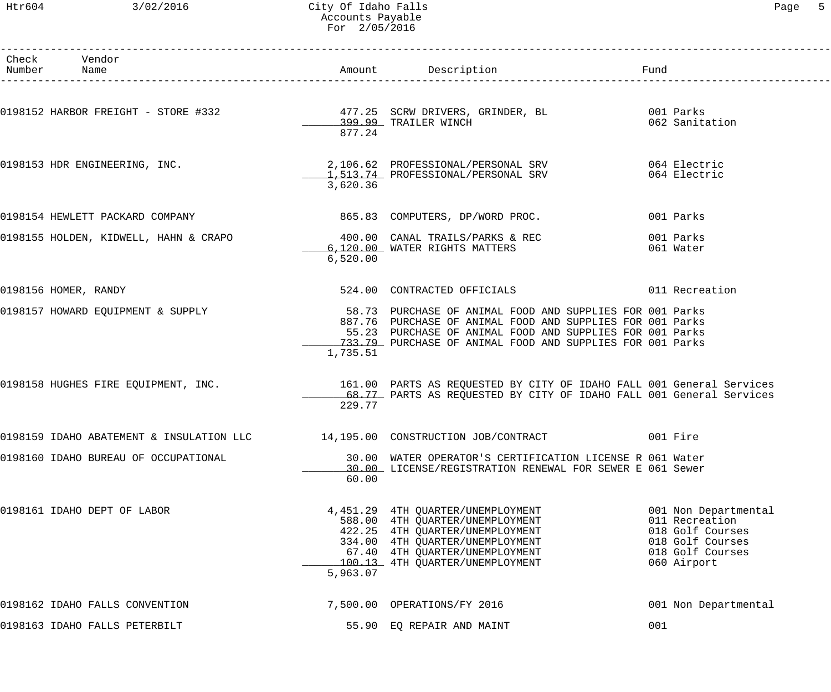## Htr604 3/02/2016 City Of Idaho Falls Page 5 Accounts Payable For 2/05/2016

| Check Vendor<br>Number Name                                           |          |                                                                                                                                                                                                                                                |                                                                                                                   |
|-----------------------------------------------------------------------|----------|------------------------------------------------------------------------------------------------------------------------------------------------------------------------------------------------------------------------------------------------|-------------------------------------------------------------------------------------------------------------------|
|                                                                       | 877.24   |                                                                                                                                                                                                                                                | 062 Sanitation                                                                                                    |
|                                                                       | 3,620.36 | 0198153 HDR ENGINEERING, INC. 2,106.62 PROFESSIONAL/PERSONAL SRV 064 Electric<br>1,513.74 PROFESSIONAL/PERSONAL SRV                                                                                                                            | 064 Electric                                                                                                      |
| 0198154 HEWLETT PACKARD COMPANY                                       |          | 865.83 COMPUTERS, DP/WORD PROC.                                                                                                                                                                                                                | 001 Parks                                                                                                         |
| 0198155 HOLDEN, KIDWELL, HAHN & CRAPO 400.00 CANAL TRAILS/PARKS & REC | 6,520.00 | 6,120.00 WATER RIGHTS MATTERS                                                                                                                                                                                                                  | 001 Parks<br>061 Water                                                                                            |
| 0198156 HOMER, RANDY                                                  |          | 524.00 CONTRACTED OFFICIALS                                                                                                                                                                                                                    | 011 Recreation                                                                                                    |
| 0198157 HOWARD EQUIPMENT & SUPPLY                                     | 1,735.51 | 58.73 PURCHASE OF ANIMAL FOOD AND SUPPLIES FOR 001 Parks<br>887.76 PURCHASE OF ANIMAL FOOD AND SUPPLIES FOR 001 Parks<br>55.23 PURCHASE OF ANIMAL FOOD AND SUPPLIES FOR 001 Parks<br>733.79 PURCHASE OF ANIMAL FOOD AND SUPPLIES FOR 001 Parks |                                                                                                                   |
|                                                                       | 229.77   | 0198158 HUGHES FIRE EQUIPMENT, INC. THE SAND SEALL OF PARTS AS REQUESTED BY CITY OF IDAHO FALL 001 General Services<br>68.77 PARTS AS REQUESTED BY CITY OF IDAHO FALL 001 General Services                                                     |                                                                                                                   |
|                                                                       |          | 0198159 IDAHO ABATEMENT & INSULATION LLC 14,195.00 CONSTRUCTION JOB/CONTRACT 001 Fire                                                                                                                                                          |                                                                                                                   |
| 0198160 IDAHO BUREAU OF OCCUPATIONAL                                  | 60.00    | 30.00 WATER OPERATOR'S CERTIFICATION LICENSE R 061 Water<br>30.00 LICENSE/REGISTRATION RENEWAL FOR SEWER E 061 Sewer                                                                                                                           |                                                                                                                   |
| 0198161 IDAHO DEPT OF LABOR                                           | 5,963.07 | 4,451.29 4TH OUARTER/UNEMPLOYMENT<br>588.00 4TH QUARTER/UNEMPLOYMENT<br>422.25 4TH QUARTER/UNEMPLOYMENT<br>334.00 4TH QUARTER/UNEMPLOYMENT<br>67.40 4TH QUARTER/UNEMPLOYMENT<br>100.13 4TH QUARTER/UNEMPLOYMENT                                | 001 Non Departmental<br>011 Recreation<br>018 Golf Courses<br>018 Golf Courses<br>018 Golf Courses<br>060 Airport |
| 0198162 IDAHO FALLS CONVENTION                                        |          | 7,500.00 OPERATIONS/FY 2016                                                                                                                                                                                                                    | 001 Non Departmental                                                                                              |
| 0198163 IDAHO FALLS PETERBILT                                         |          | 55.90 EQ REPAIR AND MAINT                                                                                                                                                                                                                      | 001                                                                                                               |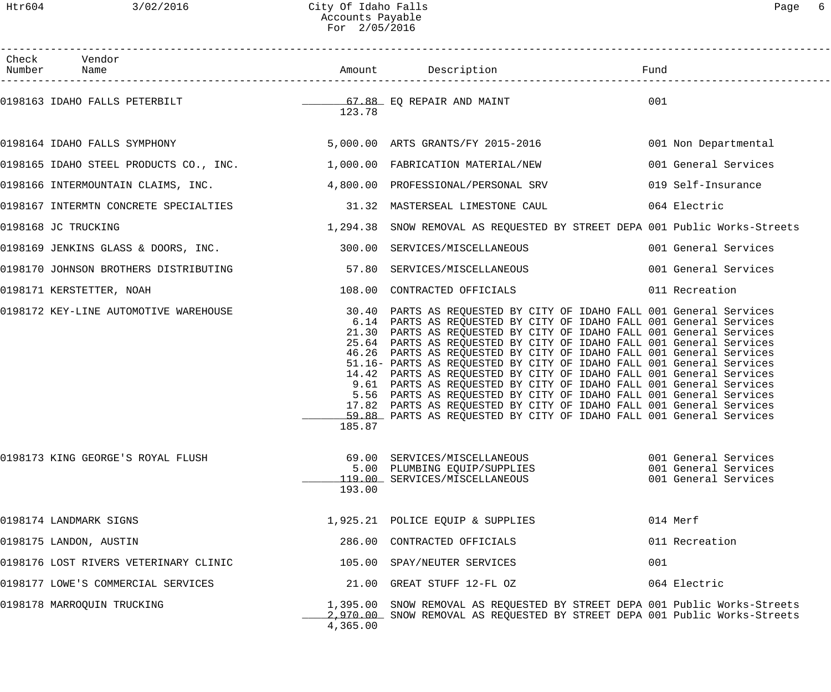Htr604 3/02/2016 City Of Idaho Falls Page 6 Accounts Payable For 2/05/2016

| Page |  |  |
|------|--|--|
|------|--|--|

| Check Vendor                                                                 |          |                                                                                                                                                                                                                                                                                                                                                                                                                                                                                                                                                                                                                                                                                                                                                                                                                                               |                                                                      |
|------------------------------------------------------------------------------|----------|-----------------------------------------------------------------------------------------------------------------------------------------------------------------------------------------------------------------------------------------------------------------------------------------------------------------------------------------------------------------------------------------------------------------------------------------------------------------------------------------------------------------------------------------------------------------------------------------------------------------------------------------------------------------------------------------------------------------------------------------------------------------------------------------------------------------------------------------------|----------------------------------------------------------------------|
| 0198163 IDAHO FALLS PETERBILT TERRET TERRET TERRET ST.88 EQ REPAIR AND MAINT | 123.78   |                                                                                                                                                                                                                                                                                                                                                                                                                                                                                                                                                                                                                                                                                                                                                                                                                                               | 001                                                                  |
| 0198164 IDAHO FALLS SYMPHONY 6 000 00 ARTS GRANTS/FY 2015-2016               |          |                                                                                                                                                                                                                                                                                                                                                                                                                                                                                                                                                                                                                                                                                                                                                                                                                                               | 001 Non Departmental                                                 |
| 0198165 IDAHO STEEL PRODUCTS CO., INC. $1,000.00$ FABRICATION MATERIAL/NEW   |          |                                                                                                                                                                                                                                                                                                                                                                                                                                                                                                                                                                                                                                                                                                                                                                                                                                               | 001 General Services                                                 |
| 0198166 INTERMOUNTAIN CLAIMS, INC. 4,800.00 PROFESSIONAL/PERSONAL SRV        |          |                                                                                                                                                                                                                                                                                                                                                                                                                                                                                                                                                                                                                                                                                                                                                                                                                                               | 019 Self-Insurance                                                   |
| 0198167 INTERMTN CONCRETE SPECIALTIES 31.32 MASTERSEAL LIMESTONE CAUL        |          |                                                                                                                                                                                                                                                                                                                                                                                                                                                                                                                                                                                                                                                                                                                                                                                                                                               | 064 Electric                                                         |
| 0198168 JC TRUCKING                                                          |          | 1,294.38 SNOW REMOVAL AS REQUESTED BY STREET DEPA 001 Public Works-Streets                                                                                                                                                                                                                                                                                                                                                                                                                                                                                                                                                                                                                                                                                                                                                                    |                                                                      |
| 0198169 JENKINS GLASS & DOORS, INC. 300.00 SERVICES/MISCELLANEOUS            |          |                                                                                                                                                                                                                                                                                                                                                                                                                                                                                                                                                                                                                                                                                                                                                                                                                                               | 001 General Services                                                 |
| 0198170 JOHNSON BROTHERS DISTRIBUTING 57.80 SERVICES/MISCELLANEOUS           |          |                                                                                                                                                                                                                                                                                                                                                                                                                                                                                                                                                                                                                                                                                                                                                                                                                                               | 001 General Services                                                 |
| 0198171 KERSTETTER, NOAH                                                     |          | 108.00 CONTRACTED OFFICIALS                                                                                                                                                                                                                                                                                                                                                                                                                                                                                                                                                                                                                                                                                                                                                                                                                   | 011 Recreation                                                       |
|                                                                              | 185.87   | 0198172 KEY-LINE AUTOMOTIVE WAREHOUSE 30.40 PARTS AS REQUESTED BY CITY OF IDAHO FALL 001 General Services<br>6.14 PARTS AS REQUESTED BY CITY OF IDAHO FALL 001 General Services<br>21.30 PARTS AS REQUESTED BY CITY OF IDAHO FALL 001 General Services<br>25.64 PARTS AS REQUESTED BY CITY OF IDAHO FALL 001 General Services<br>46.26 PARTS AS REQUESTED BY CITY OF IDAHO FALL 001 General Services<br>51.16- PARTS AS REQUESTED BY CITY OF IDAHO FALL 001 General Services<br>14.42 PARTS AS REQUESTED BY CITY OF IDAHO FALL 001 General Services<br>9.61 PARTS AS REQUESTED BY CITY OF IDAHO FALL 001 General Services<br>5.56 PARTS AS REQUESTED BY CITY OF IDAHO FALL 001 General Services<br>17.82 PARTS AS REQUESTED BY CITY OF IDAHO FALL 001 General Services<br>59.88 PARTS AS REQUESTED BY CITY OF IDAHO FALL 001 General Services |                                                                      |
| 0198173 KING GEORGE'S ROYAL FLUSH                                            | 193.00   | 69.00 SERVICES/MISCELLANEOUS<br>5.00 PLUMBING EQUIP/SUPPLIES<br>119.00 SERVICES/MISCELLANEOUS                                                                                                                                                                                                                                                                                                                                                                                                                                                                                                                                                                                                                                                                                                                                                 | 001 General Services<br>001 General Services<br>001 General Services |
| 0198174 LANDMARK SIGNS                                                       |          | 1,925.21 POLICE EQUIP & SUPPLIES                                                                                                                                                                                                                                                                                                                                                                                                                                                                                                                                                                                                                                                                                                                                                                                                              | 014 Merf                                                             |
| 0198175 LANDON, AUSTIN                                                       |          | 286.00 CONTRACTED OFFICIALS                                                                                                                                                                                                                                                                                                                                                                                                                                                                                                                                                                                                                                                                                                                                                                                                                   | 011 Recreation                                                       |
| 0198176 LOST RIVERS VETERINARY CLINIC                                        |          | 105.00 SPAY/NEUTER SERVICES                                                                                                                                                                                                                                                                                                                                                                                                                                                                                                                                                                                                                                                                                                                                                                                                                   | 001                                                                  |
| 0198177 LOWE'S COMMERCIAL SERVICES                                           |          | 21.00 GREAT STUFF 12-FL OZ                                                                                                                                                                                                                                                                                                                                                                                                                                                                                                                                                                                                                                                                                                                                                                                                                    | 064 Electric                                                         |
| 0198178 MARROQUIN TRUCKING                                                   | 4,365.00 | 1,395.00 SNOW REMOVAL AS REQUESTED BY STREET DEPA 001 Public Works-Streets<br>2,970.00 SNOW REMOVAL AS REQUESTED BY STREET DEPA 001 Public Works-Streets                                                                                                                                                                                                                                                                                                                                                                                                                                                                                                                                                                                                                                                                                      |                                                                      |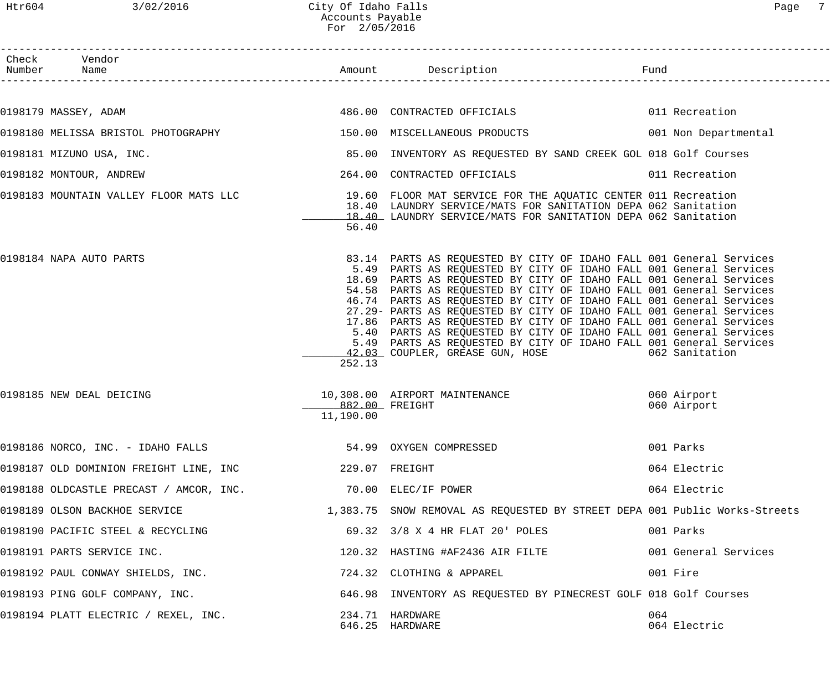| Check Vendor<br>Number Name                                                                                 |                             |                                                                                                                                                                                                                                                                                                                                                                                                                                                                                                                                                                                                                                                                                                                 |                            |
|-------------------------------------------------------------------------------------------------------------|-----------------------------|-----------------------------------------------------------------------------------------------------------------------------------------------------------------------------------------------------------------------------------------------------------------------------------------------------------------------------------------------------------------------------------------------------------------------------------------------------------------------------------------------------------------------------------------------------------------------------------------------------------------------------------------------------------------------------------------------------------------|----------------------------|
|                                                                                                             |                             |                                                                                                                                                                                                                                                                                                                                                                                                                                                                                                                                                                                                                                                                                                                 |                            |
| 0198179 MASSEY, ADAM                                                                                        |                             | 486.00 CONTRACTED OFFICIALS 6011 Recreation                                                                                                                                                                                                                                                                                                                                                                                                                                                                                                                                                                                                                                                                     |                            |
| 0198180 MELISSA BRISTOL PHOTOGRAPHY 150.00 MISCELLANEOUS PRODUCTS 001 Non Departmental                      |                             |                                                                                                                                                                                                                                                                                                                                                                                                                                                                                                                                                                                                                                                                                                                 |                            |
| 0198181 MIZUNO USA, INC.                                                                                    |                             | 85.00 INVENTORY AS REQUESTED BY SAND CREEK GOL 018 Golf Courses                                                                                                                                                                                                                                                                                                                                                                                                                                                                                                                                                                                                                                                 |                            |
| 0198182 MONTOUR, ANDREW                                                                                     |                             | 264.00 CONTRACTED OFFICIALS 6011 Recreation                                                                                                                                                                                                                                                                                                                                                                                                                                                                                                                                                                                                                                                                     |                            |
| 0198183 MOUNTAIN VALLEY FLOOR MATS LLC 19.60 FLOOR MAT SERVICE FOR THE AQUATIC CENTER 011 Recreation        | 56.40                       | 18.40 LAUNDRY SERVICE/MATS FOR SANITATION DEPA 062 Sanitation<br>18.40 LAUNDRY SERVICE/MATS FOR SANITATION DEPA 062 Sanitation                                                                                                                                                                                                                                                                                                                                                                                                                                                                                                                                                                                  |                            |
| 0198184 NAPA AUTO PARTS                                                                                     | 252.13                      | 83.14 PARTS AS REQUESTED BY CITY OF IDAHO FALL 001 General Services<br>5.49 PARTS AS REQUESTED BY CITY OF IDAHO FALL 001 General Services<br>18.69 PARTS AS REQUESTED BY CITY OF IDAHO FALL 001 General Services<br>54.58 PARTS AS REQUESTED BY CITY OF IDAHO FALL 001 General Services<br>46.74 PARTS AS REQUESTED BY CITY OF IDAHO FALL 001 General Services<br>27.29- PARTS AS REQUESTED BY CITY OF IDAHO FALL 001 General Services<br>17.86 PARTS AS REQUESTED BY CITY OF IDAHO FALL 001 General Services<br>5.40 PARTS AS REQUESTED BY CITY OF IDAHO FALL 001 General Services<br>5.49 PARTS AS REQUESTED BY CITY OF IDAHO FALL 001 General Services<br>42.03 COUPLER, GREASE GUN, HOSE 600 062 Sanitation |                            |
| 0198185 NEW DEAL DEICING                                                                                    | 882.00 FREIGHT<br>11,190.00 | 10,308.00 AIRPORT MAINTENANCE                                                                                                                                                                                                                                                                                                                                                                                                                                                                                                                                                                                                                                                                                   | 060 Airport<br>060 Airport |
| 0198186 NORCO, INC. - IDAHO FALLS 69 68 69 69 1999 OXYGEN COMPRESSED                                        |                             |                                                                                                                                                                                                                                                                                                                                                                                                                                                                                                                                                                                                                                                                                                                 | 001 Parks                  |
|                                                                                                             |                             |                                                                                                                                                                                                                                                                                                                                                                                                                                                                                                                                                                                                                                                                                                                 | 064 Electric               |
| 0198188 OLDCASTLE PRECAST / AMCOR, INC. 70.00 ELEC/IF POWER                                                 |                             |                                                                                                                                                                                                                                                                                                                                                                                                                                                                                                                                                                                                                                                                                                                 | 064 Electric               |
| 0198189 OLSON BACKHOE SERVICE 1,383.75 SNOW REMOVAL AS REQUESTED BY STREET DEPA 001 Public Works-Streets    |                             |                                                                                                                                                                                                                                                                                                                                                                                                                                                                                                                                                                                                                                                                                                                 |                            |
| 0198190 PACIFIC STEEL & RECYCLING                                                                           |                             | 69.32 3/8 X 4 HR FLAT 20' POLES                                                                                                                                                                                                                                                                                                                                                                                                                                                                                                                                                                                                                                                                                 | 001 Parks                  |
| 0198191 PARTS SERVICE INC.                                                                                  |                             | 120.32 HASTING #AF2436 AIR FILTE 6 001 General Services                                                                                                                                                                                                                                                                                                                                                                                                                                                                                                                                                                                                                                                         |                            |
| 0198192 PAUL CONWAY SHIELDS, INC.                                                                           |                             | 724.32 CLOTHING & APPAREL                                                                                                                                                                                                                                                                                                                                                                                                                                                                                                                                                                                                                                                                                       | 001 Fire                   |
| 0198193 PING GOLF COMPANY, INC. THE SALE READSTER STATES OF STATE STATES AND THE SALE COLF OUR GOLF COURSES |                             |                                                                                                                                                                                                                                                                                                                                                                                                                                                                                                                                                                                                                                                                                                                 |                            |
| 0198194 PLATT ELECTRIC / REXEL, INC.                                                                        |                             | 234.71 HARDWARE<br>646.25 HARDWARE                                                                                                                                                                                                                                                                                                                                                                                                                                                                                                                                                                                                                                                                              | 064<br>064 Electric        |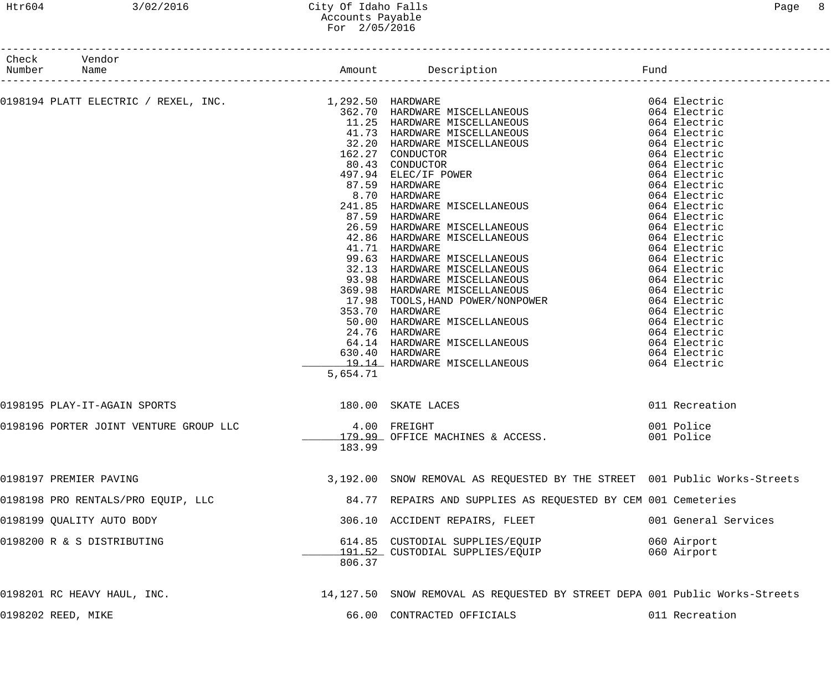# Htr604 3/02/2016 City Of Idaho Falls Page 8 Accounts Payable For 2/05/2016

| Number Name | Check Vendor                           |                    |                                                                                                                                                                                                                                |                      |
|-------------|----------------------------------------|--------------------|--------------------------------------------------------------------------------------------------------------------------------------------------------------------------------------------------------------------------------|----------------------|
|             | ----------------------                 |                    | 0198194 PLATT REACTRIC / REXEL, THO. 1.259.50 IERDNARE MISCELLANEOUS 0.04 ELECTRIC 1983.70 IERDNARE MISCELLANEOUS 0.62.10 IERDNARE MISCELLANEOUS 0.64 ELECTRIC 0.62.230 SARPNARE MISCELLANEOUS 0.64 ELECTRIC 0.62.230 SARPNARE |                      |
|             |                                        |                    |                                                                                                                                                                                                                                |                      |
|             |                                        |                    |                                                                                                                                                                                                                                |                      |
|             |                                        |                    |                                                                                                                                                                                                                                |                      |
|             |                                        |                    |                                                                                                                                                                                                                                |                      |
|             |                                        |                    |                                                                                                                                                                                                                                |                      |
|             |                                        |                    |                                                                                                                                                                                                                                |                      |
|             |                                        |                    |                                                                                                                                                                                                                                |                      |
|             |                                        |                    |                                                                                                                                                                                                                                |                      |
|             |                                        |                    |                                                                                                                                                                                                                                |                      |
|             |                                        |                    |                                                                                                                                                                                                                                |                      |
|             |                                        |                    |                                                                                                                                                                                                                                |                      |
|             |                                        |                    |                                                                                                                                                                                                                                |                      |
|             |                                        |                    |                                                                                                                                                                                                                                |                      |
|             |                                        |                    |                                                                                                                                                                                                                                |                      |
|             |                                        |                    |                                                                                                                                                                                                                                |                      |
|             |                                        |                    |                                                                                                                                                                                                                                |                      |
|             |                                        |                    |                                                                                                                                                                                                                                |                      |
|             |                                        |                    |                                                                                                                                                                                                                                |                      |
|             |                                        |                    |                                                                                                                                                                                                                                |                      |
|             |                                        |                    |                                                                                                                                                                                                                                |                      |
|             |                                        |                    |                                                                                                                                                                                                                                |                      |
|             |                                        |                    |                                                                                                                                                                                                                                |                      |
|             |                                        |                    |                                                                                                                                                                                                                                |                      |
|             |                                        |                    |                                                                                                                                                                                                                                |                      |
|             |                                        | 5,654.71           |                                                                                                                                                                                                                                |                      |
|             | 0198195 PLAY-IT-AGAIN SPORTS           | 180.00 SKATE LACES |                                                                                                                                                                                                                                | 011 Recreation       |
|             | 0198196 PORTER JOINT VENTURE GROUP LLC | 4.00 FREIGHT       |                                                                                                                                                                                                                                | 001 Police           |
|             |                                        |                    | _______179.99_ OFFICE MACHINES & ACCESS.                                                                                                                                                                                       | 001 Police           |
|             |                                        | 183.99             |                                                                                                                                                                                                                                |                      |
|             | 0198197 PREMIER PAVING                 |                    | 3,192.00 SNOW REMOVAL AS REQUESTED BY THE STREET 001 Public Works-Streets                                                                                                                                                      |                      |
|             | 0198198 PRO RENTALS/PRO EQUIP, LLC     |                    | 84.77 REPAIRS AND SUPPLIES AS REQUESTED BY CEM 001 Cemeteries                                                                                                                                                                  |                      |
|             | 0198199 QUALITY AUTO BODY              |                    | 306.10 ACCIDENT REPAIRS, FLEET                                                                                                                                                                                                 | 001 General Services |
|             | 0198200 R & S DISTRIBUTING             |                    | 614.85 CUSTODIAL SUPPLIES/EQUIP                                                                                                                                                                                                | 060 Airport          |
|             |                                        |                    | 191.52 CUSTODIAL SUPPLIES/EQUIP                                                                                                                                                                                                | 060 Airport          |
|             |                                        | 806.37             |                                                                                                                                                                                                                                |                      |
|             | 0198201 RC HEAVY HAUL, INC.            |                    | 14,127.50 SNOW REMOVAL AS REQUESTED BY STREET DEPA 001 Public Works-Streets                                                                                                                                                    |                      |
|             | 0198202 REED, MIKE                     |                    | 66.00 CONTRACTED OFFICIALS                                                                                                                                                                                                     | 011 Recreation       |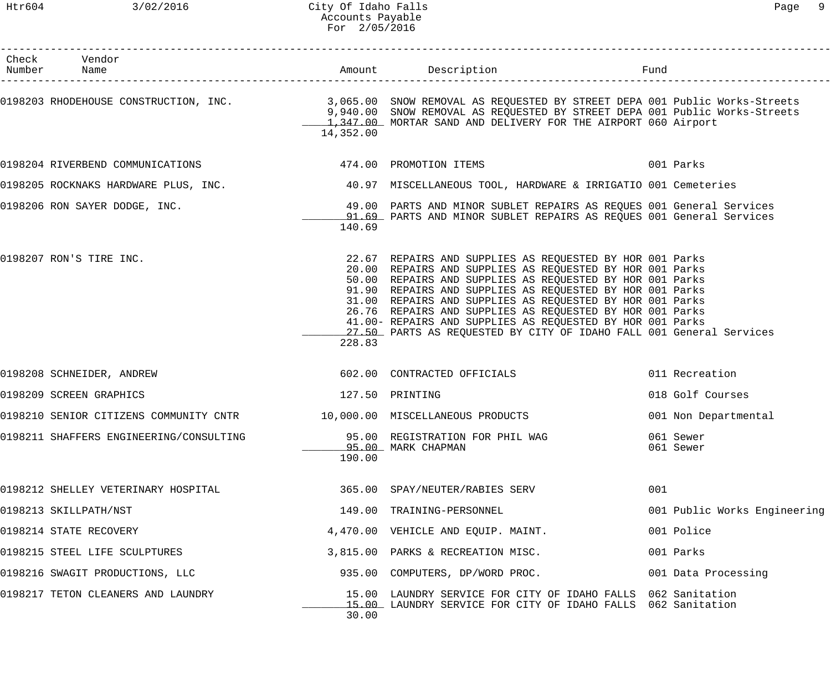| Check Vendor<br>Number Name                                             |                 |                                                                                                                                                                                                                                                                                                                                                                                                                                                                                                          | Fund |                              |
|-------------------------------------------------------------------------|-----------------|----------------------------------------------------------------------------------------------------------------------------------------------------------------------------------------------------------------------------------------------------------------------------------------------------------------------------------------------------------------------------------------------------------------------------------------------------------------------------------------------------------|------|------------------------------|
|                                                                         | 14,352.00       | 0198203 RHODEHOUSE CONSTRUCTION, INC. 3,065.00 SNOW REMOVAL AS REQUESTED BY STREET DEPA 001 Public Works-Streets<br>9,940.00 SNOW REMOVAL AS REQUESTED BY STREET DEPA 001 Public Works-Streets<br>1,347.00 MORTAR SAND AND DELIVERY FOR THE AIRPORT 060 Airport                                                                                                                                                                                                                                          |      |                              |
|                                                                         |                 | 0198204 RIVERBEND COMMUNICATIONS 600 000 000 000 000 000 000 000 001 Parks                                                                                                                                                                                                                                                                                                                                                                                                                               |      |                              |
|                                                                         |                 | 0198205 ROCKNAKS HARDWARE PLUS, INC. 40.97 MISCELLANEOUS TOOL, HARDWARE & IRRIGATIO 001 Cemeteries                                                                                                                                                                                                                                                                                                                                                                                                       |      |                              |
| 0198206 RON SAYER DODGE, INC.                                           | 140.69          | 49.00 PARTS AND MINOR SUBLET REPAIRS AS REQUES 001 General Services<br>1.69 PARTS AND MINOR SUBLET REPAIRS AS REQUES 001 General Services                                                                                                                                                                                                                                                                                                                                                                |      |                              |
| 0198207 RON'S TIRE INC.                                                 | 228.83          | 22.67 REPAIRS AND SUPPLIES AS REQUESTED BY HOR 001 Parks<br>20.00 REPAIRS AND SUPPLIES AS REQUESTED BY HOR 001 Parks<br>50.00 REPAIRS AND SUPPLIES AS REQUESTED BY HOR 001 Parks<br>91.90 REPAIRS AND SUPPLIES AS REQUESTED BY HOR 001 Parks<br>31.00 REPAIRS AND SUPPLIES AS REQUESTED BY HOR 001 Parks<br>26.76 REPAIRS AND SUPPLIES AS REQUESTED BY HOR 001 Parks<br>41.00- REPAIRS AND SUPPLIES AS REQUESTED BY HOR 001 Parks<br>27.50 PARTS AS REQUESTED BY CITY OF IDAHO FALL 001 General Services |      |                              |
| 0198208 SCHNEIDER, ANDREW                                               |                 | 602.00 CONTRACTED OFFICIALS                                                                                                                                                                                                                                                                                                                                                                                                                                                                              |      | 011 Recreation               |
| 0198209 SCREEN GRAPHICS                                                 | 127.50 PRINTING |                                                                                                                                                                                                                                                                                                                                                                                                                                                                                                          |      | 018 Golf Courses             |
| 0198210 SENIOR CITIZENS COMMUNITY CNTR 10,000.00 MISCELLANEOUS PRODUCTS |                 |                                                                                                                                                                                                                                                                                                                                                                                                                                                                                                          |      | 001 Non Departmental         |
| 0198211 SHAFFERS ENGINEERING/CONSULTING                                 | 190.00          | 95.00 REGISTRATION FOR PHIL WAG<br>95.00 MARK CHAPMAN                                                                                                                                                                                                                                                                                                                                                                                                                                                    |      | 061 Sewer<br>061 Sewer       |
| 0198212 SHELLEY VETERINARY HOSPITAL                                     |                 | 365.00 SPAY/NEUTER/RABIES SERV                                                                                                                                                                                                                                                                                                                                                                                                                                                                           | 001  |                              |
| 0198213 SKILLPATH/NST                                                   |                 | 149.00 TRAINING-PERSONNEL                                                                                                                                                                                                                                                                                                                                                                                                                                                                                |      | 001 Public Works Engineering |
| 0198214 STATE RECOVERY                                                  |                 | 4,470.00 VEHICLE AND EQUIP. MAINT.                                                                                                                                                                                                                                                                                                                                                                                                                                                                       |      | 001 Police                   |
| 0198215 STEEL LIFE SCULPTURES                                           |                 | 3,815.00 PARKS & RECREATION MISC.                                                                                                                                                                                                                                                                                                                                                                                                                                                                        |      | 001 Parks                    |
| 0198216 SWAGIT PRODUCTIONS, LLC                                         |                 | 935.00 COMPUTERS, DP/WORD PROC.                                                                                                                                                                                                                                                                                                                                                                                                                                                                          |      | 001 Data Processing          |
| 0198217 TETON CLEANERS AND LAUNDRY                                      | 30.00           | 15.00 LAUNDRY SERVICE FOR CITY OF IDAHO FALLS 062 Sanitation<br>15.00 LAUNDRY SERVICE FOR CITY OF IDAHO FALLS 062 Sanitation                                                                                                                                                                                                                                                                                                                                                                             |      |                              |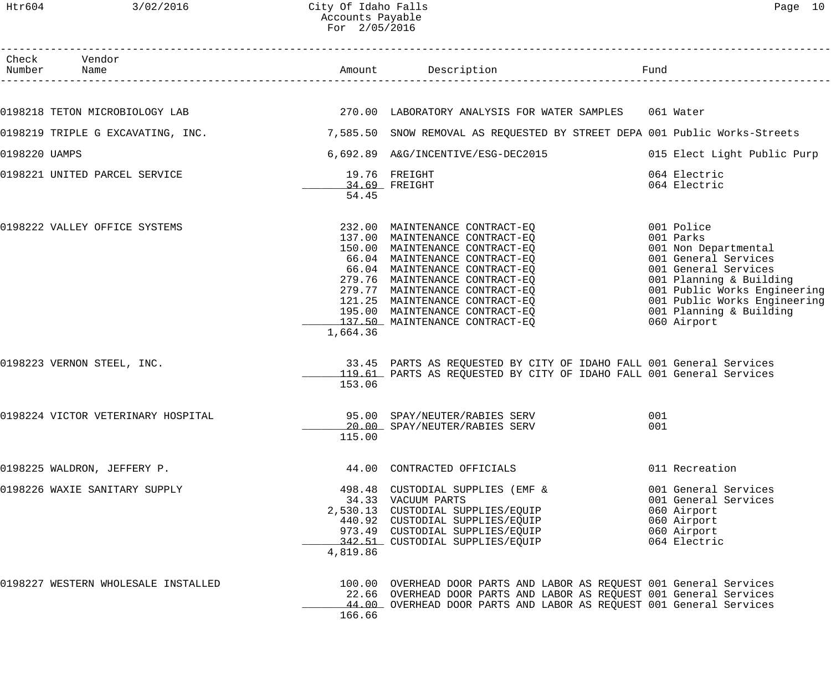|               | Check Vendor<br>Number Name         |          | Amount Description                                                                                                                                                                                                                                                                                                                             | Fund                                                                                                                                                                                                                                 |
|---------------|-------------------------------------|----------|------------------------------------------------------------------------------------------------------------------------------------------------------------------------------------------------------------------------------------------------------------------------------------------------------------------------------------------------|--------------------------------------------------------------------------------------------------------------------------------------------------------------------------------------------------------------------------------------|
|               |                                     |          |                                                                                                                                                                                                                                                                                                                                                |                                                                                                                                                                                                                                      |
|               |                                     |          |                                                                                                                                                                                                                                                                                                                                                | 061 Water                                                                                                                                                                                                                            |
|               |                                     |          | 0198219 TRIPLE G EXCAVATING, INC.                     7,585.50  SNOW REMOVAL AS REQUESTED BY STREET DEPA 001 Public Works-Streets                                                                                                                                                                                                              |                                                                                                                                                                                                                                      |
| 0198220 UAMPS |                                     |          | 6,692.89 A&G/INCENTIVE/ESG-DEC2015                                                                                                                                                                                                                                                                                                             | 015 Elect Light Public Purp                                                                                                                                                                                                          |
|               | 0198221 UNITED PARCEL SERVICE       | 54.45    | 19.76 FREIGHT<br>34.69 FREIGHT                                                                                                                                                                                                                                                                                                                 | 064 Electric<br>064 Electric                                                                                                                                                                                                         |
|               | 0198222 VALLEY OFFICE SYSTEMS       | 1,664.36 | 232.00 MAINTENANCE CONTRACT-EQ<br>137.00 MAINTENANCE CONTRACT-EQ<br>150.00 MAINTENANCE CONTRACT-EQ<br>66.04 MAINTENANCE CONTRACT-EQ<br>66.04 MAINTENANCE CONTRACT-EQ<br>279.76 MAINTENANCE CONTRACT-EQ<br>279.77 MAINTENANCE CONTRACT-EQ<br>121.25 MAINTENANCE CONTRACT-EQ<br>195.00 MAINTENANCE CONTRACT-EQ<br>137.50 MAINTENANCE CONTRACT-EQ | 001 Police<br>001 Parks<br>001 Non Departmental<br>001 General Services<br>001 General Services<br>001 Planning & Building<br>001 Public Works Engineering<br>001 Public Works Engineering<br>001 Planning & Building<br>060 Airport |
|               | 0198223 VERNON STEEL, INC.          | 153.06   | 33.45 PARTS AS REQUESTED BY CITY OF IDAHO FALL 001 General Services<br>119.61 PARTS AS REQUESTED BY CITY OF IDAHO FALL 001 General Services                                                                                                                                                                                                    |                                                                                                                                                                                                                                      |
|               | 0198224 VICTOR VETERINARY HOSPITAL  | 115.00   | 95.00 SPAY/NEUTER/RABIES SERV<br>10.00 SPAY/NEUTER/RABIES SERV                                                                                                                                                                                                                                                                                 | 001<br>001                                                                                                                                                                                                                           |
|               | 0198225 WALDRON, JEFFERY P.         |          | 44.00 CONTRACTED OFFICIALS                                                                                                                                                                                                                                                                                                                     | 011 Recreation                                                                                                                                                                                                                       |
|               | 0198226 WAXIE SANITARY SUPPLY       | 4,819.86 | 498.48 CUSTODIAL SUPPLIES (EMF &<br>34.33 VACUUM PARTS<br>2,530.13 CUSTODIAL SUPPLIES/EQUIP<br>440.92 CUSTODIAL SUPPLIES/EQUIP<br>973.49 CUSTODIAL SUPPLIES/EQUIP<br>342.51 CUSTODIAL SUPPLIES/EQUIP                                                                                                                                           | 001 General Services<br>001 General Services<br>060 Airport<br>060 Airport<br>060 Airport<br>064 Electric                                                                                                                            |
|               | 0198227 WESTERN WHOLESALE INSTALLED | 166.66   | 100.00 OVERHEAD DOOR PARTS AND LABOR AS REQUEST 001 General Services<br>22.66 OVERHEAD DOOR PARTS AND LABOR AS REQUEST 001 General Services<br>44.00 OVERHEAD DOOR PARTS AND LABOR AS REQUEST 001 General Services                                                                                                                             |                                                                                                                                                                                                                                      |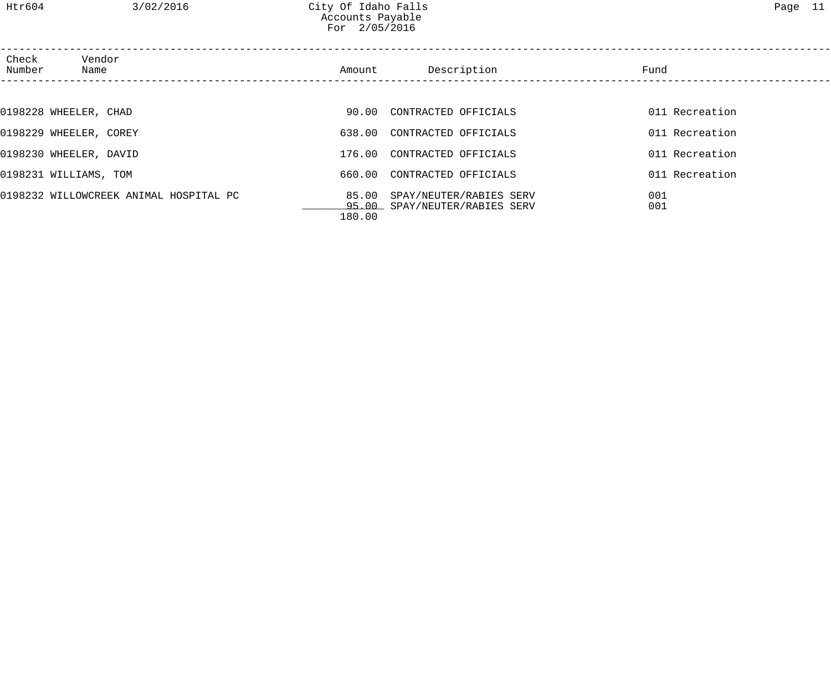| Check<br>Number | Vendor<br>Name                         | Amount | Description                                              | Fund           |
|-----------------|----------------------------------------|--------|----------------------------------------------------------|----------------|
|                 |                                        |        |                                                          |                |
|                 | 0198228 WHEELER, CHAD                  |        | 90.00 CONTRACTED OFFICIALS                               | 011 Recreation |
|                 | 0198229 WHEELER, COREY                 |        | 638.00 CONTRACTED OFFICIALS                              | 011 Recreation |
|                 | 0198230 WHEELER, DAVID                 | 176.00 | CONTRACTED OFFICIALS                                     | 011 Recreation |
|                 | 0198231 WILLIAMS, TOM                  | 660.00 | CONTRACTED OFFICIALS                                     | 011 Recreation |
|                 | 0198232 WILLOWCREEK ANIMAL HOSPITAL PC | 85.00  | SPAY/NEUTER/RABIES SERV<br>95.00 SPAY/NEUTER/RABIES SERV | 001<br>001     |

180.00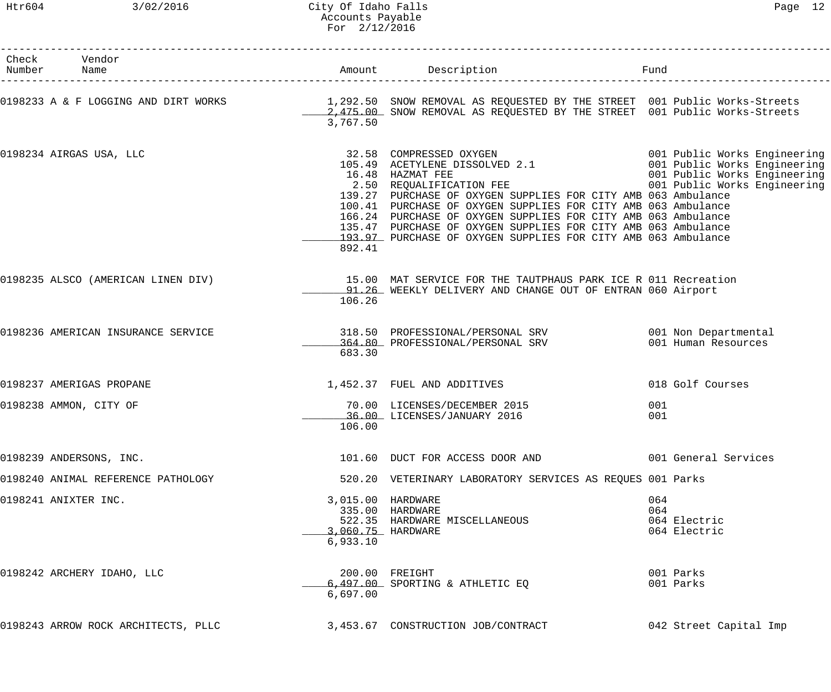# Htr604 3/02/2016 City Of Idaho Falls Page 12 Accounts Payable For 2/12/2016

| Check Vendor<br>Number Name         |                               | Amount Description                                                                                                                                                                                                                                                                                                                                                                                                                                                                                                                                                 | Fund                                       |
|-------------------------------------|-------------------------------|--------------------------------------------------------------------------------------------------------------------------------------------------------------------------------------------------------------------------------------------------------------------------------------------------------------------------------------------------------------------------------------------------------------------------------------------------------------------------------------------------------------------------------------------------------------------|--------------------------------------------|
|                                     | 3,767.50                      | 0198233 A & F LOGGING AND DIRT WORKS 1,292.50 SNOW REMOVAL AS REQUESTED BY THE STREET 001 Public Works-Streets<br>2,475.00 SNOW REMOVAL AS REQUESTED BY THE STREET 001 Public Works-Streets                                                                                                                                                                                                                                                                                                                                                                        |                                            |
| 0198234 AIRGAS USA, LLC             | 892.41                        | 32.58 COMPRESSED OXYGEN 001 Public Works Engineering<br>105.49 ACETYLENE DISSOLVED 2.1 001 Public Works Engineering<br>16.48 HAZMAT FEE 001 Public Works Engineering<br>2.50 REQUALIFICATION FEE 001 Public Works Engineering<br>139.27 PURCHASE OF OXYGEN SUPPLIES FOR CITY AMB 063 Ambulance<br>100.41 PURCHASE OF OXYGEN SUPPLIES FOR CITY AMB 063 Ambulance<br>166.24 PURCHASE OF OXYGEN SUPPLIES FOR CITY AMB 063 Ambulance<br>135.47 PURCHASE OF OXYGEN SUPPLIES FOR CITY AMB 063 Ambulance<br>193.97 PURCHASE OF OXYGEN SUPPLIES FOR CITY AMB 063 Ambulance |                                            |
|                                     | 106.26                        | 0198235 ALSCO (AMERICAN LINEN DIV) 15.00 MAT SERVICE FOR THE TAUTPHAUS PARK ICE R 011 Recreation<br>91.26 WEEKLY DELIVERY AND CHANGE OUT OF ENTRAN 060 Airport                                                                                                                                                                                                                                                                                                                                                                                                     |                                            |
| 0198236 AMERICAN INSURANCE SERVICE  | 683.30                        | 318.50 PROFESSIONAL/PERSONAL SRV 6001 Non Departmental<br>364.80 PROFESSIONAL/PERSONAL SRV                                                                                                                                                                                                                                                                                                                                                                                                                                                                         | 001 Human Resources                        |
| 0198237 AMERIGAS PROPANE            |                               | 1,452.37 FUEL AND ADDITIVES                                                                                                                                                                                                                                                                                                                                                                                                                                                                                                                                        | 018 Golf Courses                           |
| 0198238 AMMON, CITY OF              | 106.00                        | 70.00 LICENSES/DECEMBER 2015<br>36.00 LICENSES/JANUARY 2016                                                                                                                                                                                                                                                                                                                                                                                                                                                                                                        | 001<br>001                                 |
| 0198239 ANDERSONS, INC.             |                               | 101.60 DUCT FOR ACCESS DOOR AND 001 General Services                                                                                                                                                                                                                                                                                                                                                                                                                                                                                                               |                                            |
| 0198240 ANIMAL REFERENCE PATHOLOGY  |                               | 520.20 VETERINARY LABORATORY SERVICES AS REQUES 001 Parks                                                                                                                                                                                                                                                                                                                                                                                                                                                                                                          |                                            |
| 0198241 ANIXTER INC.                | 3,015.00 HARDWARE<br>6,933.10 | 335.00 HARDWARE<br>522.35 HARDWARE MISCELLANEOUS<br>3,060.75 HARDWARE                                                                                                                                                                                                                                                                                                                                                                                                                                                                                              | 064<br>064<br>064 Electric<br>064 Electric |
| 0198242 ARCHERY IDAHO, LLC          | 6,697.00                      | 200.00 FREIGHT<br>6,497.00 SPORTING & ATHLETIC EQ                                                                                                                                                                                                                                                                                                                                                                                                                                                                                                                  | 001 Parks<br>001 Parks                     |
| 0198243 ARROW ROCK ARCHITECTS, PLLC |                               | 3,453.67 CONSTRUCTION JOB/CONTRACT                                                                                                                                                                                                                                                                                                                                                                                                                                                                                                                                 | 042 Street Capital Imp                     |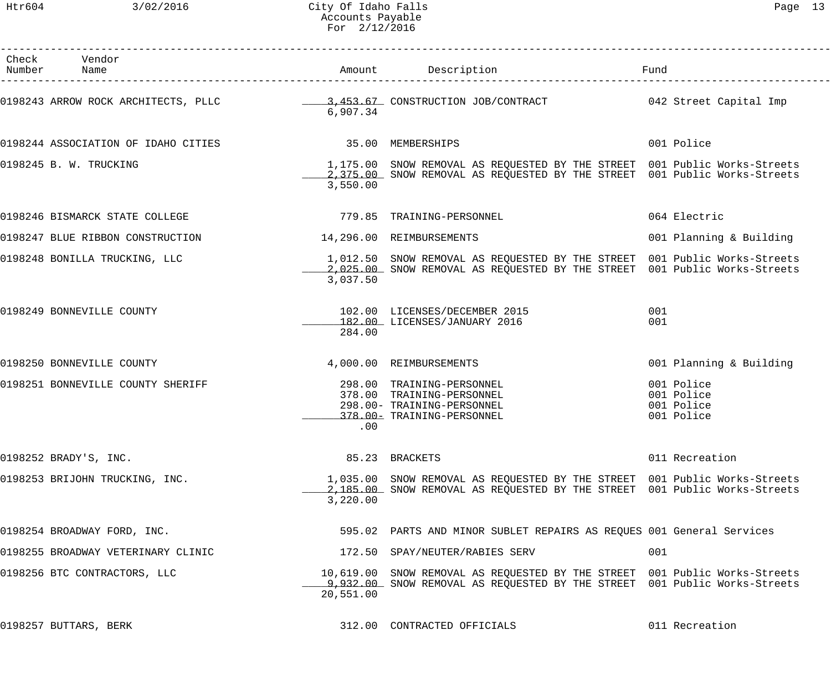| Check Vendor<br>Number Name         |                          | Amount Description                                                                                                                                      | Fund                                                 |
|-------------------------------------|--------------------------|---------------------------------------------------------------------------------------------------------------------------------------------------------|------------------------------------------------------|
|                                     | 6,907.34                 |                                                                                                                                                         |                                                      |
| 0198244 ASSOCIATION OF IDAHO CITIES | 35.00 MEMBERSHIPS        |                                                                                                                                                         | 001 Police                                           |
| 0198245 B. W. TRUCKING              | 3,550.00                 | 1,175.00 SNOW REMOVAL AS REQUESTED BY THE STREET 001 Public Works-Streets<br>2,375.00 SNOW REMOVAL AS REQUESTED BY THE STREET 001 Public Works-Streets  |                                                      |
| 0198246 BISMARCK STATE COLLEGE      |                          | 779.85 TRAINING-PERSONNEL                                                                                                                               | 064 Electric                                         |
| 0198247 BLUE RIBBON CONSTRUCTION    | 14,296.00 REIMBURSEMENTS |                                                                                                                                                         | 001 Planning & Building                              |
| 0198248 BONILLA TRUCKING, LLC       | 3,037.50                 | 1,012.50 SNOW REMOVAL AS REQUESTED BY THE STREET 001 Public Works-Streets<br>2,025.00 SNOW REMOVAL AS REQUESTED BY THE STREET 001 Public Works-Streets  |                                                      |
| 0198249 BONNEVILLE COUNTY           | 284.00                   | 102.00 LICENSES/DECEMBER 2015<br>182.00 LICENSES/JANUARY 2016                                                                                           | 001<br>001                                           |
| 0198250 BONNEVILLE COUNTY           |                          | 4,000.00 REIMBURSEMENTS                                                                                                                                 | 001 Planning & Building                              |
| 0198251 BONNEVILLE COUNTY SHERIFF   | .00                      | 298.00 TRAINING-PERSONNEL<br>378.00 TRAINING-PERSONNEL<br>298.00- TRAINING-PERSONNEL<br>378.00- TRAINING-PERSONNEL                                      | 001 Police<br>001 Police<br>001 Police<br>001 Police |
| 0198252 BRADY'S, INC.               |                          | 85.23 BRACKETS                                                                                                                                          | 011 Recreation                                       |
| 0198253 BRIJOHN TRUCKING, INC.      | 3,220.00                 | 1,035.00 SNOW REMOVAL AS REQUESTED BY THE STREET 001 Public Works-Streets<br>2,185.00 SNOW REMOVAL AS REQUESTED BY THE STREET 001 Public Works-Streets  |                                                      |
| 0198254 BROADWAY FORD, INC.         |                          | 595.02 PARTS AND MINOR SUBLET REPAIRS AS REQUES 001 General Services                                                                                    |                                                      |
| 0198255 BROADWAY VETERINARY CLINIC  |                          | 172.50 SPAY/NEUTER/RABIES SERV                                                                                                                          | 001                                                  |
| 0198256 BTC CONTRACTORS, LLC        | 20,551.00                | 10,619.00 SNOW REMOVAL AS REQUESTED BY THE STREET 001 Public Works-Streets<br>9,932.00 SNOW REMOVAL AS REQUESTED BY THE STREET 001 Public Works-Streets |                                                      |
| 0198257 BUTTARS, BERK               |                          | 312.00 CONTRACTED OFFICIALS                                                                                                                             | 011 Recreation                                       |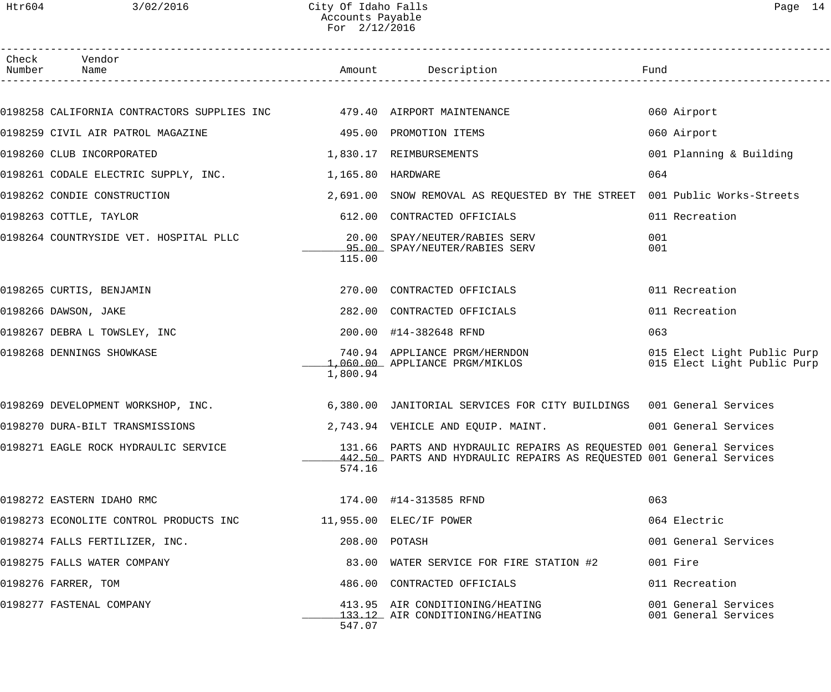### Htr604 3/02/2016 City Of Idaho Falls Page 14 Accounts Payable For 2/12/2016

| Check | Vendor<br>Number Name                                                  |                   | Amount Description                                                                                                                           | Fund                                                       |
|-------|------------------------------------------------------------------------|-------------------|----------------------------------------------------------------------------------------------------------------------------------------------|------------------------------------------------------------|
|       |                                                                        |                   |                                                                                                                                              |                                                            |
|       | 0198258 CALIFORNIA CONTRACTORS SUPPLIES INC 479.40 AIRPORT MAINTENANCE |                   |                                                                                                                                              | 060 Airport                                                |
|       | 0198259 CIVIL AIR PATROL MAGAZINE<br>495.00 PROMOTION ITEMS            |                   |                                                                                                                                              | 060 Airport                                                |
|       | 0198260 CLUB INCORPORATED                                              |                   | 1,830.17 REIMBURSEMENTS                                                                                                                      | 001 Planning & Building                                    |
|       | 0198261 CODALE ELECTRIC SUPPLY, INC.                                   | 1,165.80 HARDWARE |                                                                                                                                              | 064                                                        |
|       | 0198262 CONDIE CONSTRUCTION                                            |                   | 2,691.00 SNOW REMOVAL AS REQUESTED BY THE STREET 001 Public Works-Streets                                                                    |                                                            |
|       | 0198263 COTTLE, TAYLOR                                                 |                   | 612.00 CONTRACTED OFFICIALS                                                                                                                  | 011 Recreation                                             |
|       | 0198264 COUNTRYSIDE VET. HOSPITAL PLLC                                 | 115.00            | 20.00 SPAY/NEUTER/RABIES SERV<br>95.00 SPAY/NEUTER/RABIES SERV                                                                               | 001<br>001                                                 |
|       | 0198265 CURTIS, BENJAMIN                                               |                   | 270.00 CONTRACTED OFFICIALS                                                                                                                  | 011 Recreation                                             |
|       | 0198266 DAWSON, JAKE                                                   |                   | 282.00 CONTRACTED OFFICIALS                                                                                                                  | 011 Recreation                                             |
|       | 0198267 DEBRA L TOWSLEY, INC                                           |                   | 200.00 #14-382648 RFND                                                                                                                       | 063                                                        |
|       | 0198268 DENNINGS SHOWKASE                                              | 1,800.94          | 740.94 APPLIANCE PRGM/HERNDON<br>1,060.00 APPLIANCE PRGM/MIKLOS                                                                              | 015 Elect Light Public Purp<br>015 Elect Light Public Purp |
|       | 0198269 DEVELOPMENT WORKSHOP, INC.                                     |                   | 6,380.00 JANITORIAL SERVICES FOR CITY BUILDINGS 001 General Services                                                                         |                                                            |
|       | 0198270 DURA-BILT TRANSMISSIONS                                        |                   | 2,743.94 VEHICLE AND EQUIP. MAINT.                                                                                                           | 001 General Services                                       |
|       | 0198271 EAGLE ROCK HYDRAULIC SERVICE                                   | 574.16            | 131.66 PARTS AND HYDRAULIC REPAIRS AS REQUESTED 001 General Services<br>442.50 PARTS AND HYDRAULIC REPAIRS AS REQUESTED 001 General Services |                                                            |
|       | 0198272 EASTERN IDAHO RMC                                              |                   | 174.00 #14-313585 RFND                                                                                                                       | 063                                                        |
|       | 0198273 ECONOLITE CONTROL PRODUCTS INC                                 |                   | 11,955.00 ELEC/IF POWER                                                                                                                      | 064 Electric                                               |
|       | 0198274 FALLS FERTILIZER, INC.                                         | 208.00 POTASH     |                                                                                                                                              | 001 General Services                                       |
|       | 0198275 FALLS WATER COMPANY                                            |                   | 83.00 WATER SERVICE FOR FIRE STATION #2                                                                                                      | 001 Fire                                                   |
|       | 0198276 FARRER, TOM                                                    |                   | 486.00 CONTRACTED OFFICIALS                                                                                                                  | 011 Recreation                                             |
|       | 0198277 FASTENAL COMPANY                                               | 547.07            | 413.95 AIR CONDITIONING/HEATING<br>133.12 AIR CONDITIONING/HEATING                                                                           | 001 General Services<br>001 General Services               |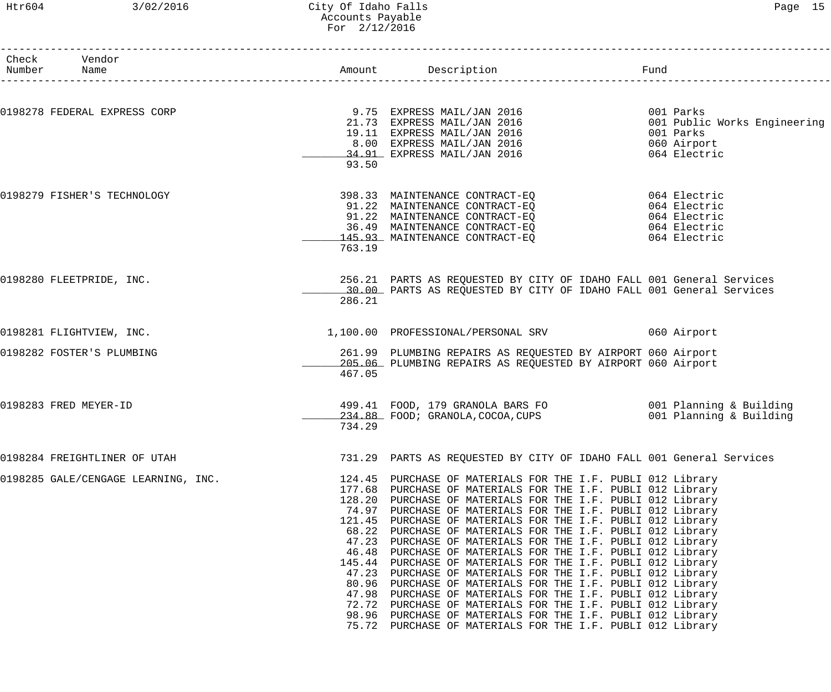### Htr604 3/02/2016 City Of Idaho Falls Page 15 Accounts Payable For 2/12/2016

| Check Vendor<br>Number Name         |                                                                                                                        |                                                                                                                                                                                                                                                                                                                                                                                                                                                                                                                                                                                                                                                                                                                                                      | Fund                                                                                                                                                                                                                                                                                                                                                                                                                                                                                                                                                                                                                                                                                                                                                                                                                                                                                                                                                                                                                                                                              |
|-------------------------------------|------------------------------------------------------------------------------------------------------------------------|------------------------------------------------------------------------------------------------------------------------------------------------------------------------------------------------------------------------------------------------------------------------------------------------------------------------------------------------------------------------------------------------------------------------------------------------------------------------------------------------------------------------------------------------------------------------------------------------------------------------------------------------------------------------------------------------------------------------------------------------------|-----------------------------------------------------------------------------------------------------------------------------------------------------------------------------------------------------------------------------------------------------------------------------------------------------------------------------------------------------------------------------------------------------------------------------------------------------------------------------------------------------------------------------------------------------------------------------------------------------------------------------------------------------------------------------------------------------------------------------------------------------------------------------------------------------------------------------------------------------------------------------------------------------------------------------------------------------------------------------------------------------------------------------------------------------------------------------------|
| 0198278 FEDERAL EXPRESS CORP        |                                                                                                                        |                                                                                                                                                                                                                                                                                                                                                                                                                                                                                                                                                                                                                                                                                                                                                      | 001 Parks<br>001 Public Works Engineering                                                                                                                                                                                                                                                                                                                                                                                                                                                                                                                                                                                                                                                                                                                                                                                                                                                                                                                                                                                                                                         |
|                                     | 93.50                                                                                                                  |                                                                                                                                                                                                                                                                                                                                                                                                                                                                                                                                                                                                                                                                                                                                                      | 001 Parks<br>060 Airport<br>064 Electric                                                                                                                                                                                                                                                                                                                                                                                                                                                                                                                                                                                                                                                                                                                                                                                                                                                                                                                                                                                                                                          |
| 0198279 FISHER'S TECHNOLOGY         | 763.19                                                                                                                 |                                                                                                                                                                                                                                                                                                                                                                                                                                                                                                                                                                                                                                                                                                                                                      |                                                                                                                                                                                                                                                                                                                                                                                                                                                                                                                                                                                                                                                                                                                                                                                                                                                                                                                                                                                                                                                                                   |
| 0198280 FLEETPRIDE, INC.            | 286.21                                                                                                                 |                                                                                                                                                                                                                                                                                                                                                                                                                                                                                                                                                                                                                                                                                                                                                      |                                                                                                                                                                                                                                                                                                                                                                                                                                                                                                                                                                                                                                                                                                                                                                                                                                                                                                                                                                                                                                                                                   |
| 0198281 FLIGHTVIEW, INC.            |                                                                                                                        |                                                                                                                                                                                                                                                                                                                                                                                                                                                                                                                                                                                                                                                                                                                                                      |                                                                                                                                                                                                                                                                                                                                                                                                                                                                                                                                                                                                                                                                                                                                                                                                                                                                                                                                                                                                                                                                                   |
| 0198282 FOSTER'S PLUMBING           | 467.05                                                                                                                 |                                                                                                                                                                                                                                                                                                                                                                                                                                                                                                                                                                                                                                                                                                                                                      |                                                                                                                                                                                                                                                                                                                                                                                                                                                                                                                                                                                                                                                                                                                                                                                                                                                                                                                                                                                                                                                                                   |
| 0198283 FRED MEYER-ID               | 734.29                                                                                                                 |                                                                                                                                                                                                                                                                                                                                                                                                                                                                                                                                                                                                                                                                                                                                                      |                                                                                                                                                                                                                                                                                                                                                                                                                                                                                                                                                                                                                                                                                                                                                                                                                                                                                                                                                                                                                                                                                   |
| 0198284 FREIGHTLINER OF UTAH        |                                                                                                                        |                                                                                                                                                                                                                                                                                                                                                                                                                                                                                                                                                                                                                                                                                                                                                      |                                                                                                                                                                                                                                                                                                                                                                                                                                                                                                                                                                                                                                                                                                                                                                                                                                                                                                                                                                                                                                                                                   |
| 0198285 GALE/CENGAGE LEARNING, INC. | 124.45<br>177.68<br>128.20<br>121.45<br>68.22<br>47.23<br>46.48<br>145.44<br>47.23<br>80.96<br>47.98<br>72.72<br>98.96 | PURCHASE OF MATERIALS FOR THE I.F. PUBLI 012 Library<br>PURCHASE OF MATERIALS FOR THE I.F. PUBLI 012 Library<br>PURCHASE OF MATERIALS FOR THE I.F. PUBLI 012 Library<br>PURCHASE OF MATERIALS FOR THE I.F. PUBLI 012 Library<br>PURCHASE OF MATERIALS FOR THE I.F. PUBLI 012 Library<br>PURCHASE OF MATERIALS FOR THE I.F. PUBLI 012 Library<br>PURCHASE OF MATERIALS FOR THE I.F. PUBLI 012 Library<br>PURCHASE OF MATERIALS FOR THE I.F. PUBLI 012 Library<br>PURCHASE OF MATERIALS FOR THE I.F. PUBLI 012 Library<br>PURCHASE OF MATERIALS FOR THE I.F. PUBLI 012 Library<br>PURCHASE OF MATERIALS FOR THE I.F. PUBLI 012 Library<br>PURCHASE OF MATERIALS FOR THE I.F. PUBLI 012 Library<br>PURCHASE OF MATERIALS FOR THE I.F. PUBLI 012 Library |                                                                                                                                                                                                                                                                                                                                                                                                                                                                                                                                                                                                                                                                                                                                                                                                                                                                                                                                                                                                                                                                                   |
|                                     |                                                                                                                        | 75.72                                                                                                                                                                                                                                                                                                                                                                                                                                                                                                                                                                                                                                                                                                                                                | Amount Description<br>9.75 EXPRESS MAIL/JAN 2016<br>21.73 EXPRESS MAIL/JAN 2016<br>19.11 EXPRESS MAIL/JAN 2016<br>8.00 EXPRESS MAIL/JAN 2016<br>34.91 EXPRESS MAIL/JAN 2016<br>398.33 MAINTENANCE CONTRACT-EQ<br>91.22 MAINTENANCE CONTRACT-EQ<br>91.22 MAINTENANCE CONTRACT-EQ<br>36.49 MAINTENANCE CONTRACT-EQ<br>145.93 MAINTENANCE CONTRACT-EQ<br>145.93 MAINTENANCE CONTRACT-EQ<br>064 Electric<br>064 Electric<br>256.21 PARTS AS REQUESTED BY CITY OF IDAHO FALL 001 General Services<br>30.00 PARTS AS REQUESTED BY CITY OF IDAHO FALL 001 General Services<br>1,100.00 PROFESSIONAL/PERSONAL SRV 060 Airport<br>261.99 PLUMBING REPAIRS AS REQUESTED BY AIRPORT 060 Airport<br>205.06 PLUMBING REPAIRS AS REQUESTED BY AIRPORT 060 Airport<br>499.41 FOOD, 179 GRANOLA BARS FO<br>234.88 FOOD; GRANOLA, COCOA, CUPS                             001 Planning & Building<br>731.29 PARTS AS REQUESTED BY CITY OF IDAHO FALL 001 General Services<br>PURCHASE OF MATERIALS FOR THE I.F. PUBLI 012 Library<br>74.97<br>PURCHASE OF MATERIALS FOR THE I.F. PUBLI 012 Library |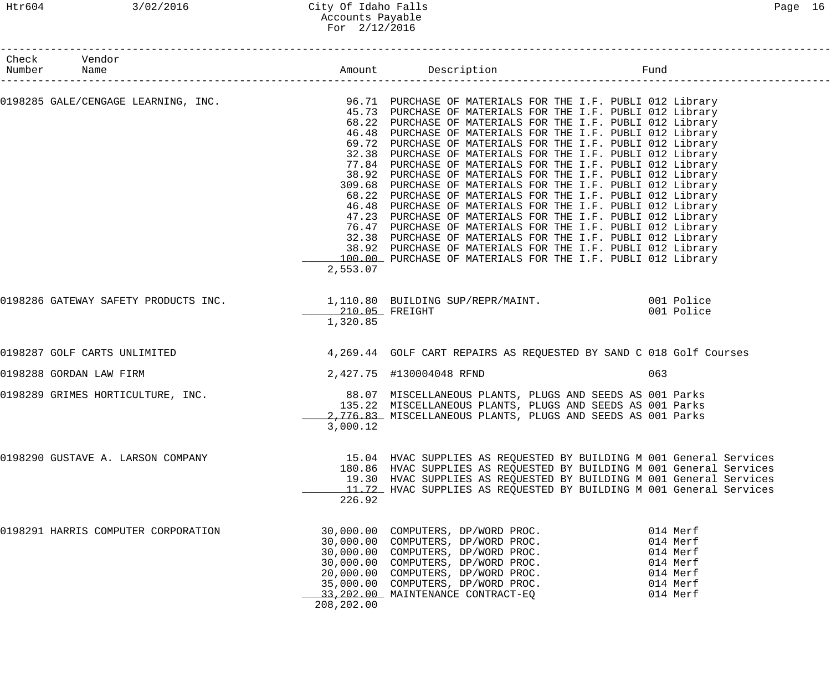### Htr604 3/02/2016 City Of Idaho Falls Page 16 Accounts Payable For 2/12/2016

| Check Vendor<br>Number Name         |                            | Amount Description Fund                                                                                                                                                                                                                                                                                                                                                                                                                                                                                                                                                                                                                                                                                                                                                                                                                                                                                                                                                                                                                                                 |                                                                                  |
|-------------------------------------|----------------------------|-------------------------------------------------------------------------------------------------------------------------------------------------------------------------------------------------------------------------------------------------------------------------------------------------------------------------------------------------------------------------------------------------------------------------------------------------------------------------------------------------------------------------------------------------------------------------------------------------------------------------------------------------------------------------------------------------------------------------------------------------------------------------------------------------------------------------------------------------------------------------------------------------------------------------------------------------------------------------------------------------------------------------------------------------------------------------|----------------------------------------------------------------------------------|
|                                     | 2,553.07                   | 0198285 GALE/CENGAGE LEARNING, INC. 2018 96.71 PURCHASE OF MATERIALS FOR THE I.F. PUBLI 012 Library<br>45.73 PURCHASE OF MATERIALS FOR THE I.F. PUBLI 012 Library<br>68.22 PURCHASE OF MATERIALS FOR THE I.F. PUBLI 012 Library<br>46.48 PURCHASE OF MATERIALS FOR THE I.F. PUBLI 012 Library<br>69.72 PURCHASE OF MATERIALS FOR THE I.F. PUBLI 012 Library<br>32.38 PURCHASE OF MATERIALS FOR THE I.F. PUBLI 012 Library<br>77.84 PURCHASE OF MATERIALS FOR THE I.F. PUBLI 012 Library<br>38.92 PURCHASE OF MATERIALS FOR THE I.F. PUBLI 012 Library<br>309.68 PURCHASE OF MATERIALS FOR THE I.F. PUBLI 012 Library<br>68.22 PURCHASE OF MATERIALS FOR THE I.F. PUBLI 012 Library<br>46.48 PURCHASE OF MATERIALS FOR THE I.F. PUBLI 012 Library<br>47.23 PURCHASE OF MATERIALS FOR THE I.F. PUBLI 012 Library<br>76.47 PURCHASE OF MATERIALS FOR THE I.F. PUBLI 012 Library<br>32.38 PURCHASE OF MATERIALS FOR THE I.F. PUBLI 012 Library<br>38.92 PURCHASE OF MATERIALS FOR THE I.F. PUBLI 012 Library<br>100.00 PURCHASE OF MATERIALS FOR THE I.F. PUBLI 012 Library |                                                                                  |
|                                     | 210.05 FREIGHT<br>1,320.85 | 0198286 GATEWAY SAFETY PRODUCTS INC.<br>1,110.80 BUILDING SUP/REPR/MAINT. 001 Police                                                                                                                                                                                                                                                                                                                                                                                                                                                                                                                                                                                                                                                                                                                                                                                                                                                                                                                                                                                    | 001 Police                                                                       |
| 0198287 GOLF CARTS UNLIMITED        |                            | 4,269.44 GOLF CART REPAIRS AS REQUESTED BY SAND C 018 Golf Courses                                                                                                                                                                                                                                                                                                                                                                                                                                                                                                                                                                                                                                                                                                                                                                                                                                                                                                                                                                                                      |                                                                                  |
| 0198288 GORDAN LAW FIRM             |                            | 2,427.75 #130004048 RFND                                                                                                                                                                                                                                                                                                                                                                                                                                                                                                                                                                                                                                                                                                                                                                                                                                                                                                                                                                                                                                                | 063                                                                              |
| 0198289 GRIMES HORTICULTURE, INC.   | 3,000.12                   | 88.07 MISCELLANEOUS PLANTS, PLUGS AND SEEDS AS 001 Parks<br>135.22 MISCELLANEOUS PLANTS, PLUGS AND SEEDS AS 001 Parks<br>2,776.83 MISCELLANEOUS PLANTS, PLUGS AND SEEDS AS 001 Parks                                                                                                                                                                                                                                                                                                                                                                                                                                                                                                                                                                                                                                                                                                                                                                                                                                                                                    |                                                                                  |
| 0198290 GUSTAVE A. LARSON COMPANY   | 226.92                     | 15.04 HVAC SUPPLIES AS REQUESTED BY BUILDING M 001 General Services<br>180.86 HVAC SUPPLIES AS REQUESTED BY BUILDING M 001 General Services<br>19.30 HVAC SUPPLIES AS REQUESTED BY BUILDING M 001 General Services<br>11.72 HVAC SUPPLIES AS REQUESTED BY BUILDING M 001 General Services                                                                                                                                                                                                                                                                                                                                                                                                                                                                                                                                                                                                                                                                                                                                                                               |                                                                                  |
| 0198291 HARRIS COMPUTER CORPORATION | 208, 202.00                | 30,000.00 COMPUTERS, DP/WORD PROC.<br>30,000.00 COMPUTERS, DP/WORD PROC.<br>30,000.00 COMPUTERS, DP/WORD PROC.<br>30,000.00 COMPUTERS, DP/WORD PROC.<br>20,000.00 COMPUTERS, DP/WORD PROC.<br>35,000.00 COMPUTERS, DP/WORD PROC.<br>33, 202.00 MAINTENANCE CONTRACT-EQ                                                                                                                                                                                                                                                                                                                                                                                                                                                                                                                                                                                                                                                                                                                                                                                                  | 014 Merf<br>014 Merf<br>014 Merf<br>014 Merf<br>014 Merf<br>014 Merf<br>014 Merf |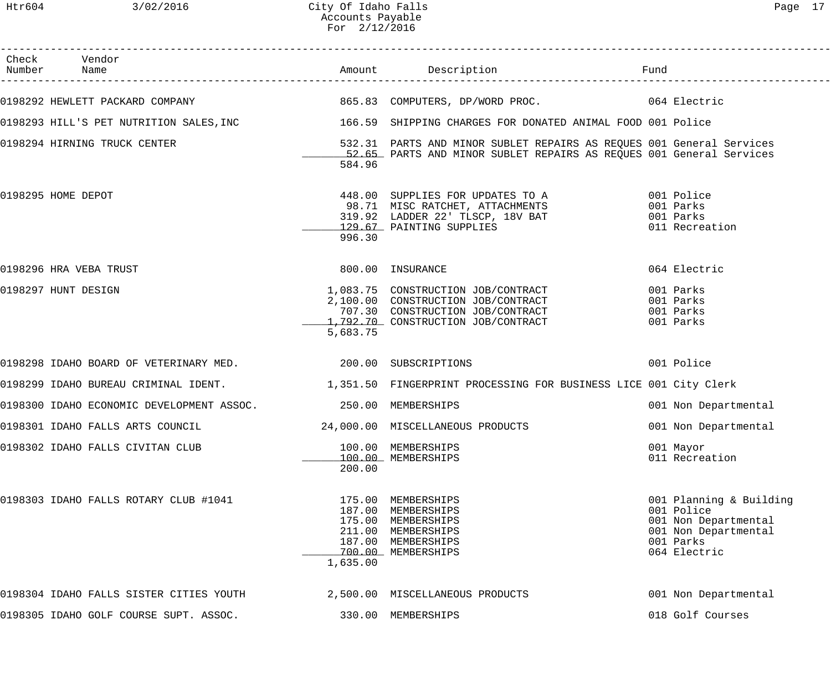### Htr604 3/02/2016 City Of Idaho Falls Page 17 Accounts Payable For 2/12/2016

| Check Vendor<br>Number Name                                  |                    |                                                                                                                                                    | Fund                                                                                                               |
|--------------------------------------------------------------|--------------------|----------------------------------------------------------------------------------------------------------------------------------------------------|--------------------------------------------------------------------------------------------------------------------|
|                                                              |                    |                                                                                                                                                    |                                                                                                                    |
|                                                              |                    | 0198293 HILL'S PET NUTRITION SALES, INC 166.59 SHIPPING CHARGES FOR DONATED ANIMAL FOOD 001 Police                                                 |                                                                                                                    |
| 0198294 HIRNING TRUCK CENTER                                 | 584.96             | 532.31 PARTS AND MINOR SUBLET REPAIRS AS REQUES 001 General Services<br>52.65 PARTS AND MINOR SUBLET REPAIRS AS REQUES 001 General Services        |                                                                                                                    |
| 0198295 HOME DEPOT                                           | 996.30             | 448.00 SUPPLIES FOR UPDATES TO A 001 Police<br>98.71 MISC RATCHET, ATTACHMENTS<br>319.92 LADDER 22' TLSCP, 18V BAT<br>129.67 PAINTING SUPPLIES     | 001 Parks<br>001 Parks<br>011 Recreation                                                                           |
| 0198296 HRA VEBA TRUST                                       |                    | 800.00 INSURANCE                                                                                                                                   | 064 Electric                                                                                                       |
| 0198297 HUNT DESIGN                                          | 5,683.75           | 1,083.75 CONSTRUCTION JOB/CONTRACT<br>2,100.00 CONSTRUCTION JOB/CONTRACT<br>707.30 CONSTRUCTION JOB/CONTRACT<br>1,792.70 CONSTRUCTION JOB/CONTRACT | 001 Parks<br>001 Parks<br>001 Parks<br>001 Parks                                                                   |
| 0198298 IDAHO BOARD OF VETERINARY MED. 200.00 SUBSCRIPTIONS  |                    |                                                                                                                                                    | 001 Police                                                                                                         |
|                                                              |                    | 0198299 IDAHO BUREAU CRIMINAL IDENT. 1,351.50 FINGERPRINT PROCESSING FOR BUSINESS LICE 001 City Clerk                                              |                                                                                                                    |
| 0198300 IDAHO ECONOMIC DEVELOPMENT ASSOC. 250.00 MEMBERSHIPS |                    |                                                                                                                                                    | 001 Non Departmental                                                                                               |
| 0198301 IDAHO FALLS ARTS COUNCIL                             |                    | 24,000.00 MISCELLANEOUS PRODUCTS                                                                                                                   | 001 Non Departmental                                                                                               |
| 0198302 IDAHO FALLS CIVITAN CLUB                             | 200.00             | 100.00 MEMBERSHIPS<br>100.00 MEMBERSHIPS                                                                                                           | 001 Mayor<br>011 Recreation                                                                                        |
| 0198303 IDAHO FALLS ROTARY CLUB #1041                        | 175.00<br>1,635.00 | MEMBERSHIPS<br>187.00 MEMBERSHIPS<br>175.00 MEMBERSHIPS<br>211.00 MEMBERSHIPS<br>187.00 MEMBERSHIPS<br>700.00 MEMBERSHIPS                          | 001 Planning & Building<br>001 Police<br>001 Non Departmental<br>001 Non Departmental<br>001 Parks<br>064 Electric |
| 0198304 IDAHO FALLS SISTER CITIES YOUTH                      |                    | 2,500.00 MISCELLANEOUS PRODUCTS                                                                                                                    | 001 Non Departmental                                                                                               |
| 0198305 IDAHO GOLF COURSE SUPT. ASSOC.                       |                    | 330.00 MEMBERSHIPS                                                                                                                                 | 018 Golf Courses                                                                                                   |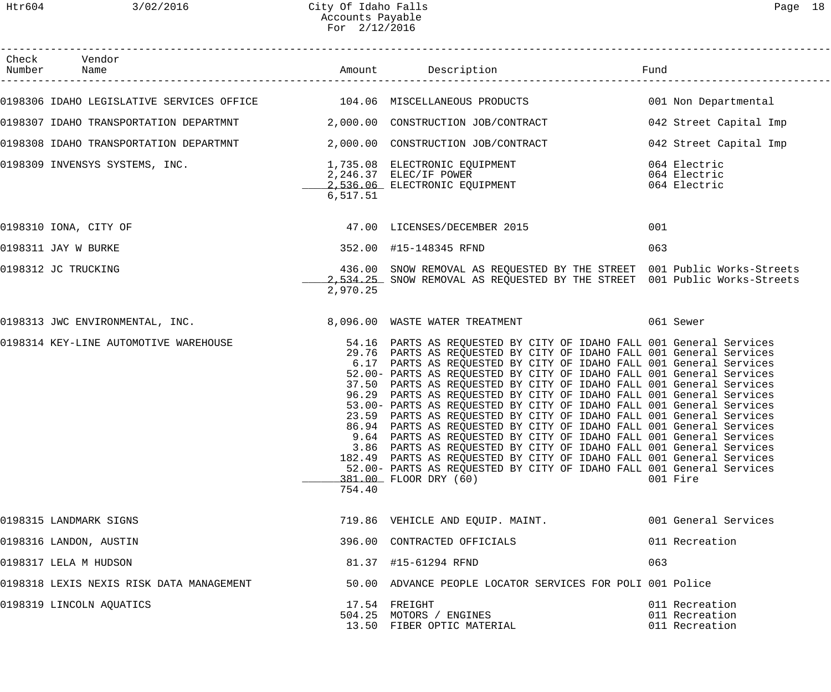| Check Vendor                                                              |          |                                                                                                                                                                                                                                                                                                                                                                                                                                                                                                                                                                                                                                                                                                                                                                                                                                                                                                                                                                                   |                                                    |
|---------------------------------------------------------------------------|----------|-----------------------------------------------------------------------------------------------------------------------------------------------------------------------------------------------------------------------------------------------------------------------------------------------------------------------------------------------------------------------------------------------------------------------------------------------------------------------------------------------------------------------------------------------------------------------------------------------------------------------------------------------------------------------------------------------------------------------------------------------------------------------------------------------------------------------------------------------------------------------------------------------------------------------------------------------------------------------------------|----------------------------------------------------|
| 0198306 IDAHO LEGISLATIVE SERVICES OFFICE 104.06 MISCELLANEOUS PRODUCTS   |          |                                                                                                                                                                                                                                                                                                                                                                                                                                                                                                                                                                                                                                                                                                                                                                                                                                                                                                                                                                                   | 001 Non Departmental                               |
| 0198307 IDAHO TRANSPORTATION DEPARTMNT 2,000.00 CONSTRUCTION JOB/CONTRACT |          |                                                                                                                                                                                                                                                                                                                                                                                                                                                                                                                                                                                                                                                                                                                                                                                                                                                                                                                                                                                   | 042 Street Capital Imp                             |
| 0198308 IDAHO TRANSPORTATION DEPARTMNT 2,000.00 CONSTRUCTION JOB/CONTRACT |          |                                                                                                                                                                                                                                                                                                                                                                                                                                                                                                                                                                                                                                                                                                                                                                                                                                                                                                                                                                                   | 042 Street Capital Imp                             |
|                                                                           | 6,517.51 |                                                                                                                                                                                                                                                                                                                                                                                                                                                                                                                                                                                                                                                                                                                                                                                                                                                                                                                                                                                   |                                                    |
| 0198310 IONA, CITY OF                                                     |          | 47.00 LICENSES/DECEMBER 2015                                                                                                                                                                                                                                                                                                                                                                                                                                                                                                                                                                                                                                                                                                                                                                                                                                                                                                                                                      | 001                                                |
| 0198311 JAY W BURKE                                                       |          | 352.00 #15-148345 RFND                                                                                                                                                                                                                                                                                                                                                                                                                                                                                                                                                                                                                                                                                                                                                                                                                                                                                                                                                            | 063                                                |
| 0198312 JC TRUCKING                                                       | 2,970.25 | 436.00 SNOW REMOVAL AS REQUESTED BY THE STREET 001 Public Works-Streets<br>2,534.25 SNOW REMOVAL AS REQUESTED BY THE STREET 001 Public Works-Streets                                                                                                                                                                                                                                                                                                                                                                                                                                                                                                                                                                                                                                                                                                                                                                                                                              |                                                    |
|                                                                           |          | 0198313 JWC ENVIRONMENTAL, INC. 3,096.00 WASTE WATER TREATMENT 1999 1961 Sewer                                                                                                                                                                                                                                                                                                                                                                                                                                                                                                                                                                                                                                                                                                                                                                                                                                                                                                    |                                                    |
| 0198314 KEY-LINE AUTOMOTIVE WAREHOUSE                                     | 754.40   | 54.16 PARTS AS REQUESTED BY CITY OF IDAHO FALL 001 General Services<br>29.76 PARTS AS REQUESTED BY CITY OF IDAHO FALL 001 General Services<br>6.17 PARTS AS REQUESTED BY CITY OF IDAHO FALL 001 General Services<br>52.00- PARTS AS REQUESTED BY CITY OF IDAHO FALL 001 General Services<br>37.50 PARTS AS REQUESTED BY CITY OF IDAHO FALL 001 General Services<br>96.29 PARTS AS REQUESTED BY CITY OF IDAHO FALL 001 General Services<br>53.00- PARTS AS REQUESTED BY CITY OF IDAHO FALL 001 General Services<br>23.59 PARTS AS REQUESTED BY CITY OF IDAHO FALL 001 General Services<br>86.94 PARTS AS REQUESTED BY CITY OF IDAHO FALL 001 General Services<br>9.64 PARTS AS REQUESTED BY CITY OF IDAHO FALL 001 General Services<br>3.86 PARTS AS REQUESTED BY CITY OF IDAHO FALL 001 General Services<br>182.49 PARTS AS REQUESTED BY CITY OF IDAHO FALL 001 General Services<br>52.00- PARTS AS REQUESTED BY CITY OF IDAHO FALL 001 General Services<br>381.00 FLOOR DRY (60) | 001 Fire                                           |
| 0198315 LANDMARK SIGNS                                                    |          | 719.86 VEHICLE AND EQUIP. MAINT.                                                                                                                                                                                                                                                                                                                                                                                                                                                                                                                                                                                                                                                                                                                                                                                                                                                                                                                                                  | 001 General Services                               |
| 0198316 LANDON, AUSTIN                                                    |          | 396.00 CONTRACTED OFFICIALS                                                                                                                                                                                                                                                                                                                                                                                                                                                                                                                                                                                                                                                                                                                                                                                                                                                                                                                                                       | 011 Recreation                                     |
| 0198317 LELA M HUDSON                                                     |          | 81.37 #15-61294 RFND                                                                                                                                                                                                                                                                                                                                                                                                                                                                                                                                                                                                                                                                                                                                                                                                                                                                                                                                                              | 063                                                |
| 0198318 LEXIS NEXIS RISK DATA MANAGEMENT                                  |          | 50.00 ADVANCE PEOPLE LOCATOR SERVICES FOR POLI 001 Police                                                                                                                                                                                                                                                                                                                                                                                                                                                                                                                                                                                                                                                                                                                                                                                                                                                                                                                         |                                                    |
| 0198319 LINCOLN AQUATICS                                                  |          | 17.54 FREIGHT<br>504.25 MOTORS / ENGINES<br>13.50 FIBER OPTIC MATERIAL                                                                                                                                                                                                                                                                                                                                                                                                                                                                                                                                                                                                                                                                                                                                                                                                                                                                                                            | 011 Recreation<br>011 Recreation<br>011 Recreation |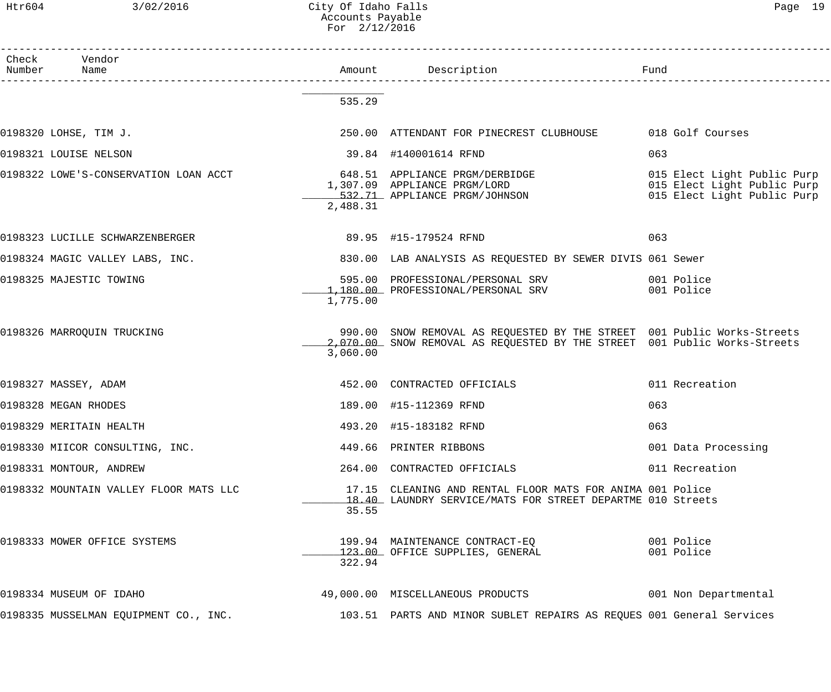### Htr604 3/02/2016 City Of Idaho Falls Page 19 Accounts Payable For 2/12/2016

| Check Vendor<br>Number Name                            |          |                                                                                                                                                      |                                                                                           |
|--------------------------------------------------------|----------|------------------------------------------------------------------------------------------------------------------------------------------------------|-------------------------------------------------------------------------------------------|
|                                                        | 535.29   |                                                                                                                                                      |                                                                                           |
| 0198320 LOHSE, TIM J.                                  |          | 250.00 ATTENDANT FOR PINECREST CLUBHOUSE 018 Golf Courses                                                                                            |                                                                                           |
| 0198321 LOUISE NELSON                                  |          | 39.84 #140001614 RFND                                                                                                                                | 063                                                                                       |
|                                                        | 2,488.31 | 0198322 LOWE'S-CONSERVATION LOAN ACCT 648.51 APPLIANCE PRGM/DERBIDGE<br>1,307.09 APPLIANCE PRGM/LORD<br>532.71 APPLIANCE PRGM/JOHNSON                | 015 Elect Light Public Purp<br>015 Elect Light Public Purp<br>015 Elect Light Public Purp |
| 0198323 LUCILLE SCHWARZENBERGER                        |          | 89.95 #15-179524 RFND                                                                                                                                | 063                                                                                       |
| 0198324 MAGIC VALLEY LABS, INC.                        |          | 830.00 LAB ANALYSIS AS REQUESTED BY SEWER DIVIS 061 Sewer                                                                                            |                                                                                           |
| 0198325 MAJESTIC TOWING                                | 1,775.00 | 595.00 PROFESSIONAL/PERSONAL SRV<br>1,180.00 PROFESSIONAL/PERSONAL SRV                                                                               | 001 Police<br>001 Police                                                                  |
| 0198326 MARROQUIN TRUCKING                             | 3,060.00 | 990.00 SNOW REMOVAL AS REQUESTED BY THE STREET 001 Public Works-Streets<br>2,070.00 SNOW REMOVAL AS REQUESTED BY THE STREET 001 Public Works-Streets |                                                                                           |
| 0198327 MASSEY, ADAM                                   |          | 452.00 CONTRACTED OFFICIALS                                                                                                                          | 011 Recreation                                                                            |
| 0198328 MEGAN RHODES                                   |          | 189.00 #15-112369 RFND                                                                                                                               | 063                                                                                       |
| 0198329 MERITAIN HEALTH                                |          | 493.20 #15-183182 RFND                                                                                                                               | 063                                                                                       |
| 0198330 MIICOR CONSULTING, INC. 449.66 PRINTER RIBBONS |          |                                                                                                                                                      | 001 Data Processing                                                                       |
| 0198331 MONTOUR, ANDREW                                |          | 264.00 CONTRACTED OFFICIALS                                                                                                                          | 011 Recreation                                                                            |
| 0198332 MOUNTAIN VALLEY FLOOR MATS LLC                 | 35.55    | 17.15 CLEANING AND RENTAL FLOOR MATS FOR ANIMA 001 Police<br>18.40 LAUNDRY SERVICE/MATS FOR STREET DEPARTME 010 Streets                              |                                                                                           |
| 0198333 MOWER OFFICE SYSTEMS                           | 322.94   | 199.94 MAINTENANCE CONTRACT-EQ<br>123.00 OFFICE SUPPLIES, GENERAL 123.00 Police                                                                      |                                                                                           |
| 0198334 MUSEUM OF IDAHO                                |          | 49,000.00 MISCELLANEOUS PRODUCTS 001 Non Departmental                                                                                                |                                                                                           |
| 0198335 MUSSELMAN EQUIPMENT CO., INC.                  |          | 103.51 PARTS AND MINOR SUBLET REPAIRS AS REQUES 001 General Services                                                                                 |                                                                                           |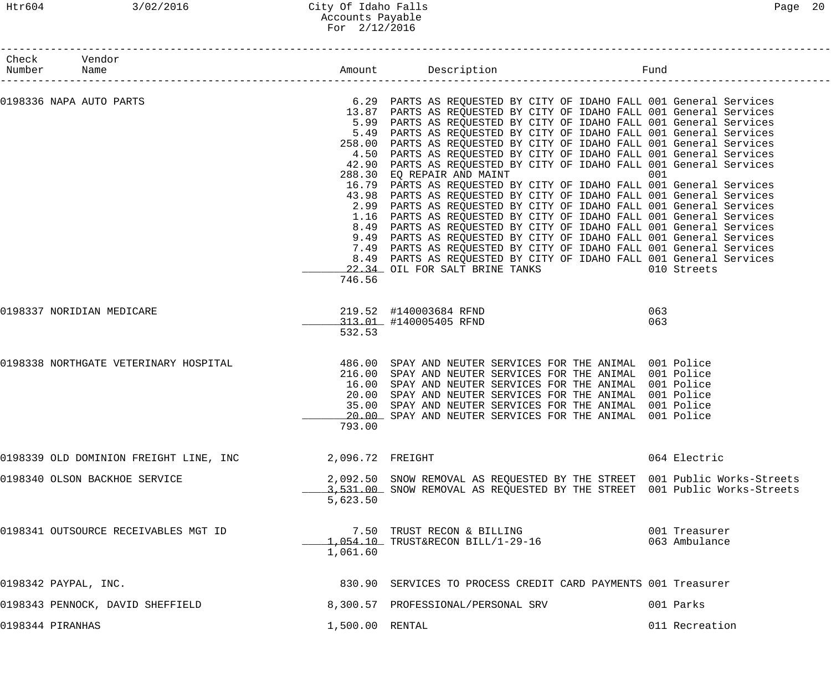| Check Vendor<br>Number Name |                                        |                  |                                                                                                                                                        |                |
|-----------------------------|----------------------------------------|------------------|--------------------------------------------------------------------------------------------------------------------------------------------------------|----------------|
|                             |                                        |                  |                                                                                                                                                        |                |
| 0198336 NAPA AUTO PARTS     |                                        |                  | 6.29 PARTS AS REQUESTED BY CITY OF IDAHO FALL 001 General Services<br>13.87 PARTS AS REQUESTED BY CITY OF IDAHO FALL 001 General Services              |                |
|                             |                                        |                  | 5.99 PARTS AS REQUESTED BY CITY OF IDAHO FALL 001 General Services                                                                                     |                |
|                             |                                        |                  | 5.49 PARTS AS REQUESTED BY CITY OF IDAHO FALL 001 General Services<br>258.00 PARTS AS REQUESTED BY CITY OF IDAHO FALL 001 General Services             |                |
|                             |                                        |                  | 4.50 PARTS AS REQUESTED BY CITY OF IDAHO FALL 001 General Services                                                                                     |                |
|                             |                                        |                  | 42.90 PARTS AS REQUESTED BY CITY OF IDAHO FALL 001 General Services                                                                                    |                |
|                             |                                        |                  | 288.30 EQ REPAIR AND MAINT                                                                                                                             | 001            |
|                             |                                        |                  | 16.79 PARTS AS REQUESTED BY CITY OF IDAHO FALL 001 General Services                                                                                    |                |
|                             |                                        |                  | 43.98 PARTS AS REQUESTED BY CITY OF IDAHO FALL 001 General Services                                                                                    |                |
|                             |                                        |                  | 2.99 PARTS AS REQUESTED BY CITY OF IDAHO FALL 001 General Services                                                                                     |                |
|                             |                                        |                  | 1.16 PARTS AS REQUESTED BY CITY OF IDAHO FALL 001 General Services<br>8.49 PARTS AS REQUESTED BY CITY OF IDAHO FALL 001 General Services               |                |
|                             |                                        |                  | 9.49 PARTS AS REQUESTED BY CITY OF IDAHO FALL 001 General Services                                                                                     |                |
|                             |                                        |                  | 7.49 PARTS AS REQUESTED BY CITY OF IDAHO FALL 001 General Services                                                                                     |                |
|                             |                                        |                  | 8.49 PARTS AS REQUESTED BY CITY OF IDAHO FALL 001 General Services                                                                                     |                |
|                             |                                        |                  | 22.34 OIL FOR SALT BRINE TANKS                                                                                                                         | 010 Streets    |
|                             |                                        | 746.56           |                                                                                                                                                        |                |
|                             | 0198337 NORIDIAN MEDICARE              |                  | 219.52 #140003684 RFND                                                                                                                                 | 063            |
|                             |                                        |                  | 313.01 #140005405 RFND                                                                                                                                 | 063            |
|                             |                                        | 532.53           |                                                                                                                                                        |                |
|                             | 0198338 NORTHGATE VETERINARY HOSPITAL  |                  | 486.00 SPAY AND NEUTER SERVICES FOR THE ANIMAL 001 Police                                                                                              |                |
|                             |                                        |                  | 216.00 SPAY AND NEUTER SERVICES FOR THE ANIMAL 001 Police                                                                                              |                |
|                             |                                        |                  | 16.00 SPAY AND NEUTER SERVICES FOR THE ANIMAL 001 Police                                                                                               |                |
|                             |                                        |                  | 20.00 SPAY AND NEUTER SERVICES FOR THE ANIMAL 001 Police                                                                                               |                |
|                             |                                        | 35.00            | SPAY AND NEUTER SERVICES FOR THE ANIMAL 001 Police<br>20.00 SPAY AND NEUTER SERVICES FOR THE ANIMAL 001 Police                                         |                |
|                             |                                        | 793.00           |                                                                                                                                                        |                |
|                             | 0198339 OLD DOMINION FREIGHT LINE, INC | 2,096.72 FREIGHT |                                                                                                                                                        | 064 Electric   |
|                             |                                        |                  |                                                                                                                                                        |                |
|                             | 0198340 OLSON BACKHOE SERVICE          |                  | 2,092.50 SNOW REMOVAL AS REQUESTED BY THE STREET 001 Public Works-Streets<br>3,531.00 SNOW REMOVAL AS REQUESTED BY THE STREET 001 Public Works-Streets |                |
|                             |                                        | 5,623.50         |                                                                                                                                                        |                |
|                             |                                        |                  |                                                                                                                                                        |                |
|                             | 0198341 OUTSOURCE RECEIVABLES MGT ID   |                  | 7.50 TRUST RECON & BILLING                                                                                                                             | 001 Treasurer  |
|                             |                                        |                  | $-1,054.10$ TRUST&RECON BILL/1-29-16                                                                                                                   | 063 Ambulance  |
|                             |                                        | 1,061.60         |                                                                                                                                                        |                |
| 0198342 PAYPAL, INC.        |                                        |                  | 830.90 SERVICES TO PROCESS CREDIT CARD PAYMENTS 001 Treasurer                                                                                          |                |
|                             | 0198343 PENNOCK, DAVID SHEFFIELD       |                  | 8,300.57 PROFESSIONAL/PERSONAL SRV                                                                                                                     | 001 Parks      |
| 0198344 PIRANHAS            |                                        | 1,500.00 RENTAL  |                                                                                                                                                        | 011 Recreation |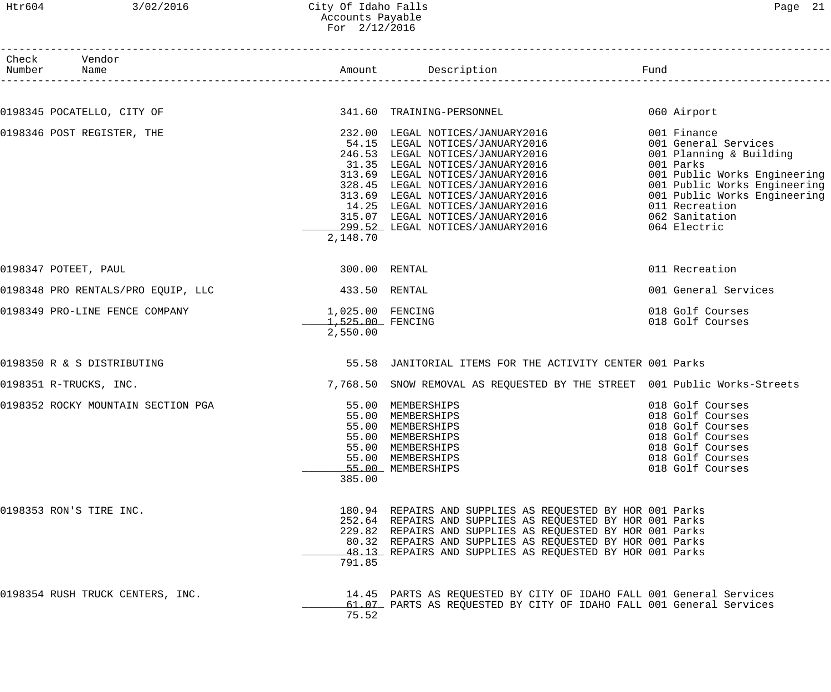### Htr604 3/02/2016 City Of Idaho Falls Page 21 Accounts Payable For 2/12/2016

| Number | Check Vendor<br>Name               |                                                    | n<br>------------------------                                                                                                                                                                                                                                                                                                                                     | Fund                                                                                                                                                                                                                            |
|--------|------------------------------------|----------------------------------------------------|-------------------------------------------------------------------------------------------------------------------------------------------------------------------------------------------------------------------------------------------------------------------------------------------------------------------------------------------------------------------|---------------------------------------------------------------------------------------------------------------------------------------------------------------------------------------------------------------------------------|
|        |                                    |                                                    |                                                                                                                                                                                                                                                                                                                                                                   |                                                                                                                                                                                                                                 |
|        | 0198345 POCATELLO, CITY OF         |                                                    | 341.60 TRAINING-PERSONNEL                                                                                                                                                                                                                                                                                                                                         | 060 Airport                                                                                                                                                                                                                     |
|        | 0198346 POST REGISTER, THE         | 2,148.70                                           | 232.00 LEGAL NOTICES/JANUARY2016<br>54.15 LEGAL NOTICES/JANUARY2016<br>246.53 LEGAL NOTICES/JANUARY2016<br>31.35 LEGAL NOTICES/JANUARY2016<br>313.69 LEGAL NOTICES/JANUARY2016<br>328.45 LEGAL NOTICES/JANUARY2016<br>313.69 LEGAL NOTICES/JANUARY2016<br>14.25 LEGAL NOTICES/JANUARY2016<br>315.07 LEGAL NOTICES/JANUARY2016<br>299.52 LEGAL NOTICES/JANUARY2016 | 001 Finance<br>001 General Services<br>001 Planning & Building<br>001 Parks<br>001 Public Works Engineering<br>001 Public Works Engineering<br>001 Public Works Engineering<br>011 Recreation<br>062 Sanitation<br>064 Electric |
|        | 0198347 POTEET, PAUL               | 300.00 RENTAL                                      |                                                                                                                                                                                                                                                                                                                                                                   | 011 Recreation                                                                                                                                                                                                                  |
|        | 0198348 PRO RENTALS/PRO EQUIP, LLC | 433.50 RENTAL                                      |                                                                                                                                                                                                                                                                                                                                                                   | 001 General Services                                                                                                                                                                                                            |
|        | 0198349 PRO-LINE FENCE COMPANY     | 1,025.00 FENCING<br>$1,525.00$ FENCING<br>2,550.00 |                                                                                                                                                                                                                                                                                                                                                                   | 018 Golf Courses<br>018 Golf Courses                                                                                                                                                                                            |
|        | 0198350 R & S DISTRIBUTING         |                                                    | 55.58 JANITORIAL ITEMS FOR THE ACTIVITY CENTER 001 Parks                                                                                                                                                                                                                                                                                                          |                                                                                                                                                                                                                                 |
|        | 0198351 R-TRUCKS, INC.             |                                                    | 7,768.50 SNOW REMOVAL AS REQUESTED BY THE STREET 001 Public Works-Streets                                                                                                                                                                                                                                                                                         |                                                                                                                                                                                                                                 |
|        | 0198352 ROCKY MOUNTAIN SECTION PGA | 385.00                                             | 55.00 MEMBERSHIPS<br>55.00 MEMBERSHIPS<br>55.00 MEMBERSHIPS<br>55.00 MEMBERSHIPS<br>55.00 MEMBERSHIPS<br>55.00 MEMBERSHIPS<br>55.00 MEMBERSHIPS                                                                                                                                                                                                                   | 018 Golf Courses<br>018 Golf Courses<br>018 Golf Courses<br>018 Golf Courses<br>018 Golf Courses<br>018 Golf Courses<br>018 Golf Courses                                                                                        |
|        | 0198353 RON'S TIRE INC.            | 791.85                                             | 180.94 REPAIRS AND SUPPLIES AS REQUESTED BY HOR 001 Parks<br>252.64 REPAIRS AND SUPPLIES AS REQUESTED BY HOR 001 Parks<br>229.82 REPAIRS AND SUPPLIES AS REQUESTED BY HOR 001 Parks<br>80.32 REPAIRS AND SUPPLIES AS REQUESTED BY HOR 001 Parks<br>48.13 REPAIRS AND SUPPLIES AS REQUESTED BY HOR 001 Parks                                                       |                                                                                                                                                                                                                                 |
|        | 0198354 RUSH TRUCK CENTERS, INC.   | 75.52                                              | 14.45 PARTS AS REQUESTED BY CITY OF IDAHO FALL 001 General Services<br>61.07 PARTS AS REQUESTED BY CITY OF IDAHO FALL 001 General Services                                                                                                                                                                                                                        |                                                                                                                                                                                                                                 |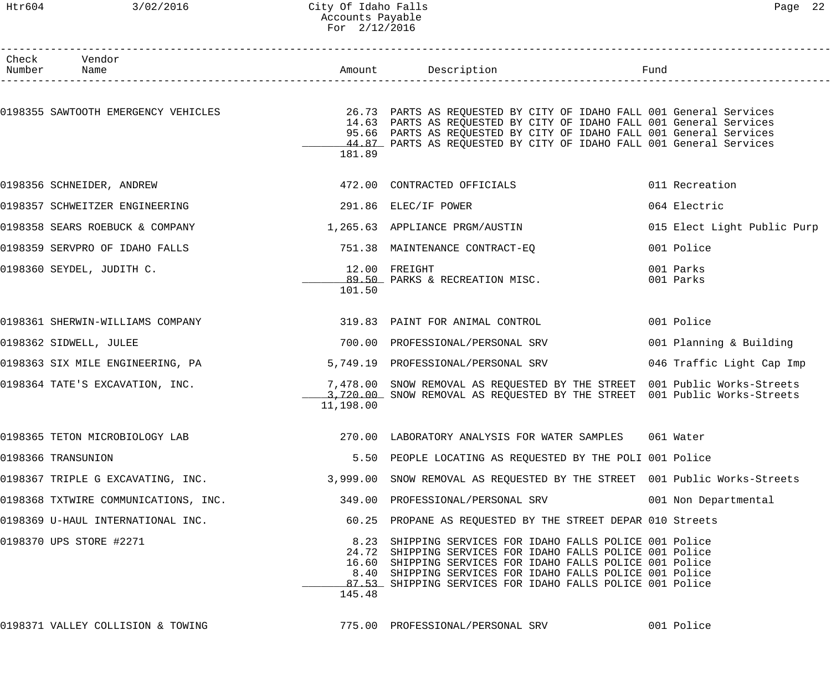# Htr604 3/02/2016 City Of Idaho Falls 3000 22 Accounts Payable For 2/12/2016

| Check<br>Number | Vendor<br>Name                       | Amount    | Description<br>_____________________                                                                                                                                                                                                                                                                        | Fund                        |
|-----------------|--------------------------------------|-----------|-------------------------------------------------------------------------------------------------------------------------------------------------------------------------------------------------------------------------------------------------------------------------------------------------------------|-----------------------------|
|                 | 0198355 SAWTOOTH EMERGENCY VEHICLES  | 181.89    | 26.73 PARTS AS REQUESTED BY CITY OF IDAHO FALL 001 General Services<br>14.63 PARTS AS REQUESTED BY CITY OF IDAHO FALL 001 General Services<br>95.66 PARTS AS REQUESTED BY CITY OF IDAHO FALL 001 General Services<br>44.87 PARTS AS REQUESTED BY CITY OF IDAHO FALL 001 General Services                    |                             |
|                 | 0198356 SCHNEIDER, ANDREW            |           | 472.00 CONTRACTED OFFICIALS                                                                                                                                                                                                                                                                                 | 011 Recreation              |
|                 | 0198357 SCHWEITZER ENGINEERING       |           | 291.86 ELEC/IF POWER                                                                                                                                                                                                                                                                                        | 064 Electric                |
|                 | 0198358 SEARS ROEBUCK & COMPANY      |           | 1,265.63 APPLIANCE PRGM/AUSTIN                                                                                                                                                                                                                                                                              | 015 Elect Light Public Purp |
|                 | 0198359 SERVPRO OF IDAHO FALLS       |           | 751.38 MAINTENANCE CONTRACT-EO                                                                                                                                                                                                                                                                              | 001 Police                  |
|                 | 0198360 SEYDEL, JUDITH C.            | 101.50    | 12.00 FREIGHT<br>89.50 PARKS & RECREATION MISC.                                                                                                                                                                                                                                                             | 001 Parks<br>001 Parks      |
|                 | 0198361 SHERWIN-WILLIAMS COMPANY     |           | 319.83 PAINT FOR ANIMAL CONTROL                                                                                                                                                                                                                                                                             | 001 Police                  |
|                 | 0198362 SIDWELL, JULEE               | 700.00    | PROFESSIONAL/PERSONAL SRV                                                                                                                                                                                                                                                                                   | 001 Planning & Building     |
|                 | 0198363 SIX MILE ENGINEERING, PA     |           | 5,749.19 PROFESSIONAL/PERSONAL SRV                                                                                                                                                                                                                                                                          | 046 Traffic Light Cap Imp   |
|                 | 0198364 TATE'S EXCAVATION, INC.      | 11,198.00 | 7,478.00 SNOW REMOVAL AS REQUESTED BY THE STREET 001 Public Works-Streets<br>3,720.00 SNOW REMOVAL AS REQUESTED BY THE STREET 001 Public Works-Streets                                                                                                                                                      |                             |
|                 | 0198365 TETON MICROBIOLOGY LAB       |           | 270.00 LABORATORY ANALYSIS FOR WATER SAMPLES 061 Water                                                                                                                                                                                                                                                      |                             |
|                 | 0198366 TRANSUNION                   |           | 5.50 PEOPLE LOCATING AS REQUESTED BY THE POLI 001 Police                                                                                                                                                                                                                                                    |                             |
|                 | 0198367 TRIPLE G EXCAVATING, INC.    |           | 3,999.00 SNOW REMOVAL AS REQUESTED BY THE STREET 001 Public Works-Streets                                                                                                                                                                                                                                   |                             |
|                 | 0198368 TXTWIRE COMMUNICATIONS, INC. |           | 349.00 PROFESSIONAL/PERSONAL SRV                                                                                                                                                                                                                                                                            | 001 Non Departmental        |
|                 | 0198369 U-HAUL INTERNATIONAL INC.    |           | 60.25 PROPANE AS REQUESTED BY THE STREET DEPAR 010 Streets                                                                                                                                                                                                                                                  |                             |
|                 | 0198370 UPS STORE #2271              | 145.48    | 8.23 SHIPPING SERVICES FOR IDAHO FALLS POLICE 001 Police<br>24.72 SHIPPING SERVICES FOR IDAHO FALLS POLICE 001 Police<br>16.60 SHIPPING SERVICES FOR IDAHO FALLS POLICE 001 Police<br>8.40 SHIPPING SERVICES FOR IDAHO FALLS POLICE 001 Police<br>87.53 SHIPPING SERVICES FOR IDAHO FALLS POLICE 001 Police |                             |

0198371 VALLEY COLLISION & TOWING 775.00 PROFESSIONAL/PERSONAL SRV 001 Police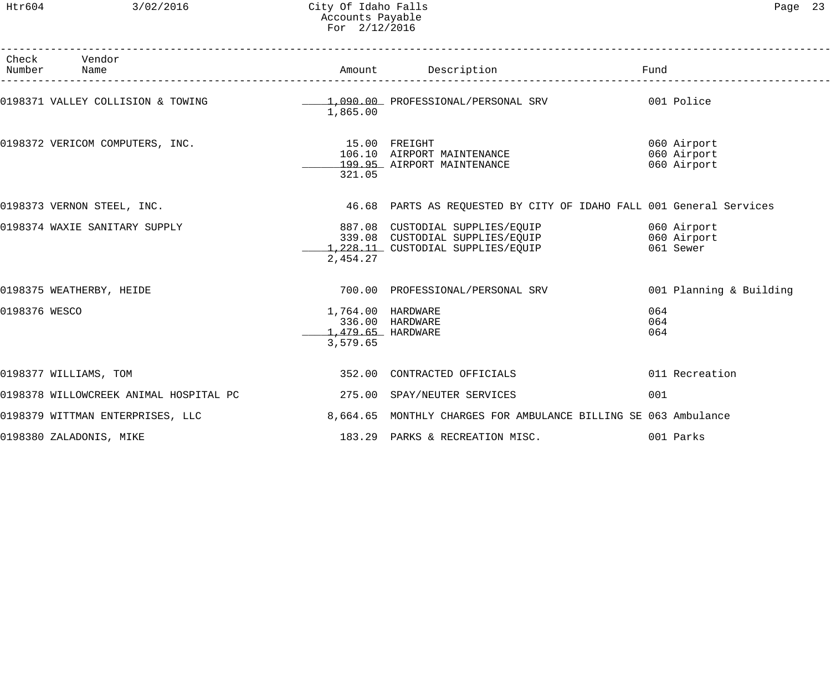Htr604 3/02/2016 City Of Idaho Falls Page 23 Accounts Payable For 2/12/2016

|               | Check Vendor<br>Number Name                                                       |                                                    |                                                                                                                                 |                                           |
|---------------|-----------------------------------------------------------------------------------|----------------------------------------------------|---------------------------------------------------------------------------------------------------------------------------------|-------------------------------------------|
|               | 0198371 VALLEY COLLISION & TOWING $1,090.00$ PROFESSIONAL/PERSONAL SRV 001 Police | 1,865.00                                           |                                                                                                                                 |                                           |
|               | 0198372 VERICOM COMPUTERS, INC. 15.00 FREIGHT                                     | 321.05                                             | 106.10 AIRPORT MAINTENANCE<br>199.95 AIRPORT MAINTENANCE                                                                        | 060 Airport<br>060 Airport<br>060 Airport |
|               | 0198373 VERNON STEEL, INC.                                                        |                                                    | 46.68 PARTS AS REQUESTED BY CITY OF IDAHO FALL 001 General Services                                                             |                                           |
|               | 0198374 WAXIE SANITARY SUPPLY                                                     | 2,454.27                                           | 887.08 CUSTODIAL SUPPLIES/EQUIP 600 Airport<br>339.08 CUSTODIAL SUPPLIES/EQUIP 060 Airport<br>1,228.11 CUSTODIAL SUPPLIES/EQUIP | 061 Sewer                                 |
|               | 0198375 WEATHERBY, HEIDE                                                          |                                                    | 700.00 PROFESSIONAL/PERSONAL SRV                                                                                                | 001 Planning & Building                   |
| 0198376 WESCO |                                                                                   | 1,764.00 HARDWARE<br>1,479.65 HARDWARE<br>3,579.65 | 336.00 HARDWARE                                                                                                                 | 064<br>064<br>064                         |
|               | 0198377 WILLIAMS, TOM                                                             |                                                    | 352.00 CONTRACTED OFFICIALS                                                                                                     | 011 Recreation                            |
|               | 0198378 WILLOWCREEK ANIMAL HOSPITAL PC $275.00$ SPAY/NEUTER SERVICES              |                                                    |                                                                                                                                 | 001                                       |
|               | 0198379 WITTMAN ENTERPRISES, LLC                                                  |                                                    | 8,664.65 MONTHLY CHARGES FOR AMBULANCE BILLING SE 063 Ambulance                                                                 |                                           |
|               | 0198380 ZALADONIS, MIKE                                                           |                                                    | 183.29 PARKS & RECREATION MISC.                                                                                                 | 001 Parks                                 |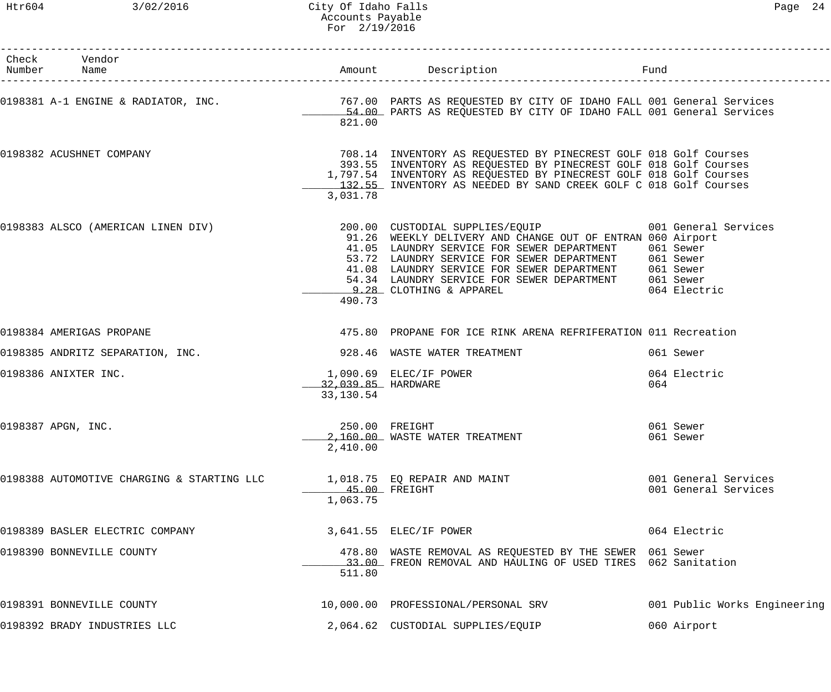| Check Vendor<br>Number Name                |                                 |                                                                                                                                                                                                                                                                                                                                                                                                        |                                              |
|--------------------------------------------|---------------------------------|--------------------------------------------------------------------------------------------------------------------------------------------------------------------------------------------------------------------------------------------------------------------------------------------------------------------------------------------------------------------------------------------------------|----------------------------------------------|
|                                            | 821.00                          | 0198381 A-1 ENGINE & RADIATOR, INC.                        767.00 PARTS AS REQUESTED BY CITY OF IDAHO FALL 001 General Services<br>54.00 PARTS AS REQUESTED BY CITY OF IDAHO FALL 001 General Services                                                                                                                                                                                                 |                                              |
| 0198382 ACUSHNET COMPANY                   | 3,031.78                        | 708.14 INVENTORY AS REQUESTED BY PINECREST GOLF 018 Golf Courses<br>393.55 INVENTORY AS REQUESTED BY PINECREST GOLF 018 Golf Courses<br>1,797.54 INVENTORY AS REQUESTED BY PINECREST GOLF 018 Golf Courses<br>132.55 INVENTORY AS NEEDED BY SAND CREEK GOLF C 018 Golf Courses                                                                                                                         |                                              |
|                                            | 490.73                          | 0198383 ALSCO (AMERICAN LINEN DIV) 200.00 CUSTODIAL SUPPLIES/EQUIP 001 General Services<br>91.26 WEEKLY DELIVERY AND CHANGE OUT OF ENTRAN 060 Airport<br>41.05 LAUNDRY SERVICE FOR SEWER DEPARTMENT<br>53.72 LAUNDRY SERVICE FOR SEWER DEPARTMENT 061 Sewer<br>41.08 LAUNDRY SERVICE FOR SEWER DEPARTMENT 061 Sewer<br>54.34 LAUNDRY SERVICE FOR SEWER DEPARTMENT 061 Sewer<br>9.28 CLOTHING & APPAREL | 061 Sewer<br>064 Electric                    |
| 0198384 AMERIGAS PROPANE                   |                                 | 475.80 PROPANE FOR ICE RINK ARENA REFRIFERATION 011 Recreation                                                                                                                                                                                                                                                                                                                                         |                                              |
| 0198385 ANDRITZ SEPARATION, INC.           |                                 | 928.46 WASTE WATER TREATMENT                                                                                                                                                                                                                                                                                                                                                                           | 061 Sewer                                    |
| 0198386 ANIXTER INC.                       | 32,039.85 HARDWARE<br>33,130.54 | 1,090.69 ELEC/IF POWER                                                                                                                                                                                                                                                                                                                                                                                 | 064 Electric<br>064                          |
| 0198387 APGN, INC.                         | 2,410.00                        | 250.00 FREIGHT<br>2,160.00 WASTE WATER TREATMENT                                                                                                                                                                                                                                                                                                                                                       | 061 Sewer<br>061 Sewer                       |
| 0198388 AUTOMOTIVE CHARGING & STARTING LLC | 45.00 FREIGHT<br>1,063.75       | 1,018.75 EQ REPAIR AND MAINT                                                                                                                                                                                                                                                                                                                                                                           | 001 General Services<br>001 General Services |
| 0198389 BASLER ELECTRIC COMPANY            |                                 | 3,641.55 ELEC/IF POWER                                                                                                                                                                                                                                                                                                                                                                                 | 064 Electric                                 |
| 0198390 BONNEVILLE COUNTY                  | 511.80                          | 478.80 WASTE REMOVAL AS REQUESTED BY THE SEWER 061 Sewer<br>33.00 FREON REMOVAL AND HAULING OF USED TIRES 062 Sanitation                                                                                                                                                                                                                                                                               |                                              |
| 0198391 BONNEVILLE COUNTY                  |                                 | 10,000.00 PROFESSIONAL/PERSONAL SRV                                                                                                                                                                                                                                                                                                                                                                    | 001 Public Works Engineering                 |
| 0198392 BRADY INDUSTRIES LLC               |                                 | 2,064.62 CUSTODIAL SUPPLIES/EQUIP                                                                                                                                                                                                                                                                                                                                                                      | 060 Airport                                  |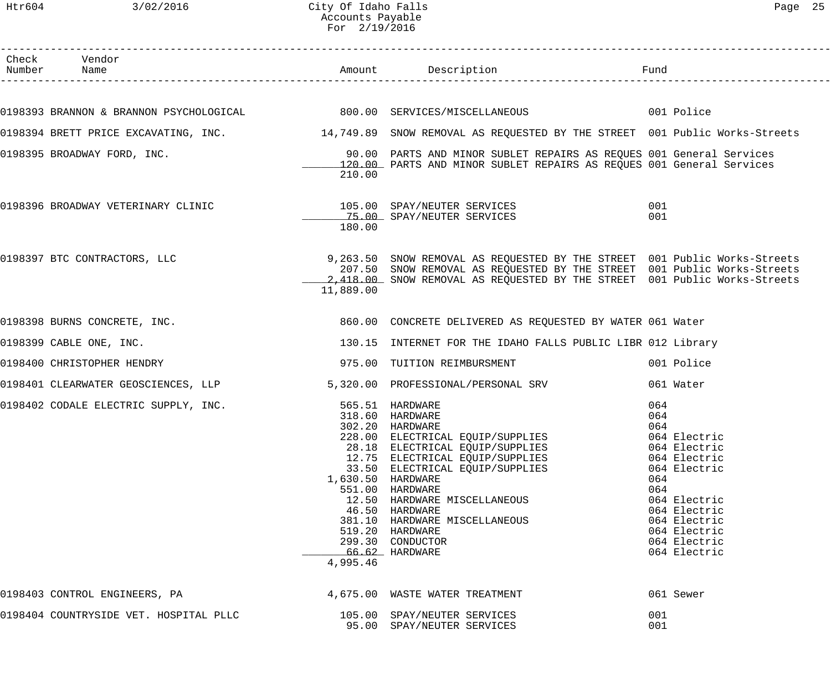Htr604 3/02/2016 City Of Idaho Falls Page 25 Accounts Payable For 2/19/2016

| Check Vendor<br>Number Name            |                   |                                                                                                                                                      | Fund<br>--------------------------- |
|----------------------------------------|-------------------|------------------------------------------------------------------------------------------------------------------------------------------------------|-------------------------------------|
|                                        |                   | 0198393 BRANNON & BRANNON PSYCHOLOGICAL 600.00 SERVICES/MISCELLANEOUS 6001 Police                                                                    |                                     |
|                                        |                   | 0198394 BRETT PRICE EXCAVATING, INC. 4 14,749.89 SNOW REMOVAL AS REQUESTED BY THE STREET 001 Public Works-Streets                                    |                                     |
|                                        |                   |                                                                                                                                                      |                                     |
| 0198395 BROADWAY FORD, INC.            |                   | 90.00 PARTS AND MINOR SUBLET REPAIRS AS REQUES 001 General Services<br>120.00 PARTS AND MINOR SUBLET REPAIRS AS REQUES 001 General Services          |                                     |
|                                        | 210.00            |                                                                                                                                                      |                                     |
| 0198396 BROADWAY VETERINARY CLINIC     |                   | 105.00 SPAY/NEUTER SERVICES                                                                                                                          | 001                                 |
|                                        | 180.00            | 15.00 SPAY/NEUTER SERVICES                                                                                                                           | 001                                 |
|                                        |                   |                                                                                                                                                      |                                     |
| 0198397 BTC CONTRACTORS, LLC           |                   | 9,263.50 SNOW REMOVAL AS REQUESTED BY THE STREET 001 Public Works-Streets                                                                            |                                     |
|                                        |                   | 207.50 SNOW REMOVAL AS REQUESTED BY THE STREET 001 Public Works-Streets<br>2,418.00 SNOW REMOVAL AS REQUESTED BY THE STREET 001 Public Works-Streets |                                     |
|                                        | 11,889.00         |                                                                                                                                                      |                                     |
| 0198398 BURNS CONCRETE, INC.           |                   | 860.00 CONCRETE DELIVERED AS REQUESTED BY WATER 061 Water                                                                                            |                                     |
| 0198399 CABLE ONE, INC.                |                   | 130.15 INTERNET FOR THE IDAHO FALLS PUBLIC LIBR 012 Library                                                                                          |                                     |
| 0198400 CHRISTOPHER HENDRY             |                   | 975.00 TUITION REIMBURSMENT                                                                                                                          | 001 Police                          |
| 0198401 CLEARWATER GEOSCIENCES, LLP    |                   | 5,320.00 PROFESSIONAL/PERSONAL SRV                                                                                                                   | 061 Water                           |
| 0198402 CODALE ELECTRIC SUPPLY, INC.   |                   | 565.51 HARDWARE                                                                                                                                      | 064                                 |
|                                        |                   | 318.60 HARDWARE                                                                                                                                      | 064                                 |
|                                        |                   | 302.20 HARDWARE<br>228.00 ELECTRICAL EQUIP/SUPPLIES                                                                                                  | 064<br>064 Electric                 |
|                                        |                   | 28.18 ELECTRICAL EQUIP/SUPPLIES                                                                                                                      | 064 Electric                        |
|                                        |                   | 12.75 ELECTRICAL EQUIP/SUPPLIES                                                                                                                      | 064 Electric                        |
|                                        |                   | 33.50 ELECTRICAL EQUIP/SUPPLIES                                                                                                                      | 064 Electric                        |
|                                        | 1,630.50 HARDWARE |                                                                                                                                                      | 064                                 |
|                                        |                   | 551.00 HARDWARE<br>12.50 HARDWARE MISCELLANEOUS                                                                                                      | 064<br>064 Electric                 |
|                                        |                   | 46.50 HARDWARE                                                                                                                                       | 064 Electric                        |
|                                        |                   | 381.10 HARDWARE MISCELLANEOUS                                                                                                                        | 064 Electric                        |
|                                        |                   | 519.20 HARDWARE                                                                                                                                      | 064 Electric                        |
|                                        |                   | 299.30 CONDUCTOR                                                                                                                                     | 064 Electric                        |
|                                        | 4,995.46          | 66.62 HARDWARE                                                                                                                                       | 064 Electric                        |
| 0198403 CONTROL ENGINEERS, PA          |                   | 4,675.00 WASTE WATER TREATMENT                                                                                                                       | 061 Sewer                           |
| 0198404 COUNTRYSIDE VET. HOSPITAL PLLC |                   |                                                                                                                                                      |                                     |
|                                        |                   | 105.00 SPAY/NEUTER SERVICES<br>95.00 SPAY/NEUTER SERVICES                                                                                            | 001<br>001                          |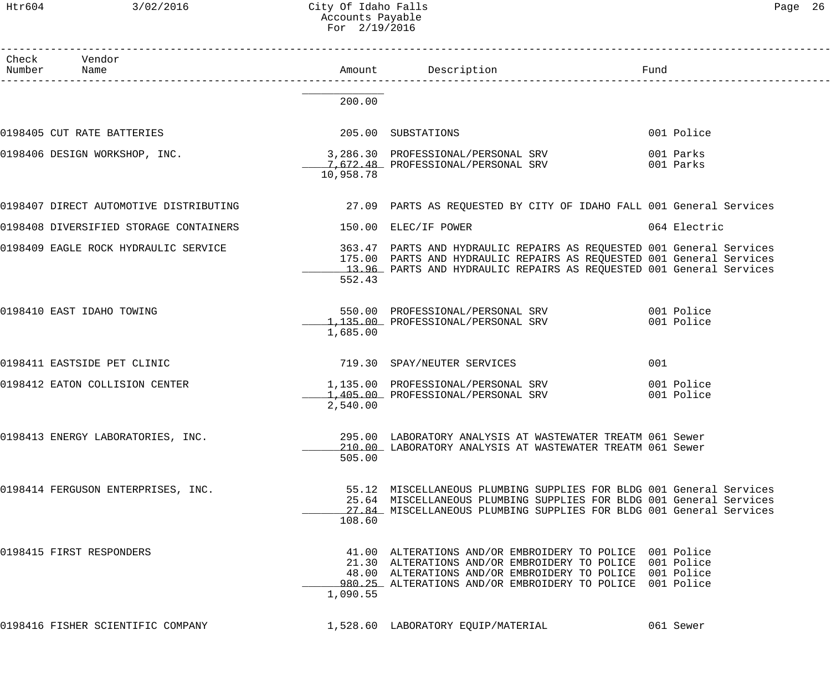Htr604 3/02/2016 City Of Idaho Falls Page 26 Accounts Payable For 2/19/2016

| Page | 26 |
|------|----|
|      |    |

| Check Vendor<br>Number Name            |           |                                                                                                                                                                                                                                               |                          |  |
|----------------------------------------|-----------|-----------------------------------------------------------------------------------------------------------------------------------------------------------------------------------------------------------------------------------------------|--------------------------|--|
|                                        | 200.00    |                                                                                                                                                                                                                                               |                          |  |
| 0198405 CUT RATE BATTERIES             |           | 205.00 SUBSTATIONS                                                                                                                                                                                                                            | 001 Police               |  |
| 0198406 DESIGN WORKSHOP, INC.          | 10,958.78 | 3,286.30 PROFESSIONAL/PERSONAL SRV<br>7,672.48 PROFESSIONAL/PERSONAL SRV                                                                                                                                                                      | 001 Parks<br>001 Parks   |  |
|                                        |           | 0198407 DIRECT AUTOMOTIVE DISTRIBUTING 27.09 PARTS AS REQUESTED BY CITY OF IDAHO FALL 001 General Services                                                                                                                                    |                          |  |
| 0198408 DIVERSIFIED STORAGE CONTAINERS |           | 150.00 ELEC/IF POWER                                                                                                                                                                                                                          | 064 Electric             |  |
| 0198409 EAGLE ROCK HYDRAULIC SERVICE   | 552.43    | 363.47 PARTS AND HYDRAULIC REPAIRS AS REQUESTED 001 General Services<br>175.00 PARTS AND HYDRAULIC REPAIRS AS REQUESTED 001 General Services<br>13.96 PARTS AND HYDRAULIC REPAIRS AS REQUESTED 001 General Services                           |                          |  |
| 0198410 EAST IDAHO TOWING              | 1,685.00  | 550.00 PROFESSIONAL/PERSONAL SRV 001 Police<br>1,135.00 PROFESSIONAL/PERSONAL SRV                                                                                                                                                             | 001 Police               |  |
| 0198411 EASTSIDE PET CLINIC            |           | 719.30 SPAY/NEUTER SERVICES                                                                                                                                                                                                                   | 001                      |  |
| 0198412 EATON COLLISION CENTER         | 2,540.00  | 1,135.00 PROFESSIONAL/PERSONAL SRV<br>1,405.00 PROFESSIONAL/PERSONAL SRV                                                                                                                                                                      | 001 Police<br>001 Police |  |
| 0198413 ENERGY LABORATORIES, INC.      | 505.00    | 295.00 LABORATORY ANALYSIS AT WASTEWATER TREATM 061 Sewer<br>210.00 LABORATORY ANALYSIS AT WASTEWATER TREATM 061 Sewer                                                                                                                        |                          |  |
| 0198414 FERGUSON ENTERPRISES, INC.     | 108.60    | 55.12 MISCELLANEOUS PLUMBING SUPPLIES FOR BLDG 001 General Services<br>25.64 MISCELLANEOUS PLUMBING SUPPLIES FOR BLDG 001 General Services<br>27.84 MISCELLANEOUS PLUMBING SUPPLIES FOR BLDG 001 General Services                             |                          |  |
| 0198415 FIRST RESPONDERS               | 1,090.55  | 41.00 ALTERATIONS AND/OR EMBROIDERY TO POLICE 001 Police<br>21.30 ALTERATIONS AND/OR EMBROIDERY TO POLICE 001 Police<br>48.00 ALTERATIONS AND/OR EMBROIDERY TO POLICE 001 Police<br>980.25 ALTERATIONS AND/OR EMBROIDERY TO POLICE 001 Police |                          |  |
| 0198416 FISHER SCIENTIFIC COMPANY      |           | 1,528.60 LABORATORY EQUIP/MATERIAL                                                                                                                                                                                                            | 061 Sewer                |  |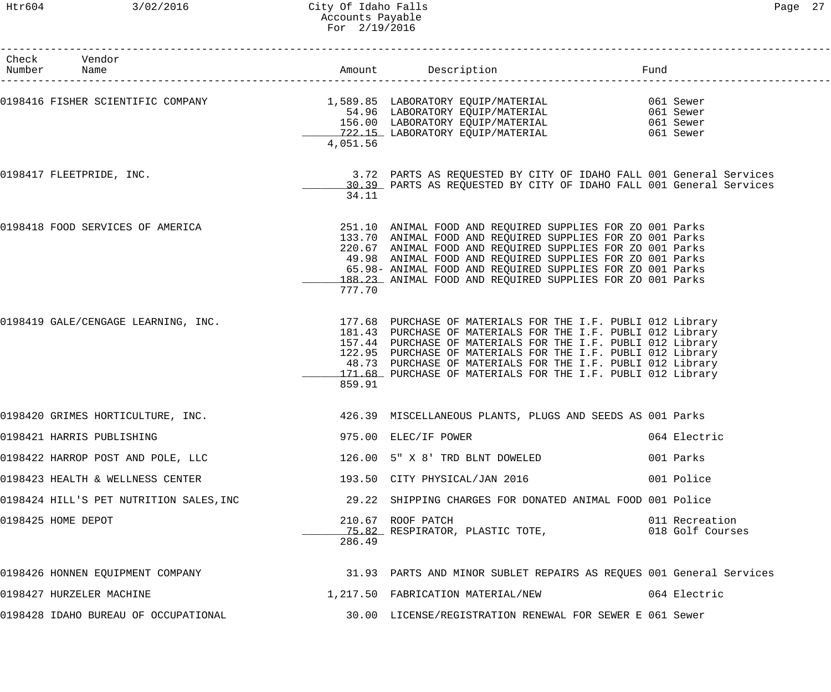| Htr604                            | 3/02/2016                         | City Of Idaho Falls<br>Accounts Payable<br>For $2/19/2016$ |                                                                                                                                               |      |                                                  | Page | 27 |
|-----------------------------------|-----------------------------------|------------------------------------------------------------|-----------------------------------------------------------------------------------------------------------------------------------------------|------|--------------------------------------------------|------|----|
| Vendor<br>Check<br>Number<br>Name |                                   | Amount                                                     | Description                                                                                                                                   | Fund |                                                  |      |    |
|                                   | 0198416 FISHER SCIENTIFIC COMPANY | 4,051.56                                                   | 1,589.85 LABORATORY EQUIP/MATERIAL<br>54.96 LABORATORY EQUIP/MATERIAL<br>156.00 LABORATORY EQUIP/MATERIAL<br>722.15 LABORATORY EQUIP/MATERIAL |      | 061 Sewer<br>061 Sewer<br>061 Sewer<br>061 Sewer |      |    |
| 0198417 FLEETPRIDE, INC.          |                                   | 34.11                                                      | 3.72 PARTS AS REQUESTED BY CITY OF IDAHO FALL 001 General Services<br>30.39 PARTS AS REQUESTED BY CITY OF IDAHO FALL 001 General Services     |      |                                                  |      |    |
|                                   | 0198418 FOOD SERVICES OF AMERICA  |                                                            | 251.10 ANIMAL FOOD AND REQUIRED SUPPLIES FOR ZO 001 Parks<br>133.70 ANIMAL FOOD AND REOUIRED SUPPLIES FOR ZO 001 Parks                        |      |                                                  |      |    |

|                                                                                                                                                                           | 34.11  | 30.39 PARTS AS REQUESTED BY CITY OF IDAHO FALL 001 General Services                                                                                                                                                                                                                                                                                                       |              |
|---------------------------------------------------------------------------------------------------------------------------------------------------------------------------|--------|---------------------------------------------------------------------------------------------------------------------------------------------------------------------------------------------------------------------------------------------------------------------------------------------------------------------------------------------------------------------------|--------------|
| 0198418 FOOD SERVICES OF AMERICA                                                                                                                                          | 777.70 | 251.10 ANIMAL FOOD AND REQUIRED SUPPLIES FOR ZO 001 Parks<br>133.70 ANIMAL FOOD AND REQUIRED SUPPLIES FOR ZO 001 Parks<br>220.67 ANIMAL FOOD AND REQUIRED SUPPLIES FOR ZO 001 Parks<br>49.98 ANIMAL FOOD AND REQUIRED SUPPLIES FOR ZO 001 Parks<br>65.98- ANIMAL FOOD AND REQUIRED SUPPLIES FOR ZO 001 Parks<br>188.23 ANIMAL FOOD AND REQUIRED SUPPLIES FOR ZO 001 Parks |              |
| 0198419 GALE/CENGAGE LEARNING, INC. THE 1.1 SET OF MATERIALS FOR THE I.F. PUBLI 012 Library (0198419)<br>And the computer of Materials For the the I.F. PUBLI 012 Library | 859.91 | 181.43 PURCHASE OF MATERIALS FOR THE I.F. PUBLI 012 Library<br>157.44 PURCHASE OF MATERIALS FOR THE I.F. PUBLI 012 Library<br>122.95 PURCHASE OF MATERIALS FOR THE I.F. PUBLI 012 Library<br>48.73 PURCHASE OF MATERIALS FOR THE I.F. PUBLI 012 Library<br>171.68 PURCHASE OF MATERIALS FOR THE I.F. PUBLI 012 Library                                                    |              |
| 0198420 GRIMES HORTICULTURE, INC. THE SERVICE AND SEARCH MUSCELLANEOUS PLANTS, PLUGS AND SEEDS AS 001 Parks                                                               |        |                                                                                                                                                                                                                                                                                                                                                                           |              |
| 0198421 HARRIS PUBLISHING                                                                                                                                                 |        | 975.00 ELEC/IF POWER                                                                                                                                                                                                                                                                                                                                                      | 064 Electric |
| 0198422 HARROP POST AND POLE, LLC 126.00 5" X 8' TRD BLNT DOWELED 198422 HARROP POST AND POLE, LLC                                                                        |        |                                                                                                                                                                                                                                                                                                                                                                           |              |
| 0198423 HEALTH & WELLNESS CENTER 193.50 CITY PHYSICAL/JAN 2016 2016                                                                                                       |        |                                                                                                                                                                                                                                                                                                                                                                           |              |
| 0198424 HILL'S PET NUTRITION SALES,INC                   29.22 SHIPPING CHARGES FOR DONATED ANIMAL FOOD 001 Police                                                        |        |                                                                                                                                                                                                                                                                                                                                                                           |              |
| 0198425 HOME DEPOT                                                                                                                                                        | 286.49 | 210.67 ROOF PATCH<br>15.82 RESPIRATOR, PLASTIC TOTE, 2008 018 Golf Courses                                                                                                                                                                                                                                                                                                |              |
| 0198426 HONNEN EQUIPMENT COMPANY (2008) STARTS AND MINOR SUBLET REPAIRS AS REQUES 001 General Services                                                                    |        |                                                                                                                                                                                                                                                                                                                                                                           |              |
| 0198427 HURZELER MACHINE                                                                                                                                                  |        | 1,217.50 FABRICATION MATERIAL/NEW 664 Electric                                                                                                                                                                                                                                                                                                                            |              |
|                                                                                                                                                                           |        |                                                                                                                                                                                                                                                                                                                                                                           |              |

0198428 IDAHO BUREAU OF OCCUPATIONAL 30.00 LICENSE/REGISTRATION RENEWAL FOR SEWER E 061 Sewer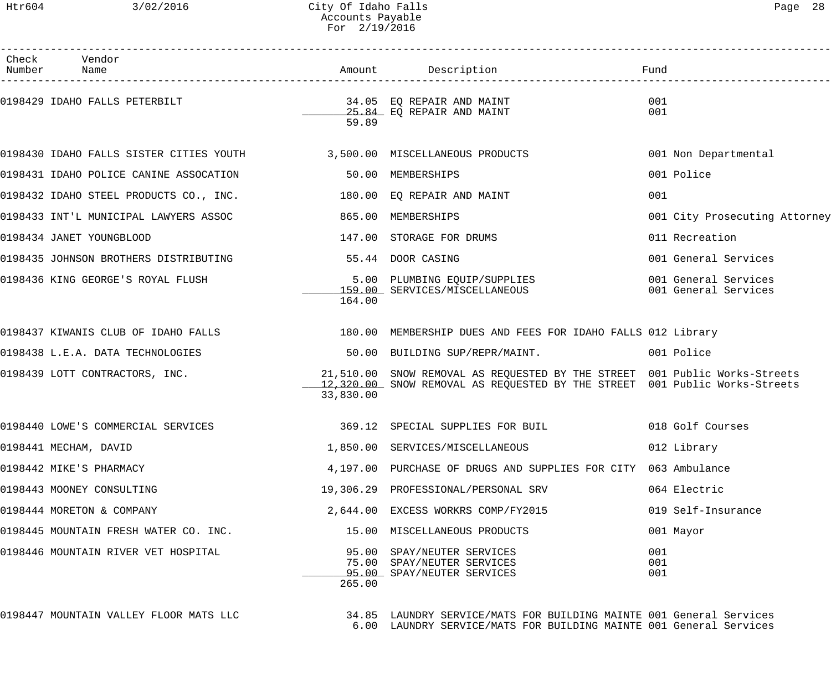| Check Vendor<br>Number Name                                             |           | Amount Description                                                                                                                                       | Fund                                         |
|-------------------------------------------------------------------------|-----------|----------------------------------------------------------------------------------------------------------------------------------------------------------|----------------------------------------------|
| 0198429 IDAHO FALLS PETERBILT                                           | 59.89     | 34.05 EQ REPAIR AND MAINT<br>25.84 EQ REPAIR AND MAINT                                                                                                   | 001<br>001                                   |
| 0198430 IDAHO FALLS SISTER CITIES YOUTH 3,500.00 MISCELLANEOUS PRODUCTS |           |                                                                                                                                                          | 001 Non Departmental                         |
| 0198431 IDAHO POLICE CANINE ASSOCATION                                  |           | 50.00 MEMBERSHIPS                                                                                                                                        | 001 Police                                   |
| 0198432 IDAHO STEEL PRODUCTS CO., INC.                                  |           | 180.00 EQ REPAIR AND MAINT                                                                                                                               | 001                                          |
| 0198433 INT'L MUNICIPAL LAWYERS ASSOC                                   | 865.00    | MEMBERSHIPS                                                                                                                                              | 001 City Prosecuting Attorney                |
| 0198434 JANET YOUNGBLOOD                                                |           | 147.00 STORAGE FOR DRUMS                                                                                                                                 | 011 Recreation                               |
| 0198435 JOHNSON BROTHERS DISTRIBUTING                                   |           | 55.44 DOOR CASING                                                                                                                                        | 001 General Services                         |
| 0198436 KING GEORGE'S ROYAL FLUSH                                       | 164.00    | 5.00 PLUMBING EQUIP/SUPPLIES<br>159.00 SERVICES/MISCELLANEOUS                                                                                            | 001 General Services<br>001 General Services |
| 0198437 KIWANIS CLUB OF IDAHO FALLS                                     |           | 180.00 MEMBERSHIP DUES AND FEES FOR IDAHO FALLS 012 Library                                                                                              |                                              |
| 0198438 L.E.A. DATA TECHNOLOGIES                                        |           | 50.00 BUILDING SUP/REPR/MAINT.                                                                                                                           | 001 Police                                   |
| 0198439 LOTT CONTRACTORS, INC.                                          | 33,830.00 | 21,510.00 SNOW REMOVAL AS REQUESTED BY THE STREET 001 Public Works-Streets<br>12,320.00 SNOW REMOVAL AS REQUESTED BY THE STREET 001 Public Works-Streets |                                              |
| 0198440 LOWE'S COMMERCIAL SERVICES                                      |           | 369.12 SPECIAL SUPPLIES FOR BUIL 018 Golf Courses                                                                                                        |                                              |
| 0198441 MECHAM, DAVID                                                   |           | 1,850.00 SERVICES/MISCELLANEOUS                                                                                                                          | 012 Library                                  |
| 0198442 MIKE'S PHARMACY                                                 |           | 4,197.00 PURCHASE OF DRUGS AND SUPPLIES FOR CITY 063 Ambulance                                                                                           |                                              |
| 0198443 MOONEY CONSULTING                                               |           | 19,306.29 PROFESSIONAL/PERSONAL SRV                                                                                                                      | 064 Electric                                 |
| 0198444 MORETON & COMPANY                                               |           | 2,644.00 EXCESS WORKRS COMP/FY2015                                                                                                                       | 019 Self-Insurance                           |
| 0198445 MOUNTAIN FRESH WATER CO. INC.                                   |           | 15.00 MISCELLANEOUS PRODUCTS                                                                                                                             | 001 Mayor                                    |
| 0198446 MOUNTAIN RIVER VET HOSPITAL                                     | 265.00    | 95.00 SPAY/NEUTER SERVICES<br>75.00 SPAY/NEUTER SERVICES<br>95.00 SPAY/NEUTER SERVICES                                                                   | 001<br>001<br>001                            |
| 0198447 MOUNTAIN VALLEY FLOOR MATS LLC                                  |           | 34.85 LAUNDRY SERVICE/MATS FOR BUILDING MAINTE 001 General Services<br>6.00 LAUNDRY SERVICE/MATS FOR BUILDING MAINTE 001 General Services                |                                              |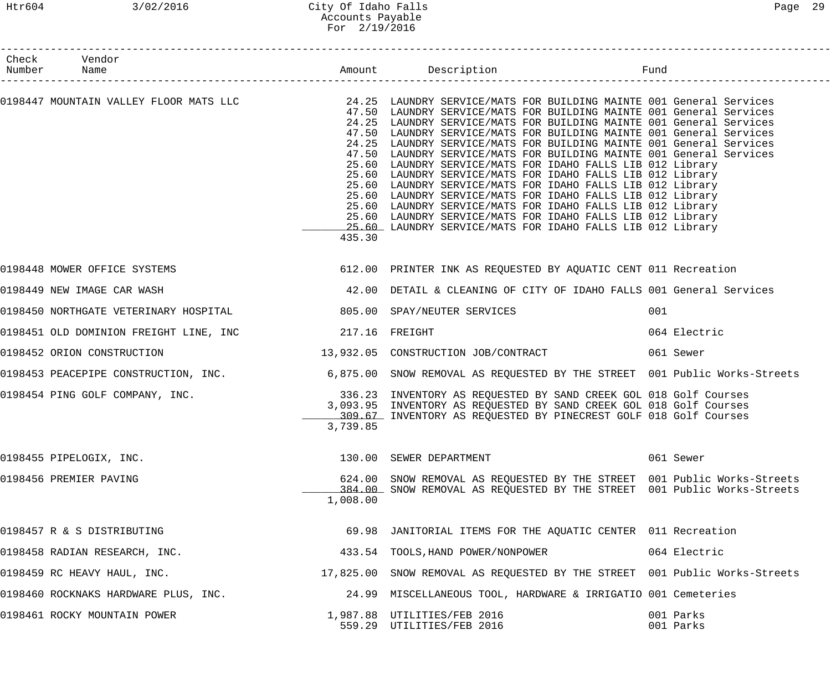### Htr604 3/02/2016 City Of Idaho Falls Page 29 Accounts Payable For 2/19/2016

| Check Vendor<br>Number Name                                           |          | Amount Description Description Fund                                                                                                                                                                                                                                                                                                                                                                                                                                                                                                                                                                                                                                                                                                                                                                                                                                                                                             |                        |
|-----------------------------------------------------------------------|----------|---------------------------------------------------------------------------------------------------------------------------------------------------------------------------------------------------------------------------------------------------------------------------------------------------------------------------------------------------------------------------------------------------------------------------------------------------------------------------------------------------------------------------------------------------------------------------------------------------------------------------------------------------------------------------------------------------------------------------------------------------------------------------------------------------------------------------------------------------------------------------------------------------------------------------------|------------------------|
|                                                                       | 435.30   | 0198447 MOUNTAIN VALLEY FLOOR MATS LLC 24.25 LAUNDRY SERVICE/MATS FOR BUILDING MAINTE 001 General Services<br>47.50 LAUNDRY SERVICE/MATS FOR BUILDING MAINTE 001 General Services<br>24.25 LAUNDRY SERVICE/MATS FOR BUILDING MAINTE 001 General Services<br>47.50 LAUNDRY SERVICE/MATS FOR BUILDING MAINTE 001 General Services<br>24.25 LAUNDRY SERVICE/MATS FOR BUILDING MAINTE 001 General Services<br>47.50 LAUNDRY SERVICE/MATS FOR BUILDING MAINTE 001 General Services<br>25.60 LAUNDRY SERVICE/MATS FOR IDAHO FALLS LIB 012 Library<br>25.60 LAUNDRY SERVICE/MATS FOR IDAHO FALLS LIB 012 Library<br>25.60 LAUNDRY SERVICE/MATS FOR IDAHO FALLS LIB 012 Library<br>25.60 LAUNDRY SERVICE/MATS FOR IDAHO FALLS LIB 012 Library<br>25.60 LAUNDRY SERVICE/MATS FOR IDAHO FALLS LIB 012 Library<br>25.60 LAUNDRY SERVICE/MATS FOR IDAHO FALLS LIB 012 Library<br>25.60 LAUNDRY SERVICE/MATS FOR IDAHO FALLS LIB 012 Library |                        |
| 0198448 MOWER OFFICE SYSTEMS                                          |          | 612.00 PRINTER INK AS REQUESTED BY AQUATIC CENT 011 Recreation                                                                                                                                                                                                                                                                                                                                                                                                                                                                                                                                                                                                                                                                                                                                                                                                                                                                  |                        |
| 0198449 NEW IMAGE CAR WASH                                            |          | 42.00 DETAIL & CLEANING OF CITY OF IDAHO FALLS 001 General Services                                                                                                                                                                                                                                                                                                                                                                                                                                                                                                                                                                                                                                                                                                                                                                                                                                                             |                        |
| 0198450 NORTHGATE VETERINARY HOSPITAL 600 805.00 SPAY/NEUTER SERVICES |          |                                                                                                                                                                                                                                                                                                                                                                                                                                                                                                                                                                                                                                                                                                                                                                                                                                                                                                                                 | 001                    |
|                                                                       |          |                                                                                                                                                                                                                                                                                                                                                                                                                                                                                                                                                                                                                                                                                                                                                                                                                                                                                                                                 | 064 Electric           |
| 0198452 ORION CONSTRUCTION                                            |          | 13,932.05 CONSTRUCTION JOB/CONTRACT 061 Sewer                                                                                                                                                                                                                                                                                                                                                                                                                                                                                                                                                                                                                                                                                                                                                                                                                                                                                   |                        |
|                                                                       |          | 0198453 PEACEPIPE CONSTRUCTION, INC. 6,875.00 SNOW REMOVAL AS REQUESTED BY THE STREET 001 Public Works-Streets                                                                                                                                                                                                                                                                                                                                                                                                                                                                                                                                                                                                                                                                                                                                                                                                                  |                        |
| 0198454 PING GOLF COMPANY, INC.                                       | 3,739.85 | 336.23 INVENTORY AS REQUESTED BY SAND CREEK GOL 018 Golf Courses<br>3,093.95 INVENTORY AS REOUESTED BY SAND CREEK GOL 018 Golf Courses<br>309.67 INVENTORY AS REQUESTED BY PINECREST GOLF 018 Golf Courses                                                                                                                                                                                                                                                                                                                                                                                                                                                                                                                                                                                                                                                                                                                      |                        |
| 0198455 PIPELOGIX, INC.                                               |          | 130.00 SEWER DEPARTMENT                                                                                                                                                                                                                                                                                                                                                                                                                                                                                                                                                                                                                                                                                                                                                                                                                                                                                                         | 061 Sewer              |
| 0198456 PREMIER PAVING                                                | 1,008.00 | 624.00 SNOW REMOVAL AS REQUESTED BY THE STREET 001 Public Works-Streets<br>384.00 SNOW REMOVAL AS REQUESTED BY THE STREET 001 Public Works-Streets                                                                                                                                                                                                                                                                                                                                                                                                                                                                                                                                                                                                                                                                                                                                                                              |                        |
| 0198457 R & S DISTRIBUTING                                            |          | 69.98 JANITORIAL ITEMS FOR THE AQUATIC CENTER 011 Recreation                                                                                                                                                                                                                                                                                                                                                                                                                                                                                                                                                                                                                                                                                                                                                                                                                                                                    |                        |
| 0198458 RADIAN RESEARCH, INC.                                         |          | 433.54 TOOLS, HAND POWER/NONPOWER                                                                                                                                                                                                                                                                                                                                                                                                                                                                                                                                                                                                                                                                                                                                                                                                                                                                                               | 064 Electric           |
| 0198459 RC HEAVY HAUL, INC.                                           |          | 17,825.00 SNOW REMOVAL AS REQUESTED BY THE STREET 001 Public Works-Streets                                                                                                                                                                                                                                                                                                                                                                                                                                                                                                                                                                                                                                                                                                                                                                                                                                                      |                        |
| 0198460 ROCKNAKS HARDWARE PLUS, INC.                                  |          | 24.99 MISCELLANEOUS TOOL, HARDWARE & IRRIGATIO 001 Cemeteries                                                                                                                                                                                                                                                                                                                                                                                                                                                                                                                                                                                                                                                                                                                                                                                                                                                                   |                        |
| 0198461 ROCKY MOUNTAIN POWER                                          |          | 1,987.88 UTILITIES/FEB 2016<br>559.29 UTILITIES/FEB 2016                                                                                                                                                                                                                                                                                                                                                                                                                                                                                                                                                                                                                                                                                                                                                                                                                                                                        | 001 Parks<br>001 Parks |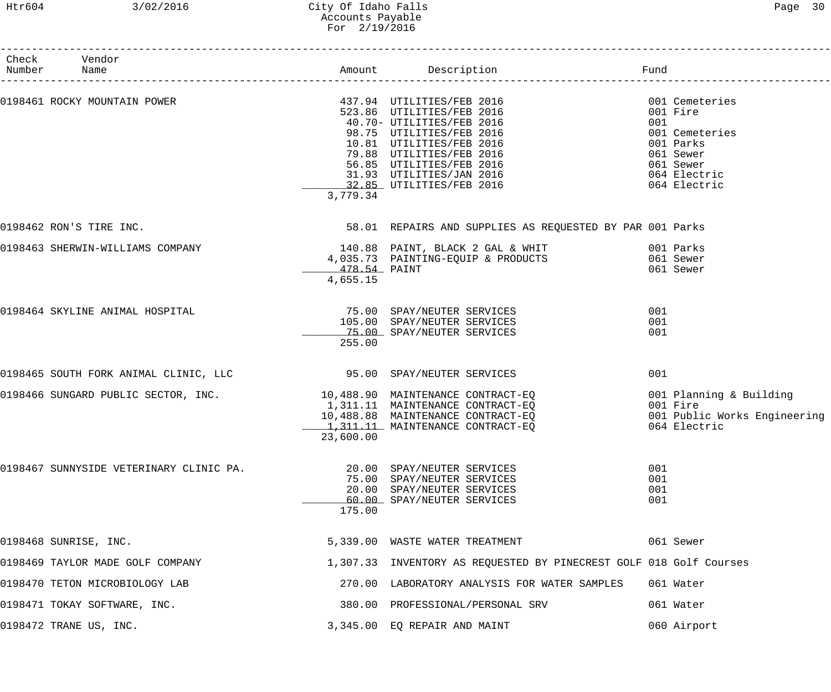### Htr604 3/02/2016 City Of Idaho Falls Page 30 Accounts Payable For 2/19/2016

| Check Vendor<br>Number Name             |                          |                                                                                                                                                                                                                                                             |                                                                                                                            |
|-----------------------------------------|--------------------------|-------------------------------------------------------------------------------------------------------------------------------------------------------------------------------------------------------------------------------------------------------------|----------------------------------------------------------------------------------------------------------------------------|
| 0198461 ROCKY MOUNTAIN POWER            | 3,779.34                 | 437.94 UTILITIES/FEB 2016<br>523.86 UTILITIES/FEB 2016<br>40.70- UTILITIES/FEB 2016<br>98.75 UTILITIES/FEB 2016<br>10.81 UTILITIES/FEB 2016<br>79.88 UTILITIES/FEB 2016<br>56.85 UTILITIES/FEB 2016<br>31.93 UTILITIES/JAN 2016<br>32.85 UTILITIES/FEB 2016 | 001 Cemeteries<br>001 Fire<br>001<br>001 Cemeteries<br>001 Parks<br>061 Sewer<br>061 Sewer<br>064 Electric<br>064 Electric |
| 0198462 RON'S TIRE INC.                 |                          | 58.01 REPAIRS AND SUPPLIES AS REQUESTED BY PAR 001 Parks                                                                                                                                                                                                    |                                                                                                                            |
| 0198463 SHERWIN-WILLIAMS COMPANY        | 478.54 PAINT<br>4,655.15 | 140.88 PAINT, BLACK 2 GAL & WHIT 6001 Parks<br>4,035.73 PAINTING-EQUIP & PRODUCTS                                                                                                                                                                           | 061 Sewer<br>061 Sewer                                                                                                     |
| 0198464 SKYLINE ANIMAL HOSPITAL         | 255.00                   | 75.00 SPAY/NEUTER SERVICES<br>105.00 SPAY/NEUTER SERVICES<br>75.00 SPAY/NEUTER SERVICES                                                                                                                                                                     | 001<br>001<br>001                                                                                                          |
| 0198465 SOUTH FORK ANIMAL CLINIC, LLC   |                          | 95.00 SPAY/NEUTER SERVICES                                                                                                                                                                                                                                  | 001                                                                                                                        |
| 0198466 SUNGARD PUBLIC SECTOR, INC.     | 23,600.00                | 10,488.90 MAINTENANCE CONTRACT-EQ<br>1,311.11 MAINTENANCE CONTRACT-EQ<br>10,488.88 MAINTENANCE CONTRACT-EQ<br>1, 311.11 MAINTENANCE CONTRACT-EQ                                                                                                             | 001 Planning & Building<br>001 Fire<br>001 Public Works Engineering<br>064 Electric                                        |
| 0198467 SUNNYSIDE VETERINARY CLINIC PA. | 175.00                   | 20.00 SPAY/NEUTER SERVICES<br>75.00 SPAY/NEUTER SERVICES<br>20.00 SPAY/NEUTER SERVICES<br>60.00 SPAY/NEUTER SERVICES                                                                                                                                        | 001<br>001<br>001<br>001                                                                                                   |
| 0198468 SUNRISE, INC.                   |                          | 5,339.00 WASTE WATER TREATMENT                                                                                                                                                                                                                              | 061 Sewer                                                                                                                  |
| 0198469 TAYLOR MADE GOLF COMPANY        |                          | 1,307.33 INVENTORY AS REQUESTED BY PINECREST GOLF 018 Golf Courses                                                                                                                                                                                          |                                                                                                                            |
| 0198470 TETON MICROBIOLOGY LAB          |                          | 270.00 LABORATORY ANALYSIS FOR WATER SAMPLES                                                                                                                                                                                                                | 061 Water                                                                                                                  |
| 0198471 TOKAY SOFTWARE, INC.            |                          | 380.00 PROFESSIONAL/PERSONAL SRV                                                                                                                                                                                                                            | 061 Water                                                                                                                  |
| 0198472 TRANE US, INC.                  |                          | 3,345.00 EQ REPAIR AND MAINT                                                                                                                                                                                                                                | 060 Airport                                                                                                                |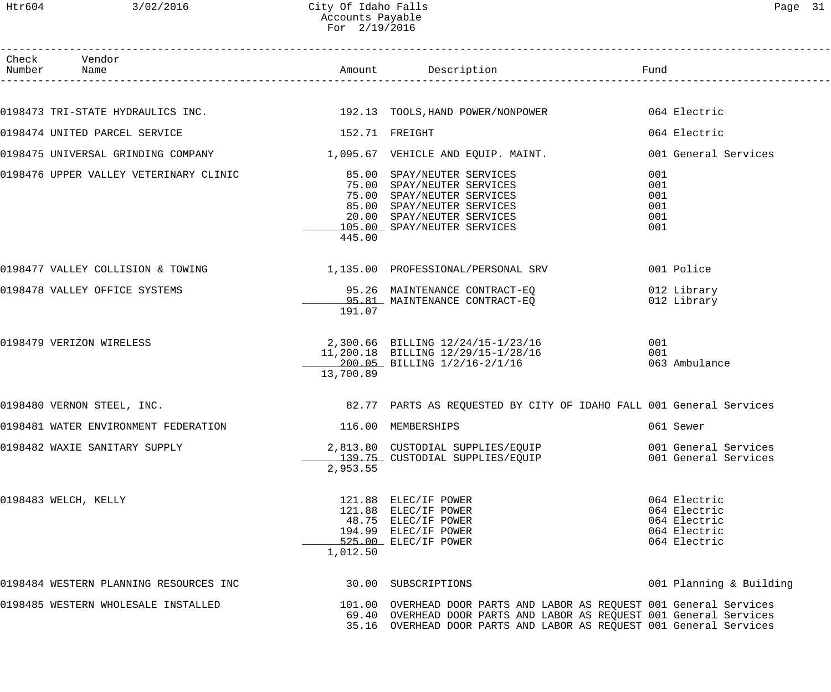| Check Vendor<br>Number Name                                            |                    |                                                                                                                                                                                                                    |                                                                              |
|------------------------------------------------------------------------|--------------------|--------------------------------------------------------------------------------------------------------------------------------------------------------------------------------------------------------------------|------------------------------------------------------------------------------|
|                                                                        |                    |                                                                                                                                                                                                                    |                                                                              |
|                                                                        |                    | 0198473 TRI-STATE HYDRAULICS INC. 192.13 TOOLS, HAND POWER/NONPOWER 064 Electric                                                                                                                                   |                                                                              |
| 0198474 UNITED PARCEL SERVICE                                          | 152.71 FREIGHT     |                                                                                                                                                                                                                    | 064 Electric                                                                 |
| 0198475 UNIVERSAL GRINDING COMPANY 1 095.67 VEHICLE AND EQUIP. MAINT.  |                    |                                                                                                                                                                                                                    | 001 General Services                                                         |
|                                                                        | 445.00             | 75.00 SPAY/NEUTER SERVICES<br>75.00 SPAY/NEUTER SERVICES<br>85.00 SPAY/NEUTER SERVICES<br>20.00 SPAY/NEUTER SERVICES<br>105.00 SPAY/NEUTER SERVICES                                                                | 001<br>001<br>001<br>001<br>001<br>001                                       |
| 0198477 VALLEY COLLISION & TOWING $1,135.00$ PROFESSIONAL/PERSONAL SRV |                    |                                                                                                                                                                                                                    | 001 Police                                                                   |
| 0198478 VALLEY OFFICE SYSTEMS                                          | 191.07             | 95.26 MAINTENANCE CONTRACT-EQ<br>95.81 MAINTENANCE CONTRACT-EQ                                                                                                                                                     | 012 Library<br>012 Library                                                   |
| 0198479 VERIZON WIRELESS                                               | 13,700.89          | 2,300.66 BILLING 12/24/15-1/23/16<br>11,200.18 BILLING 12/29/15-1/28/16<br>200.05 BILLING 1/2/16-2/1/16                                                                                                            | 001<br>001<br>063 Ambulance                                                  |
| 0198480 VERNON STEEL, INC.                                             |                    | 82.77 PARTS AS REQUESTED BY CITY OF IDAHO FALL 001 General Services                                                                                                                                                |                                                                              |
| 0198481 WATER ENVIRONMENT FEDERATION                                   | 116.00 MEMBERSHIPS |                                                                                                                                                                                                                    | 061 Sewer                                                                    |
| 0198482 WAXIE SANITARY SUPPLY                                          | 2,953.55           | 2,813.80 CUSTODIAL SUPPLIES/EQUIP<br>139.75 CUSTODIAL SUPPLIES/EQUIP                                                                                                                                               | 001 General Services<br>001 General Services                                 |
| 0198483 WELCH, KELLY                                                   | 1,012.50           | 121.88 ELEC/IF POWER<br>121.88 ELEC/IF POWER<br>48.75 ELEC/IF POWER<br>194.99 ELEC/IF POWER<br>525.00 ELEC/IF POWER                                                                                                | 064 Electric<br>064 Electric<br>064 Electric<br>064 Electric<br>064 Electric |
| 0198484 WESTERN PLANNING RESOURCES INC                                 |                    | 30.00 SUBSCRIPTIONS                                                                                                                                                                                                | 001 Planning & Building                                                      |
| 0198485 WESTERN WHOLESALE INSTALLED                                    |                    | 101.00 OVERHEAD DOOR PARTS AND LABOR AS REQUEST 001 General Services<br>69.40 OVERHEAD DOOR PARTS AND LABOR AS REQUEST 001 General Services<br>35.16 OVERHEAD DOOR PARTS AND LABOR AS REQUEST 001 General Services |                                                                              |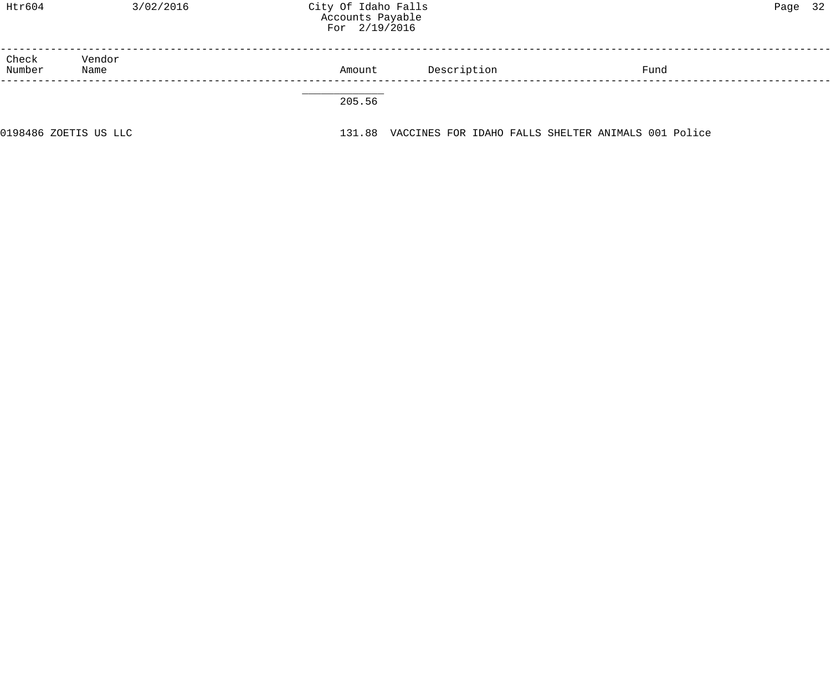| Htr604          | 3/02/2016             | City Of Idaho Falls<br>Accounts Payable<br>For 2/19/2016 |             |                                                     | 32<br>Page |
|-----------------|-----------------------|----------------------------------------------------------|-------------|-----------------------------------------------------|------------|
| Check<br>Number | Vendor<br>Name        | Amount                                                   | Description | Fund                                                |            |
|                 |                       | 205.56                                                   |             |                                                     |            |
|                 | 0198486 ZOETIS US LLC | 131.88                                                   |             | VACCINES FOR IDAHO FALLS SHELTER ANIMALS 001 Police |            |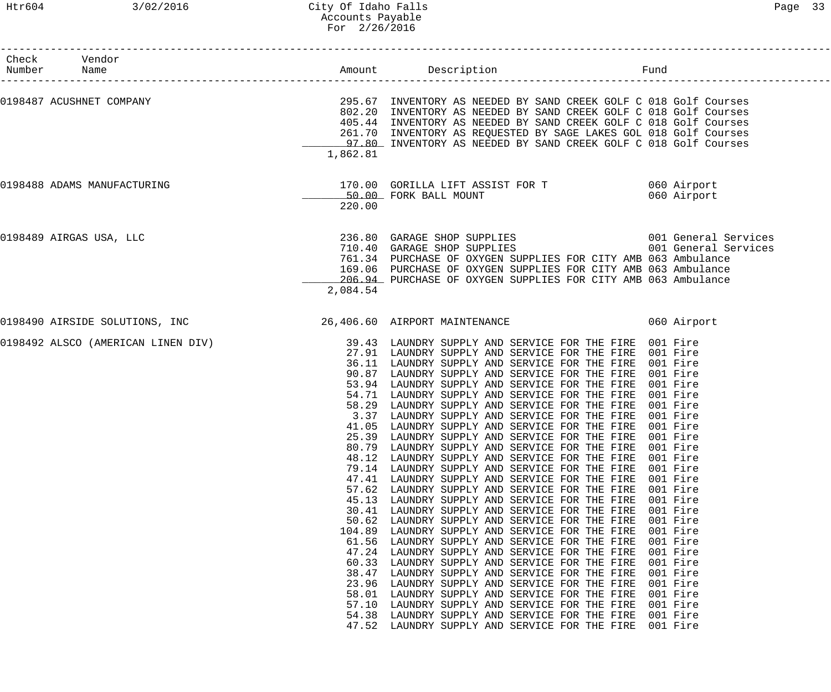| Check Vendor<br>Number Name |                                    |                                                                                                                             |                                                                                                                                                                                                                                                                                                                                                                                                                                                                                                                                                                                                                                                                                                                                                                                                                                                                                                                                                                                                                                                                                                                                                                                                | Fund                                                                                                                                                                                                     |
|-----------------------------|------------------------------------|-----------------------------------------------------------------------------------------------------------------------------|------------------------------------------------------------------------------------------------------------------------------------------------------------------------------------------------------------------------------------------------------------------------------------------------------------------------------------------------------------------------------------------------------------------------------------------------------------------------------------------------------------------------------------------------------------------------------------------------------------------------------------------------------------------------------------------------------------------------------------------------------------------------------------------------------------------------------------------------------------------------------------------------------------------------------------------------------------------------------------------------------------------------------------------------------------------------------------------------------------------------------------------------------------------------------------------------|----------------------------------------------------------------------------------------------------------------------------------------------------------------------------------------------------------|
|                             | 0198487 ACUSHNET COMPANY           | 1,862.81                                                                                                                    | 295.67 INVENTORY AS NEEDED BY SAND CREEK GOLF C 018 Golf Courses<br>802.20 INVENTORY AS NEEDED BY SAND CREEK GOLF C 018 Golf Courses<br>405.44 INVENTORY AS NEEDED BY SAND CREEK GOLF C 018 Golf Courses<br>261.70 INVENTORY AS REQUESTED BY SAGE LAKES GOL 018 Golf Courses<br>97.80 INVENTORY AS NEEDED BY SAND CREEK GOLF C 018 Golf Courses                                                                                                                                                                                                                                                                                                                                                                                                                                                                                                                                                                                                                                                                                                                                                                                                                                                |                                                                                                                                                                                                          |
|                             | 0198488 ADAMS MANUFACTURING        | 220.00                                                                                                                      | 170.00 GORILLA LIFT ASSIST FOR T 060 Airport<br>50.00 FORK BALL MOUNT                                                                                                                                                                                                                                                                                                                                                                                                                                                                                                                                                                                                                                                                                                                                                                                                                                                                                                                                                                                                                                                                                                                          | 060 Airport                                                                                                                                                                                              |
|                             | 0198489 AIRGAS USA, LLC            | 2,084.54                                                                                                                    | 761.34 PURCHASE OF OXYGEN SUPPLIES FOR CITY AMB 063 Ambulance<br>169.06 PURCHASE OF OXYGEN SUPPLIES FOR CITY AMB 063 Ambulance<br>206.94 PURCHASE OF OXYGEN SUPPLIES FOR CITY AMB 063 Ambulance                                                                                                                                                                                                                                                                                                                                                                                                                                                                                                                                                                                                                                                                                                                                                                                                                                                                                                                                                                                                |                                                                                                                                                                                                          |
|                             | 0198490 AIRSIDE SOLUTIONS, INC     |                                                                                                                             | 26,406.60 AIRPORT MAINTENANCE                                                                                                                                                                                                                                                                                                                                                                                                                                                                                                                                                                                                                                                                                                                                                                                                                                                                                                                                                                                                                                                                                                                                                                  | 060 Airport                                                                                                                                                                                              |
|                             | 0198492 ALSCO (AMERICAN LINEN DIV) | 80.79<br>48.12<br>79.14<br>47.41<br>57.62<br>45.13<br>30.41<br>50.62<br>104.89<br>61.56<br>47.24<br>60.33<br>38.47<br>23.96 | 39.43 LAUNDRY SUPPLY AND SERVICE FOR THE FIRE 001 Fire<br>27.91 LAUNDRY SUPPLY AND SERVICE FOR THE FIRE 001 Fire<br>36.11 LAUNDRY SUPPLY AND SERVICE FOR THE FIRE<br>90.87 LAUNDRY SUPPLY AND SERVICE FOR THE FIRE 001 Fire<br>53.94 LAUNDRY SUPPLY AND SERVICE FOR THE FIRE 001 Fire<br>54.71 LAUNDRY SUPPLY AND SERVICE FOR THE FIRE 001 Fire<br>58.29 LAUNDRY SUPPLY AND SERVICE FOR THE FIRE 001 Fire<br>3.37 LAUNDRY SUPPLY AND SERVICE FOR THE FIRE<br>41.05 LAUNDRY SUPPLY AND SERVICE FOR THE FIRE<br>25.39 LAUNDRY SUPPLY AND SERVICE FOR THE FIRE 001 Fire<br>LAUNDRY SUPPLY AND SERVICE FOR THE FIRE<br>LAUNDRY SUPPLY AND SERVICE FOR THE FIRE<br>LAUNDRY SUPPLY AND SERVICE FOR THE FIRE<br>LAUNDRY SUPPLY AND SERVICE FOR THE FIRE<br>LAUNDRY SUPPLY AND SERVICE FOR THE FIRE<br>LAUNDRY SUPPLY AND SERVICE FOR THE FIRE<br>LAUNDRY SUPPLY AND SERVICE FOR THE FIRE<br>LAUNDRY SUPPLY AND SERVICE FOR THE FIRE<br>LAUNDRY SUPPLY AND SERVICE FOR THE FIRE<br>LAUNDRY SUPPLY AND SERVICE FOR THE FIRE<br>LAUNDRY SUPPLY AND SERVICE FOR THE FIRE<br>LAUNDRY SUPPLY AND SERVICE FOR THE FIRE<br>LAUNDRY SUPPLY AND SERVICE FOR THE FIRE<br>LAUNDRY SUPPLY AND SERVICE FOR THE FIRE | 001 Fire<br>001 Fire<br>001 Fire<br>001 Fire<br>001 Fire<br>001 Fire<br>001 Fire<br>001 Fire<br>001 Fire<br>001 Fire<br>001 Fire<br>001 Fire<br>001 Fire<br>001 Fire<br>001 Fire<br>001 Fire<br>001 Fire |
|                             |                                    | 58.01<br>57.10<br>54.38<br>47.52                                                                                            | LAUNDRY SUPPLY AND SERVICE FOR THE FIRE<br>LAUNDRY SUPPLY AND SERVICE FOR THE FIRE<br>LAUNDRY SUPPLY AND SERVICE FOR THE FIRE<br>LAUNDRY SUPPLY AND SERVICE FOR THE FIRE                                                                                                                                                                                                                                                                                                                                                                                                                                                                                                                                                                                                                                                                                                                                                                                                                                                                                                                                                                                                                       | 001 Fire<br>001 Fire<br>001 Fire<br>001 Fire                                                                                                                                                             |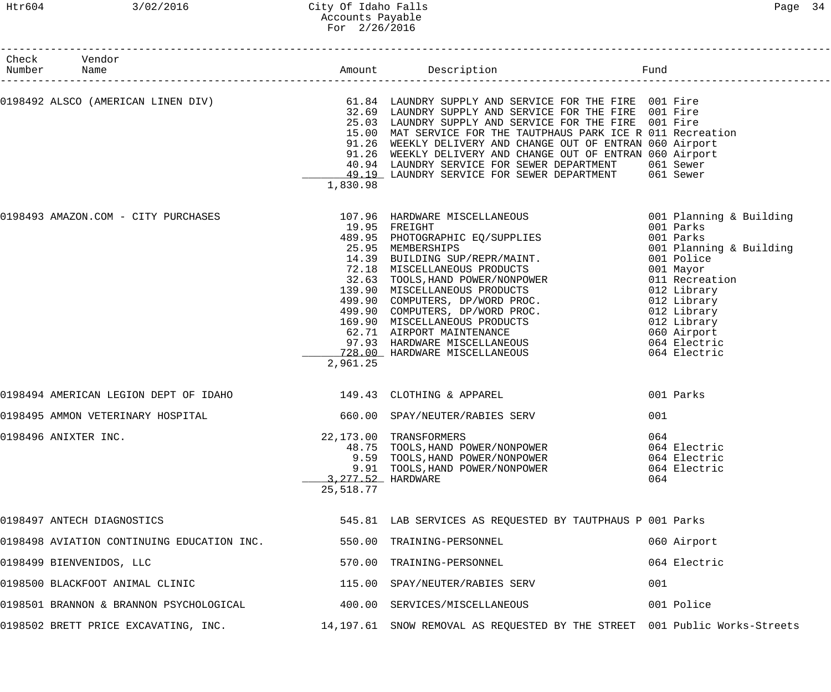| Check Vendor<br>Number Name<br>---------------------            |           |                                                                                                                                                                                                                                                                                                                                                                                                                                                                                                                               |                                                                                                                                                                                                                                      |
|-----------------------------------------------------------------|-----------|-------------------------------------------------------------------------------------------------------------------------------------------------------------------------------------------------------------------------------------------------------------------------------------------------------------------------------------------------------------------------------------------------------------------------------------------------------------------------------------------------------------------------------|--------------------------------------------------------------------------------------------------------------------------------------------------------------------------------------------------------------------------------------|
|                                                                 | 1,830.98  | 0198492 ALSCO (AMERICAN LINEN DIV) 61.84 LAUNDRY SUPPLY AND SERVICE FOR THE FIRE 001 Fire<br>32.69 LAUNDRY SUPPLY AND SERVICE FOR THE FIRE 001 Fire<br>25.03 LAUNDRY SUPPLY AND SERVICE FOR THE FIRE 001 Fire<br>15.00 MAT SERVICE FOR THE TAUTPHAUS PARK ICE R 011 Recreation<br>91.26 WEEKLY DELIVERY AND CHANGE OUT OF ENTRAN 060 Airport<br>91.26 WEEKLY DELIVERY AND CHANGE OUT OF ENTRAN 060 Airport<br>40.94 LAUNDRY SERVICE FOR SEWER DEPARTMENT<br>49.19 LAUNDRY SERVICE FOR SEWER DEPARTMENT 061 Sewer              | 061 Sewer                                                                                                                                                                                                                            |
| 0198493 AMAZON.COM - CITY PURCHASES                             | 2,961.25  | 107.96 HARDWARE MISCELLANEOUS<br>19.95 FREIGHT<br>489.95 PHOTOGRAPHIC EQ/SUPPLIES<br>25.95 MEMBERSHIPS<br>14.39 BUILDING SUP/REPR/MAINT.<br>72.18 MISCELLANEOUS PRODUCTS<br>72.18 MISCELLANEOUS PRODUCTS<br>32.63 TOOLS, HAND POWER/NONPOWER<br>139.90 MISCELLANEOUS PRODUCTS<br>499.90 COMPUTERS, DP/WORD PROC.<br>499.90 COMPUTERS, DP/WORD PROC.<br>169.90 MISCELLANEOUS PRODUCTS<br>62.71 AIRPORT MAINTENANCE<br>97.93 HARD<br>62.71 AIRPORT MAINTENANCE<br>97.93 HARDWARE MISCELLANEOUS<br>728.00 HARDWARE MISCELLANEOUS | 001 Planning & Building<br>001 Parks<br>001 Parks<br>001 Planning & Building<br>001 Police<br>001 Mayor<br>011 Recreation<br>012 Library<br>012 Library<br>012 Library<br>012 Library<br>060 Airport<br>064 Electric<br>064 Electric |
| 0198494 AMERICAN LEGION DEPT OF IDAHO 149.43 CLOTHING & APPAREL |           |                                                                                                                                                                                                                                                                                                                                                                                                                                                                                                                               | 001 Parks                                                                                                                                                                                                                            |
| 0198495 AMMON VETERINARY HOSPITAL                               |           | 660.00 SPAY/NEUTER/RABIES SERV                                                                                                                                                                                                                                                                                                                                                                                                                                                                                                | 001                                                                                                                                                                                                                                  |
| 0198496 ANIXTER INC.                                            | 25,518.77 | 22,173.00 TRANSFORMERS<br>48.75 TOOLS, HAND POWER/NONPOWER<br>9.59 TOOLS, HAND POWER/NONPOWER<br>9.91 TOOLS, HAND POWER/NONPOWER<br>3, 277.52 HARDWARE                                                                                                                                                                                                                                                                                                                                                                        | 064<br>064 Electric<br>064 Electric<br>064 Electric<br>064                                                                                                                                                                           |
| 0198497 ANTECH DIAGNOSTICS                                      |           | 545.81 LAB SERVICES AS REQUESTED BY TAUTPHAUS P 001 Parks                                                                                                                                                                                                                                                                                                                                                                                                                                                                     |                                                                                                                                                                                                                                      |
| 0198498 AVIATION CONTINUING EDUCATION INC.                      |           | 550.00 TRAINING-PERSONNEL                                                                                                                                                                                                                                                                                                                                                                                                                                                                                                     | 060 Airport                                                                                                                                                                                                                          |
| 0198499 BIENVENIDOS, LLC                                        |           | 570.00 TRAINING-PERSONNEL                                                                                                                                                                                                                                                                                                                                                                                                                                                                                                     | 064 Electric                                                                                                                                                                                                                         |
| 0198500 BLACKFOOT ANIMAL CLINIC                                 |           | 115.00 SPAY/NEUTER/RABIES SERV                                                                                                                                                                                                                                                                                                                                                                                                                                                                                                | 001                                                                                                                                                                                                                                  |
| 0198501 BRANNON & BRANNON PSYCHOLOGICAL                         |           | 400.00 SERVICES/MISCELLANEOUS                                                                                                                                                                                                                                                                                                                                                                                                                                                                                                 | 001 Police                                                                                                                                                                                                                           |
| 0198502 BRETT PRICE EXCAVATING, INC.                            |           | 14,197.61 SNOW REMOVAL AS REQUESTED BY THE STREET 001 Public Works-Streets                                                                                                                                                                                                                                                                                                                                                                                                                                                    |                                                                                                                                                                                                                                      |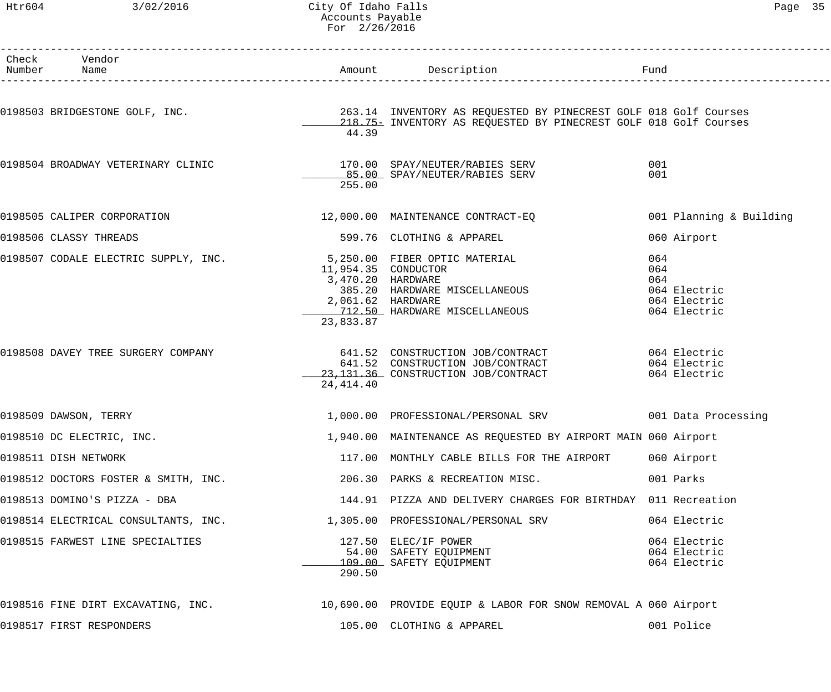### Htr604 3/02/2016 City Of Idaho Falls Page 35 Accounts Payable For 2/26/2016

| Check Vendor<br>Number Name          |                                                                            | Amount Description                                                                                                                                                                              | Fund                                                              |
|--------------------------------------|----------------------------------------------------------------------------|-------------------------------------------------------------------------------------------------------------------------------------------------------------------------------------------------|-------------------------------------------------------------------|
|                                      | 44.39                                                                      | 0198503 BRIDGESTONE GOLF, INC.                             263.14 INVENTORY AS REQUESTED BY PINECREST GOLF 018 Golf Courses<br>218.75 INVENTORY AS REQUESTED BY PINECREST GOLF 018 Golf Courses |                                                                   |
| 0198504 BROADWAY VETERINARY CLINIC   | 255.00                                                                     | 170.00 SPAY/NEUTER/RABIES SERV<br>85.00 SPAY/NEUTER/RABIES SERV                                                                                                                                 | 001<br>001                                                        |
| 0198505 CALIPER CORPORATION          |                                                                            | 12,000.00 MAINTENANCE CONTRACT-EQ                                                                                                                                                               | 001 Planning & Building                                           |
| 0198506 CLASSY THREADS               |                                                                            | 599.76 CLOTHING & APPAREL                                                                                                                                                                       | 060 Airport                                                       |
| 0198507 CODALE ELECTRIC SUPPLY, INC. | 11,954.35 CONDUCTOR<br>3,470.20 HARDWARE<br>2,061.62 HARDWARE<br>23,833.87 | 5,250.00 FIBER OPTIC MATERIAL<br>385.20 HARDWARE MISCELLANEOUS<br>712.50 HARDWARE MISCELLANEOUS                                                                                                 | 064<br>064<br>064<br>064 Electric<br>064 Electric<br>064 Electric |
| 0198508 DAVEY TREE SURGERY COMPANY   | 24,414.40                                                                  | 641.52 CONSTRUCTION JOB/CONTRACT 641.52 CONSTRUCTION<br>641.52 CONSTRUCTION JOB/CONTRACT<br>23, 131.36 CONSTRUCTION JOB/CONTRACT                                                                | 064 Electric<br>064 Electric                                      |
| 0198509 DAWSON, TERRY                |                                                                            | 1,000.00 PROFESSIONAL/PERSONAL SRV 001 Data Processing                                                                                                                                          |                                                                   |
| 0198510 DC ELECTRIC, INC.            |                                                                            | 1,940.00 MAINTENANCE AS REQUESTED BY AIRPORT MAIN 060 Airport                                                                                                                                   |                                                                   |
| 0198511 DISH NETWORK                 |                                                                            | 117.00 MONTHLY CABLE BILLS FOR THE AIRPORT                                                                                                                                                      | 060 Airport                                                       |
| 0198512 DOCTORS FOSTER & SMITH, INC. |                                                                            | 206.30 PARKS & RECREATION MISC.                                                                                                                                                                 | 001 Parks                                                         |
| 0198513 DOMINO'S PIZZA - DBA         |                                                                            | 144.91 PIZZA AND DELIVERY CHARGES FOR BIRTHDAY 011 Recreation                                                                                                                                   |                                                                   |
| 0198514 ELECTRICAL CONSULTANTS, INC. |                                                                            | 1,305.00 PROFESSIONAL/PERSONAL SRV                                                                                                                                                              | 064 Electric                                                      |
| 0198515 FARWEST LINE SPECIALTIES     | 290.50                                                                     | 127.50 ELEC/IF POWER<br>127.30 BBC/IF FOWER<br>54.00 SAFETY EQUIPMENT<br>109.00 SAFETY EQUIPMENT                                                                                                | 064 Electric<br>064 Electric<br>064 Electric                      |
|                                      |                                                                            | 0198516 FINE DIRT EXCAVATING, INC. 10,690.00 PROVIDE EQUIP & LABOR FOR SNOW REMOVAL A 060 Airport                                                                                               |                                                                   |
| 0198517 FIRST RESPONDERS             |                                                                            | 105.00 CLOTHING & APPAREL                                                                                                                                                                       | 001 Police                                                        |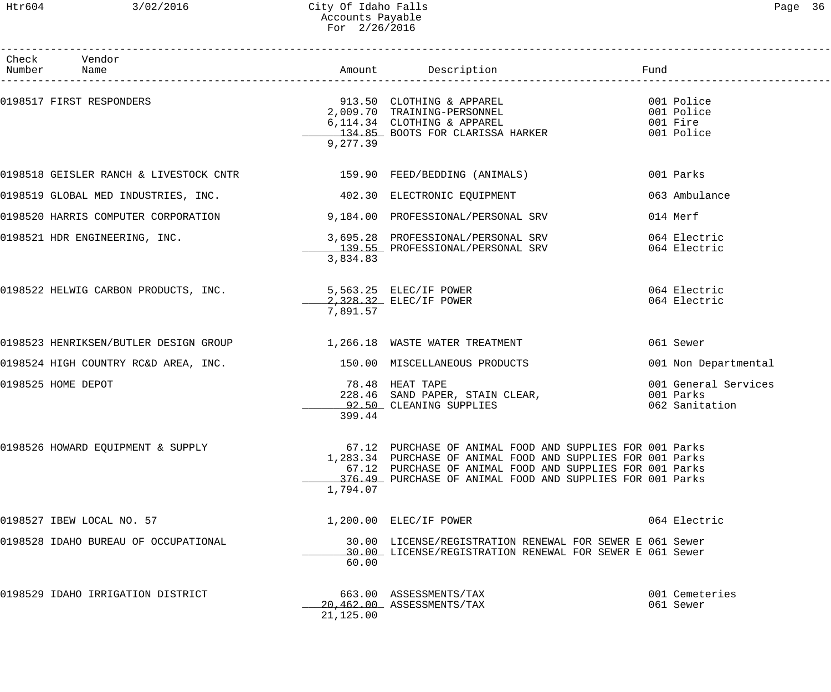### Htr604 3/02/2016 City Of Idaho Falls Page 36 Accounts Payable For 2/26/2016

| Check Vendor<br>Number Name                                                 |           |                                                                                                                                                                                                                                                  |                                                     |
|-----------------------------------------------------------------------------|-----------|--------------------------------------------------------------------------------------------------------------------------------------------------------------------------------------------------------------------------------------------------|-----------------------------------------------------|
| 0198517 FIRST RESPONDERS                                                    | 9,277.39  | 913.50 CLOTHING & APPAREL 001 Police<br>2,009.70 TRAINING-PERSONNEL 001 Police 001 Police<br>6,114.34 CLOTHING & APPAREL 001 Fire<br>134.85 BOOTS FOR CLARISSA HARKER                                                                            | 001 Police                                          |
|                                                                             |           |                                                                                                                                                                                                                                                  | 001 Parks                                           |
| 0198519 GLOBAL MED INDUSTRIES, INC.                                         |           | 402.30 ELECTRONIC EQUIPMENT                                                                                                                                                                                                                      | 063 Ambulance                                       |
| 0198520 HARRIS COMPUTER CORPORATION 600 09,184.00 PROFESSIONAL/PERSONAL SRV |           |                                                                                                                                                                                                                                                  | 014 Merf                                            |
| 0198521 HDR ENGINEERING, INC.                                               | 3,834.83  | 3,695.28 PROFESSIONAL/PERSONAL SRV<br>139.55 PROFESSIONAL/PERSONAL SRV                                                                                                                                                                           | 064 Electric<br>064 Electric                        |
| 0198522 HELWIG CARBON PRODUCTS, INC.                                        | 7,891.57  | 5,563.25 ELEC/IF POWER<br>2.328.32 ELEC/IF POWER                                                                                                                                                                                                 | 064 Electric<br>064 Electric                        |
| 0198523 HENRIKSEN/BUTLER DESIGN GROUP 1,266.18 WASTE WATER TREATMENT        |           |                                                                                                                                                                                                                                                  | 061 Sewer                                           |
| 0198524 HIGH COUNTRY RC&D AREA, INC. 450.00 MISCELLANEOUS PRODUCTS          |           |                                                                                                                                                                                                                                                  | 001 Non Departmental                                |
| 0198525 HOME DEPOT                                                          | 399.44    | 78.48 HEAT TAPE<br>228.46 SAND PAPER, STAIN CLEAR,<br>92.50 CLEANING SUPPLIES                                                                                                                                                                    | 001 General Services<br>001 Parks<br>062 Sanitation |
| 0198526 HOWARD EQUIPMENT & SUPPLY                                           | 1,794.07  | 67.12 PURCHASE OF ANIMAL FOOD AND SUPPLIES FOR 001 Parks<br>1,283.34 PURCHASE OF ANIMAL FOOD AND SUPPLIES FOR 001 Parks<br>67.12 PURCHASE OF ANIMAL FOOD AND SUPPLIES FOR 001 Parks<br>376.49 PURCHASE OF ANIMAL FOOD AND SUPPLIES FOR 001 Parks |                                                     |
| 0198527 IBEW LOCAL NO. 57                                                   |           | 1,200.00 ELEC/IF POWER                                                                                                                                                                                                                           | 064 Electric                                        |
| 0198528 IDAHO BUREAU OF OCCUPATIONAL                                        | 60.00     | 30.00 LICENSE/REGISTRATION RENEWAL FOR SEWER E 061 Sewer<br>30.00 LICENSE/REGISTRATION RENEWAL FOR SEWER E 061 Sewer                                                                                                                             |                                                     |
| 0198529 IDAHO IRRIGATION DISTRICT                                           | 21,125.00 | 663.00 ASSESSMENTS/TAX<br>20,462.00 ASSESSMENTS/TAX                                                                                                                                                                                              | 001 Cemeteries<br>061 Sewer                         |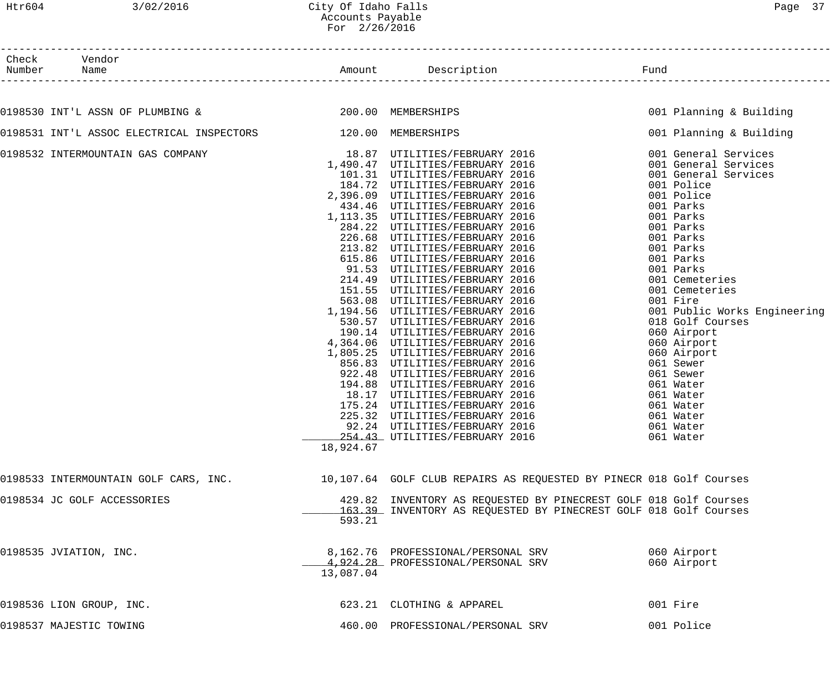| Check  | Vendor |        |             |      |
|--------|--------|--------|-------------|------|
| Number | Name   | Amount | Description | Funa |

Amount Description **Example Amount** Pund

| 0198530 INT'L ASSN OF PLUMBING & 200.00 MEMBERSHIPS                                                       |           |                                                                  | 001 Planning & Building |
|-----------------------------------------------------------------------------------------------------------|-----------|------------------------------------------------------------------|-------------------------|
| 0198531 INT'L ASSOC ELECTRICAL INSPECTORS 120.00 MEMBERSHIPS                                              |           |                                                                  | 001 Planning & Building |
|                                                                                                           |           |                                                                  |                         |
|                                                                                                           |           |                                                                  |                         |
|                                                                                                           |           |                                                                  |                         |
|                                                                                                           |           |                                                                  |                         |
|                                                                                                           |           |                                                                  |                         |
|                                                                                                           |           |                                                                  |                         |
|                                                                                                           |           |                                                                  |                         |
|                                                                                                           |           |                                                                  |                         |
|                                                                                                           |           |                                                                  |                         |
|                                                                                                           |           |                                                                  |                         |
|                                                                                                           |           |                                                                  |                         |
|                                                                                                           |           |                                                                  |                         |
|                                                                                                           |           |                                                                  |                         |
|                                                                                                           |           |                                                                  |                         |
|                                                                                                           |           |                                                                  |                         |
|                                                                                                           |           |                                                                  |                         |
|                                                                                                           |           |                                                                  |                         |
|                                                                                                           |           |                                                                  |                         |
|                                                                                                           |           |                                                                  |                         |
|                                                                                                           |           |                                                                  |                         |
|                                                                                                           |           |                                                                  |                         |
|                                                                                                           |           |                                                                  |                         |
|                                                                                                           |           |                                                                  |                         |
|                                                                                                           |           |                                                                  |                         |
|                                                                                                           |           |                                                                  |                         |
|                                                                                                           |           |                                                                  |                         |
|                                                                                                           |           |                                                                  |                         |
|                                                                                                           |           | 92.24 UTILITIES/FEBRUARY 2016<br>254.43 UTILITIES/FEBRUARY 2016  | 061 Water               |
|                                                                                                           | 18,924.67 |                                                                  |                         |
| 0198533 INTERMOUNTAIN GOLF CARS, INC. 10,107.64 GOLF CLUB REPAIRS AS REQUESTED BY PINECR 018 Golf Courses |           |                                                                  |                         |
|                                                                                                           |           |                                                                  |                         |
| 0198534 JC GOLF ACCESSORIES                                                                               |           | 429.82 INVENTORY AS REQUESTED BY PINECREST GOLF 018 Golf Courses |                         |
|                                                                                                           |           | 163.39 INVENTORY AS REQUESTED BY PINECREST GOLF 018 Golf Courses |                         |
|                                                                                                           | 593.21    |                                                                  |                         |
| 0198535 JVIATION, INC.                                                                                    |           | 8,162.76 PROFESSIONAL/PERSONAL SRV                               | 060 Airport             |
|                                                                                                           |           | 4,924.28 PROFESSIONAL/PERSONAL SRV                               | 060 Airport             |
|                                                                                                           | 13,087.04 |                                                                  |                         |
| 0198536 LION GROUP, INC.                                                                                  |           | 623.21 CLOTHING & APPAREL                                        | 001 Fire                |
| 0198537 MAJESTIC TOWING                                                                                   |           | 460.00 PROFESSIONAL/PERSONAL SRV                                 | 001 Police              |
|                                                                                                           |           |                                                                  |                         |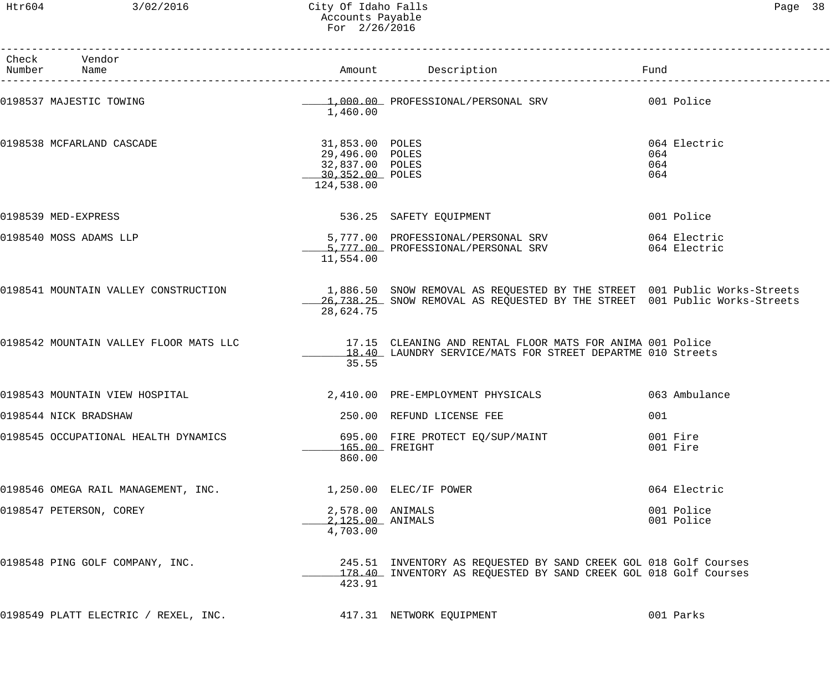Htr604 3/02/2016 City Of Idaho Falls Page 38 Accounts Payable For 2/26/2016

| Check Vendor<br>Number Name                                               |                                                                                        |                                                                                                                                                                | Fund                              |
|---------------------------------------------------------------------------|----------------------------------------------------------------------------------------|----------------------------------------------------------------------------------------------------------------------------------------------------------------|-----------------------------------|
| 0198537 MAJESTIC TOWING                                                   | 1,460.00                                                                               | 1,000.00 PROFESSIONAL/PERSONAL SRV 001 Police                                                                                                                  |                                   |
| 0198538 MCFARLAND CASCADE                                                 | 31,853.00 POLES<br>29,496.00 POLES<br>32,837.00 POLES<br>30,352.00 POLES<br>124,538.00 |                                                                                                                                                                | 064 Electric<br>064<br>064<br>064 |
| 0198539 MED-EXPRESS                                                       |                                                                                        | 536.25 SAFETY EQUIPMENT                                                                                                                                        | 001 Police                        |
| 0198540 MOSS ADAMS LLP                                                    | 11,554.00                                                                              | 5,777.00 PROFESSIONAL/PERSONAL SRV<br>5,777.00 PROFESSIONAL/PERSONAL SRV                                                                                       | 064 Electric<br>064 Electric      |
| 0198541 MOUNTAIN VALLEY CONSTRUCTION                                      | 28,624.75                                                                              | 1,886.50 SNOW REMOVAL AS REQUESTED BY THE STREET 001 Public Works-Streets<br>26,738.25 SNOW REMOVAL AS REQUESTED BY THE STREET 001 Public Works-Streets        |                                   |
|                                                                           | 35.55                                                                                  | 0198542 MOUNTAIN VALLEY FLOOR MATS LLC 17.15 CLEANING AND RENTAL FLOOR MATS FOR ANIMA 001 Police<br>18.40 LAUNDRY SERVICE/MATS FOR STREET DEPARTME 010 Streets |                                   |
| 0198543 MOUNTAIN VIEW HOSPITAL                                            |                                                                                        | 2,410.00 PRE-EMPLOYMENT PHYSICALS                                                                                                                              | 063 Ambulance                     |
| 0198544 NICK BRADSHAW                                                     |                                                                                        | 250.00 REFUND LICENSE FEE                                                                                                                                      | 001                               |
| $0198545$ OCCUPATIONAL HEALTH DYNAMICS $695.00$ FIRE PROTECT EQ/SUP/MAINT | 860.00                                                                                 | 165.00 FREIGHT                                                                                                                                                 | 001 Fire<br>001 Fire              |
| 0198546 OMEGA RAIL MANAGEMENT, INC.                                       |                                                                                        | 1,250.00 ELEC/IF POWER                                                                                                                                         | 064 Electric                      |
| 0198547 PETERSON, COREY                                                   | 2,578.00 ANIMALS<br>2,125.00 ANIMALS<br>4,703.00                                       |                                                                                                                                                                | 001 Police<br>001 Police          |
| 0198548 PING GOLF COMPANY, INC.                                           | 423.91                                                                                 | 245.51 INVENTORY AS REQUESTED BY SAND CREEK GOL 018 Golf Courses<br>178.40 INVENTORY AS REQUESTED BY SAND CREEK GOL 018 Golf Courses                           |                                   |
| 0198549 PLATT ELECTRIC / REXEL, INC.                                      |                                                                                        | 417.31 NETWORK EQUIPMENT                                                                                                                                       | 001 Parks                         |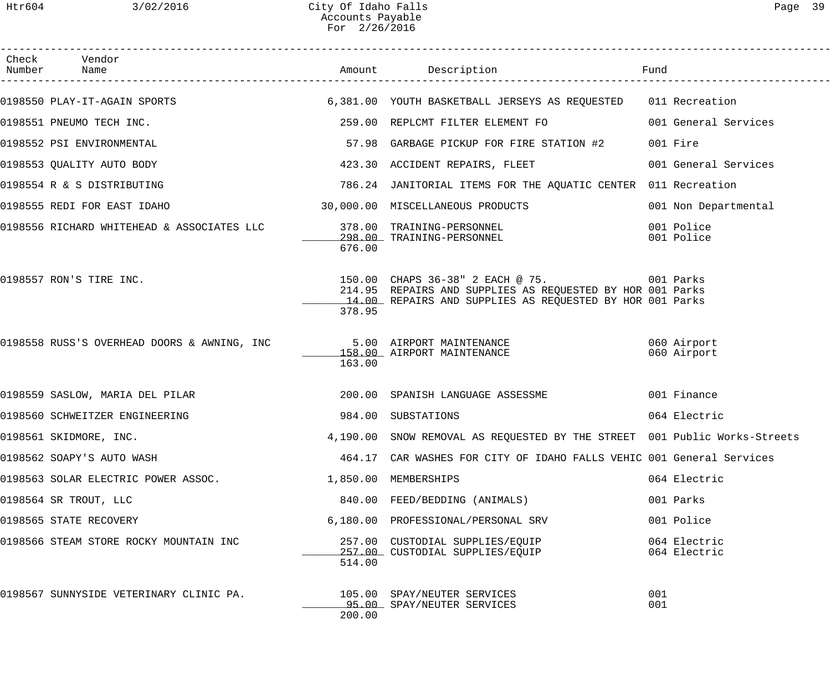| Check Vendor                                                                |        |                                                                                                                                                                     |                              |
|-----------------------------------------------------------------------------|--------|---------------------------------------------------------------------------------------------------------------------------------------------------------------------|------------------------------|
|                                                                             |        | 0198550 PLAY-IT-AGAIN SPORTS (5,381.00 YOUTH BASKETBALL JERSEYS AS REQUESTED (11 Recreation                                                                         |                              |
| 0198551 PNEUMO TECH INC.                                                    |        | 259.00 REPLCMT FILTER ELEMENT FO                                                                                                                                    | 001 General Services         |
| 0198552 PSI ENVIRONMENTAL                                                   |        | 57.98 GARBAGE PICKUP FOR FIRE STATION #2                                                                                                                            | 001 Fire                     |
| 0198553 QUALITY AUTO BODY                                                   |        | 423.30 ACCIDENT REPAIRS, FLEET                                                                                                                                      | 001 General Services         |
| 0198554 R & S DISTRIBUTING                                                  |        | 786.24 JANITORIAL ITEMS FOR THE AQUATIC CENTER 011 Recreation                                                                                                       |                              |
| 0198555 REDI FOR EAST IDAHO                                                 |        | 30,000.00 MISCELLANEOUS PRODUCTS                                                                                                                                    | 001 Non Departmental         |
| 0198556 RICHARD WHITEHEAD & ASSOCIATES LLC 378.00 TRAINING-PERSONNEL        | 676.00 | 298.00 TRAINING-PERSONNEL                                                                                                                                           | 001 Police<br>001 Police     |
| 0198557 RON'S TIRE INC.                                                     | 378.95 | 150.00 CHAPS 36-38" 2 EACH @ 75. 001 Parks<br>214.95 REPAIRS AND SUPPLIES AS REQUESTED BY HOR 001 Parks<br>14.00 REPAIRS AND SUPPLIES AS REQUESTED BY HOR 001 Parks |                              |
| 0198558 RUSS'S OVERHEAD DOORS & AWNING, INC        5.00 AIRPORT MAINTENANCE | 163.00 | 158.00 AIRPORT MAINTENANCE                                                                                                                                          | 060 Airport<br>060 Airport   |
|                                                                             |        |                                                                                                                                                                     |                              |
| 0198560 SCHWEITZER ENGINEERING                                              |        | 984.00 SUBSTATIONS                                                                                                                                                  | 064 Electric                 |
| 0198561 SKIDMORE, INC.                                                      |        | 4,190.00 SNOW REMOVAL AS REQUESTED BY THE STREET 001 Public Works-Streets                                                                                           |                              |
| 0198562 SOAPY'S AUTO WASH                                                   |        | 464.17 CAR WASHES FOR CITY OF IDAHO FALLS VEHIC 001 General Services                                                                                                |                              |
| 0198563 SOLAR ELECTRIC POWER ASSOC.                                         |        | 1,850.00 MEMBERSHIPS                                                                                                                                                | 064 Electric                 |
| 0198564 SR TROUT, LLC                                                       |        | 840.00 FEED/BEDDING (ANIMALS)                                                                                                                                       | 001 Parks                    |
| 0198565 STATE RECOVERY                                                      |        | 6,180.00 PROFESSIONAL/PERSONAL SRV                                                                                                                                  | 001 Police                   |
| 0198566 STEAM STORE ROCKY MOUNTAIN INC                                      | 514.00 | 257.00 CUSTODIAL SUPPLIES/EQUIP<br>257.00 CUSTODIAL SUPPLIES/EQUIP                                                                                                  | 064 Electric<br>064 Electric |
| 0198567 SUNNYSIDE VETERINARY CLINIC PA.                                     | 200.00 | 105.00 SPAY/NEUTER SERVICES<br>95.00 SPAY/NEUTER SERVICES                                                                                                           | 001<br>001                   |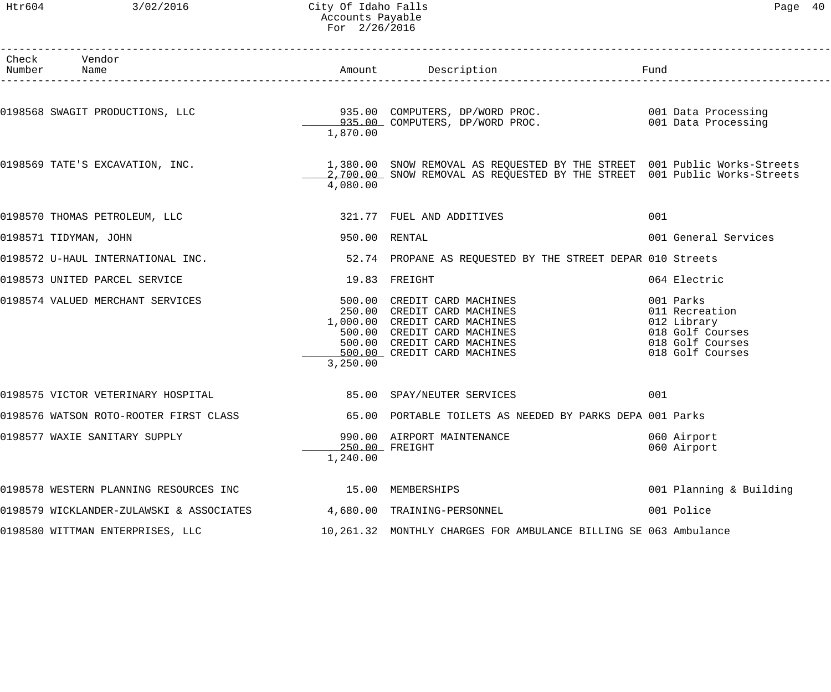### Htr604 3/02/2016 City Of Idaho Falls Page 40 Accounts Payable For 2/26/2016

| Number | Check Vendor<br>Name                                               |               |                                                                                                                                                                                          | Fund                                                                                                   |
|--------|--------------------------------------------------------------------|---------------|------------------------------------------------------------------------------------------------------------------------------------------------------------------------------------------|--------------------------------------------------------------------------------------------------------|
|        |                                                                    |               |                                                                                                                                                                                          |                                                                                                        |
|        |                                                                    | 1,870.00      | 0198568 SWAGIT PRODUCTIONS, LLC 3935.00 COMPUTERS, DP/WORD PROC. 2001 Data Processing<br>935.00 COMPUTERS, DP/WORD PROC. 001 Data Processing                                             |                                                                                                        |
|        | 0198569 TATE'S EXCAVATION, INC.                                    | 4,080.00      | 1,380.00 SNOW REMOVAL AS REQUESTED BY THE STREET 001 Public Works-Streets<br>2,700.00 SNOW REMOVAL AS REQUESTED BY THE STREET 001 Public Works-Streets                                   |                                                                                                        |
|        | 0198570 THOMAS PETROLEUM, LLC                                      |               | 321.77 FUEL AND ADDITIVES                                                                                                                                                                | 001                                                                                                    |
|        | 0198571 TIDYMAN, JOHN                                              | 950.00 RENTAL |                                                                                                                                                                                          | 001 General Services                                                                                   |
|        | 0198572 U-HAUL INTERNATIONAL INC.                                  |               | 52.74 PROPANE AS REQUESTED BY THE STREET DEPAR 010 Streets                                                                                                                               |                                                                                                        |
|        | 0198573 UNITED PARCEL SERVICE                                      |               | 19.83 FREIGHT                                                                                                                                                                            | 064 Electric                                                                                           |
|        | 0198574 VALUED MERCHANT SERVICES                                   | 3,250.00      | 500.00 CREDIT CARD MACHINES<br>250.00 CREDIT CARD MACHINES<br>1,000.00 CREDIT CARD MACHINES<br>500.00 CREDIT CARD MACHINES<br>500.00 CREDIT CARD MACHINES<br>500.00 CREDIT CARD MACHINES | 001 Parks<br>011 Recreation<br>012 Library<br>018 Golf Courses<br>018 Golf Courses<br>018 Golf Courses |
|        | 0198575 VICTOR VETERINARY HOSPITAL 60 1985.00 SPAY/NEUTER SERVICES |               |                                                                                                                                                                                          | 001                                                                                                    |
|        | 0198576 WATSON ROTO-ROOTER FIRST CLASS                             |               | 65.00 PORTABLE TOILETS AS NEEDED BY PARKS DEPA 001 Parks                                                                                                                                 |                                                                                                        |
|        | 0198577 WAXIE SANITARY SUPPLY                                      | 1,240.00      | 990.00 AIRPORT MAINTENANCE<br>250.00 FREIGHT                                                                                                                                             | 060 Airport<br>060 Airport                                                                             |
|        | 0198578 WESTERN PLANNING RESOURCES INC                             | 15.00         | MEMBERSHIPS                                                                                                                                                                              | 001 Planning & Building                                                                                |
|        | 0198579 WICKLANDER-ZULAWSKI & ASSOCIATES                           |               | 4,680.00 TRAINING-PERSONNEL                                                                                                                                                              | 001 Police                                                                                             |
|        | 0198580 WITTMAN ENTERPRISES, LLC                                   |               | 10,261.32 MONTHLY CHARGES FOR AMBULANCE BILLING SE 063 Ambulance                                                                                                                         |                                                                                                        |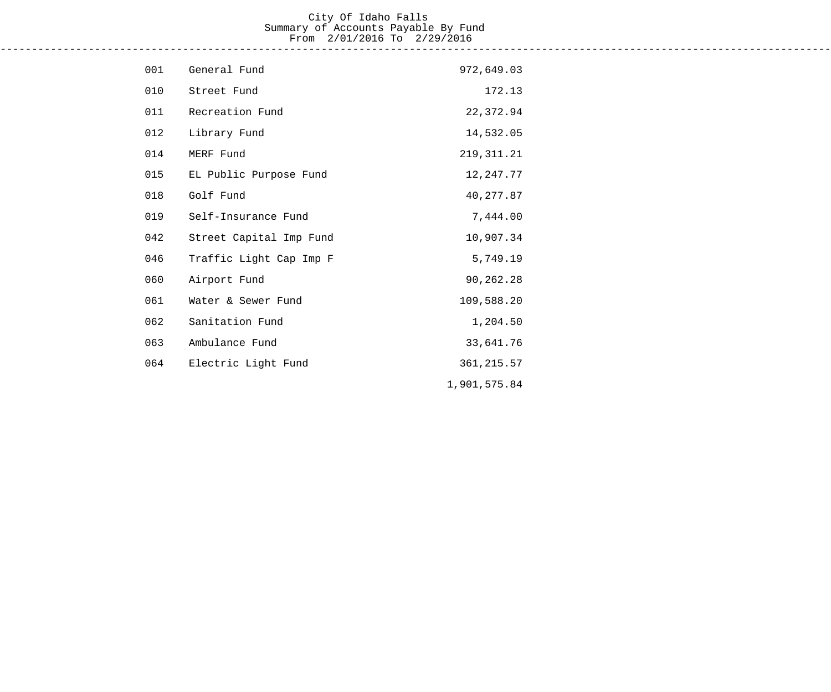#### City Of Idaho Falls Summary of Accounts Payable By Fund From 2/01/2016 To 2/29/2016 ------------------------------------------------------------------------------------------------------------------------------------

| 001 | General Fund            | 972,649.03   |
|-----|-------------------------|--------------|
| 010 | Street Fund             | 172.13       |
| 011 | Recreation Fund         | 22,372.94    |
| 012 | Library Fund            | 14,532.05    |
| 014 | MERF Fund               | 219, 311.21  |
| 015 | EL Public Purpose Fund  | 12, 247.77   |
| 018 | Golf Fund               | 40, 277.87   |
| 019 | Self-Insurance Fund     | 7,444.00     |
| 042 | Street Capital Imp Fund | 10,907.34    |
| 046 | Traffic Light Cap Imp F | 5,749.19     |
| 060 | Airport Fund            | 90,262.28    |
| 061 | Water & Sewer Fund      | 109,588.20   |
| 062 | Sanitation Fund         | 1,204.50     |
| 063 | Ambulance Fund          | 33,641.76    |
| 064 | Electric Light Fund     | 361, 215.57  |
|     |                         | 1,901,575.84 |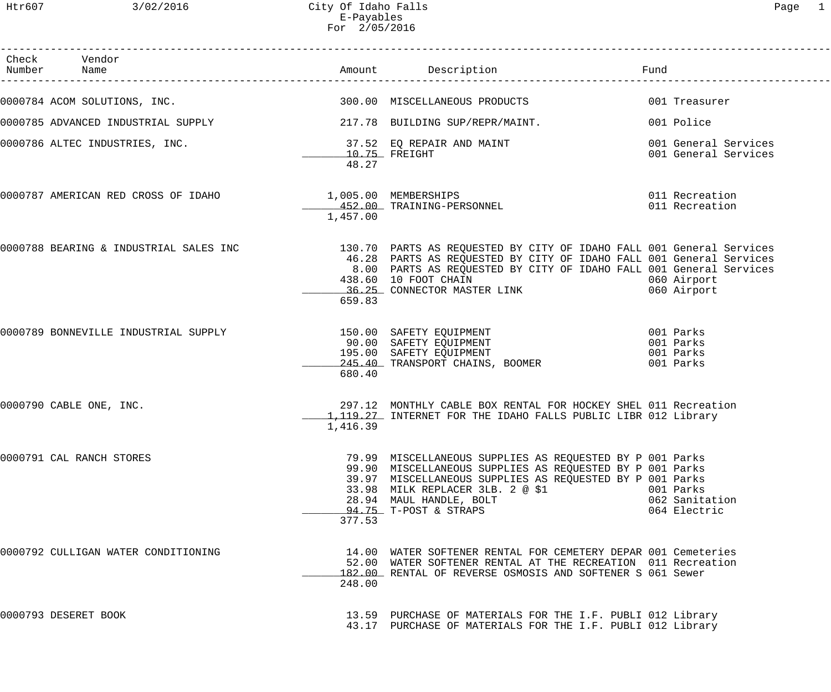| Check Vendor<br>Number Name                                                                        |                          |                                                                                                                                                                                                                                                                          | Fund |                                                  |
|----------------------------------------------------------------------------------------------------|--------------------------|--------------------------------------------------------------------------------------------------------------------------------------------------------------------------------------------------------------------------------------------------------------------------|------|--------------------------------------------------|
| 0000784 ACOM SOLUTIONS, INC.                                                                       |                          | 300.00 MISCELLANEOUS PRODUCTS                                                                                                                                                                                                                                            |      | 001 Treasurer                                    |
| 0000785 ADVANCED INDUSTRIAL SUPPLY 217.78 BUILDING SUP/REPR/MAINT.                                 |                          |                                                                                                                                                                                                                                                                          |      | 001 Police                                       |
| 0000786 ALTEC INDUSTRIES, INC. $\begin{array}{ccc} 37.52 & \text{EQ REPAIR AND MAINT} \end{array}$ | $10.75$ FREIGHT<br>48.27 |                                                                                                                                                                                                                                                                          |      | 001 General Services<br>001 General Services     |
| 0000787 AMERICAN RED CROSS OF IDAHO 1,005.00 MEMBERSHIPS<br>452.00 TRAINING-PERSONNEL              | 1,457.00                 |                                                                                                                                                                                                                                                                          |      | 011 Recreation<br>011 Recreation                 |
|                                                                                                    | 659.83                   | 0000788 BEARING & INDUSTRIAL SALES INC               130.70 PARTS AS REQUESTED BY CITY OF IDAHO FALL 001 General Services<br>46.28 PARTS AS REQUESTED BY CITY OF IDAHO FALL 001 General Services<br>8.00 PARTS AS REQUESTED BY CITY OF IDAHO FALL 001 General Services   |      | 060 Airport<br>060 Airport                       |
| 0000789 BONNEVILLE INDUSTRIAL SUPPLY                                                               | 680.40                   | 150.00 SAFETY EQUIPMENT<br>90.00 SAFETY EQUIPMENT<br>195.00 SAFETY EQUIPMENT<br>245.40 TRANSPORT CHAINS, BOOMER                                                                                                                                                          |      | 001 Parks<br>001 Parks<br>001 Parks<br>001 Parks |
| 0000790 CABLE ONE, INC.                                                                            | 1,416.39                 | 297.12 MONTHLY CABLE BOX RENTAL FOR HOCKEY SHEL 011 Recreation<br>1, 119.27 INTERNET FOR THE IDAHO FALLS PUBLIC LIBR 012 Library                                                                                                                                         |      |                                                  |
| 0000791 CAL RANCH STORES                                                                           | 377.53                   | 79.99 MISCELLANEOUS SUPPLIES AS REQUESTED BY P 001 Parks<br>99.90 MISCELLANEOUS SUPPLIES AS REQUESTED BY P 001 Parks<br>39.97 MISCELLANEOUS SUPPLIES AS REQUESTED BY P 001 Parks<br>33.98 MILK REPLACER 3LB. 2 @ \$1<br>28.94 MAUL HANDLE, BOLT<br>94.75 T-POST & STRAPS |      | 001 Parks<br>062 Sanitation<br>064 Electric      |
| 0000792 CULLIGAN WATER CONDITIONING                                                                | 248.00                   | 14.00 WATER SOFTENER RENTAL FOR CEMETERY DEPAR 001 Cemeteries<br>52.00 WATER SOFTENER RENTAL AT THE RECREATION 011 Recreation<br>182.00 RENTAL OF REVERSE OSMOSIS AND SOFTENER S 061 Sewer                                                                               |      |                                                  |
| 0000793 DESERET BOOK                                                                               |                          | 13.59 PURCHASE OF MATERIALS FOR THE I.F. PUBLI 012 Library<br>43.17 PURCHASE OF MATERIALS FOR THE I.F. PUBLI 012 Library                                                                                                                                                 |      |                                                  |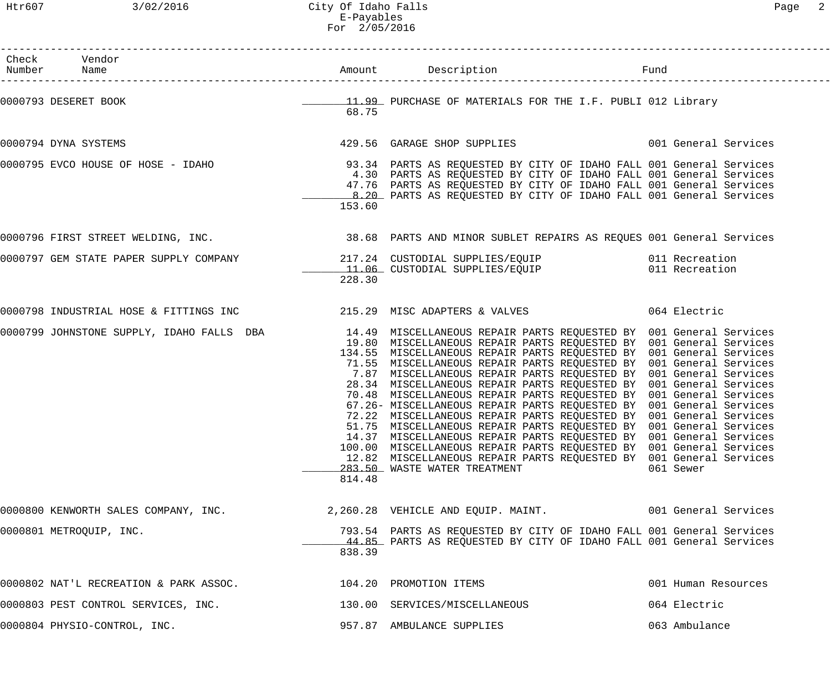Htr607 3/02/2016 City Of Idaho Falls Page 2 E-Payables For 2/05/2016

| Check Vendor<br>Number Name                                                                                                      |        |                                                                                                                                                                                                                                                                                                                                                                                                                                                                                                                                                                                                                                                                                                                                                                                                                                                                                                        |                     |
|----------------------------------------------------------------------------------------------------------------------------------|--------|--------------------------------------------------------------------------------------------------------------------------------------------------------------------------------------------------------------------------------------------------------------------------------------------------------------------------------------------------------------------------------------------------------------------------------------------------------------------------------------------------------------------------------------------------------------------------------------------------------------------------------------------------------------------------------------------------------------------------------------------------------------------------------------------------------------------------------------------------------------------------------------------------------|---------------------|
| 0000793 DESERET BOOK <b>1999 EXECUTA SERVIT ARES</b> OF MATERIALS FOR THE I.F. PUBLI 012 Library                                 | 68.75  |                                                                                                                                                                                                                                                                                                                                                                                                                                                                                                                                                                                                                                                                                                                                                                                                                                                                                                        |                     |
| 0000794 DYNA SYSTEMS                                                                                                             |        | 429.56 GARAGE SHOP SUPPLIES 6001 General Services                                                                                                                                                                                                                                                                                                                                                                                                                                                                                                                                                                                                                                                                                                                                                                                                                                                      |                     |
| 0000795 EVCO HOUSE OF HOSE - IDAHO               93.34 PARTS AS REQUESTED BY CITY OF IDAHO FALL 001 General Services             | 153.60 | 4.30 PARTS AS REQUESTED BY CITY OF IDAHO FALL 001 General Services<br>47.76 PARTS AS REQUESTED BY CITY OF IDAHO FALL 001 General Services<br>8.20 PARTS AS REQUESTED BY CITY OF IDAHO FALL 001 General Services                                                                                                                                                                                                                                                                                                                                                                                                                                                                                                                                                                                                                                                                                        |                     |
| 0000796 FIRST STREET WELDING, INC. THE SALE SERVIES AND MINOR SUBLET REPAIRS AS REQUES 001 General Services (                    |        |                                                                                                                                                                                                                                                                                                                                                                                                                                                                                                                                                                                                                                                                                                                                                                                                                                                                                                        |                     |
| 0000797 GEM STATE PAPER SUPPLY COMPANY 1999 11.06 CUSTODIAL SUPPLIES/EQUIP<br>11.06 CUSTODIAL SUPPLIES/EQUIP 1999 11 Recreation  | 228.30 |                                                                                                                                                                                                                                                                                                                                                                                                                                                                                                                                                                                                                                                                                                                                                                                                                                                                                                        |                     |
| 0000798 INDUSTRIAL HOSE & FITTINGS INC                       215.29 MISC ADAPTERS & VALVES                          064 Electric |        |                                                                                                                                                                                                                                                                                                                                                                                                                                                                                                                                                                                                                                                                                                                                                                                                                                                                                                        |                     |
| 0000799 JOHNSTONE SUPPLY, IDAHO FALLS DBA 14.49 MISCELLANEOUS REPAIR PARTS REQUESTED BY 001 General Services                     | 814.48 | 19.80 MISCELLANEOUS REPAIR PARTS REQUESTED BY 001 General Services<br>134.55 MISCELLANEOUS REPAIR PARTS REQUESTED BY 001 General Services<br>71.55 MISCELLANEOUS REPAIR PARTS REQUESTED BY 001 General Services<br>7.87 MISCELLANEOUS REPAIR PARTS REQUESTED BY 001 General Services<br>28.34 MISCELLANEOUS REPAIR PARTS REQUESTED BY 001 General Services<br>70.48 MISCELLANEOUS REPAIR PARTS REQUESTED BY 001 General Services<br>67.26- MISCELLANEOUS REPAIR PARTS REQUESTED BY 001 General Services<br>72.22 MISCELLANEOUS REPAIR PARTS REQUESTED BY 001 General Services<br>51.75 MISCELLANEOUS REPAIR PARTS REQUESTED BY 001 General Services<br>14.37 MISCELLANEOUS REPAIR PARTS REQUESTED BY 001 General Services<br>100.00 MISCELLANEOUS REPAIR PARTS REQUESTED BY 001 General Services<br>12.82 MISCELLANEOUS REPAIR PARTS REQUESTED BY 001 General Services<br>283.50 WASTE WATER TREATMENT | 061 Sewer           |
| 0000800 KENWORTH SALES COMPANY, INC.                                                                                             |        | 2,260.28 VEHICLE AND EQUIP. MAINT. 001 General Services                                                                                                                                                                                                                                                                                                                                                                                                                                                                                                                                                                                                                                                                                                                                                                                                                                                |                     |
| 0000801 METROQUIP, INC.                                                                                                          | 838.39 | 793.54 PARTS AS REQUESTED BY CITY OF IDAHO FALL 001 General Services<br>44.85 PARTS AS REQUESTED BY CITY OF IDAHO FALL 001 General Services                                                                                                                                                                                                                                                                                                                                                                                                                                                                                                                                                                                                                                                                                                                                                            |                     |
| 0000802 NAT'L RECREATION & PARK ASSOC. 4 104.20 PROMOTION ITEMS                                                                  |        |                                                                                                                                                                                                                                                                                                                                                                                                                                                                                                                                                                                                                                                                                                                                                                                                                                                                                                        | 001 Human Resources |
| 0000803 PEST CONTROL SERVICES, INC.                                                                                              |        | 130.00 SERVICES/MISCELLANEOUS                                                                                                                                                                                                                                                                                                                                                                                                                                                                                                                                                                                                                                                                                                                                                                                                                                                                          | 064 Electric        |
| 0000804 PHYSIO-CONTROL, INC.                                                                                                     |        | 957.87 AMBULANCE SUPPLIES                                                                                                                                                                                                                                                                                                                                                                                                                                                                                                                                                                                                                                                                                                                                                                                                                                                                              | 063 Ambulance       |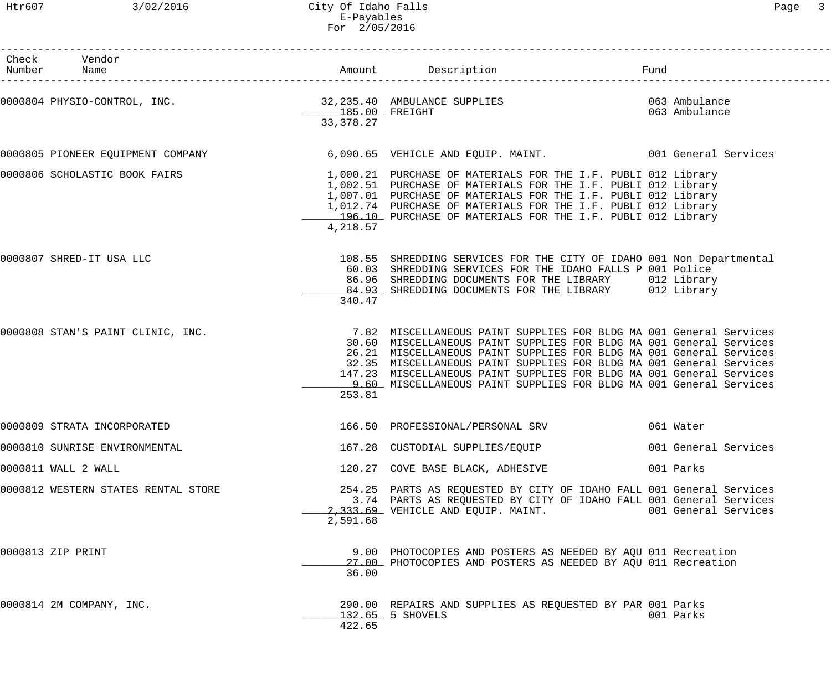| Htr607                  | 3/02/2016                        | City Of Idaho Falls<br>E-Payables<br>For 2/05/2016 |                                                                                                                                                                                                                                                                                                                                                                 |                                | Page 3 |
|-------------------------|----------------------------------|----------------------------------------------------|-----------------------------------------------------------------------------------------------------------------------------------------------------------------------------------------------------------------------------------------------------------------------------------------------------------------------------------------------------------------|--------------------------------|--------|
| Check Vendor<br>Number  | Name                             |                                                    | Amount Description                                                                                                                                                                                                                                                                                                                                              | Fund                           |        |
|                         | 000804 PHYSIO-CONTROL, INC.      | 32,235.40 AMBULAN<br>185.00 FREIGHT<br>33, 378. 27 | 32,235.40 AMBULANCE SUPPLIES                                                                                                                                                                                                                                                                                                                                    | 063 Ambulance<br>063 Ambulance |        |
|                         | 000805 PIONEER EQUIPMENT COMPANY |                                                    | 6,090.65 VEHICLE AND EQUIP. MAINT. 001 General Services                                                                                                                                                                                                                                                                                                         |                                |        |
|                         | 000806 SCHOLASTIC BOOK FAIRS     | 4,218.57                                           | 1,000.21 PURCHASE OF MATERIALS FOR THE I.F. PUBLI 012 Library<br>1,002.51 PURCHASE OF MATERIALS FOR THE I.F. PUBLI 012 Library<br>1,007.01 PURCHASE OF MATERIALS FOR THE I.F. PUBLI 012 Library<br>1,012.74 PURCHASE OF MATERIALS FOR THE I.F. PUBLI 012 Library<br>196.10 PURCHASE OF MATERIALS FOR THE I.F. PUBLI 012 Library                                 |                                |        |
| 000807 SHRED-IT USA LLC |                                  | 60.03<br>86.96<br>84.93<br>340.47                  | 108.55 SHREDDING SERVICES FOR THE CITY OF IDAHO 001 Non Departmental<br>SHREDDING SERVICES FOR THE IDAHO FALLS P 001 Police<br>SHREDDING DOCUMENTS FOR THE LIBRARY 012 Library<br>SHREDDING DOCUMENTS FOR THE LIBRARY                                                                                                                                           | 012 Library                    |        |
|                         | 000808 STAN'S PAINT CLINIC, INC. |                                                    | 7.82 MISCELLANEOUS PAINT SUPPLIES FOR BLDG MA 001 General Services<br>30.60 MISCELLANEOUS PAINT SUPPLIES FOR BLDG MA 001 General Services<br>26.21 MISCELLANEOUS PAINT SUPPLIES FOR BLDG MA 001 General Services<br>32.35 MISCELLANEOUS PAINT SUPPLIES FOR BLDG MA 001 General Services<br>147 23 MISCRILANFOUS DAINT SUDDLIFS FOR BLDC MA 001 Conoral Services |                                |        |

| 0000808 STAN'S PAINT CLINIC, INC. |        | 7.82 MISCELLANEOUS PAINT SUPPLIES FOR BLDG MA 001 General Services   |  |  |  |  |
|-----------------------------------|--------|----------------------------------------------------------------------|--|--|--|--|
|                                   |        | 30.60 MISCELLANEOUS PAINT SUPPLIES FOR BLDG MA 001 General Services  |  |  |  |  |
|                                   |        | 26.21 MISCELLANEOUS PAINT SUPPLIES FOR BLDG MA 001 General Services  |  |  |  |  |
|                                   |        | 32.35 MISCELLANEOUS PAINT SUPPLIES FOR BLDG MA 001 General Services  |  |  |  |  |
|                                   |        | 147.23 MISCELLANEOUS PAINT SUPPLIES FOR BLDG MA 001 General Services |  |  |  |  |
|                                   |        | 9.60 MISCELLANEOUS PAINT SUPPLIES FOR BLDG MA 001 General Services   |  |  |  |  |
|                                   | 253.81 |                                                                      |  |  |  |  |
|                                   |        |                                                                      |  |  |  |  |
|                                   |        |                                                                      |  |  |  |  |

| 0000809 STRATA INCORPORATED   | 166.50 PROFESSIONAL/PERSONAL SRV | 061 Water            |
|-------------------------------|----------------------------------|----------------------|
| 0000810 SUNRISE ENVIRONMENTAL | 167.28 CUSTODIAL SUPPLIES/EQUIP  | 001 General Services |
| 0000811 WALL 2 WALL           | 120.27 COVE BASE BLACK, ADHESIVE | 001 Parks            |

- 0000812 WESTERN STATES RENTAL STORE 254.25 PARTS AS REQUESTED BY CITY OF IDAHO FALL 001 General Services 3.74 PARTS AS REQUESTED BY CITY OF IDAHO FALL 001 General Services 2,333.69 VEHICLE AND EQUIP. MAINT. 001 General Services 2,591.68
- 0000813 ZIP PRINT 9.00 PHOTOCOPIES AND POSTERS AS NEEDED BY AQU 011 Recreation 27.00 PHOTOCOPIES AND POSTERS AS NEEDED BY AQU 011 Recreation 36.00
- 0000814 2M COMPANY, INC. 290.00 REPAIRS AND SUPPLIES AS REQUESTED BY PAR 001 Parks \_\_\_\_\_\_\_\_\_\_\_\_\_ 132.65 5 SHOVELS 001 Parks 422.65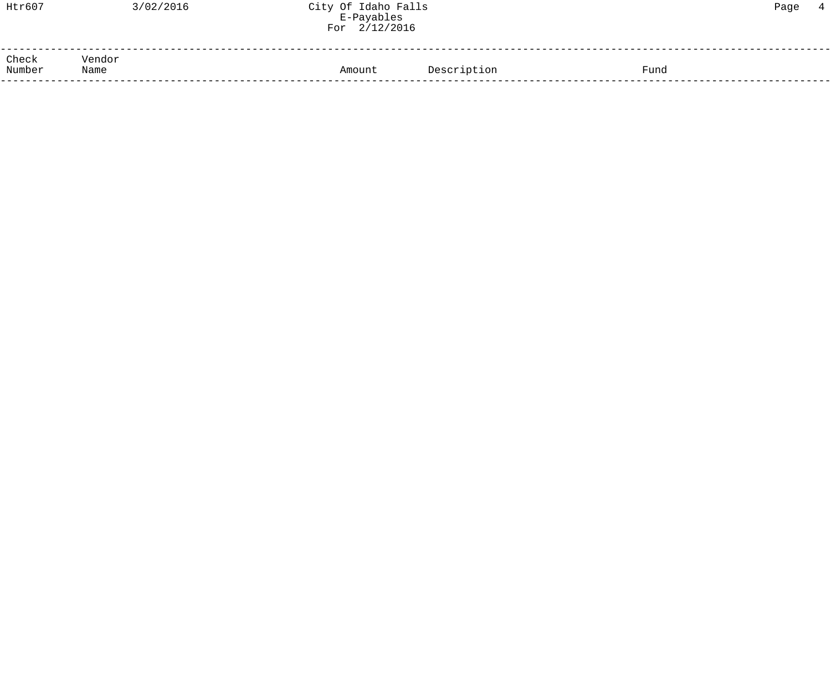| Htr607          | 3/02/2016      | City Of Idaho Falls<br>E-Payables<br>For 2/12/2016 |             |      | Page | $\overline{4}$ |
|-----------------|----------------|----------------------------------------------------|-------------|------|------|----------------|
| Check<br>Number | Vendor<br>Name | Amount                                             | Description | Fund |      |                |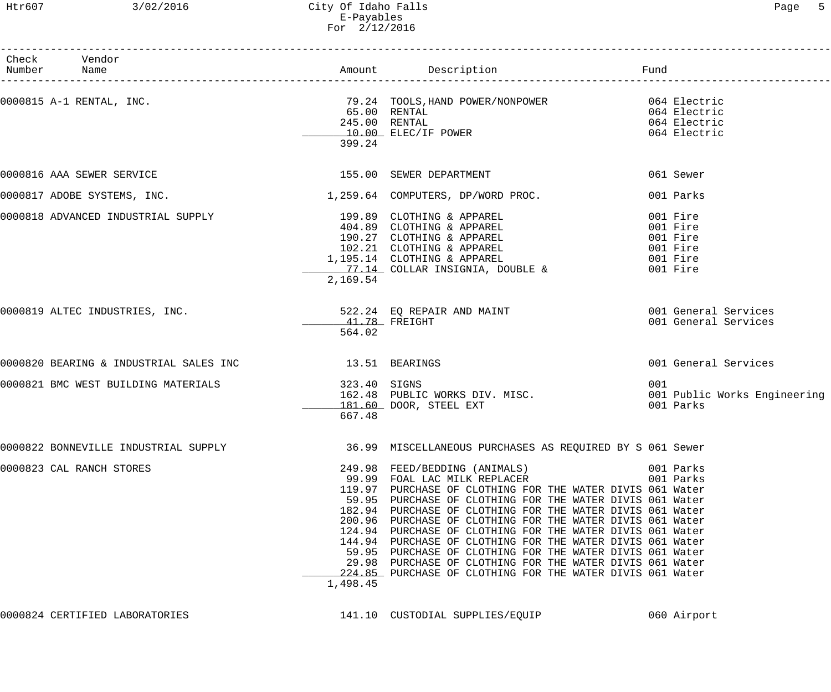## Htr607 3/02/2016 City Of Idaho Falls Page 5 E-Payables For 2/12/2016

| Check Vendor<br>Number Name                                                                   |                         |                                                                                                                                                                                                                                                                                                                                                                                                                                                                                                                                                                                                                                 |                                                                      |
|-----------------------------------------------------------------------------------------------|-------------------------|---------------------------------------------------------------------------------------------------------------------------------------------------------------------------------------------------------------------------------------------------------------------------------------------------------------------------------------------------------------------------------------------------------------------------------------------------------------------------------------------------------------------------------------------------------------------------------------------------------------------------------|----------------------------------------------------------------------|
| 0000815 A-1 RENTAL, INC. 29.24 TOOLS, HAND POWER/NONPOWER 064 Electric                        | 399.24                  | 65.00 RENTAL<br>65.00 RENTAL<br>245.00 RENTAL<br>10.00 ELEC/IF POWER                                                                                                                                                                                                                                                                                                                                                                                                                                                                                                                                                            | 064 Electric<br>064 Electric<br>064 Electric                         |
| 0000816 AAA SEWER SERVICE                                                                     |                         | 155.00 SEWER DEPARTMENT                                                                                                                                                                                                                                                                                                                                                                                                                                                                                                                                                                                                         | 061 Sewer                                                            |
| 0000817 ADOBE SYSTEMS, INC. $1,259.64$ COMPUTERS, DP/WORD PROC.                               |                         |                                                                                                                                                                                                                                                                                                                                                                                                                                                                                                                                                                                                                                 | 001 Parks                                                            |
| 0000818 ADVANCED INDUSTRIAL SUPPLY 199.89 CLOTHING & APPAREL                                  | 2,169.54                | 199.89 CLOIHING & APPAREL<br>404.89 CLOTHING & APPAREL<br>190.27 CLOTHING & APPAREL<br>102.21 CLOTHING & APPAREL<br>1,195.14 CLOTHING & APPAREL<br>77.14 COLLAR INSIGNIA, DOUBLE &                                                                                                                                                                                                                                                                                                                                                                                                                                              | 001 Fire<br>001 Fire<br>001 Fire<br>001 Fire<br>001 Fire<br>001 Fire |
| 0000819 ALTEC INDUSTRIES, INC.                                                                | 41.78 FREIGHT<br>564.02 | 522.24 EQ REPAIR AND MAINT 6001 General Services                                                                                                                                                                                                                                                                                                                                                                                                                                                                                                                                                                                | 001 General Services                                                 |
|                                                                                               |                         |                                                                                                                                                                                                                                                                                                                                                                                                                                                                                                                                                                                                                                 | 001 General Services                                                 |
| 0000821 BMC WEST BUILDING MATERIALS                                                           | 323.40 SIGNS<br>667.48  | GAS.40 SIGNS<br>162.48 PUBLIC WORKS DIV. MISC.<br>181.60 DOOR, STEEL EXT                                                                                                                                                                                                                                                                                                                                                                                                                                                                                                                                                        | 001<br>001 Public Works Engineering<br>001 Parks                     |
| 0000822 BONNEVILLE INDUSTRIAL SUPPLY 16.99 MISCELLANEOUS PURCHASES AS REQUIRED BY S 061 Sewer |                         |                                                                                                                                                                                                                                                                                                                                                                                                                                                                                                                                                                                                                                 |                                                                      |
| 0000823 CAL RANCH STORES                                                                      | 1,498.45                | 249.98 FEED/BEDDING (ANIMALS)<br>99.99 FOAL LAC MILK REPLACER<br>119.97 PURCHASE OF CLOTHING FOR THE WATER DIVIS 061 Water<br>59.95 PURCHASE OF CLOTHING FOR THE WATER DIVIS 061 Water<br>182.94 PURCHASE OF CLOTHING FOR THE WATER DIVIS 061 Water<br>200.96 PURCHASE OF CLOTHING FOR THE WATER DIVIS 061 Water<br>124.94 PURCHASE OF CLOTHING FOR THE WATER DIVIS 061 Water<br>144.94 PURCHASE OF CLOTHING FOR THE WATER DIVIS 061 Water<br>59.95 PURCHASE OF CLOTHING FOR THE WATER DIVIS 061 Water<br>29.98 PURCHASE OF CLOTHING FOR THE WATER DIVIS 061 Water<br>224.85 PURCHASE OF CLOTHING FOR THE WATER DIVIS 061 Water | 001 Parks<br>001 Parks                                               |
| 0000824 CERTIFIED LABORATORIES                                                                |                         | 141.10 CUSTODIAL SUPPLIES/EQUIP                                                                                                                                                                                                                                                                                                                                                                                                                                                                                                                                                                                                 | 060 Airport                                                          |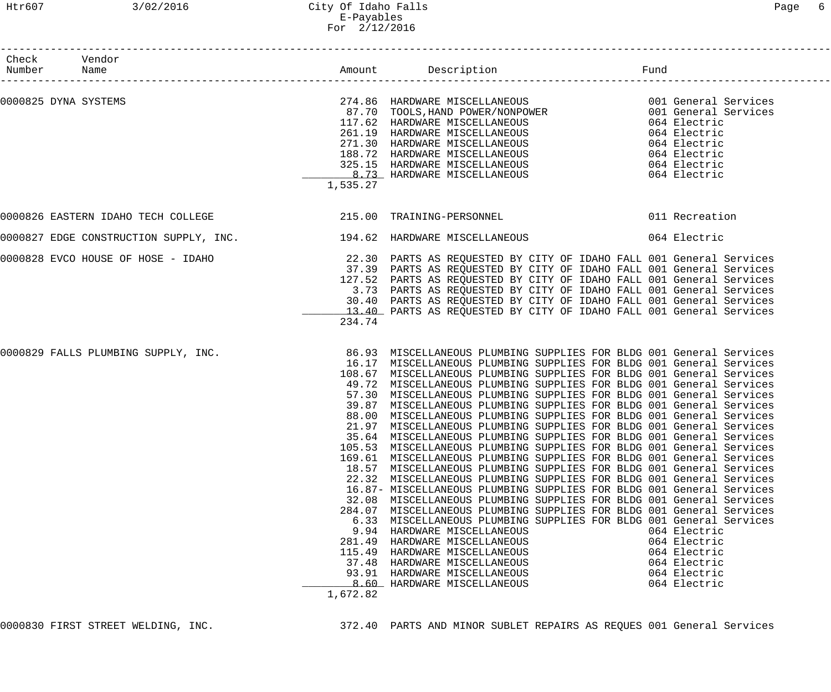### Htr607 3/02/2016 City Of Idaho Falls Page 6 E-Payables For 2/12/2016

| Check Vendor<br>Number Name                                                                                                                                                                               |                                                          |                                                                                                                                                                                                                                                                                                                                                                                                                                                                                                                                                                                                                                                                                                                                                                                                                                                                                                                                                                                                                                                                                                                                                                                                                                                                                                                                                                                                                        | Fund |                                                                                              |
|-----------------------------------------------------------------------------------------------------------------------------------------------------------------------------------------------------------|----------------------------------------------------------|------------------------------------------------------------------------------------------------------------------------------------------------------------------------------------------------------------------------------------------------------------------------------------------------------------------------------------------------------------------------------------------------------------------------------------------------------------------------------------------------------------------------------------------------------------------------------------------------------------------------------------------------------------------------------------------------------------------------------------------------------------------------------------------------------------------------------------------------------------------------------------------------------------------------------------------------------------------------------------------------------------------------------------------------------------------------------------------------------------------------------------------------------------------------------------------------------------------------------------------------------------------------------------------------------------------------------------------------------------------------------------------------------------------------|------|----------------------------------------------------------------------------------------------|
| 0000825 DYNA SYSTEMS                                                                                                                                                                                      | 1,535.27                                                 | 274.86 HARDWARE MISCELLANEOUS 6001 General Services<br>274.86 HARDWARE MISCELLANEOUS<br>87.70 TOOLS, HAND POWER/NONPOWER<br>117.62 HARDWARE MISCELLANEOUS<br>261.19 HARDWARE MISCELLANEOUS<br>271.30 HARDWARE MISCELLANEOUS<br>188.72 HARDWARE MISCELLANEOUS<br>325.15 HARDWARE MISCELLANEOUS<br>32                                                                                                                                                                                                                                                                                                                                                                                                                                                                                                                                                                                                                                                                                                                                                                                                                                                                                                                                                                                                                                                                                                                    |      |                                                                                              |
| 0000826 EASTERN IDAHO TECH COLLEGE                                                                                                                                                                        |                                                          | 215.00 TRAINING-PERSONNEL                                                                                                                                                                                                                                                                                                                                                                                                                                                                                                                                                                                                                                                                                                                                                                                                                                                                                                                                                                                                                                                                                                                                                                                                                                                                                                                                                                                              |      | 011 Recreation                                                                               |
|                                                                                                                                                                                                           |                                                          |                                                                                                                                                                                                                                                                                                                                                                                                                                                                                                                                                                                                                                                                                                                                                                                                                                                                                                                                                                                                                                                                                                                                                                                                                                                                                                                                                                                                                        |      | 064 Electric                                                                                 |
| 0000828 EVCO HOUSE OF HOSE - IDAHO                           22.30  PARTS AS REQUESTED BY CITY OF IDAHO FALL 001 General Services<br>37.39  PARTS AS REQUESTED BY CITY OF IDAHO FALL 001 General Services | 234.74                                                   | 127.52 PARTS AS REQUESTED BY CITY OF IDAHO FALL 001 General Services<br>3.73 PARTS AS REQUESTED BY CITY OF IDAHO FALL 001 General Services<br>30.40 PARTS AS REQUESTED BY CITY OF IDAHO FALL 001 General Services<br>13.40 PARTS AS REQUESTED BY CITY OF IDAHO FALL 001 General Services                                                                                                                                                                                                                                                                                                                                                                                                                                                                                                                                                                                                                                                                                                                                                                                                                                                                                                                                                                                                                                                                                                                               |      |                                                                                              |
| 0000829 FALLS PLUMBING SUPPLY, INC.                                                                                                                                                                       | 105.53<br>32.08<br>281.49<br>115.49<br>37.48<br>1,672.82 | 86.93 MISCELLANEOUS PLUMBING SUPPLIES FOR BLDG 001 General Services<br>16.17 MISCELLANEOUS PLUMBING SUPPLIES FOR BLDG 001 General Services<br>108.67 MISCELLANEOUS PLUMBING SUPPLIES FOR BLDG 001 General Services<br>49.72 MISCELLANEOUS PLUMBING SUPPLIES FOR BLDG 001 General Services<br>57.30 MISCELLANEOUS PLUMBING SUPPLIES FOR BLDG 001 General Services<br>39.87 MISCELLANEOUS PLUMBING SUPPLIES FOR BLDG 001 General Services<br>88.00 MISCELLANEOUS PLUMBING SUPPLIES FOR BLDG 001 General Services<br>21.97 MISCELLANEOUS PLUMBING SUPPLIES FOR BLDG 001 General Services<br>35.64 MISCELLANEOUS PLUMBING SUPPLIES FOR BLDG 001 General Services<br>MISCELLANEOUS PLUMBING SUPPLIES FOR BLDG 001 General Services<br>169.61 MISCELLANEOUS PLUMBING SUPPLIES FOR BLDG 001 General Services<br>18.57 MISCELLANEOUS PLUMBING SUPPLIES FOR BLDG 001 General Services<br>22.32 MISCELLANEOUS PLUMBING SUPPLIES FOR BLDG 001 General Services<br>16.87- MISCELLANEOUS PLUMBING SUPPLIES FOR BLDG 001 General Services<br>MISCELLANEOUS PLUMBING SUPPLIES FOR BLDG 001 General Services<br>284.07 MISCELLANEOUS PLUMBING SUPPLIES FOR BLDG 001 General Services<br>6.33 MISCELLANEOUS PLUMBING SUPPLIES FOR BLDG 001 General Services<br>9.94 HARDWARE MISCELLANEOUS<br>HARDWARE MISCELLANEOUS<br>HARDWARE MISCELLANEOUS<br>HARDWARE MISCELLANEOUS<br>93.91 HARDWARE MISCELLANEOUS<br>8.60 HARDWARE MISCELLANEOUS |      | 064 Electric<br>064 Electric<br>064 Electric<br>064 Electric<br>064 Electric<br>064 Electric |

0000830 FIRST STREET WELDING, INC. 372.40 PARTS AND MINOR SUBLET REPAIRS AS REQUES 001 General Services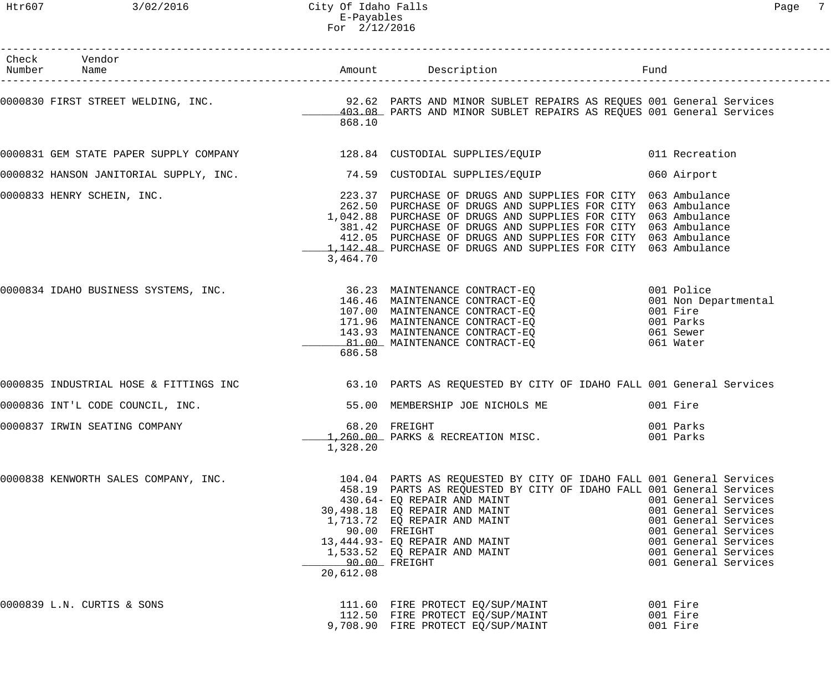| Check Vendor<br>Number Name                                                |                            |                                                                                                                                                                                                                                                                                                                                                                                                  |                                                                                                                                                                      |
|----------------------------------------------------------------------------|----------------------------|--------------------------------------------------------------------------------------------------------------------------------------------------------------------------------------------------------------------------------------------------------------------------------------------------------------------------------------------------------------------------------------------------|----------------------------------------------------------------------------------------------------------------------------------------------------------------------|
|                                                                            | 868.10                     | 0000830 FIRST STREET WELDING, INC. <sup>92.62</sup> PARTS AND MINOR SUBLET REPAIRS AS REQUES 001 General Services<br>403.08 PARTS AND MINOR SUBLET REPAIRS AS REQUES 001 General Services                                                                                                                                                                                                        |                                                                                                                                                                      |
|                                                                            |                            | 0000831 GEM STATE PAPER SUPPLY COMPANY 128.84 CUSTODIAL SUPPLIES/EQUIP 011 Recreation                                                                                                                                                                                                                                                                                                            |                                                                                                                                                                      |
| 0000832 HANSON JANITORIAL SUPPLY, INC. 2008 74.59 CUSTODIAL SUPPLIES/EQUIP |                            |                                                                                                                                                                                                                                                                                                                                                                                                  | 060 Airport                                                                                                                                                          |
| 0000833 HENRY SCHEIN, INC.                                                 | 3,464.70                   | 223.37 PURCHASE OF DRUGS AND SUPPLIES FOR CITY 063 Ambulance<br>262.50 PURCHASE OF DRUGS AND SUPPLIES FOR CITY 063 Ambulance<br>1,042.88 PURCHASE OF DRUGS AND SUPPLIES FOR CITY 063 Ambulance<br>381.42 PURCHASE OF DRUGS AND SUPPLIES FOR CITY 063 Ambulance<br>412.05 PURCHASE OF DRUGS AND SUPPLIES FOR CITY 063 Ambulance<br>1,142.48 PURCHASE OF DRUGS AND SUPPLIES FOR CITY 063 Ambulance |                                                                                                                                                                      |
|                                                                            | 686.58                     | 0000834 IDAHO BUSINESS SYSTEMS, INC.<br>146.46 MAINTENANCE CONTRACT-EQ<br>107.00 MAINTENANCE CONTRACT-EQ<br>171.96 MAINTENANCE CONTRACT-EQ<br>171.96 MAINTENANCE CONTRACT-EQ<br>171.96 MAINTENANCE CONTRACT-EQ<br>13.93 MAINTENANCE CONTRA<br>81.00 MAINTENANCE CONTRACT-EO                                                                                                                      | 001 Police<br>001 Non Departmental<br>001 Fire<br>001 Parks<br>061 Sewer<br>061 Water                                                                                |
|                                                                            |                            | 0000835 INDUSTRIAL HOSE & FITTINGS INC 63.10 PARTS AS REQUESTED BY CITY OF IDAHO FALL 001 General Services                                                                                                                                                                                                                                                                                       |                                                                                                                                                                      |
|                                                                            |                            | 0000836 INT'L CODE COUNCIL, INC. 600 THE MEMBERSHIP JOE NICHOLS ME                                                                                                                                                                                                                                                                                                                               | 001 Fire                                                                                                                                                             |
| 0000837 IRWIN SEATING COMPANY                                              | 1,328.20                   | 68.20 FREIGHT<br>1,260.00 PARKS & RECREATION MISC.                                                                                                                                                                                                                                                                                                                                               | 001 Parks<br>001 Parks                                                                                                                                               |
| 0000838 KENWORTH SALES COMPANY, INC.                                       | 90.00 FREIGHT<br>20,612.08 | 104.04 PARTS AS REQUESTED BY CITY OF IDAHO FALL 001 General Services<br>458.19 PARTS AS REQUESTED BY CITY OF IDAHO FALL 001 General Services<br>430.64- EQ REPAIR AND MAINT<br>30,498.18 EO REPAIR AND MAINT<br>1,713.72 EQ REPAIR AND MAINT<br>90.00 FREIGHT<br>13,444.93- EQ REPAIR AND MAINT<br>1,533.52 EQ REPAIR AND MAINT                                                                  | 001 General Services<br>001 General Services<br>001 General Services<br>001 General Services<br>001 General Services<br>001 General Services<br>001 General Services |
| 0000839 L.N. CURTIS & SONS                                                 |                            | 111.60 FIRE PROTECT EQ/SUP/MAINT<br>112.50 FIRE PROTECT EQ/SUP/MAINT<br>9,708.90 FIRE PROTECT EQ/SUP/MAINT                                                                                                                                                                                                                                                                                       | 001 Fire<br>001 Fire<br>001 Fire                                                                                                                                     |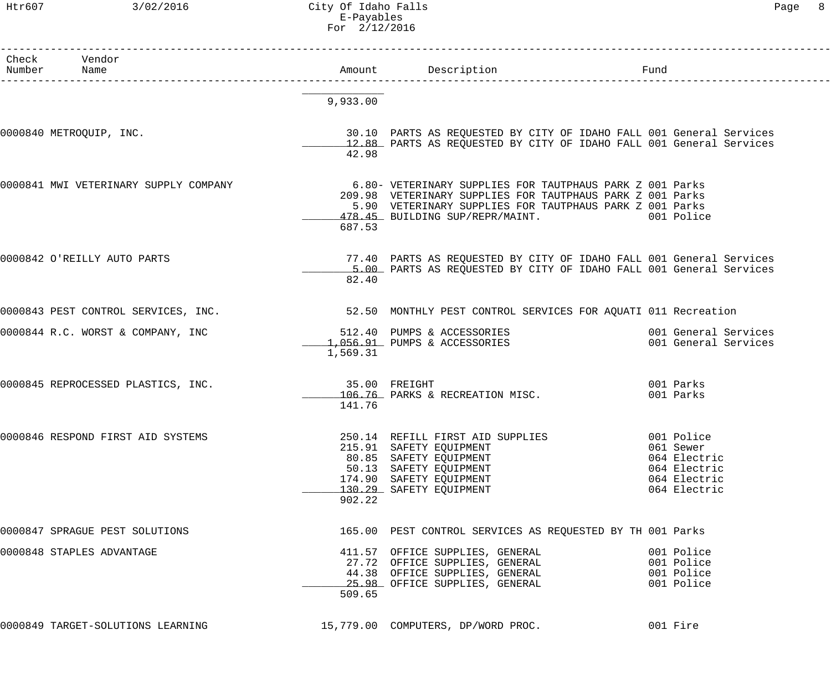## Htr607 3/02/2016 City Of Idaho Falls Page 8 E-Payables For 2/12/2016

| Check Vendor<br>Number Name           |                         |                                                                                                                                                                                                                                |                                                                                         |
|---------------------------------------|-------------------------|--------------------------------------------------------------------------------------------------------------------------------------------------------------------------------------------------------------------------------|-----------------------------------------------------------------------------------------|
|                                       | 9,933.00                |                                                                                                                                                                                                                                |                                                                                         |
| 0000840 METROQUIP, INC.               | 42.98                   | 30.10 PARTS AS REQUESTED BY CITY OF IDAHO FALL 001 General Services<br>12.88 PARTS AS REQUESTED BY CITY OF IDAHO FALL 001 General Services                                                                                     |                                                                                         |
| 0000841 MWI VETERINARY SUPPLY COMPANY | 687.53                  | 6.80- VETERINARY SUPPLIES FOR TAUTPHAUS PARK Z 001 Parks<br>209.98 VETERINARY SUPPLIES FOR TAUTPHAUS PARK Z 001 Parks<br>5.90 VETERINARY SUPPLIES FOR TAUTPHAUS PARK Z 001 Parks<br>478.45 BUILDING SUP/REPR/MAINT. 001 Police |                                                                                         |
| 0000842 O'REILLY AUTO PARTS           | 82.40                   | 77.40 PARTS AS REQUESTED BY CITY OF IDAHO FALL 001 General Services<br>5.00 PARTS AS REQUESTED BY CITY OF IDAHO FALL 001 General Services                                                                                      |                                                                                         |
|                                       |                         |                                                                                                                                                                                                                                |                                                                                         |
| 0000844 R.C. WORST & COMPANY, INC     | 1,569.31                | 512.40 PUMPS & ACCESSORIES 6001 General Services<br>1,056.91 PUMPS & ACCESSORIES                                                                                                                                               | 001 General Services                                                                    |
| 0000845 REPROCESSED PLASTICS, INC.    | 35.00 FREIGHT<br>141.76 | 106.76 PARKS & RECREATION MISC.                                                                                                                                                                                                | 001 Parks<br>001 Parks                                                                  |
| 0000846 RESPOND FIRST AID SYSTEMS     | 902.22                  | 250.14 REFILL FIRST AID SUPPLIES<br>215.91 SAFETY EQUIPMENT<br>80.85 SAFETY EQUIPMENT<br>50.13 SAFETY EQUIPMENT<br>174.90 SAFETY EQUIPMENT<br>130.29 SAFETY EQUIPMENT                                                          | 001 Police<br>061 Sewer<br>064 Electric<br>064 Electric<br>064 Electric<br>064 Electric |
| 0000847 SPRAGUE PEST SOLUTIONS        |                         | 165.00 PEST CONTROL SERVICES AS REQUESTED BY TH 001 Parks                                                                                                                                                                      |                                                                                         |
| 0000848 STAPLES ADVANTAGE             | 509.65                  | 411.57 OFFICE SUPPLIES, GENERAL<br>27.72 OFFICE SUPPLIES, GENERAL 601 Police<br>44.38 OFFICE SUPPLIES, GENERAL<br>25.98 OFFICE SUPPLIES, GENERAL                                                                               | 001 Police<br>001 Police<br>001 Police                                                  |
| 0000849 TARGET-SOLUTIONS LEARNING     |                         | 15,779.00 COMPUTERS, DP/WORD PROC.                                                                                                                                                                                             | 001 Fire                                                                                |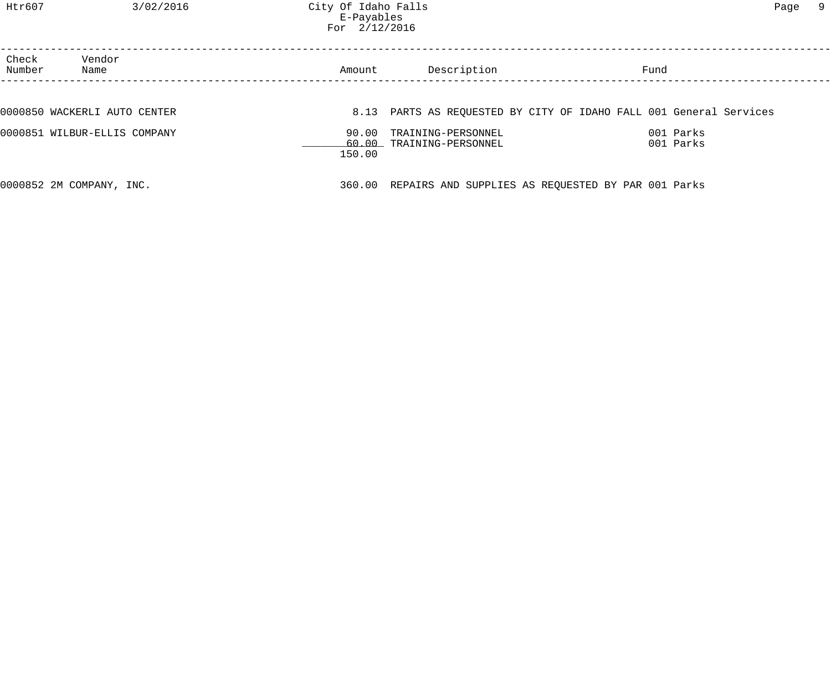Htr607 3/02/2016 City Of Idaho Falls Page 9 E-Payables For 2/12/2016

| Check<br>Number | Vendor<br>Name               | Amount | Description                                               | Fund                                                               |  |
|-----------------|------------------------------|--------|-----------------------------------------------------------|--------------------------------------------------------------------|--|
|                 |                              |        |                                                           |                                                                    |  |
|                 | 0000850 WACKERLI AUTO CENTER |        |                                                           | 8.13 PARTS AS REQUESTED BY CITY OF IDAHO FALL 001 General Services |  |
|                 | 0000851 WILBUR-ELLIS COMPANY | 150.00 | 90.00 TRAINING-PERSONNEL<br>60.00 TRAINING-PERSONNEL      | 001 Parks<br>001 Parks                                             |  |
|                 | 0000852 2M COMPANY, INC.     |        | 360.00 REPAIRS AND SUPPLIES AS REQUESTED BY PAR 001 Parks |                                                                    |  |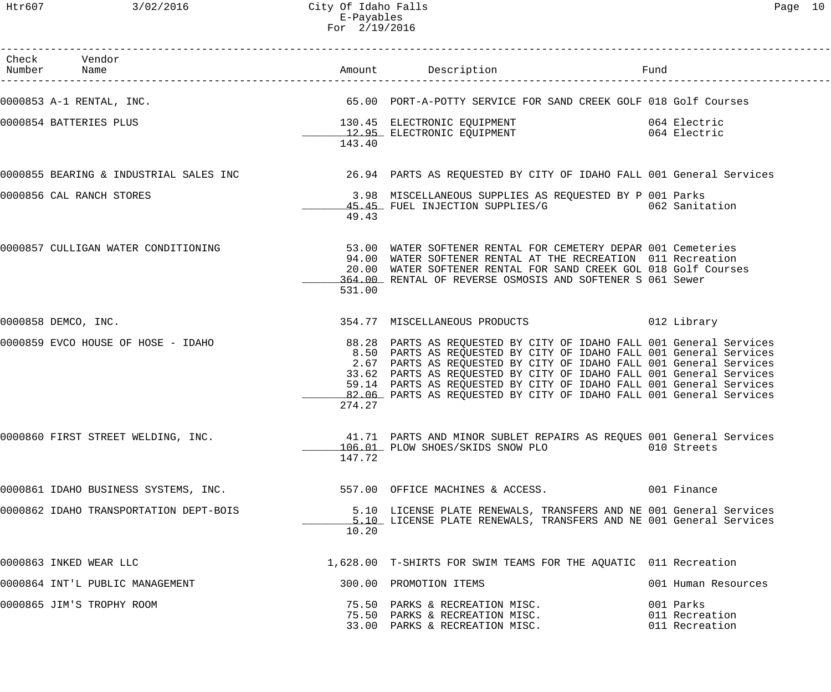| Check Vendor<br>Number Name            |        |                                                                                                                                                                                                                                                                                                                                                                                                                                      | Fund                                          |
|----------------------------------------|--------|--------------------------------------------------------------------------------------------------------------------------------------------------------------------------------------------------------------------------------------------------------------------------------------------------------------------------------------------------------------------------------------------------------------------------------------|-----------------------------------------------|
| 0000853 A-1 RENTAL, INC.               |        | 65.00 PORT-A-POTTY SERVICE FOR SAND CREEK GOLF 018 Golf Courses                                                                                                                                                                                                                                                                                                                                                                      |                                               |
| 0000854 BATTERIES PLUS                 |        | 130.45 ELECTRONIC EQUIPMENT<br>12.95 ELECTRONIC EQUIPMENT 12.95 ELECTRONIC EQUIPMENT                                                                                                                                                                                                                                                                                                                                                 |                                               |
|                                        | 143.40 |                                                                                                                                                                                                                                                                                                                                                                                                                                      |                                               |
|                                        |        | 0000855 BEARING & INDUSTRIAL SALES INC 30 100 26.94 PARTS AS REQUESTED BY CITY OF IDAHO FALL 001 General Services                                                                                                                                                                                                                                                                                                                    |                                               |
| 0000856 CAL RANCH STORES               | 49.43  | 3.98 MISCELLANEOUS SUPPLIES AS REQUESTED BY P 001 Parks<br>45.45 FUEL INJECTION SUPPLIES/G 62 Sanitation                                                                                                                                                                                                                                                                                                                             |                                               |
| 0000857 CULLIGAN WATER CONDITIONING    | 531.00 | 53.00 WATER SOFTENER RENTAL FOR CEMETERY DEPAR 001 Cemeteries<br>94.00 WATER SOFTENER RENTAL AT THE RECREATION 011 Recreation<br>20.00 WATER SOFTENER RENTAL FOR SAND CREEK GOL 018 Golf Courses<br>364.00 RENTAL OF REVERSE OSMOSIS AND SOFTENER S 061 Sewer                                                                                                                                                                        |                                               |
| 0000858 DEMCO, INC.                    |        | 354.77 MISCELLANEOUS PRODUCTS 012 Library                                                                                                                                                                                                                                                                                                                                                                                            |                                               |
| 0000859 EVCO HOUSE OF HOSE - IDAHO     | 274.27 | 88.28 PARTS AS REQUESTED BY CITY OF IDAHO FALL 001 General Services<br>8.50 PARTS AS REQUESTED BY CITY OF IDAHO FALL 001 General Services<br>2.67 PARTS AS REQUESTED BY CITY OF IDAHO FALL 001 General Services<br>33.62 PARTS AS REQUESTED BY CITY OF IDAHO FALL 001 General Services<br>59.14 PARTS AS REQUESTED BY CITY OF IDAHO FALL 001 General Services<br>82.06 PARTS AS REQUESTED BY CITY OF IDAHO FALL 001 General Services |                                               |
| 0000860 FIRST STREET WELDING, INC.     | 147.72 | 41.71 PARTS AND MINOR SUBLET REPAIRS AS REQUES 001 General Services<br>106.01 PLOW SHOES/SKIDS SNOW PLO                                                                                                                                                                                                                                                                                                                              | 010 Streets                                   |
| 0000861 IDAHO BUSINESS SYSTEMS, INC.   |        | 557.00 OFFICE MACHINES & ACCESS. 001 Finance                                                                                                                                                                                                                                                                                                                                                                                         |                                               |
| 0000862 IDAHO TRANSPORTATION DEPT-BOIS | 10.20  | 5.10 LICENSE PLATE RENEWALS, TRANSFERS AND NE 001 General Services<br>5.10 LICENSE PLATE RENEWALS, TRANSFERS AND NE 001 General Services                                                                                                                                                                                                                                                                                             |                                               |
| 0000863 INKED WEAR LLC                 |        | 1,628.00 T-SHIRTS FOR SWIM TEAMS FOR THE AQUATIC 011 Recreation                                                                                                                                                                                                                                                                                                                                                                      |                                               |
| 0000864 INT'L PUBLIC MANAGEMENT        |        | 300.00 PROMOTION ITEMS                                                                                                                                                                                                                                                                                                                                                                                                               | 001 Human Resources                           |
| 0000865 JIM'S TROPHY ROOM              |        | 75.50 PARKS & RECREATION MISC.<br>75.50 PARKS & RECREATION MISC.<br>33.00 PARKS & RECREATION MISC.                                                                                                                                                                                                                                                                                                                                   | 001 Parks<br>011 Recreation<br>011 Recreation |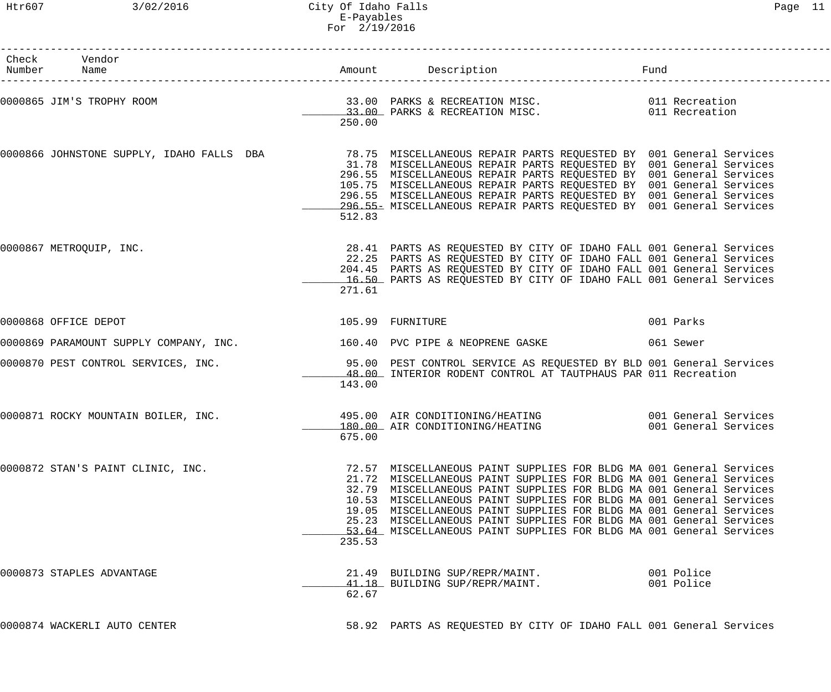## Htr607 3/02/2016 City Of Idaho Falls Page 11 E-Payables For 2/19/2016

| .,<br>ч |  |  |
|---------|--|--|
|---------|--|--|

| Check Vendor<br>Number Name                                                                                                                                      |        |                                                                                                                                                                                                                                                                                                                                                                                                                                                                                                               | Fund |                          |
|------------------------------------------------------------------------------------------------------------------------------------------------------------------|--------|---------------------------------------------------------------------------------------------------------------------------------------------------------------------------------------------------------------------------------------------------------------------------------------------------------------------------------------------------------------------------------------------------------------------------------------------------------------------------------------------------------------|------|--------------------------|
| 0000865 JIM'S TROPHY ROOM <b>1999 120 CON CONCRUST AND RES</b> SECREATION MISC.<br>33.00 PARKS & RECREATION MISC. 2011 Recreation 13.00 PARKS & RECREATION MISC. | 250.00 |                                                                                                                                                                                                                                                                                                                                                                                                                                                                                                               |      |                          |
| 0000866 JOHNSTONE SUPPLY, IDAHO FALLS DBA 19 78.75 MISCELLANEOUS REPAIR PARTS REQUESTED BY 001 General Services                                                  | 512.83 | 31.78 MISCELLANEOUS REPAIR PARTS REQUESTED BY 001 General Services<br>296.55 MISCELLANEOUS REPAIR PARTS REQUESTED BY 001 General Services<br>105.75 MISCELLANEOUS REPAIR PARTS REQUESTED BY 001 General Services<br>296.55 MISCELLANEOUS REPAIR PARTS REQUESTED BY 001 General Services<br>296.55 MISCELLANEOUS REPAIR PARTS REQUESTED BY 001 General Services                                                                                                                                                |      |                          |
| 0000867 METROQUIP, INC.                                                                                                                                          | 271.61 | 28.41 PARTS AS REQUESTED BY CITY OF IDAHO FALL 001 General Services<br>22.25 PARTS AS REQUESTED BY CITY OF IDAHO FALL 001 General Services<br>204.45 PARTS AS REQUESTED BY CITY OF IDAHO FALL 001 General Services<br>16.50 PARTS AS REQUESTED BY CITY OF IDAHO FALL 001 General Services                                                                                                                                                                                                                     |      |                          |
| 0000868 OFFICE DEPOT                                                                                                                                             |        | 105.99 FURNITURE                                                                                                                                                                                                                                                                                                                                                                                                                                                                                              |      | 001 Parks                |
| 0000869 PARAMOUNT SUPPLY COMPANY, INC. 40 160.40 PVC PIPE & NEOPRENE GASKE                                                                                       |        |                                                                                                                                                                                                                                                                                                                                                                                                                                                                                                               |      | 061 Sewer                |
| 0000870 PEST CONTROL SERVICES, INC. 20 20 2000 PEST CONTROL SERVICE AS REQUESTED BY BLD 001 General Services                                                     | 143.00 | 48.00 INTERIOR RODENT CONTROL AT TAUTPHAUS PAR 011 Recreation                                                                                                                                                                                                                                                                                                                                                                                                                                                 |      |                          |
| 0000871 ROCKY MOUNTAIN BOILER, INC.                                                                                                                              | 675.00 | 495.00 AIR CONDITIONING/HEATING 6001 General Services<br>180.00 AIR CONDITIONING/HEATING                                                                                                                                                                                                                                                                                                                                                                                                                      |      | 001 General Services     |
| 0000872 STAN'S PAINT CLINIC, INC.                                                                                                                                | 235.53 | 72.57 MISCELLANEOUS PAINT SUPPLIES FOR BLDG MA 001 General Services<br>21.72 MISCELLANEOUS PAINT SUPPLIES FOR BLDG MA 001 General Services<br>32.79 MISCELLANEOUS PAINT SUPPLIES FOR BLDG MA 001 General Services<br>10.53 MISCELLANEOUS PAINT SUPPLIES FOR BLDG MA 001 General Services<br>19.05 MISCELLANEOUS PAINT SUPPLIES FOR BLDG MA 001 General Services<br>25.23 MISCELLANEOUS PAINT SUPPLIES FOR BLDG MA 001 General Services<br>53.64 MISCELLANEOUS PAINT SUPPLIES FOR BLDG MA 001 General Services |      |                          |
| 0000873 STAPLES ADVANTAGE                                                                                                                                        | 62.67  | 21.49 BUILDING SUP/REPR/MAINT.<br>41.18 BUILDING SUP/REPR/MAINT.                                                                                                                                                                                                                                                                                                                                                                                                                                              |      | 001 Police<br>001 Police |
| 0000874 WACKERLI AUTO CENTER                                                                                                                                     |        | 58.92 PARTS AS REQUESTED BY CITY OF IDAHO FALL 001 General Services                                                                                                                                                                                                                                                                                                                                                                                                                                           |      |                          |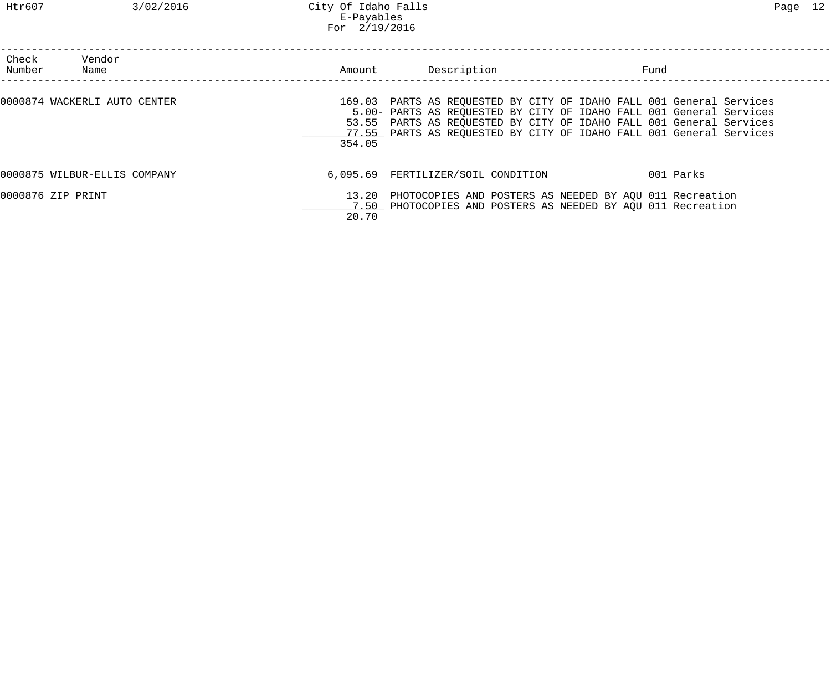| Check<br>Number   | Vendor<br>Name               | Amount | Description                                                                                                                                                                                                                                                                               | Fund |           |
|-------------------|------------------------------|--------|-------------------------------------------------------------------------------------------------------------------------------------------------------------------------------------------------------------------------------------------------------------------------------------------|------|-----------|
|                   | 0000874 WACKERLI AUTO CENTER | 354.05 | 169.03 PARTS AS REQUESTED BY CITY OF IDAHO FALL 001 General Services<br>5.00- PARTS AS REQUESTED BY CITY OF IDAHO FALL 001 General Services<br>53.55 PARTS AS REQUESTED BY CITY OF IDAHO FALL 001 General Services<br>77.55 PARTS AS REQUESTED BY CITY OF IDAHO FALL 001 General Services |      |           |
|                   | 0000875 WILBUR-ELLIS COMPANY |        | 6,095.69 FERTILIZER/SOIL CONDITION                                                                                                                                                                                                                                                        |      | 001 Parks |
| 0000876 ZIP PRINT |                              |        | 13.20 PHOTOCOPIES AND POSTERS AS NEEDED BY AQU 011 Recreation<br>7.50 PHOTOCOPIES AND POSTERS AS NEEDED BY AOU 011 Recreation                                                                                                                                                             |      |           |

20.70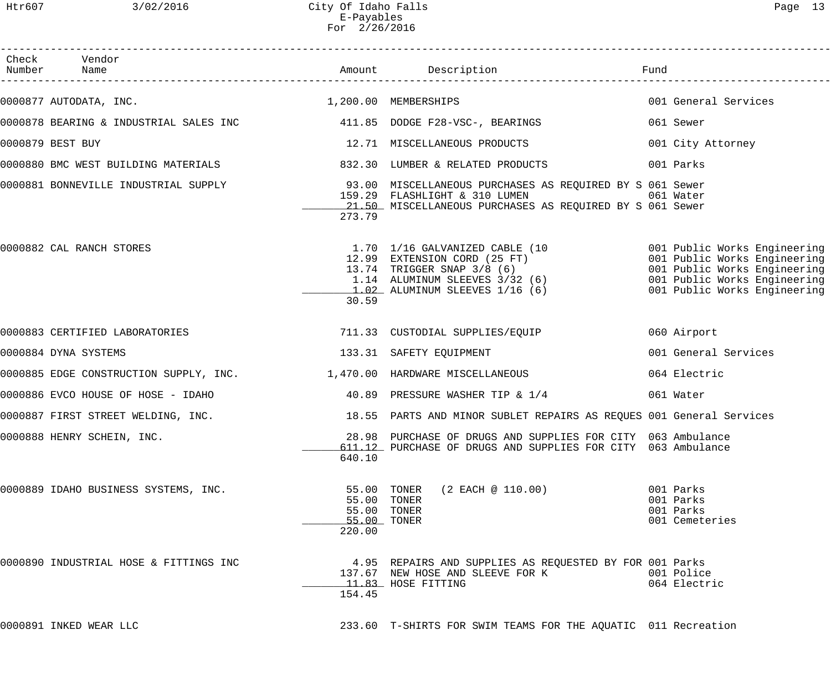| Check Vendor<br>Number Name                                              |                                                                    |                                                                                                                                                                                                                                        |                                                       |
|--------------------------------------------------------------------------|--------------------------------------------------------------------|----------------------------------------------------------------------------------------------------------------------------------------------------------------------------------------------------------------------------------------|-------------------------------------------------------|
| 0000877 AUTODATA, INC. 200.00 MEMBERSHIPS                                |                                                                    |                                                                                                                                                                                                                                        | 001 General Services                                  |
|                                                                          |                                                                    |                                                                                                                                                                                                                                        | 061 Sewer                                             |
| 0000879 BEST BUY                                                         |                                                                    | 12.71 MISCELLANEOUS PRODUCTS                                                                                                                                                                                                           | 001 City Attorney                                     |
| 0000880 BMC WEST BUILDING MATERIALS                                      |                                                                    | 832.30 LUMBER & RELATED PRODUCTS                                                                                                                                                                                                       | 001 Parks                                             |
|                                                                          | 273.79                                                             | 0000881 BONNEVILLE INDUSTRIAL SUPPLY 193.00 MISCELLANEOUS PURCHASES AS REQUIRED BY S 061 Sewer<br>159.29 FLASHLIGHT & 310 LUMEN<br>21.50 MISCELLANEOUS PURCHASES AS REQUIRED BY S 061 Sewer                                            | 061 Water                                             |
| 0000882 CAL RANCH STORES                                                 | 30.59                                                              | 1.70 1/16 GALVANIZED CABLE (10 001 Public Works Engineering<br>12.99 EXTENSION CORD (25 FT) 001 Public Works Engineering<br>13.74 TRIGGER SNAP 3/8 (6) 001 Public Works Engineering<br>1.14 ALUMINUM SLEEVES 3/32 (6) 001 Public Works |                                                       |
|                                                                          |                                                                    |                                                                                                                                                                                                                                        | 060 Airport                                           |
| 0000884 DYNA SYSTEMS                                                     |                                                                    | 133.31 SAFETY EQUIPMENT                                                                                                                                                                                                                | 001 General Services                                  |
| 0000885 EDGE CONSTRUCTION SUPPLY, INC. $1,470.00$ HARDWARE MISCELLANEOUS |                                                                    |                                                                                                                                                                                                                                        | 064 Electric                                          |
| 0000886 EVCO HOUSE OF HOSE - IDAHO                                       |                                                                    | 40.89 PRESSURE WASHER TIP & 1/4                                                                                                                                                                                                        | 061 Water                                             |
| 0000887 FIRST STREET WELDING, INC.                                       |                                                                    | 18.55 PARTS AND MINOR SUBLET REPAIRS AS REQUES 001 General Services                                                                                                                                                                    |                                                       |
| 0000888 HENRY SCHEIN, INC.                                               | 640.10                                                             | 28.98 PURCHASE OF DRUGS AND SUPPLIES FOR CITY 063 Ambulance<br>611.12 PURCHASE OF DRUGS AND SUPPLIES FOR CITY 063 Ambulance                                                                                                            |                                                       |
| 0000889 IDAHO BUSINESS SYSTEMS, INC.                                     | 55.00 TONER<br>55.00 TONER<br>55.00 TONER<br>55.00 TONER<br>220.00 | $(2$ EACH @ 110.00)                                                                                                                                                                                                                    | 001 Parks<br>001 Parks<br>001 Parks<br>001 Cemeteries |
| 0000890 INDUSTRIAL HOSE & FITTINGS INC                                   | 154.45                                                             | 4.95 REPAIRS AND SUPPLIES AS REQUESTED BY FOR 001 Parks<br>137.67 NEW HOSE AND SLEEVE FOR K<br>11.83 HOSE FITTING                                                                                                                      | 001 Police<br>064 Electric                            |
| 0000891 INKED WEAR LLC                                                   |                                                                    | 233.60 T-SHIRTS FOR SWIM TEAMS FOR THE AQUATIC 011 Recreation                                                                                                                                                                          |                                                       |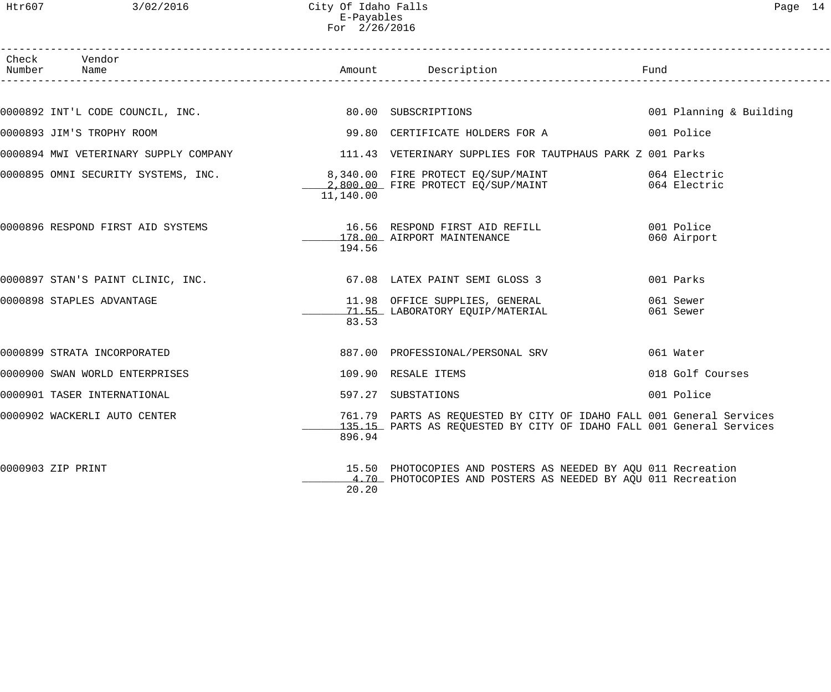Htr607 3/02/2016 City Of Idaho Falls Page 14 E-Payables For 2/26/2016

| Check Vendor<br>Number Name         |           |                                                                                                                                              |                           |
|-------------------------------------|-----------|----------------------------------------------------------------------------------------------------------------------------------------------|---------------------------|
|                                     |           |                                                                                                                                              |                           |
|                                     |           | 0000892 INT'L CODE COUNCIL, INC. 60.00 SUBSCRIPTIONS                                                                                         | 001 Planning & Building   |
| 0000893 JIM'S TROPHY ROOM           |           | 99.80 CERTIFICATE HOLDERS FOR A                                                                                                              | 001 Police                |
|                                     |           | 0000894 MWI VETERINARY SUPPLY COMPANY 111.43 VETERINARY SUPPLIES FOR TAUTPHAUS PARK Z 001 Parks                                              |                           |
| 0000895 OMNI SECURITY SYSTEMS, INC. | 11,140.00 | 8,340.00 FIRE PROTECT EQ/SUP/MAINT 664 Electric<br>2,800.00 FIRE PROTECT EQ/SUP/MAINT 664 Electric                                           |                           |
| 0000896 RESPOND FIRST AID SYSTEMS   | 194.56    | 16.56 RESPOND FIRST AID REFILL<br>178.00 AIRPORT MAINTENANCE                                                                                 | 001 Police<br>060 Airport |
| 0000897 STAN'S PAINT CLINIC, INC.   |           | 67.08 LATEX PAINT SEMI GLOSS 3                                                                                                               | 001 Parks                 |
| 0000898 STAPLES ADVANTAGE           | 83.53     | 11.98   OFFICE SUPPLIES, GENERAL<br>71.55  LABORATORY EQUIP/MATERIAL                                                                         | 061 Sewer<br>061 Sewer    |
| 0000899 STRATA INCORPORATED         |           | 887.00 PROFESSIONAL/PERSONAL SRV                                                                                                             | 061 Water                 |
| 0000900 SWAN WORLD ENTERPRISES      |           | 109.90 RESALE ITEMS                                                                                                                          | 018 Golf Courses          |
| 0000901 TASER INTERNATIONAL         |           | 597.27 SUBSTATIONS                                                                                                                           | 001 Police                |
| 0000902 WACKERLI AUTO CENTER        | 896.94    | 761.79 PARTS AS REQUESTED BY CITY OF IDAHO FALL 001 General Services<br>135.15 PARTS AS REQUESTED BY CITY OF IDAHO FALL 001 General Services |                           |
| 0000903 ZIP PRINT                   | 20.20     | 15.50 PHOTOCOPIES AND POSTERS AS NEEDED BY AQU 011 Recreation<br>4.70 PHOTOCOPIES AND POSTERS AS NEEDED BY AQU 011 Recreation                |                           |
|                                     |           |                                                                                                                                              |                           |